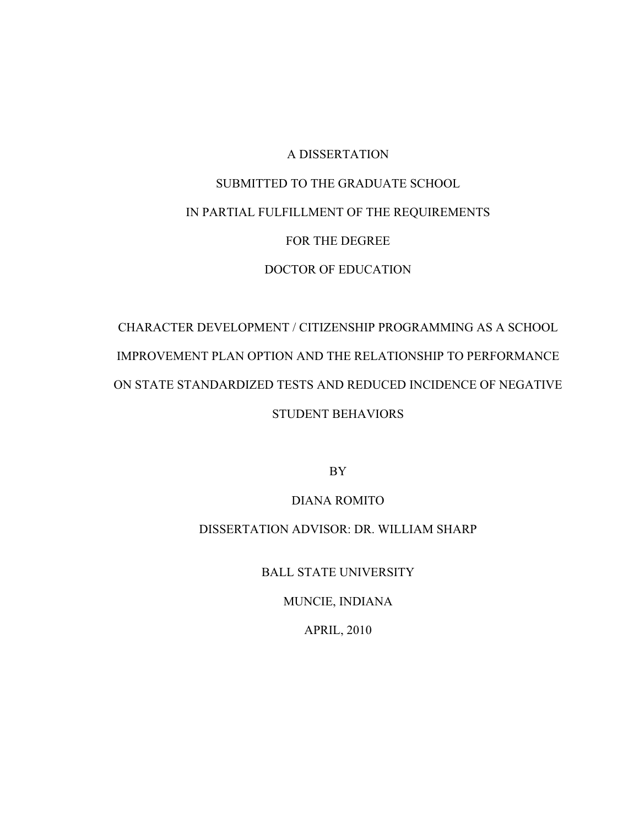# A DISSERTATION SUBMITTED TO THE GRADUATE SCHOOL IN PARTIAL FULFILLMENT OF THE REQUIREMENTS FOR THE DEGREE DOCTOR OF EDUCATION

# CHARACTER DEVELOPMENT / CITIZENSHIP PROGRAMMING AS A SCHOOL IMPROVEMENT PLAN OPTION AND THE RELATIONSHIP TO PERFORMANCE ON STATE STANDARDIZED TESTS AND REDUCED INCIDENCE OF NEGATIVE STUDENT BEHAVIORS

BY

DIANA ROMITO

# DISSERTATION ADVISOR: DR. WILLIAM SHARP

BALL STATE UNIVERSITY

MUNCIE, INDIANA

APRIL, 2010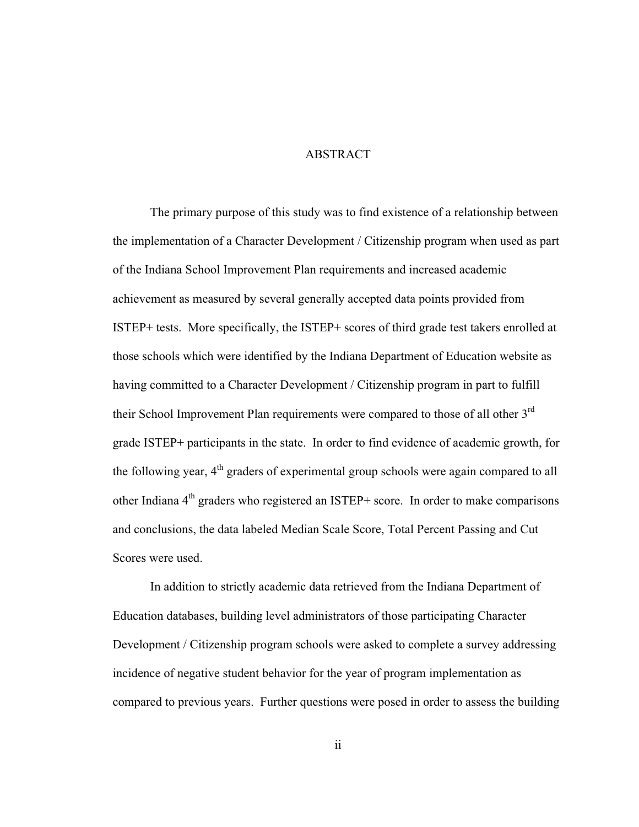## ABSTRACT

The primary purpose of this study was to find existence of a relationship between the implementation of a Character Development / Citizenship program when used as part of the Indiana School Improvement Plan requirements and increased academic achievement as measured by several generally accepted data points provided from ISTEP+ tests. More specifically, the ISTEP+ scores of third grade test takers enrolled at those schools which were identified by the Indiana Department of Education website as having committed to a Character Development / Citizenship program in part to fulfill their School Improvement Plan requirements were compared to those of all other  $3<sup>rd</sup>$ grade ISTEP+ participants in the state. In order to find evidence of academic growth, for the following year,  $4<sup>th</sup>$  graders of experimental group schools were again compared to all other Indiana  $4<sup>th</sup>$  graders who registered an ISTEP+ score. In order to make comparisons and conclusions, the data labeled Median Scale Score, Total Percent Passing and Cut Scores were used.

In addition to strictly academic data retrieved from the Indiana Department of Education databases, building level administrators of those participating Character Development / Citizenship program schools were asked to complete a survey addressing incidence of negative student behavior for the year of program implementation as compared to previous years. Further questions were posed in order to assess the building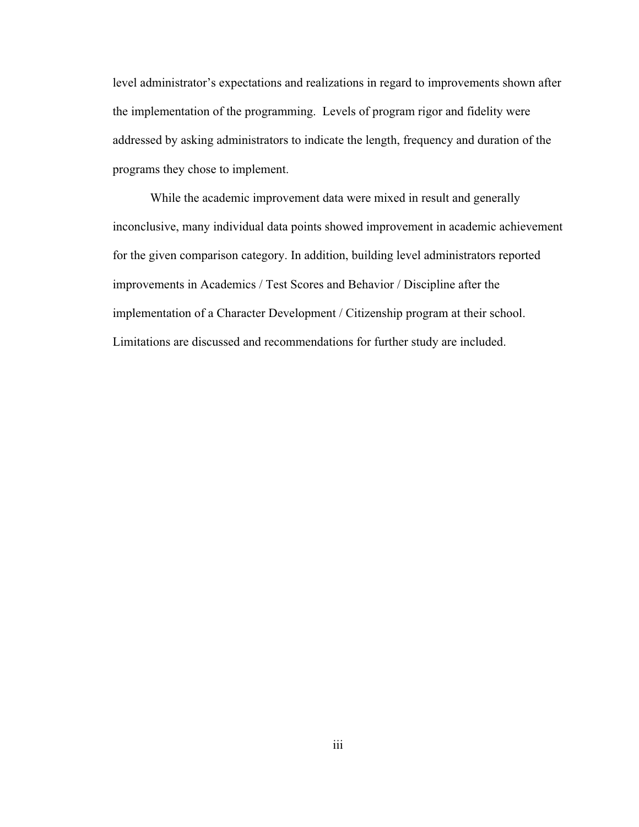level administrator's expectations and realizations in regard to improvements shown after the implementation of the programming. Levels of program rigor and fidelity were addressed by asking administrators to indicate the length, frequency and duration of the programs they chose to implement.

While the academic improvement data were mixed in result and generally inconclusive, many individual data points showed improvement in academic achievement for the given comparison category. In addition, building level administrators reported improvements in Academics / Test Scores and Behavior / Discipline after the implementation of a Character Development / Citizenship program at their school. Limitations are discussed and recommendations for further study are included.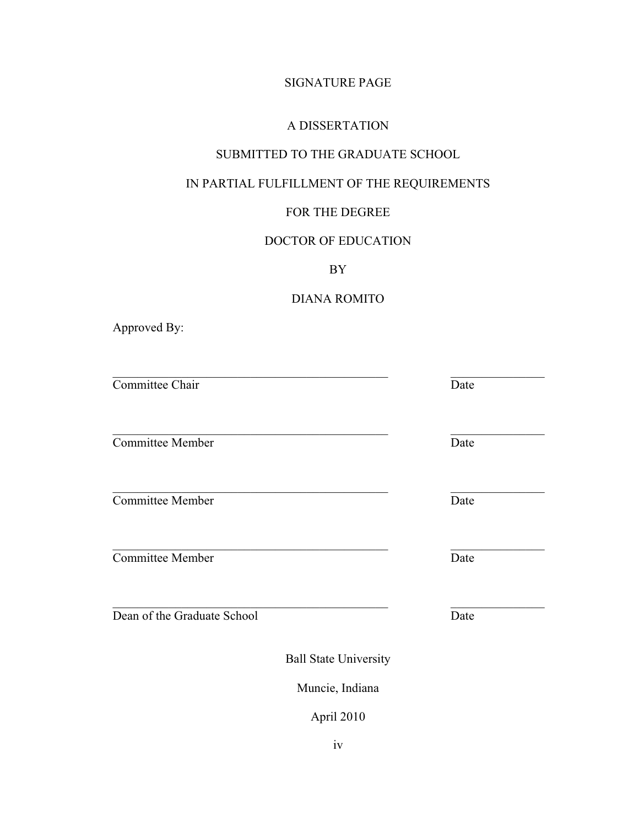# SIGNATURE PAGE

## A DISSERTATION

# SUBMITTED TO THE GRADUATE SCHOOL

# IN PARTIAL FULFILLMENT OF THE REQUIREMENTS

# FOR THE DEGREE

# DOCTOR OF EDUCATION

BY

# DIANA ROMITO

Approved By:

| Committee Chair              | Date |
|------------------------------|------|
| <b>Committee Member</b>      | Date |
| <b>Committee Member</b>      | Date |
| <b>Committee Member</b>      | Date |
| Dean of the Graduate School  | Date |
| <b>Ball State University</b> |      |
| Muncie, Indiana              |      |

April 2010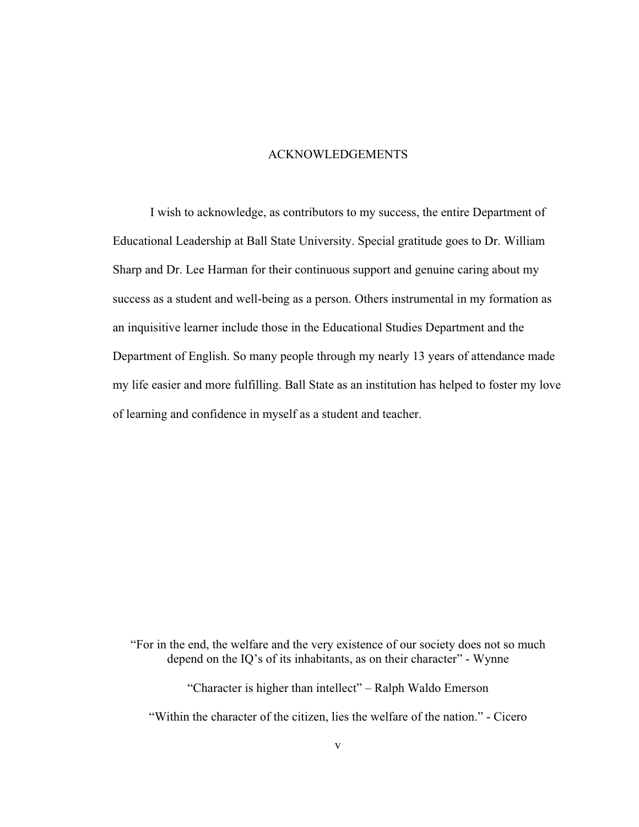## ACKNOWLEDGEMENTS

I wish to acknowledge, as contributors to my success, the entire Department of Educational Leadership at Ball State University. Special gratitude goes to Dr. William Sharp and Dr. Lee Harman for their continuous support and genuine caring about my success as a student and well-being as a person. Others instrumental in my formation as an inquisitive learner include those in the Educational Studies Department and the Department of English. So many people through my nearly 13 years of attendance made my life easier and more fulfilling. Ball State as an institution has helped to foster my love of learning and confidence in myself as a student and teacher.

"For in the end, the welfare and the very existence of our society does not so much depend on the IQ's of its inhabitants, as on their character" - Wynne

"Character is higher than intellect" – Ralph Waldo Emerson

"Within the character of the citizen, lies the welfare of the nation." - Cicero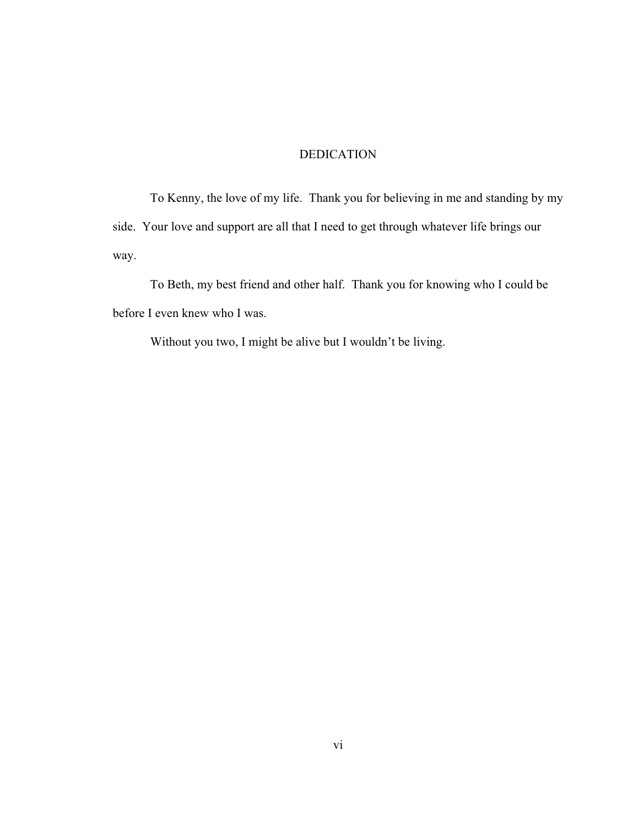## DEDICATION

 To Kenny, the love of my life. Thank you for believing in me and standing by my side. Your love and support are all that I need to get through whatever life brings our way.

 To Beth, my best friend and other half. Thank you for knowing who I could be before I even knew who I was.

Without you two, I might be alive but I wouldn't be living.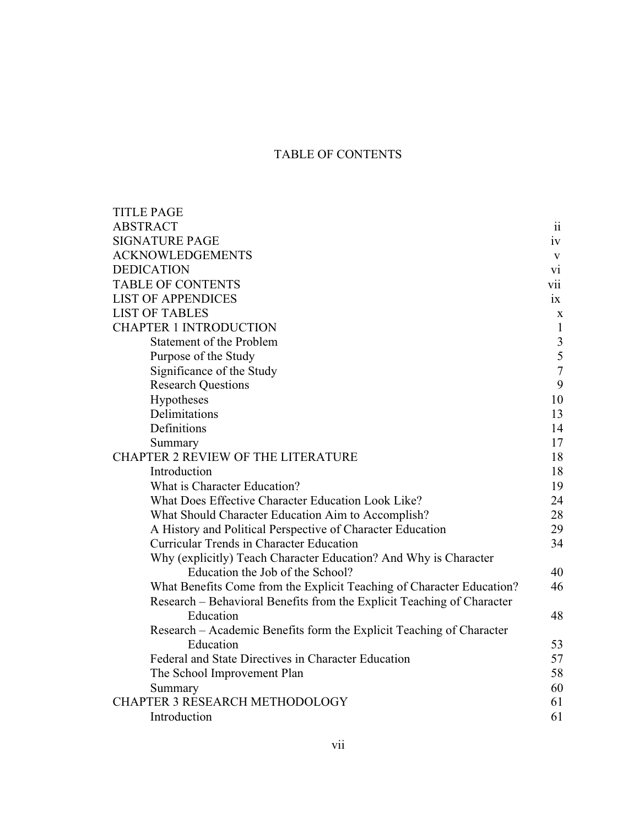# TABLE OF CONTENTS

| <b>TITLE PAGE</b>                                                      |                 |
|------------------------------------------------------------------------|-----------------|
| <b>ABSTRACT</b>                                                        | $\overline{11}$ |
| <b>SIGNATURE PAGE</b>                                                  | iv              |
| <b>ACKNOWLEDGEMENTS</b>                                                | V               |
| <b>DEDICATION</b>                                                      | V1              |
| <b>TABLE OF CONTENTS</b>                                               | Vİİ.            |
| <b>LIST OF APPENDICES</b>                                              | $ix =$          |
| <b>LIST OF TABLES</b>                                                  | $\mathbf X$     |
| <b>CHAPTER 1 INTRODUCTION</b>                                          | $\mathbf{1}$    |
| <b>Statement of the Problem</b>                                        | $\mathfrak{Z}$  |
| Purpose of the Study                                                   | 5               |
| Significance of the Study                                              | $\overline{7}$  |
| <b>Research Questions</b>                                              | 9               |
| Hypotheses                                                             | 10              |
| Delimitations                                                          | 13              |
| Definitions                                                            | 14              |
| Summary                                                                | 17              |
| CHAPTER 2 REVIEW OF THE LITERATURE                                     | 18              |
| Introduction                                                           | 18              |
| What is Character Education?                                           | 19              |
| What Does Effective Character Education Look Like?                     | 24              |
| What Should Character Education Aim to Accomplish?                     | 28              |
| A History and Political Perspective of Character Education             | 29              |
| <b>Curricular Trends in Character Education</b>                        | 34              |
| Why (explicitly) Teach Character Education? And Why is Character       |                 |
| Education the Job of the School?                                       | 40              |
| What Benefits Come from the Explicit Teaching of Character Education?  | 46              |
| Research – Behavioral Benefits from the Explicit Teaching of Character |                 |
| Education                                                              | 48              |
| Research – Academic Benefits form the Explicit Teaching of Character   |                 |
| Education                                                              | 53              |
| Federal and State Directives in Character Education                    | 57              |
| The School Improvement Plan                                            | 58              |
| Summary                                                                | 60              |
| CHAPTER 3 RESEARCH METHODOLOGY                                         | 61              |
| Introduction                                                           | 61              |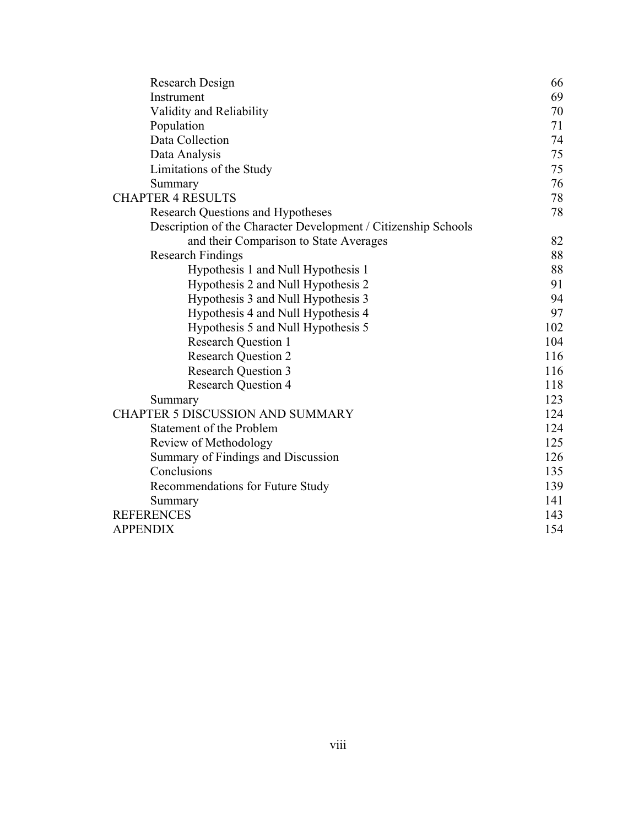| Research Design                                                | 66  |
|----------------------------------------------------------------|-----|
| Instrument                                                     | 69  |
| Validity and Reliability                                       | 70  |
| Population                                                     | 71  |
| Data Collection                                                | 74  |
| Data Analysis                                                  | 75  |
| Limitations of the Study                                       | 75  |
| Summary                                                        | 76  |
| <b>CHAPTER 4 RESULTS</b>                                       | 78  |
| <b>Research Questions and Hypotheses</b>                       | 78  |
| Description of the Character Development / Citizenship Schools |     |
| and their Comparison to State Averages                         | 82  |
| <b>Research Findings</b>                                       | 88  |
| Hypothesis 1 and Null Hypothesis 1                             | 88  |
| Hypothesis 2 and Null Hypothesis 2                             | 91  |
| Hypothesis 3 and Null Hypothesis 3                             | 94  |
| Hypothesis 4 and Null Hypothesis 4                             | 97  |
| Hypothesis 5 and Null Hypothesis 5                             | 102 |
| <b>Research Question 1</b>                                     | 104 |
| <b>Research Question 2</b>                                     | 116 |
| <b>Research Question 3</b>                                     | 116 |
| <b>Research Question 4</b>                                     | 118 |
| Summary                                                        | 123 |
| <b>CHAPTER 5 DISCUSSION AND SUMMARY</b>                        | 124 |
| <b>Statement of the Problem</b>                                | 124 |
| Review of Methodology                                          | 125 |
| Summary of Findings and Discussion                             | 126 |
| Conclusions                                                    | 135 |
| Recommendations for Future Study                               | 139 |
| Summary                                                        | 141 |
| <b>REFERENCES</b>                                              | 143 |
| <b>APPENDIX</b>                                                | 154 |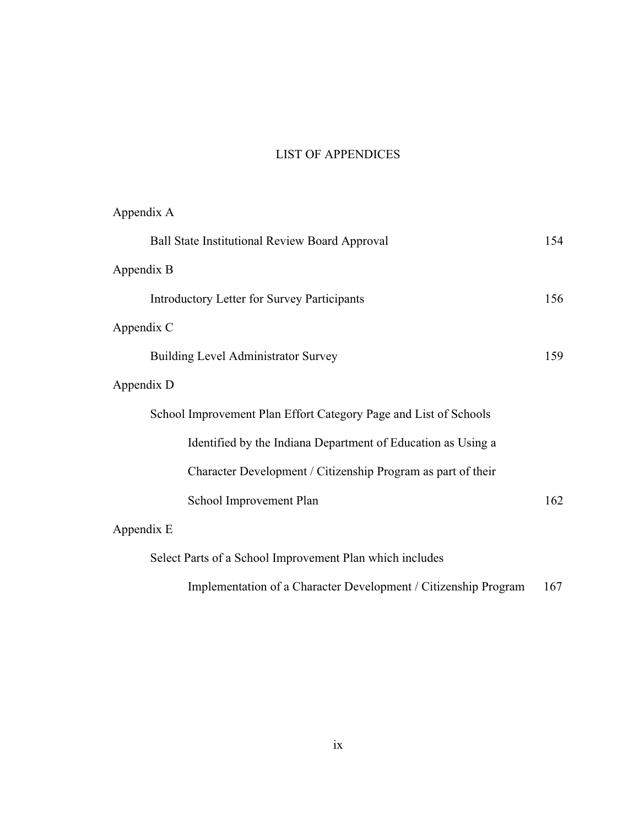# LIST OF APPENDICES

| Appendix A                                                       |     |
|------------------------------------------------------------------|-----|
| <b>Ball State Institutional Review Board Approval</b>            | 154 |
| Appendix B                                                       |     |
| <b>Introductory Letter for Survey Participants</b>               | 156 |
| Appendix C                                                       |     |
| <b>Building Level Administrator Survey</b>                       | 159 |
| Appendix D                                                       |     |
| School Improvement Plan Effort Category Page and List of Schools |     |
| Identified by the Indiana Department of Education as Using a     |     |
| Character Development / Citizenship Program as part of their     |     |
| School Improvement Plan                                          | 162 |
| Appendix E                                                       |     |
| Select Parts of a School Improvement Plan which includes         |     |
| Implementation of a Character Development / Citizenship Program  | 167 |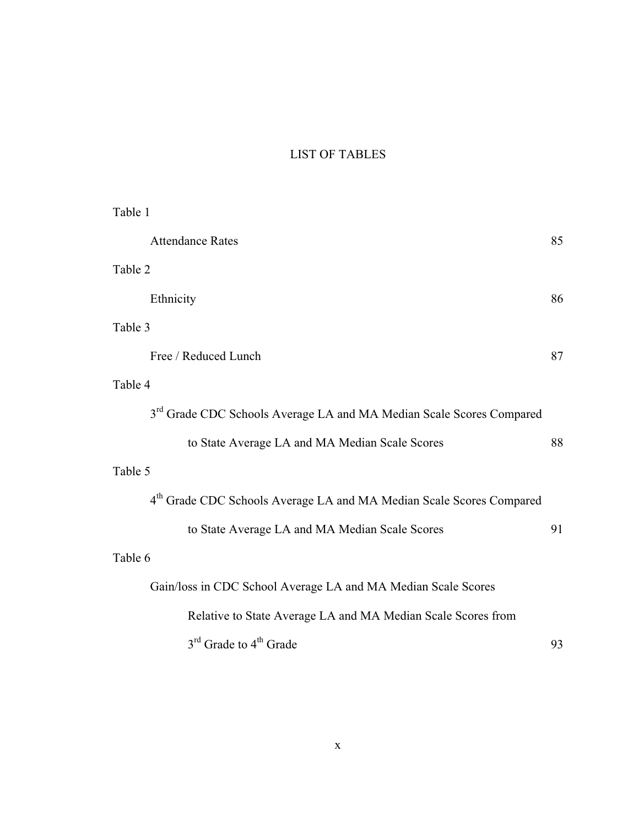# LIST OF TABLES

| Table 1 |                                                                                  |    |
|---------|----------------------------------------------------------------------------------|----|
|         | <b>Attendance Rates</b>                                                          | 85 |
| Table 2 |                                                                                  |    |
|         | Ethnicity                                                                        | 86 |
| Table 3 |                                                                                  |    |
|         | Free / Reduced Lunch                                                             | 87 |
| Table 4 |                                                                                  |    |
|         | 3 <sup>rd</sup> Grade CDC Schools Average LA and MA Median Scale Scores Compared |    |
|         | to State Average LA and MA Median Scale Scores                                   | 88 |
| Table 5 |                                                                                  |    |
|         | 4 <sup>th</sup> Grade CDC Schools Average LA and MA Median Scale Scores Compared |    |
|         | to State Average LA and MA Median Scale Scores                                   | 91 |
| Table 6 |                                                                                  |    |
|         | Gain/loss in CDC School Average LA and MA Median Scale Scores                    |    |
|         | Relative to State Average LA and MA Median Scale Scores from                     |    |
|         | 3 <sup>rd</sup> Grade to 4 <sup>th</sup> Grade                                   | 93 |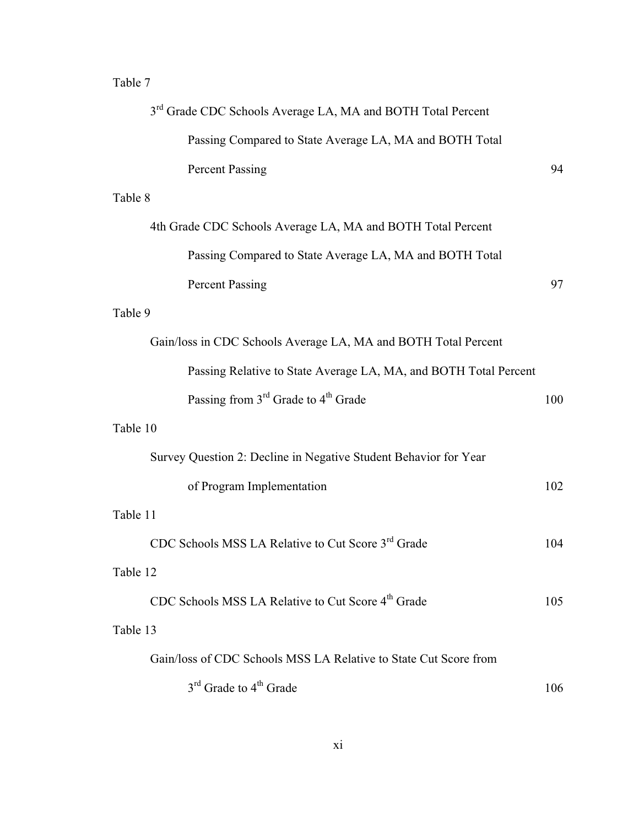# Table 7

| 3 <sup>rd</sup> Grade CDC Schools Average LA, MA and BOTH Total Percent |     |
|-------------------------------------------------------------------------|-----|
| Passing Compared to State Average LA, MA and BOTH Total                 |     |
| <b>Percent Passing</b>                                                  | 94  |
| Table 8                                                                 |     |
| 4th Grade CDC Schools Average LA, MA and BOTH Total Percent             |     |
| Passing Compared to State Average LA, MA and BOTH Total                 |     |
| <b>Percent Passing</b>                                                  | 97  |
| Table 9                                                                 |     |
| Gain/loss in CDC Schools Average LA, MA and BOTH Total Percent          |     |
| Passing Relative to State Average LA, MA, and BOTH Total Percent        |     |
| Passing from 3 <sup>rd</sup> Grade to 4 <sup>th</sup> Grade             | 100 |
| Table 10                                                                |     |
| Survey Question 2: Decline in Negative Student Behavior for Year        |     |
| of Program Implementation                                               | 102 |
| Table 11                                                                |     |
| CDC Schools MSS LA Relative to Cut Score 3rd Grade                      | 104 |
| Table 12                                                                |     |
| CDC Schools MSS LA Relative to Cut Score 4 <sup>th</sup> Grade          | 105 |
| Table 13                                                                |     |
| Gain/loss of CDC Schools MSS LA Relative to State Cut Score from        |     |
| 3 <sup>rd</sup> Grade to 4 <sup>th</sup> Grade                          | 106 |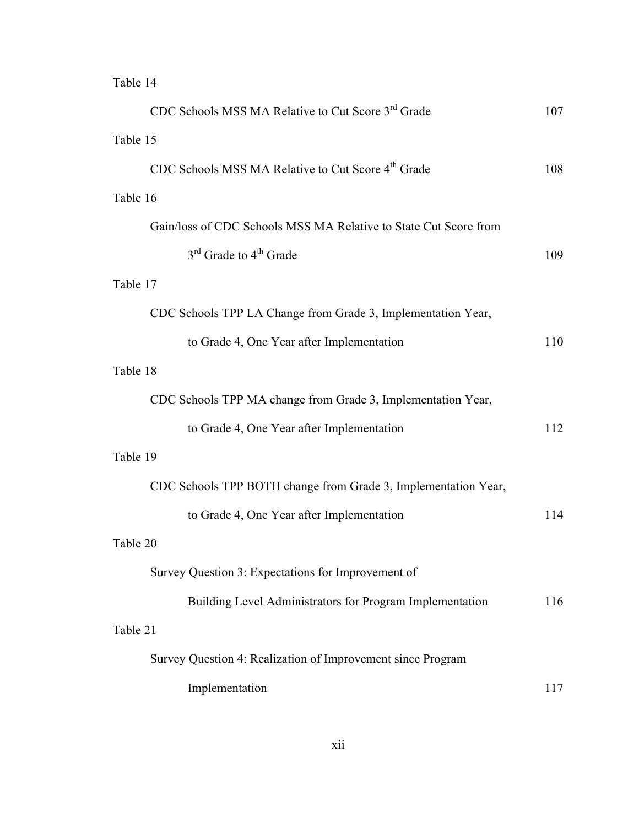# Table 14

| CDC Schools MSS MA Relative to Cut Score 3 <sup>rd</sup> Grade   | 107 |
|------------------------------------------------------------------|-----|
| Table 15                                                         |     |
| CDC Schools MSS MA Relative to Cut Score 4 <sup>th</sup> Grade   | 108 |
| Table 16                                                         |     |
| Gain/loss of CDC Schools MSS MA Relative to State Cut Score from |     |
| $3rd$ Grade to $4th$ Grade                                       | 109 |
| Table 17                                                         |     |
| CDC Schools TPP LA Change from Grade 3, Implementation Year,     |     |
| to Grade 4, One Year after Implementation                        | 110 |
| Table 18                                                         |     |
| CDC Schools TPP MA change from Grade 3, Implementation Year,     |     |
| to Grade 4, One Year after Implementation                        | 112 |
| Table 19                                                         |     |
| CDC Schools TPP BOTH change from Grade 3, Implementation Year,   |     |
| to Grade 4, One Year after Implementation                        | 114 |
| Table 20                                                         |     |
| Survey Question 3: Expectations for Improvement of               |     |
| Building Level Administrators for Program Implementation         | 116 |
| Table 21                                                         |     |
| Survey Question 4: Realization of Improvement since Program      |     |
| Implementation                                                   | 117 |
|                                                                  |     |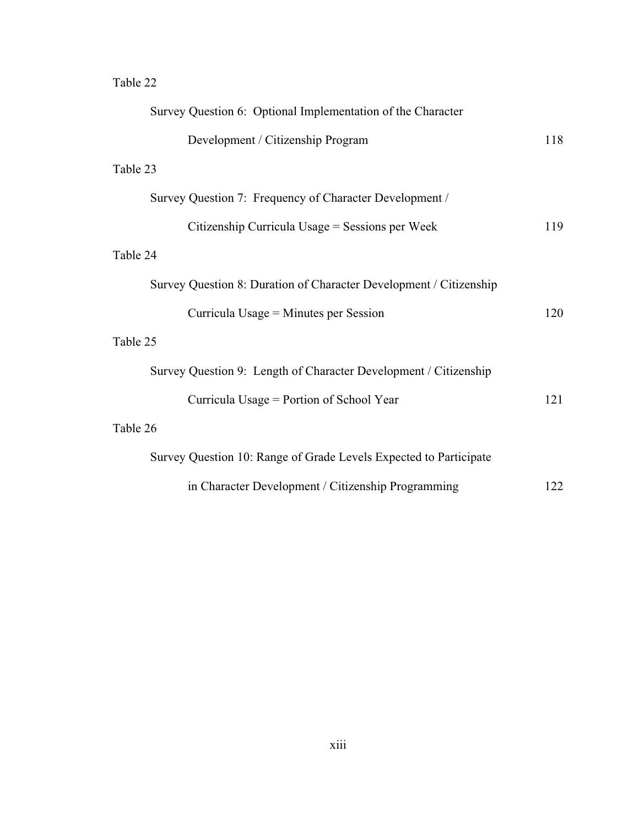# Table 22

| Survey Question 6: Optional Implementation of the Character        |     |
|--------------------------------------------------------------------|-----|
| Development / Citizenship Program                                  | 118 |
| Table 23                                                           |     |
| Survey Question 7: Frequency of Character Development /            |     |
| Citizenship Curricula Usage = Sessions per Week                    | 119 |
| Table 24                                                           |     |
| Survey Question 8: Duration of Character Development / Citizenship |     |
| Curricula Usage = Minutes per Session                              | 120 |
| Table 25                                                           |     |
| Survey Question 9: Length of Character Development / Citizenship   |     |
| Curricula Usage = Portion of School Year                           | 121 |
| Table 26                                                           |     |
| Survey Question 10: Range of Grade Levels Expected to Participate  |     |
| in Character Development / Citizenship Programming                 | 122 |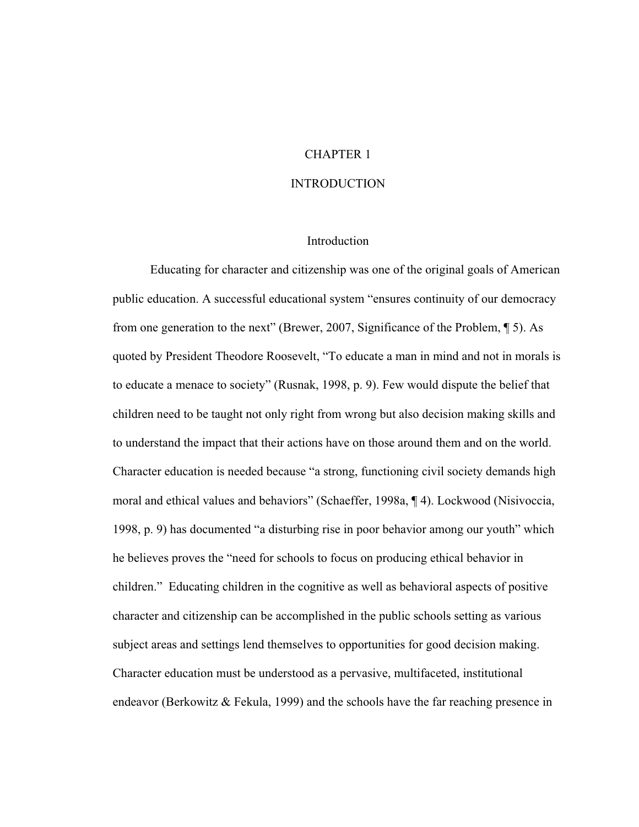# CHAPTER 1

### INTRODUCTION

## Introduction

 Educating for character and citizenship was one of the original goals of American public education. A successful educational system "ensures continuity of our democracy from one generation to the next" (Brewer, 2007, Significance of the Problem, ¶ 5). As quoted by President Theodore Roosevelt, "To educate a man in mind and not in morals is to educate a menace to society" (Rusnak, 1998, p. 9). Few would dispute the belief that children need to be taught not only right from wrong but also decision making skills and to understand the impact that their actions have on those around them and on the world. Character education is needed because "a strong, functioning civil society demands high moral and ethical values and behaviors" (Schaeffer, 1998a, ¶ 4). Lockwood (Nisivoccia, 1998, p. 9) has documented "a disturbing rise in poor behavior among our youth" which he believes proves the "need for schools to focus on producing ethical behavior in children." Educating children in the cognitive as well as behavioral aspects of positive character and citizenship can be accomplished in the public schools setting as various subject areas and settings lend themselves to opportunities for good decision making. Character education must be understood as a pervasive, multifaceted, institutional endeavor (Berkowitz & Fekula, 1999) and the schools have the far reaching presence in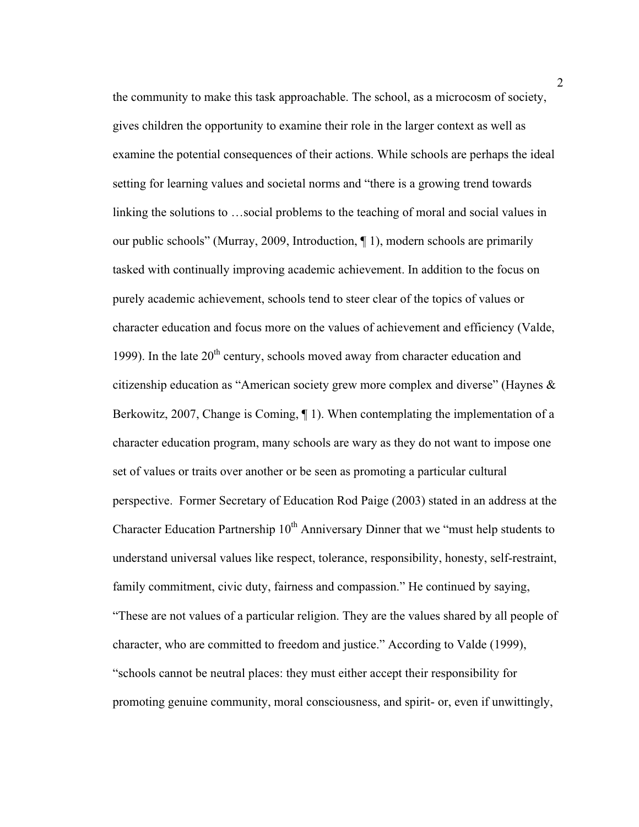the community to make this task approachable. The school, as a microcosm of society, gives children the opportunity to examine their role in the larger context as well as examine the potential consequences of their actions. While schools are perhaps the ideal setting for learning values and societal norms and "there is a growing trend towards linking the solutions to …social problems to the teaching of moral and social values in our public schools" (Murray, 2009, Introduction, ¶ 1), modern schools are primarily tasked with continually improving academic achievement. In addition to the focus on purely academic achievement, schools tend to steer clear of the topics of values or character education and focus more on the values of achievement and efficiency (Valde, 1999). In the late  $20<sup>th</sup>$  century, schools moved away from character education and citizenship education as "American society grew more complex and diverse" (Haynes & Berkowitz, 2007, Change is Coming, ¶ 1). When contemplating the implementation of a character education program, many schools are wary as they do not want to impose one set of values or traits over another or be seen as promoting a particular cultural perspective. Former Secretary of Education Rod Paige (2003) stated in an address at the Character Education Partnership  $10<sup>th</sup>$  Anniversary Dinner that we "must help students to understand universal values like respect, tolerance, responsibility, honesty, self-restraint, family commitment, civic duty, fairness and compassion." He continued by saying, "These are not values of a particular religion. They are the values shared by all people of character, who are committed to freedom and justice." According to Valde (1999), "schools cannot be neutral places: they must either accept their responsibility for promoting genuine community, moral consciousness, and spirit- or, even if unwittingly,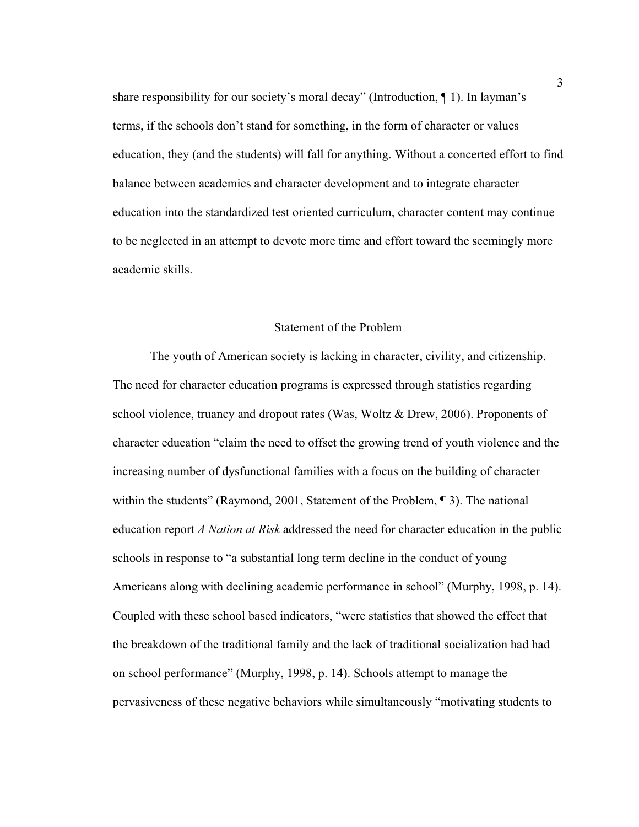share responsibility for our society's moral decay" (Introduction, ¶ 1). In layman's terms, if the schools don't stand for something, in the form of character or values education, they (and the students) will fall for anything. Without a concerted effort to find balance between academics and character development and to integrate character education into the standardized test oriented curriculum, character content may continue to be neglected in an attempt to devote more time and effort toward the seemingly more academic skills.

## Statement of the Problem

The youth of American society is lacking in character, civility, and citizenship. The need for character education programs is expressed through statistics regarding school violence, truancy and dropout rates (Was, Woltz & Drew, 2006). Proponents of character education "claim the need to offset the growing trend of youth violence and the increasing number of dysfunctional families with a focus on the building of character within the students" (Raymond, 2001, Statement of the Problem, 13). The national education report *A Nation at Risk* addressed the need for character education in the public schools in response to "a substantial long term decline in the conduct of young Americans along with declining academic performance in school" (Murphy, 1998, p. 14). Coupled with these school based indicators, "were statistics that showed the effect that the breakdown of the traditional family and the lack of traditional socialization had had on school performance" (Murphy, 1998, p. 14). Schools attempt to manage the pervasiveness of these negative behaviors while simultaneously "motivating students to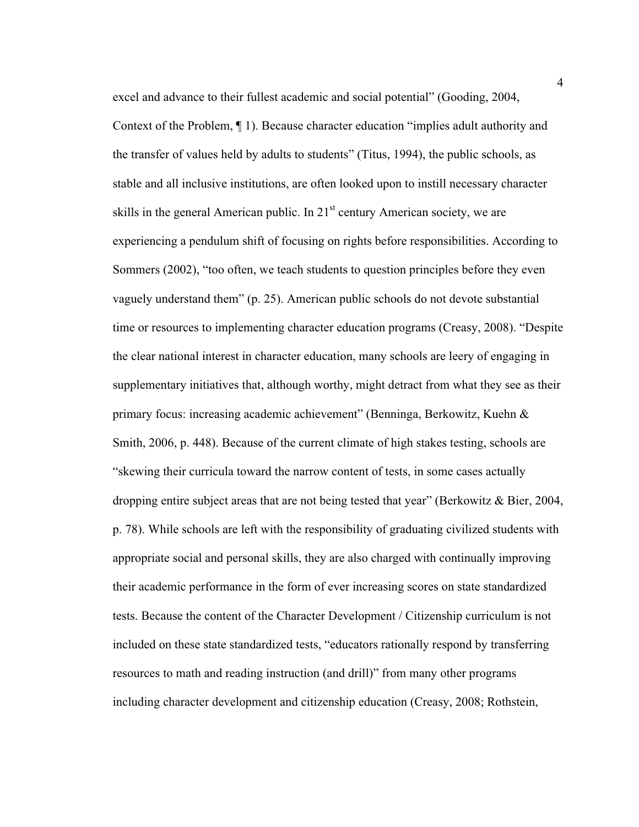excel and advance to their fullest academic and social potential" (Gooding, 2004, Context of the Problem, ¶ 1). Because character education "implies adult authority and the transfer of values held by adults to students" (Titus, 1994), the public schools, as stable and all inclusive institutions, are often looked upon to instill necessary character skills in the general American public. In  $21<sup>st</sup>$  century American society, we are experiencing a pendulum shift of focusing on rights before responsibilities. According to Sommers (2002), "too often, we teach students to question principles before they even vaguely understand them" (p. 25). American public schools do not devote substantial time or resources to implementing character education programs (Creasy, 2008). "Despite the clear national interest in character education, many schools are leery of engaging in supplementary initiatives that, although worthy, might detract from what they see as their primary focus: increasing academic achievement" (Benninga, Berkowitz, Kuehn & Smith, 2006, p. 448). Because of the current climate of high stakes testing, schools are "skewing their curricula toward the narrow content of tests, in some cases actually dropping entire subject areas that are not being tested that year" (Berkowitz & Bier, 2004, p. 78). While schools are left with the responsibility of graduating civilized students with appropriate social and personal skills, they are also charged with continually improving their academic performance in the form of ever increasing scores on state standardized tests. Because the content of the Character Development / Citizenship curriculum is not included on these state standardized tests, "educators rationally respond by transferring resources to math and reading instruction (and drill)" from many other programs including character development and citizenship education (Creasy, 2008; Rothstein,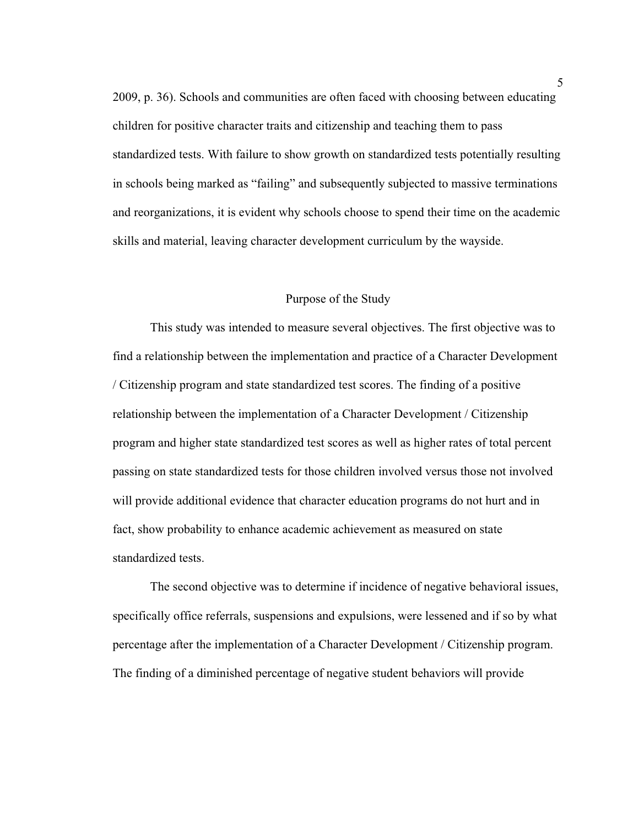2009, p. 36). Schools and communities are often faced with choosing between educating children for positive character traits and citizenship and teaching them to pass standardized tests. With failure to show growth on standardized tests potentially resulting in schools being marked as "failing" and subsequently subjected to massive terminations and reorganizations, it is evident why schools choose to spend their time on the academic skills and material, leaving character development curriculum by the wayside.

#### Purpose of the Study

This study was intended to measure several objectives. The first objective was to find a relationship between the implementation and practice of a Character Development / Citizenship program and state standardized test scores. The finding of a positive relationship between the implementation of a Character Development / Citizenship program and higher state standardized test scores as well as higher rates of total percent passing on state standardized tests for those children involved versus those not involved will provide additional evidence that character education programs do not hurt and in fact, show probability to enhance academic achievement as measured on state standardized tests.

The second objective was to determine if incidence of negative behavioral issues, specifically office referrals, suspensions and expulsions, were lessened and if so by what percentage after the implementation of a Character Development / Citizenship program. The finding of a diminished percentage of negative student behaviors will provide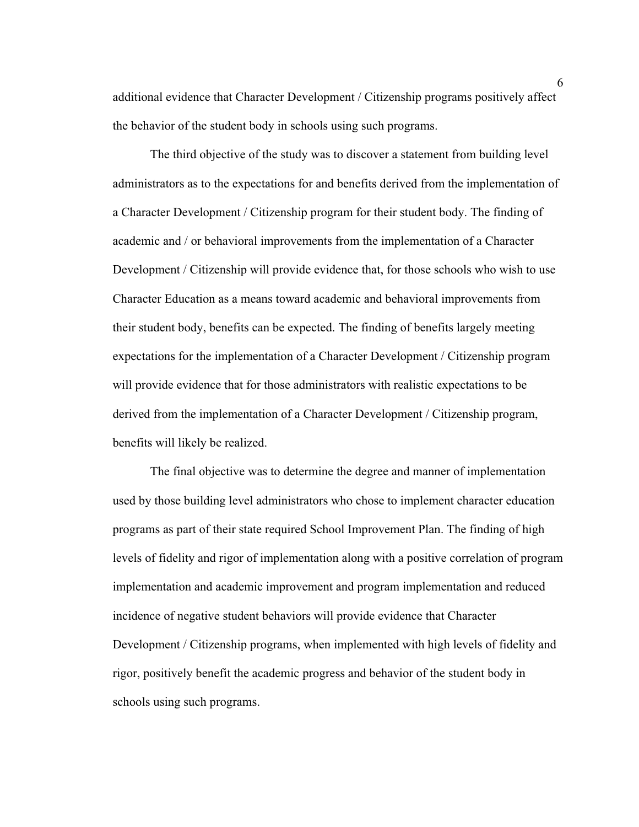additional evidence that Character Development / Citizenship programs positively affect the behavior of the student body in schools using such programs.

The third objective of the study was to discover a statement from building level administrators as to the expectations for and benefits derived from the implementation of a Character Development / Citizenship program for their student body. The finding of academic and / or behavioral improvements from the implementation of a Character Development / Citizenship will provide evidence that, for those schools who wish to use Character Education as a means toward academic and behavioral improvements from their student body, benefits can be expected. The finding of benefits largely meeting expectations for the implementation of a Character Development / Citizenship program will provide evidence that for those administrators with realistic expectations to be derived from the implementation of a Character Development / Citizenship program, benefits will likely be realized.

The final objective was to determine the degree and manner of implementation used by those building level administrators who chose to implement character education programs as part of their state required School Improvement Plan. The finding of high levels of fidelity and rigor of implementation along with a positive correlation of program implementation and academic improvement and program implementation and reduced incidence of negative student behaviors will provide evidence that Character Development / Citizenship programs, when implemented with high levels of fidelity and rigor, positively benefit the academic progress and behavior of the student body in schools using such programs.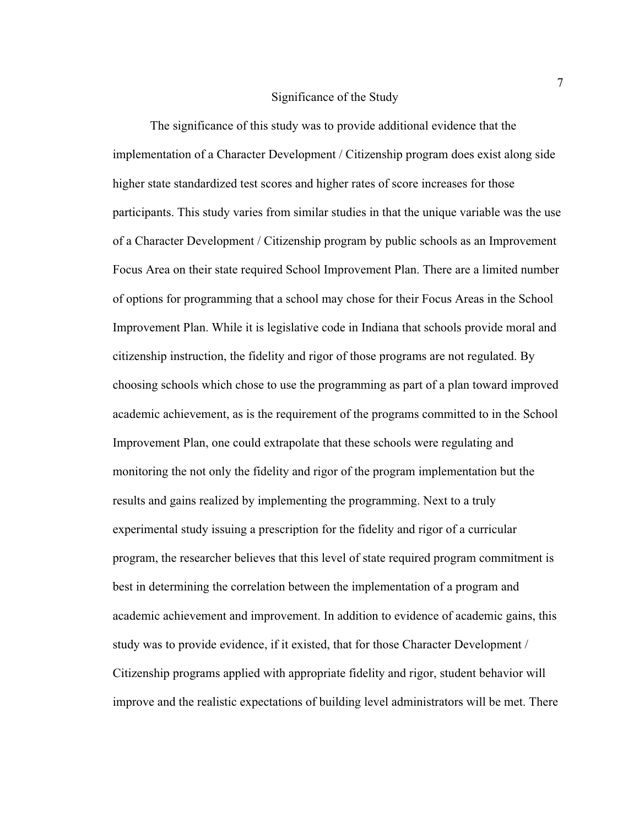#### Significance of the Study

The significance of this study was to provide additional evidence that the implementation of a Character Development / Citizenship program does exist along side higher state standardized test scores and higher rates of score increases for those participants. This study varies from similar studies in that the unique variable was the use of a Character Development / Citizenship program by public schools as an Improvement Focus Area on their state required School Improvement Plan. There are a limited number of options for programming that a school may chose for their Focus Areas in the School Improvement Plan. While it is legislative code in Indiana that schools provide moral and citizenship instruction, the fidelity and rigor of those programs are not regulated. By choosing schools which chose to use the programming as part of a plan toward improved academic achievement, as is the requirement of the programs committed to in the School Improvement Plan, one could extrapolate that these schools were regulating and monitoring the not only the fidelity and rigor of the program implementation but the results and gains realized by implementing the programming. Next to a truly experimental study issuing a prescription for the fidelity and rigor of a curricular program, the researcher believes that this level of state required program commitment is best in determining the correlation between the implementation of a program and academic achievement and improvement. In addition to evidence of academic gains, this study was to provide evidence, if it existed, that for those Character Development / Citizenship programs applied with appropriate fidelity and rigor, student behavior will improve and the realistic expectations of building level administrators will be met. There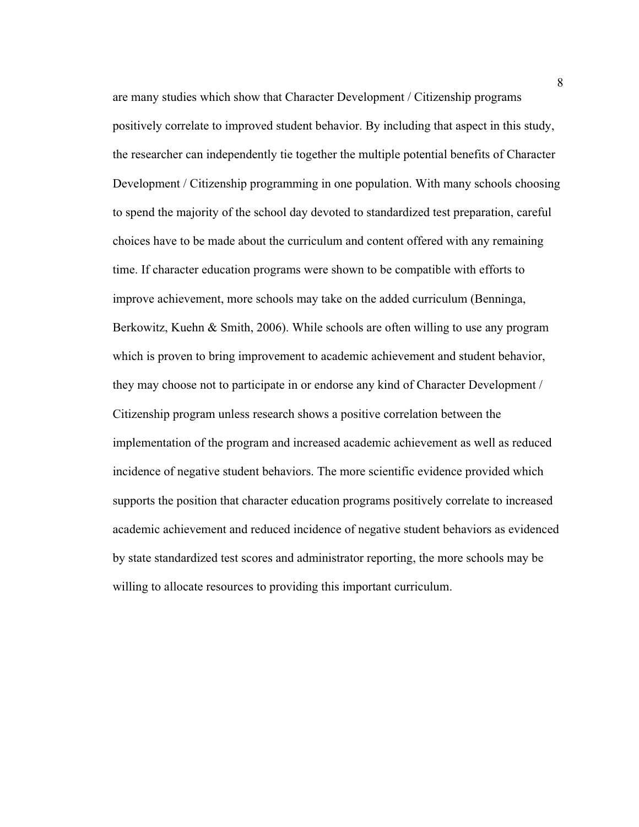are many studies which show that Character Development / Citizenship programs positively correlate to improved student behavior. By including that aspect in this study, the researcher can independently tie together the multiple potential benefits of Character Development / Citizenship programming in one population. With many schools choosing to spend the majority of the school day devoted to standardized test preparation, careful choices have to be made about the curriculum and content offered with any remaining time. If character education programs were shown to be compatible with efforts to improve achievement, more schools may take on the added curriculum (Benninga, Berkowitz, Kuehn & Smith, 2006). While schools are often willing to use any program which is proven to bring improvement to academic achievement and student behavior, they may choose not to participate in or endorse any kind of Character Development / Citizenship program unless research shows a positive correlation between the implementation of the program and increased academic achievement as well as reduced incidence of negative student behaviors. The more scientific evidence provided which supports the position that character education programs positively correlate to increased academic achievement and reduced incidence of negative student behaviors as evidenced by state standardized test scores and administrator reporting, the more schools may be willing to allocate resources to providing this important curriculum.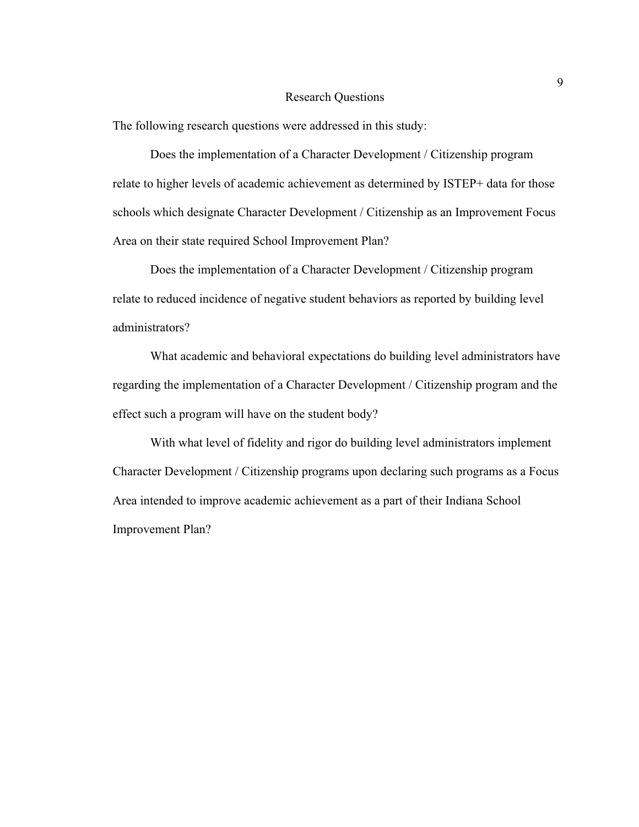#### Research Questions

The following research questions were addressed in this study:

Does the implementation of a Character Development / Citizenship program relate to higher levels of academic achievement as determined by ISTEP+ data for those schools which designate Character Development / Citizenship as an Improvement Focus Area on their state required School Improvement Plan?

Does the implementation of a Character Development / Citizenship program relate to reduced incidence of negative student behaviors as reported by building level administrators?

What academic and behavioral expectations do building level administrators have regarding the implementation of a Character Development / Citizenship program and the effect such a program will have on the student body?

With what level of fidelity and rigor do building level administrators implement Character Development / Citizenship programs upon declaring such programs as a Focus Area intended to improve academic achievement as a part of their Indiana School Improvement Plan?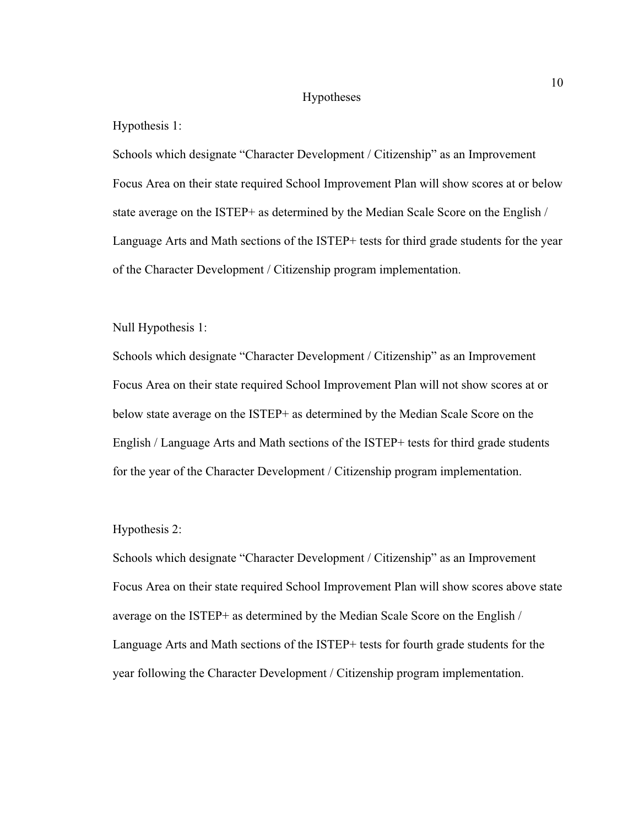#### Hypotheses

#### Hypothesis 1:

Schools which designate "Character Development / Citizenship" as an Improvement Focus Area on their state required School Improvement Plan will show scores at or below state average on the ISTEP+ as determined by the Median Scale Score on the English / Language Arts and Math sections of the ISTEP+ tests for third grade students for the year of the Character Development / Citizenship program implementation.

### Null Hypothesis 1:

Schools which designate "Character Development / Citizenship" as an Improvement Focus Area on their state required School Improvement Plan will not show scores at or below state average on the ISTEP+ as determined by the Median Scale Score on the English / Language Arts and Math sections of the ISTEP+ tests for third grade students for the year of the Character Development / Citizenship program implementation.

#### Hypothesis 2:

Schools which designate "Character Development / Citizenship" as an Improvement Focus Area on their state required School Improvement Plan will show scores above state average on the ISTEP+ as determined by the Median Scale Score on the English / Language Arts and Math sections of the ISTEP+ tests for fourth grade students for the year following the Character Development / Citizenship program implementation.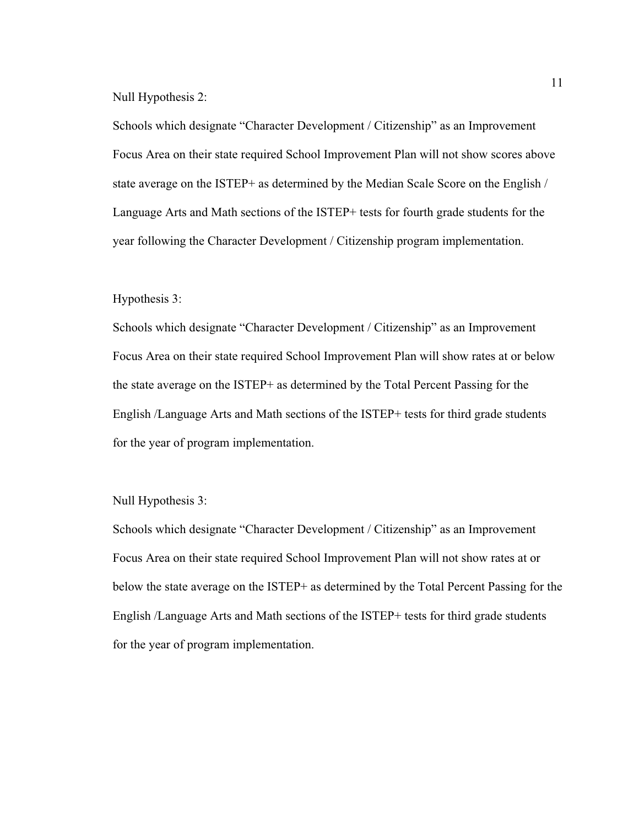Null Hypothesis 2:

Schools which designate "Character Development / Citizenship" as an Improvement Focus Area on their state required School Improvement Plan will not show scores above state average on the ISTEP+ as determined by the Median Scale Score on the English / Language Arts and Math sections of the ISTEP+ tests for fourth grade students for the year following the Character Development / Citizenship program implementation.

## Hypothesis 3:

Schools which designate "Character Development / Citizenship" as an Improvement Focus Area on their state required School Improvement Plan will show rates at or below the state average on the ISTEP+ as determined by the Total Percent Passing for the English /Language Arts and Math sections of the ISTEP+ tests for third grade students for the year of program implementation.

Null Hypothesis 3:

Schools which designate "Character Development / Citizenship" as an Improvement Focus Area on their state required School Improvement Plan will not show rates at or below the state average on the ISTEP+ as determined by the Total Percent Passing for the English /Language Arts and Math sections of the ISTEP+ tests for third grade students for the year of program implementation.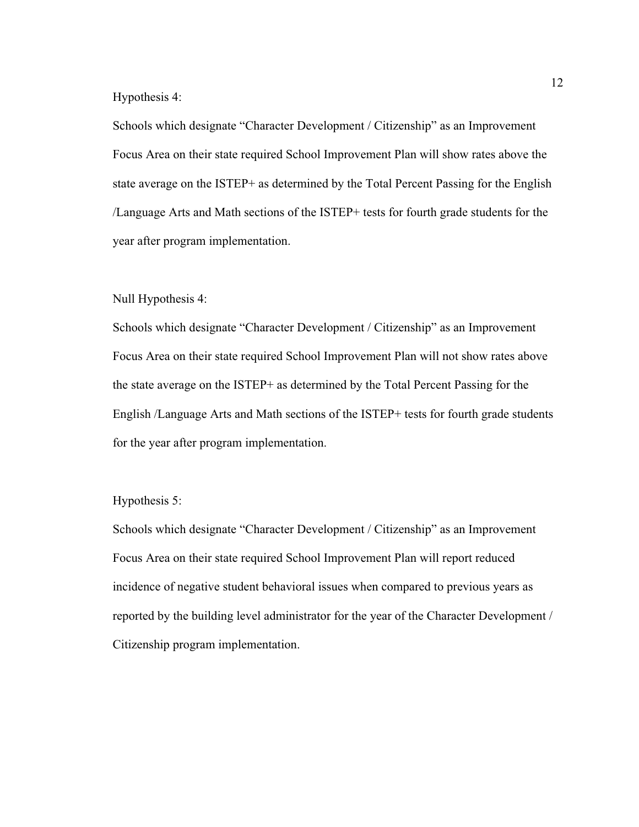#### Hypothesis 4:

Schools which designate "Character Development / Citizenship" as an Improvement Focus Area on their state required School Improvement Plan will show rates above the state average on the ISTEP+ as determined by the Total Percent Passing for the English /Language Arts and Math sections of the ISTEP+ tests for fourth grade students for the year after program implementation.

## Null Hypothesis 4:

Schools which designate "Character Development / Citizenship" as an Improvement Focus Area on their state required School Improvement Plan will not show rates above the state average on the ISTEP+ as determined by the Total Percent Passing for the English /Language Arts and Math sections of the ISTEP+ tests for fourth grade students for the year after program implementation.

## Hypothesis 5:

Schools which designate "Character Development / Citizenship" as an Improvement Focus Area on their state required School Improvement Plan will report reduced incidence of negative student behavioral issues when compared to previous years as reported by the building level administrator for the year of the Character Development / Citizenship program implementation.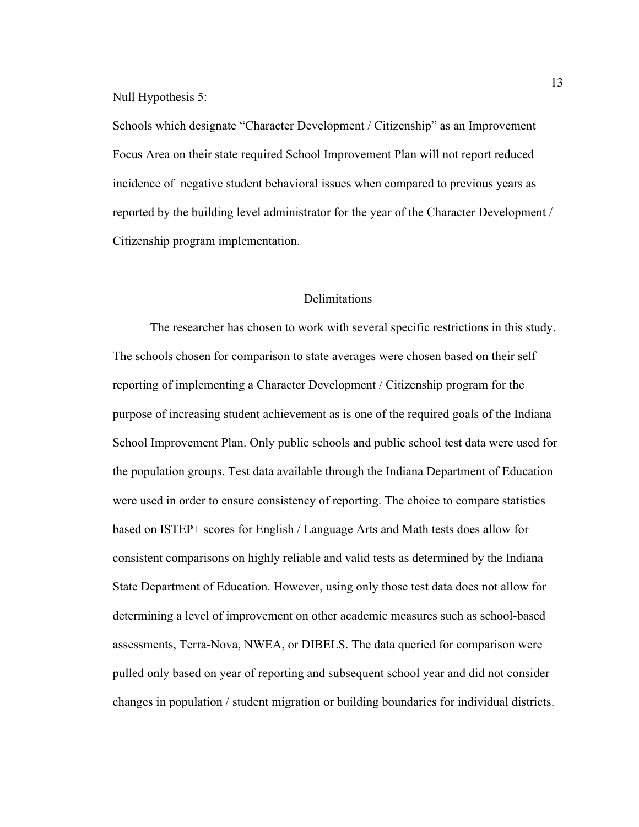Null Hypothesis 5:

Schools which designate "Character Development / Citizenship" as an Improvement Focus Area on their state required School Improvement Plan will not report reduced incidence of negative student behavioral issues when compared to previous years as reported by the building level administrator for the year of the Character Development / Citizenship program implementation.

## Delimitations

 The researcher has chosen to work with several specific restrictions in this study. The schools chosen for comparison to state averages were chosen based on their self reporting of implementing a Character Development / Citizenship program for the purpose of increasing student achievement as is one of the required goals of the Indiana School Improvement Plan. Only public schools and public school test data were used for the population groups. Test data available through the Indiana Department of Education were used in order to ensure consistency of reporting. The choice to compare statistics based on ISTEP+ scores for English / Language Arts and Math tests does allow for consistent comparisons on highly reliable and valid tests as determined by the Indiana State Department of Education. However, using only those test data does not allow for determining a level of improvement on other academic measures such as school-based assessments, Terra-Nova, NWEA, or DIBELS. The data queried for comparison were pulled only based on year of reporting and subsequent school year and did not consider changes in population / student migration or building boundaries for individual districts.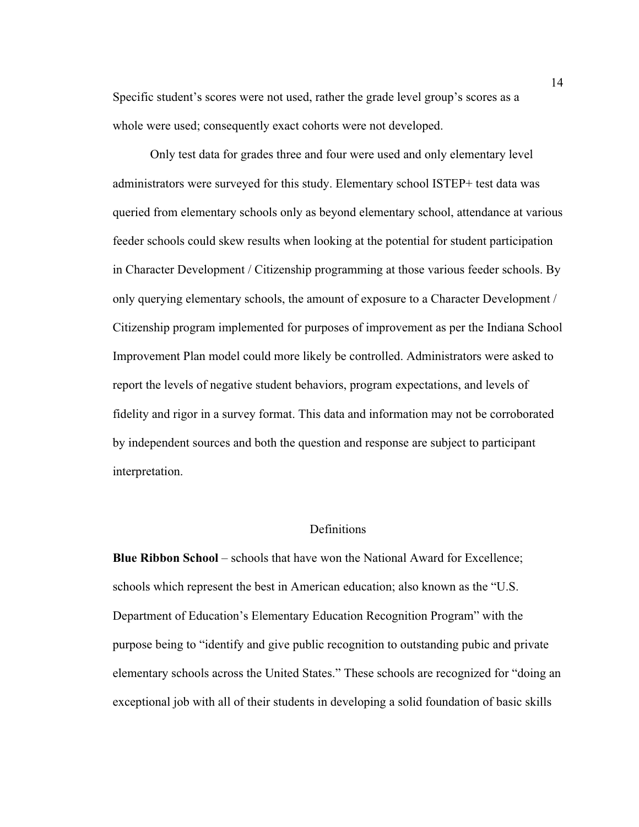Specific student's scores were not used, rather the grade level group's scores as a whole were used; consequently exact cohorts were not developed.

Only test data for grades three and four were used and only elementary level administrators were surveyed for this study. Elementary school ISTEP+ test data was queried from elementary schools only as beyond elementary school, attendance at various feeder schools could skew results when looking at the potential for student participation in Character Development / Citizenship programming at those various feeder schools. By only querying elementary schools, the amount of exposure to a Character Development / Citizenship program implemented for purposes of improvement as per the Indiana School Improvement Plan model could more likely be controlled. Administrators were asked to report the levels of negative student behaviors, program expectations, and levels of fidelity and rigor in a survey format. This data and information may not be corroborated by independent sources and both the question and response are subject to participant interpretation.

## Definitions

**Blue Ribbon School** – schools that have won the National Award for Excellence; schools which represent the best in American education; also known as the "U.S. Department of Education's Elementary Education Recognition Program" with the purpose being to "identify and give public recognition to outstanding pubic and private elementary schools across the United States." These schools are recognized for "doing an exceptional job with all of their students in developing a solid foundation of basic skills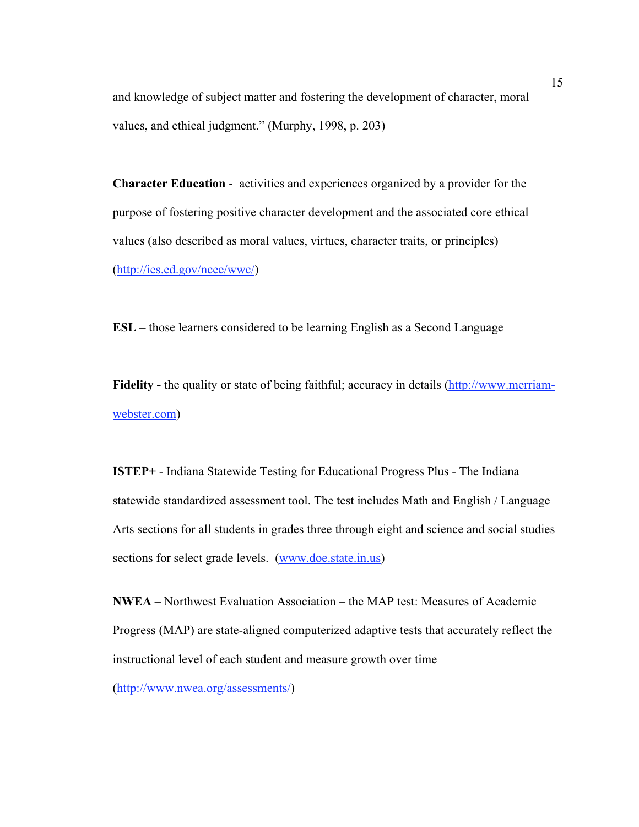and knowledge of subject matter and fostering the development of character, moral values, and ethical judgment." (Murphy, 1998, p. 203)

**Character Education** - activities and experiences organized by a provider for the purpose of fostering positive character development and the associated core ethical values (also described as moral values, virtues, character traits, or principles) (http://ies.ed.gov/ncee/wwc/)

**ESL** – those learners considered to be learning English as a Second Language

**Fidelity -** the quality or state of being faithful; accuracy in details (http://www.merriamwebster.com)

**ISTEP+** - Indiana Statewide Testing for Educational Progress Plus - The Indiana statewide standardized assessment tool. The test includes Math and English / Language Arts sections for all students in grades three through eight and science and social studies sections for select grade levels. (www.doe.state.in.us)

**NWEA** – Northwest Evaluation Association – the MAP test: Measures of Academic Progress (MAP) are state-aligned computerized adaptive tests that accurately reflect the instructional level of each student and measure growth over time

(http://www.nwea.org/assessments/)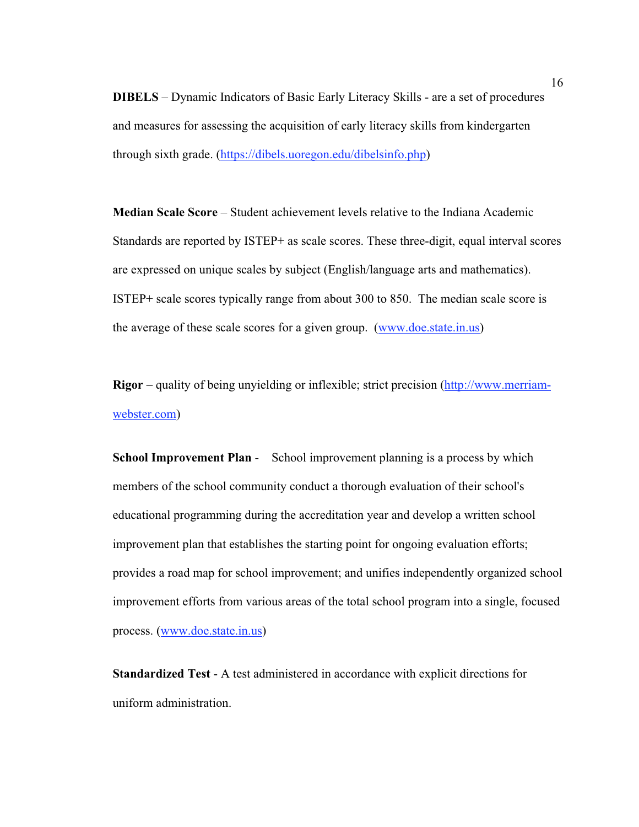**DIBELS** – Dynamic Indicators of Basic Early Literacy Skills - are a set of procedures and measures for assessing the acquisition of early literacy skills from kindergarten through sixth grade. (https://dibels.uoregon.edu/dibelsinfo.php)

**Median Scale Score** – Student achievement levels relative to the Indiana Academic Standards are reported by ISTEP+ as scale scores. These three-digit, equal interval scores are expressed on unique scales by subject (English/language arts and mathematics). ISTEP+ scale scores typically range from about 300 to 850. The median scale score is the average of these scale scores for a given group. (www.doe.state.in.us)

**Rigor** – quality of being unyielding or inflexible; strict precision (http://www.merriamwebster.com)

**School Improvement Plan** - School improvement planning is a process by which members of the school community conduct a thorough evaluation of their school's educational programming during the accreditation year and develop a written school improvement plan that establishes the starting point for ongoing evaluation efforts; provides a road map for school improvement; and unifies independently organized school improvement efforts from various areas of the total school program into a single, focused process. (www.doe.state.in.us)

**Standardized Test** - A test administered in accordance with explicit directions for uniform administration.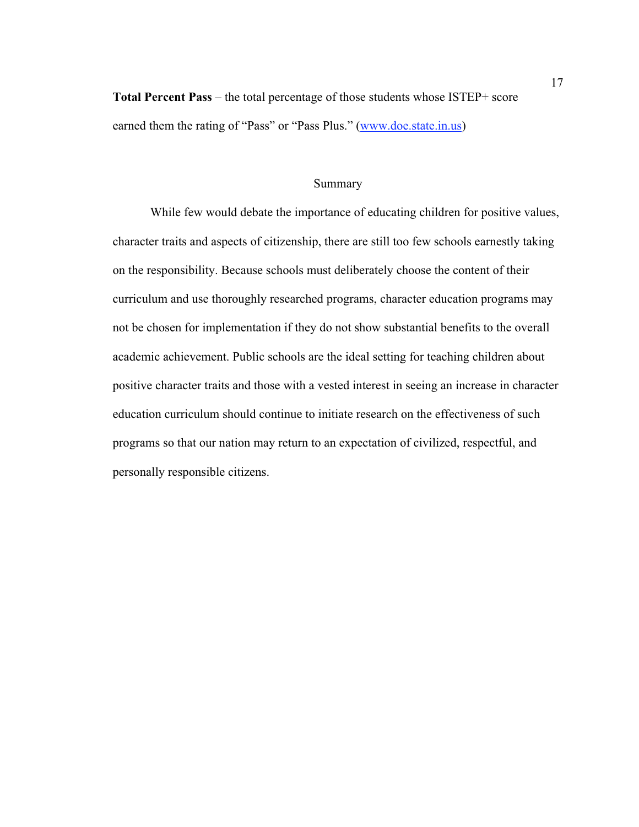**Total Percent Pass** – the total percentage of those students whose ISTEP+ score earned them the rating of "Pass" or "Pass Plus." (www.doe.state.in.us)

## Summary

 While few would debate the importance of educating children for positive values, character traits and aspects of citizenship, there are still too few schools earnestly taking on the responsibility. Because schools must deliberately choose the content of their curriculum and use thoroughly researched programs, character education programs may not be chosen for implementation if they do not show substantial benefits to the overall academic achievement. Public schools are the ideal setting for teaching children about positive character traits and those with a vested interest in seeing an increase in character education curriculum should continue to initiate research on the effectiveness of such programs so that our nation may return to an expectation of civilized, respectful, and personally responsible citizens.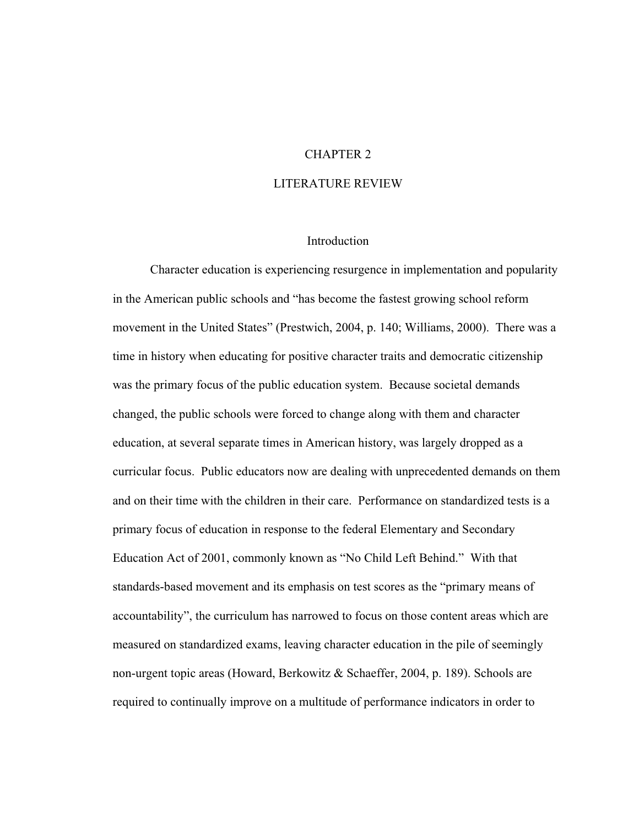## CHAPTER 2

### LITERATURE REVIEW

## Introduction

Character education is experiencing resurgence in implementation and popularity in the American public schools and "has become the fastest growing school reform movement in the United States" (Prestwich, 2004, p. 140; Williams, 2000). There was a time in history when educating for positive character traits and democratic citizenship was the primary focus of the public education system. Because societal demands changed, the public schools were forced to change along with them and character education, at several separate times in American history, was largely dropped as a curricular focus. Public educators now are dealing with unprecedented demands on them and on their time with the children in their care. Performance on standardized tests is a primary focus of education in response to the federal Elementary and Secondary Education Act of 2001, commonly known as "No Child Left Behind." With that standards-based movement and its emphasis on test scores as the "primary means of accountability", the curriculum has narrowed to focus on those content areas which are measured on standardized exams, leaving character education in the pile of seemingly non-urgent topic areas (Howard, Berkowitz & Schaeffer, 2004, p. 189). Schools are required to continually improve on a multitude of performance indicators in order to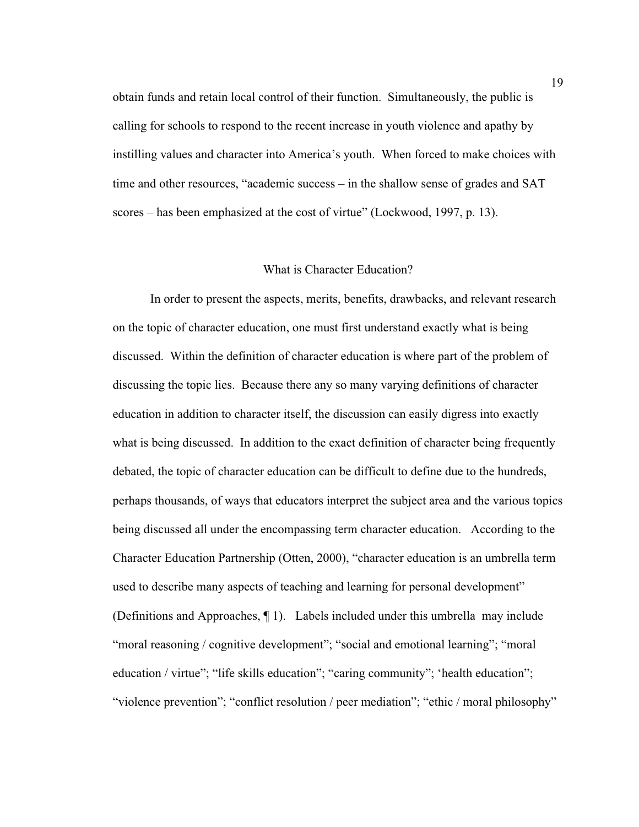obtain funds and retain local control of their function. Simultaneously, the public is calling for schools to respond to the recent increase in youth violence and apathy by instilling values and character into America's youth. When forced to make choices with time and other resources, "academic success – in the shallow sense of grades and SAT scores – has been emphasized at the cost of virtue" (Lockwood, 1997, p. 13).

## What is Character Education?

In order to present the aspects, merits, benefits, drawbacks, and relevant research on the topic of character education, one must first understand exactly what is being discussed. Within the definition of character education is where part of the problem of discussing the topic lies. Because there any so many varying definitions of character education in addition to character itself, the discussion can easily digress into exactly what is being discussed. In addition to the exact definition of character being frequently debated, the topic of character education can be difficult to define due to the hundreds, perhaps thousands, of ways that educators interpret the subject area and the various topics being discussed all under the encompassing term character education. According to the Character Education Partnership (Otten, 2000), "character education is an umbrella term used to describe many aspects of teaching and learning for personal development" (Definitions and Approaches, ¶ 1). Labels included under this umbrella may include "moral reasoning / cognitive development"; "social and emotional learning"; "moral education / virtue"; "life skills education"; "caring community"; 'health education"; "violence prevention"; "conflict resolution / peer mediation"; "ethic / moral philosophy"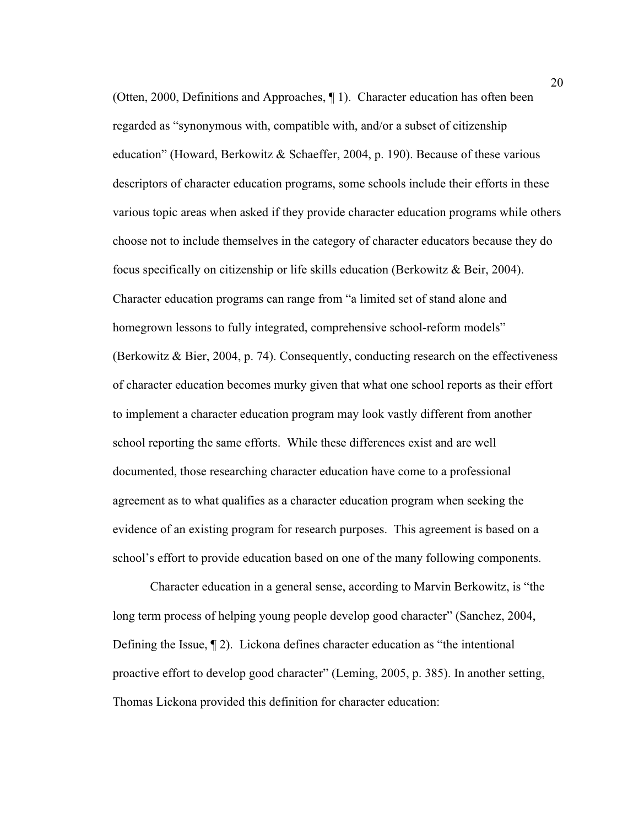(Otten, 2000, Definitions and Approaches, ¶ 1). Character education has often been regarded as "synonymous with, compatible with, and/or a subset of citizenship education" (Howard, Berkowitz & Schaeffer, 2004, p. 190). Because of these various descriptors of character education programs, some schools include their efforts in these various topic areas when asked if they provide character education programs while others choose not to include themselves in the category of character educators because they do focus specifically on citizenship or life skills education (Berkowitz & Beir, 2004). Character education programs can range from "a limited set of stand alone and homegrown lessons to fully integrated, comprehensive school-reform models" (Berkowitz & Bier, 2004, p. 74). Consequently, conducting research on the effectiveness of character education becomes murky given that what one school reports as their effort to implement a character education program may look vastly different from another school reporting the same efforts. While these differences exist and are well documented, those researching character education have come to a professional agreement as to what qualifies as a character education program when seeking the evidence of an existing program for research purposes. This agreement is based on a school's effort to provide education based on one of the many following components.

Character education in a general sense, according to Marvin Berkowitz, is "the long term process of helping young people develop good character" (Sanchez, 2004, Defining the Issue,  $\P$  2). Lickona defines character education as "the intentional proactive effort to develop good character" (Leming, 2005, p. 385). In another setting, Thomas Lickona provided this definition for character education: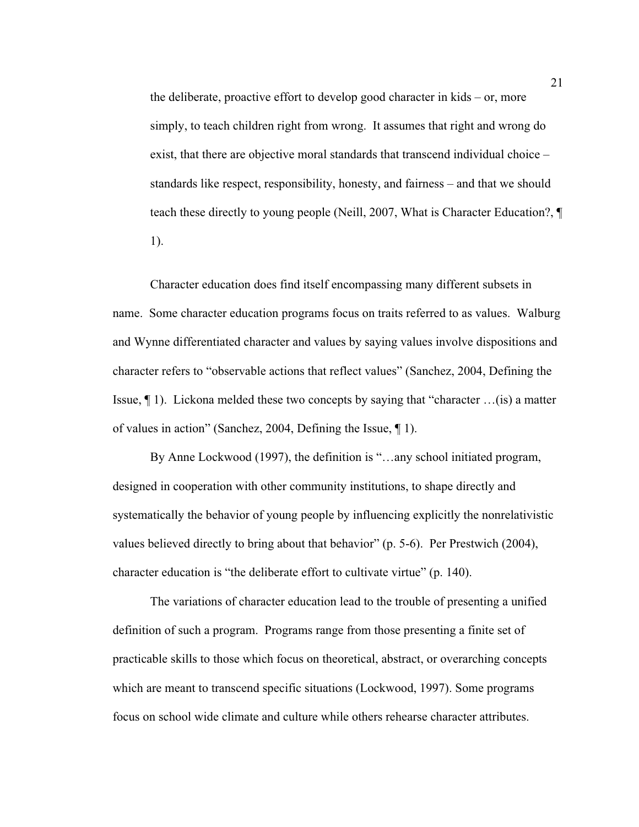the deliberate, proactive effort to develop good character in kids – or, more simply, to teach children right from wrong. It assumes that right and wrong do exist, that there are objective moral standards that transcend individual choice – standards like respect, responsibility, honesty, and fairness – and that we should teach these directly to young people (Neill, 2007, What is Character Education?, ¶ 1).

Character education does find itself encompassing many different subsets in name. Some character education programs focus on traits referred to as values. Walburg and Wynne differentiated character and values by saying values involve dispositions and character refers to "observable actions that reflect values" (Sanchez, 2004, Defining the Issue, ¶ 1). Lickona melded these two concepts by saying that "character …(is) a matter of values in action" (Sanchez, 2004, Defining the Issue, ¶ 1).

By Anne Lockwood (1997), the definition is "…any school initiated program, designed in cooperation with other community institutions, to shape directly and systematically the behavior of young people by influencing explicitly the nonrelativistic values believed directly to bring about that behavior" (p. 5-6). Per Prestwich (2004), character education is "the deliberate effort to cultivate virtue" (p. 140).

The variations of character education lead to the trouble of presenting a unified definition of such a program. Programs range from those presenting a finite set of practicable skills to those which focus on theoretical, abstract, or overarching concepts which are meant to transcend specific situations (Lockwood, 1997). Some programs focus on school wide climate and culture while others rehearse character attributes.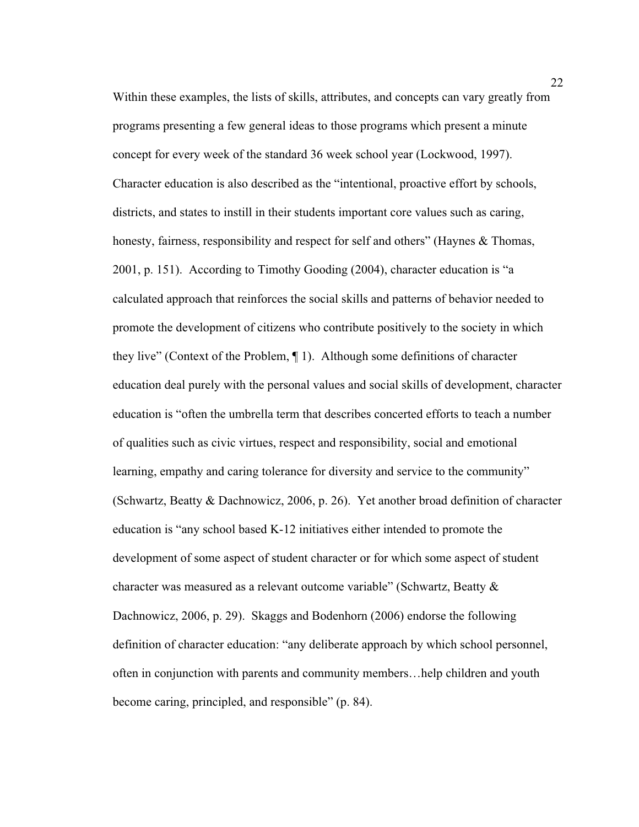Within these examples, the lists of skills, attributes, and concepts can vary greatly from programs presenting a few general ideas to those programs which present a minute concept for every week of the standard 36 week school year (Lockwood, 1997). Character education is also described as the "intentional, proactive effort by schools, districts, and states to instill in their students important core values such as caring, honesty, fairness, responsibility and respect for self and others" (Haynes & Thomas, 2001, p. 151). According to Timothy Gooding (2004), character education is "a calculated approach that reinforces the social skills and patterns of behavior needed to promote the development of citizens who contribute positively to the society in which they live" (Context of the Problem, ¶ 1). Although some definitions of character education deal purely with the personal values and social skills of development, character education is "often the umbrella term that describes concerted efforts to teach a number of qualities such as civic virtues, respect and responsibility, social and emotional learning, empathy and caring tolerance for diversity and service to the community" (Schwartz, Beatty & Dachnowicz, 2006, p. 26). Yet another broad definition of character education is "any school based K-12 initiatives either intended to promote the development of some aspect of student character or for which some aspect of student character was measured as a relevant outcome variable" (Schwartz, Beatty & Dachnowicz, 2006, p. 29). Skaggs and Bodenhorn (2006) endorse the following definition of character education: "any deliberate approach by which school personnel, often in conjunction with parents and community members…help children and youth become caring, principled, and responsible" (p. 84).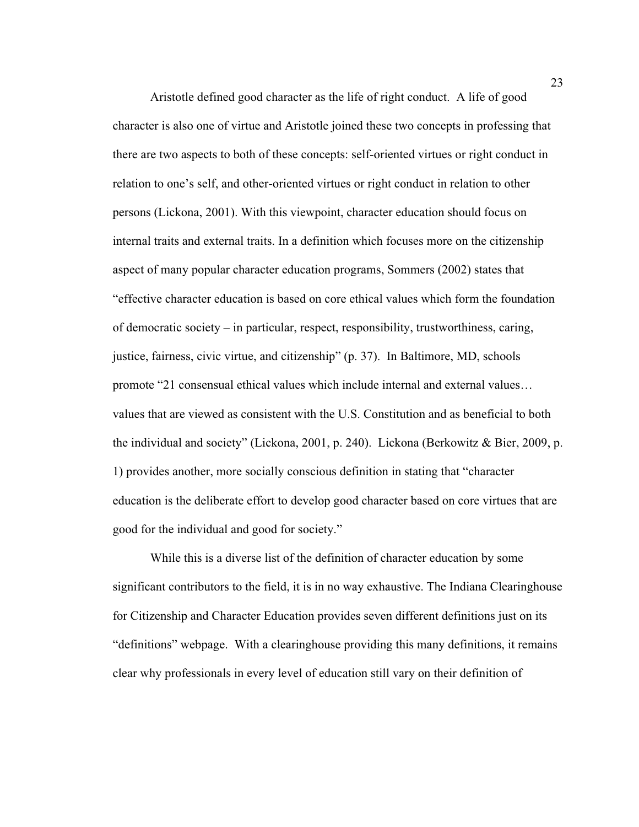Aristotle defined good character as the life of right conduct. A life of good character is also one of virtue and Aristotle joined these two concepts in professing that there are two aspects to both of these concepts: self-oriented virtues or right conduct in relation to one's self, and other-oriented virtues or right conduct in relation to other persons (Lickona, 2001). With this viewpoint, character education should focus on internal traits and external traits. In a definition which focuses more on the citizenship aspect of many popular character education programs, Sommers (2002) states that "effective character education is based on core ethical values which form the foundation of democratic society – in particular, respect, responsibility, trustworthiness, caring, justice, fairness, civic virtue, and citizenship" (p. 37). In Baltimore, MD, schools promote "21 consensual ethical values which include internal and external values… values that are viewed as consistent with the U.S. Constitution and as beneficial to both the individual and society" (Lickona, 2001, p. 240). Lickona (Berkowitz & Bier, 2009, p. 1) provides another, more socially conscious definition in stating that "character education is the deliberate effort to develop good character based on core virtues that are good for the individual and good for society."

While this is a diverse list of the definition of character education by some significant contributors to the field, it is in no way exhaustive. The Indiana Clearinghouse for Citizenship and Character Education provides seven different definitions just on its "definitions" webpage. With a clearinghouse providing this many definitions, it remains clear why professionals in every level of education still vary on their definition of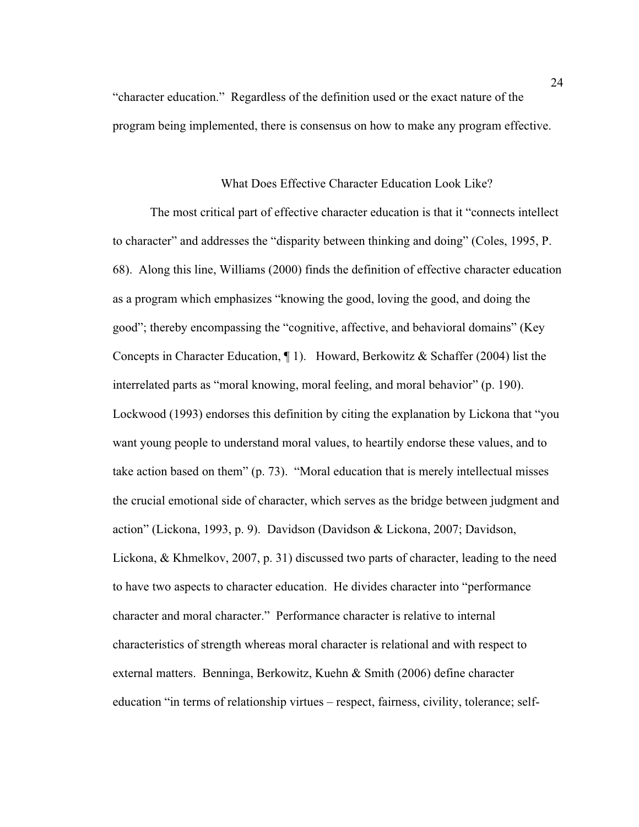"character education." Regardless of the definition used or the exact nature of the program being implemented, there is consensus on how to make any program effective.

## What Does Effective Character Education Look Like?

The most critical part of effective character education is that it "connects intellect to character" and addresses the "disparity between thinking and doing" (Coles, 1995, P. 68). Along this line, Williams (2000) finds the definition of effective character education as a program which emphasizes "knowing the good, loving the good, and doing the good"; thereby encompassing the "cognitive, affective, and behavioral domains" (Key Concepts in Character Education,  $\P$  1). Howard, Berkowitz & Schaffer (2004) list the interrelated parts as "moral knowing, moral feeling, and moral behavior" (p. 190). Lockwood (1993) endorses this definition by citing the explanation by Lickona that "you want young people to understand moral values, to heartily endorse these values, and to take action based on them" (p. 73). "Moral education that is merely intellectual misses the crucial emotional side of character, which serves as the bridge between judgment and action" (Lickona, 1993, p. 9). Davidson (Davidson & Lickona, 2007; Davidson, Lickona, & Khmelkov, 2007, p. 31) discussed two parts of character, leading to the need to have two aspects to character education. He divides character into "performance character and moral character." Performance character is relative to internal characteristics of strength whereas moral character is relational and with respect to external matters. Benninga, Berkowitz, Kuehn & Smith (2006) define character education "in terms of relationship virtues – respect, fairness, civility, tolerance; self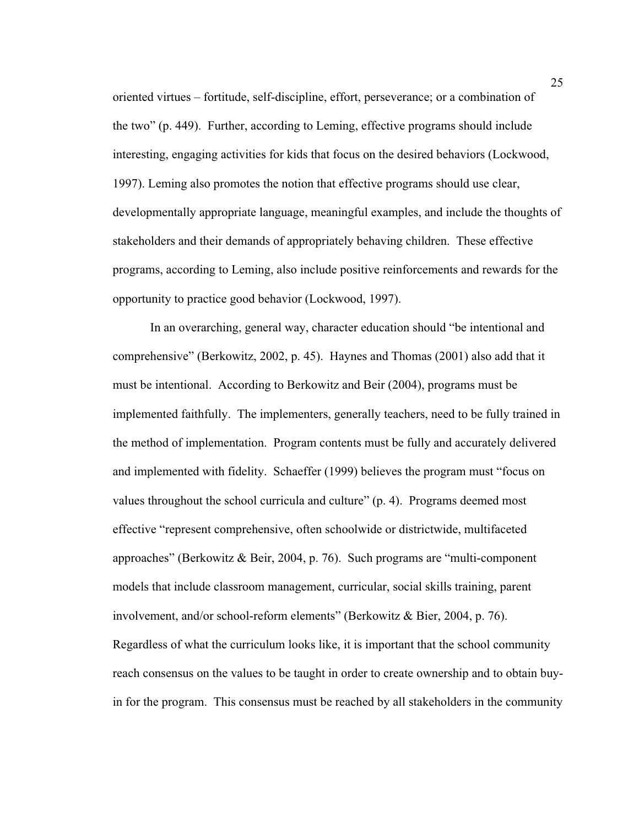oriented virtues – fortitude, self-discipline, effort, perseverance; or a combination of the two" (p. 449). Further, according to Leming, effective programs should include interesting, engaging activities for kids that focus on the desired behaviors (Lockwood, 1997). Leming also promotes the notion that effective programs should use clear, developmentally appropriate language, meaningful examples, and include the thoughts of stakeholders and their demands of appropriately behaving children. These effective programs, according to Leming, also include positive reinforcements and rewards for the opportunity to practice good behavior (Lockwood, 1997).

In an overarching, general way, character education should "be intentional and comprehensive" (Berkowitz, 2002, p. 45). Haynes and Thomas (2001) also add that it must be intentional. According to Berkowitz and Beir (2004), programs must be implemented faithfully. The implementers, generally teachers, need to be fully trained in the method of implementation. Program contents must be fully and accurately delivered and implemented with fidelity. Schaeffer (1999) believes the program must "focus on values throughout the school curricula and culture" (p. 4). Programs deemed most effective "represent comprehensive, often schoolwide or districtwide, multifaceted approaches" (Berkowitz & Beir, 2004, p. 76). Such programs are "multi-component models that include classroom management, curricular, social skills training, parent involvement, and/or school-reform elements" (Berkowitz & Bier, 2004, p. 76). Regardless of what the curriculum looks like, it is important that the school community reach consensus on the values to be taught in order to create ownership and to obtain buyin for the program. This consensus must be reached by all stakeholders in the community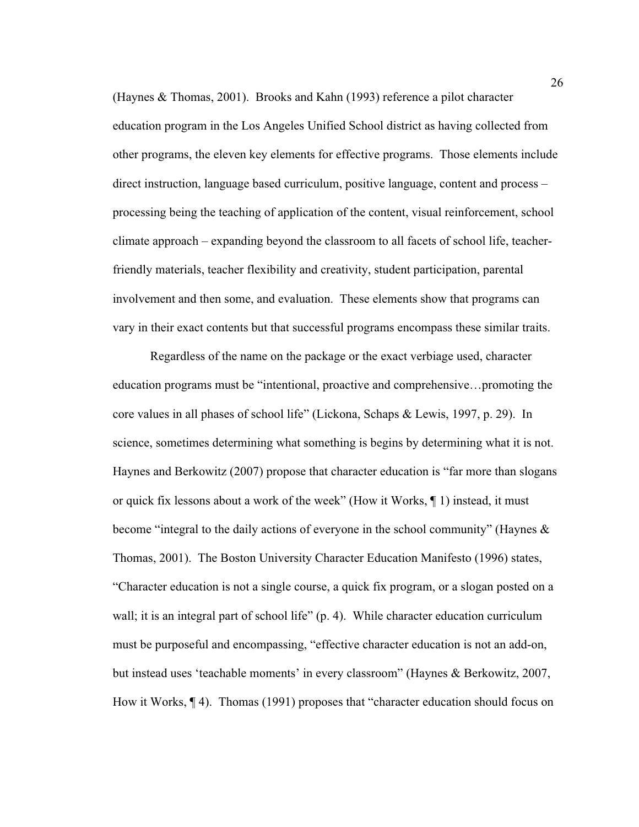(Haynes & Thomas, 2001). Brooks and Kahn (1993) reference a pilot character education program in the Los Angeles Unified School district as having collected from other programs, the eleven key elements for effective programs. Those elements include direct instruction, language based curriculum, positive language, content and process – processing being the teaching of application of the content, visual reinforcement, school climate approach – expanding beyond the classroom to all facets of school life, teacherfriendly materials, teacher flexibility and creativity, student participation, parental involvement and then some, and evaluation. These elements show that programs can vary in their exact contents but that successful programs encompass these similar traits.

Regardless of the name on the package or the exact verbiage used, character education programs must be "intentional, proactive and comprehensive…promoting the core values in all phases of school life" (Lickona, Schaps & Lewis, 1997, p. 29). In science, sometimes determining what something is begins by determining what it is not. Haynes and Berkowitz (2007) propose that character education is "far more than slogans or quick fix lessons about a work of the week" (How it Works, ¶ 1) instead, it must become "integral to the daily actions of everyone in the school community" (Haynes & Thomas, 2001). The Boston University Character Education Manifesto (1996) states, "Character education is not a single course, a quick fix program, or a slogan posted on a wall; it is an integral part of school life" (p. 4). While character education curriculum must be purposeful and encompassing, "effective character education is not an add-on, but instead uses 'teachable moments' in every classroom" (Haynes & Berkowitz, 2007, How it Works, ¶ 4). Thomas (1991) proposes that "character education should focus on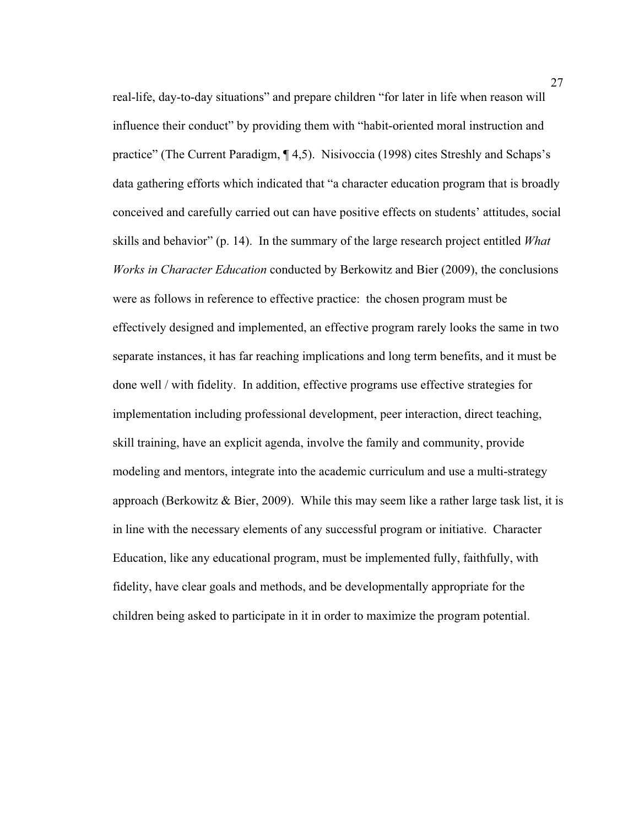real-life, day-to-day situations" and prepare children "for later in life when reason will influence their conduct" by providing them with "habit-oriented moral instruction and practice" (The Current Paradigm, ¶ 4,5). Nisivoccia (1998) cites Streshly and Schaps's data gathering efforts which indicated that "a character education program that is broadly conceived and carefully carried out can have positive effects on students' attitudes, social skills and behavior" (p. 14). In the summary of the large research project entitled *What Works in Character Education* conducted by Berkowitz and Bier (2009), the conclusions were as follows in reference to effective practice: the chosen program must be effectively designed and implemented, an effective program rarely looks the same in two separate instances, it has far reaching implications and long term benefits, and it must be done well / with fidelity. In addition, effective programs use effective strategies for implementation including professional development, peer interaction, direct teaching, skill training, have an explicit agenda, involve the family and community, provide modeling and mentors, integrate into the academic curriculum and use a multi-strategy approach (Berkowitz  $\&$  Bier, 2009). While this may seem like a rather large task list, it is in line with the necessary elements of any successful program or initiative. Character Education, like any educational program, must be implemented fully, faithfully, with fidelity, have clear goals and methods, and be developmentally appropriate for the children being asked to participate in it in order to maximize the program potential.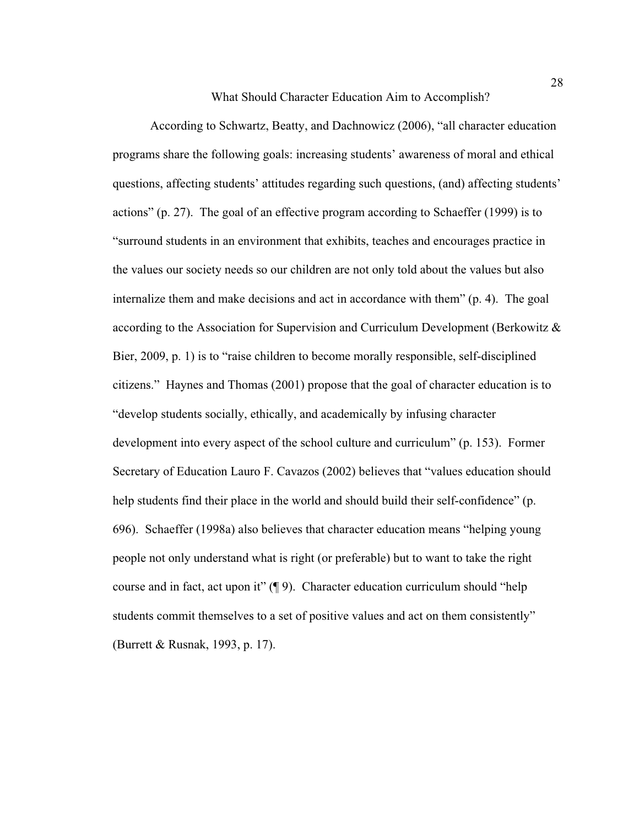What Should Character Education Aim to Accomplish?

According to Schwartz, Beatty, and Dachnowicz (2006), "all character education programs share the following goals: increasing students' awareness of moral and ethical questions, affecting students' attitudes regarding such questions, (and) affecting students' actions" (p. 27). The goal of an effective program according to Schaeffer (1999) is to "surround students in an environment that exhibits, teaches and encourages practice in the values our society needs so our children are not only told about the values but also internalize them and make decisions and act in accordance with them" (p. 4). The goal according to the Association for Supervision and Curriculum Development (Berkowitz & Bier, 2009, p. 1) is to "raise children to become morally responsible, self-disciplined citizens." Haynes and Thomas (2001) propose that the goal of character education is to "develop students socially, ethically, and academically by infusing character development into every aspect of the school culture and curriculum" (p. 153). Former Secretary of Education Lauro F. Cavazos (2002) believes that "values education should help students find their place in the world and should build their self-confidence" (p. 696). Schaeffer (1998a) also believes that character education means "helping young people not only understand what is right (or preferable) but to want to take the right course and in fact, act upon it" (¶ 9). Character education curriculum should "help students commit themselves to a set of positive values and act on them consistently" (Burrett & Rusnak, 1993, p. 17).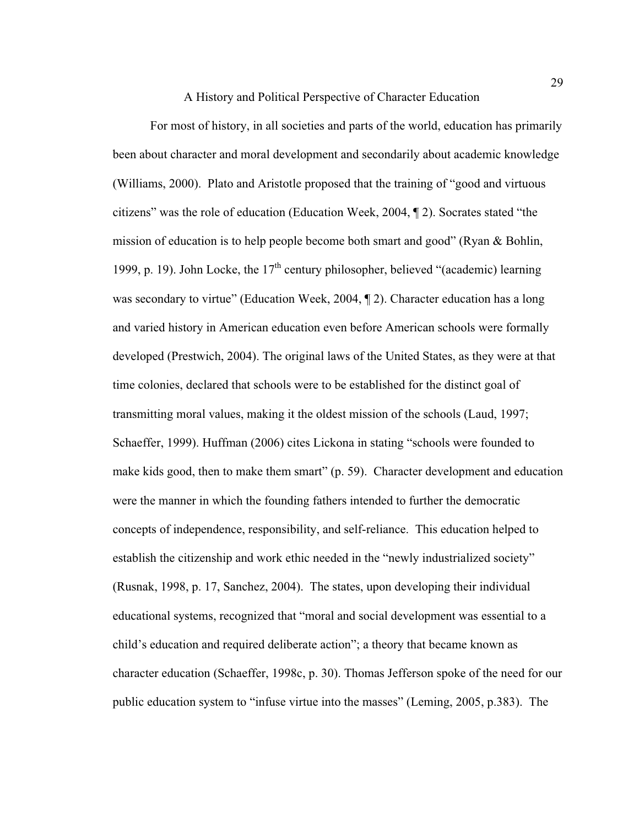A History and Political Perspective of Character Education

 For most of history, in all societies and parts of the world, education has primarily been about character and moral development and secondarily about academic knowledge (Williams, 2000). Plato and Aristotle proposed that the training of "good and virtuous citizens" was the role of education (Education Week, 2004, ¶ 2). Socrates stated "the mission of education is to help people become both smart and good" (Ryan & Bohlin, 1999, p. 19). John Locke, the  $17<sup>th</sup>$  century philosopher, believed "(academic) learning was secondary to virtue" (Education Week, 2004, 12). Character education has a long and varied history in American education even before American schools were formally developed (Prestwich, 2004). The original laws of the United States, as they were at that time colonies, declared that schools were to be established for the distinct goal of transmitting moral values, making it the oldest mission of the schools (Laud, 1997; Schaeffer, 1999). Huffman (2006) cites Lickona in stating "schools were founded to make kids good, then to make them smart" (p. 59). Character development and education were the manner in which the founding fathers intended to further the democratic concepts of independence, responsibility, and self-reliance. This education helped to establish the citizenship and work ethic needed in the "newly industrialized society" (Rusnak, 1998, p. 17, Sanchez, 2004). The states, upon developing their individual educational systems, recognized that "moral and social development was essential to a child's education and required deliberate action"; a theory that became known as character education (Schaeffer, 1998c, p. 30). Thomas Jefferson spoke of the need for our public education system to "infuse virtue into the masses" (Leming, 2005, p.383). The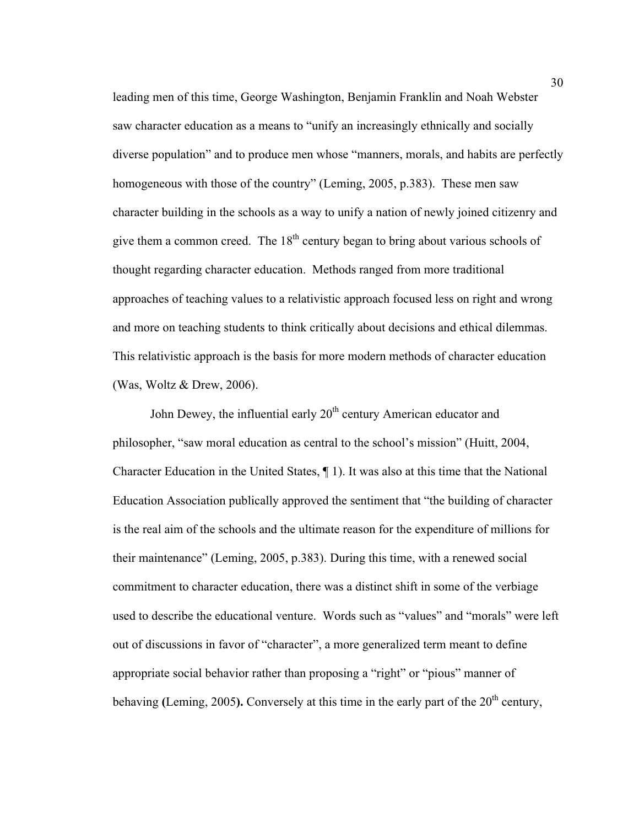leading men of this time, George Washington, Benjamin Franklin and Noah Webster saw character education as a means to "unify an increasingly ethnically and socially diverse population" and to produce men whose "manners, morals, and habits are perfectly homogeneous with those of the country" (Leming, 2005, p.383). These men saw character building in the schools as a way to unify a nation of newly joined citizenry and give them a common creed. The  $18<sup>th</sup>$  century began to bring about various schools of thought regarding character education. Methods ranged from more traditional approaches of teaching values to a relativistic approach focused less on right and wrong and more on teaching students to think critically about decisions and ethical dilemmas. This relativistic approach is the basis for more modern methods of character education (Was, Woltz & Drew, 2006).

John Dewey, the influential early  $20<sup>th</sup>$  century American educator and philosopher, "saw moral education as central to the school's mission" (Huitt, 2004, Character Education in the United States, ¶ 1). It was also at this time that the National Education Association publically approved the sentiment that "the building of character is the real aim of the schools and the ultimate reason for the expenditure of millions for their maintenance" (Leming, 2005, p.383). During this time, with a renewed social commitment to character education, there was a distinct shift in some of the verbiage used to describe the educational venture. Words such as "values" and "morals" were left out of discussions in favor of "character", a more generalized term meant to define appropriate social behavior rather than proposing a "right" or "pious" manner of behaving (Leming, 2005). Conversely at this time in the early part of the 20<sup>th</sup> century,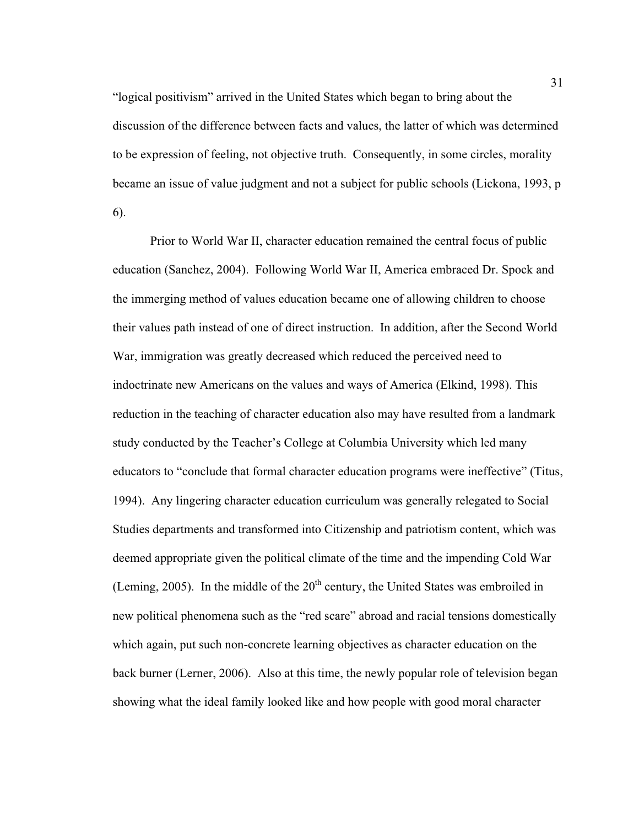"logical positivism" arrived in the United States which began to bring about the discussion of the difference between facts and values, the latter of which was determined to be expression of feeling, not objective truth. Consequently, in some circles, morality became an issue of value judgment and not a subject for public schools (Lickona, 1993, p 6).

Prior to World War II, character education remained the central focus of public education (Sanchez, 2004). Following World War II, America embraced Dr. Spock and the immerging method of values education became one of allowing children to choose their values path instead of one of direct instruction. In addition, after the Second World War, immigration was greatly decreased which reduced the perceived need to indoctrinate new Americans on the values and ways of America (Elkind, 1998). This reduction in the teaching of character education also may have resulted from a landmark study conducted by the Teacher's College at Columbia University which led many educators to "conclude that formal character education programs were ineffective" (Titus, 1994). Any lingering character education curriculum was generally relegated to Social Studies departments and transformed into Citizenship and patriotism content, which was deemed appropriate given the political climate of the time and the impending Cold War (Leming, 2005). In the middle of the  $20<sup>th</sup>$  century, the United States was embroiled in new political phenomena such as the "red scare" abroad and racial tensions domestically which again, put such non-concrete learning objectives as character education on the back burner (Lerner, 2006). Also at this time, the newly popular role of television began showing what the ideal family looked like and how people with good moral character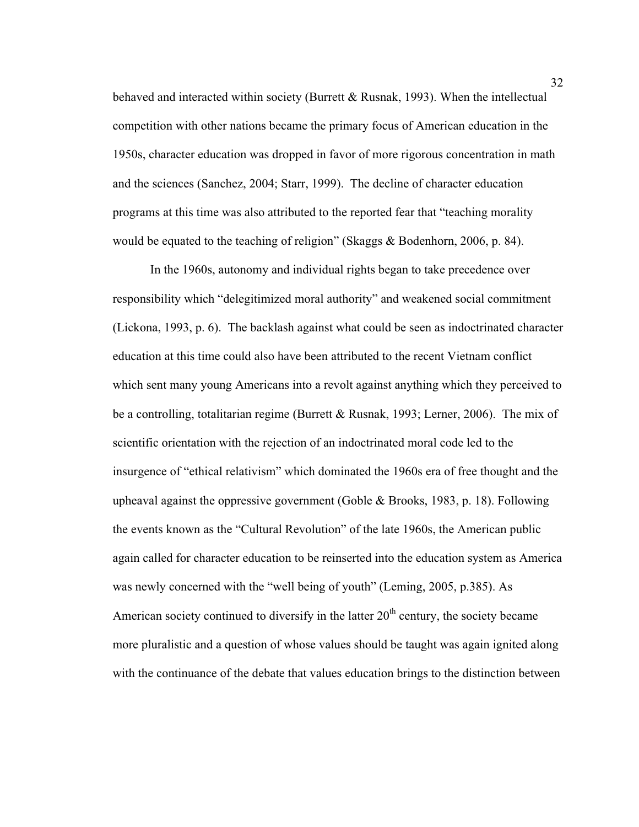behaved and interacted within society (Burrett & Rusnak, 1993). When the intellectual competition with other nations became the primary focus of American education in the 1950s, character education was dropped in favor of more rigorous concentration in math and the sciences (Sanchez, 2004; Starr, 1999). The decline of character education programs at this time was also attributed to the reported fear that "teaching morality would be equated to the teaching of religion" (Skaggs & Bodenhorn, 2006, p. 84).

In the 1960s, autonomy and individual rights began to take precedence over responsibility which "delegitimized moral authority" and weakened social commitment (Lickona, 1993, p. 6). The backlash against what could be seen as indoctrinated character education at this time could also have been attributed to the recent Vietnam conflict which sent many young Americans into a revolt against anything which they perceived to be a controlling, totalitarian regime (Burrett & Rusnak, 1993; Lerner, 2006). The mix of scientific orientation with the rejection of an indoctrinated moral code led to the insurgence of "ethical relativism" which dominated the 1960s era of free thought and the upheaval against the oppressive government (Goble & Brooks, 1983, p. 18). Following the events known as the "Cultural Revolution" of the late 1960s, the American public again called for character education to be reinserted into the education system as America was newly concerned with the "well being of youth" (Leming, 2005, p.385). As American society continued to diversify in the latter  $20<sup>th</sup>$  century, the society became more pluralistic and a question of whose values should be taught was again ignited along with the continuance of the debate that values education brings to the distinction between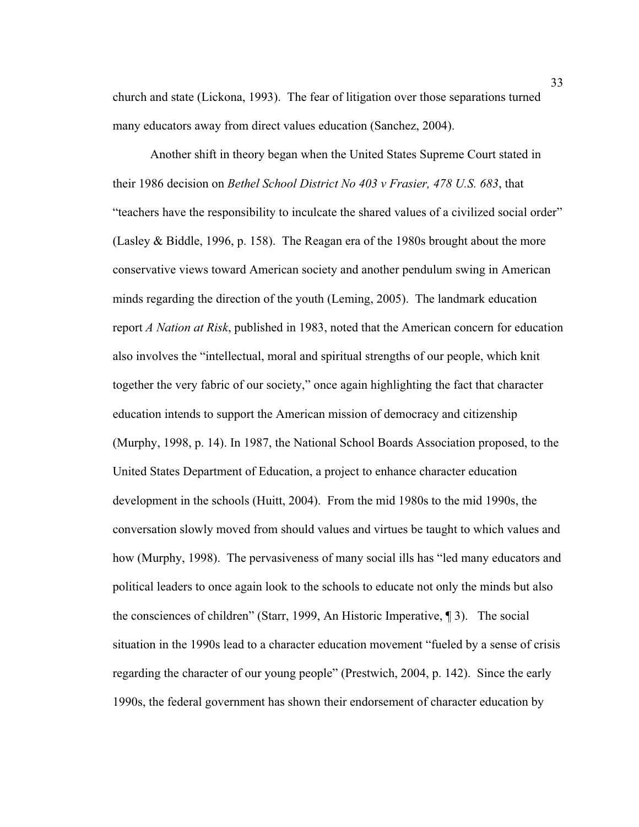church and state (Lickona, 1993). The fear of litigation over those separations turned many educators away from direct values education (Sanchez, 2004).

Another shift in theory began when the United States Supreme Court stated in their 1986 decision on *Bethel School District No 403 v Frasier, 478 U.S. 683*, that "teachers have the responsibility to inculcate the shared values of a civilized social order" (Lasley & Biddle, 1996, p. 158). The Reagan era of the 1980s brought about the more conservative views toward American society and another pendulum swing in American minds regarding the direction of the youth (Leming, 2005). The landmark education report *A Nation at Risk*, published in 1983, noted that the American concern for education also involves the "intellectual, moral and spiritual strengths of our people, which knit together the very fabric of our society," once again highlighting the fact that character education intends to support the American mission of democracy and citizenship (Murphy, 1998, p. 14). In 1987, the National School Boards Association proposed, to the United States Department of Education, a project to enhance character education development in the schools (Huitt, 2004). From the mid 1980s to the mid 1990s, the conversation slowly moved from should values and virtues be taught to which values and how (Murphy, 1998). The pervasiveness of many social ills has "led many educators and political leaders to once again look to the schools to educate not only the minds but also the consciences of children" (Starr, 1999, An Historic Imperative, ¶ 3). The social situation in the 1990s lead to a character education movement "fueled by a sense of crisis regarding the character of our young people" (Prestwich, 2004, p. 142). Since the early 1990s, the federal government has shown their endorsement of character education by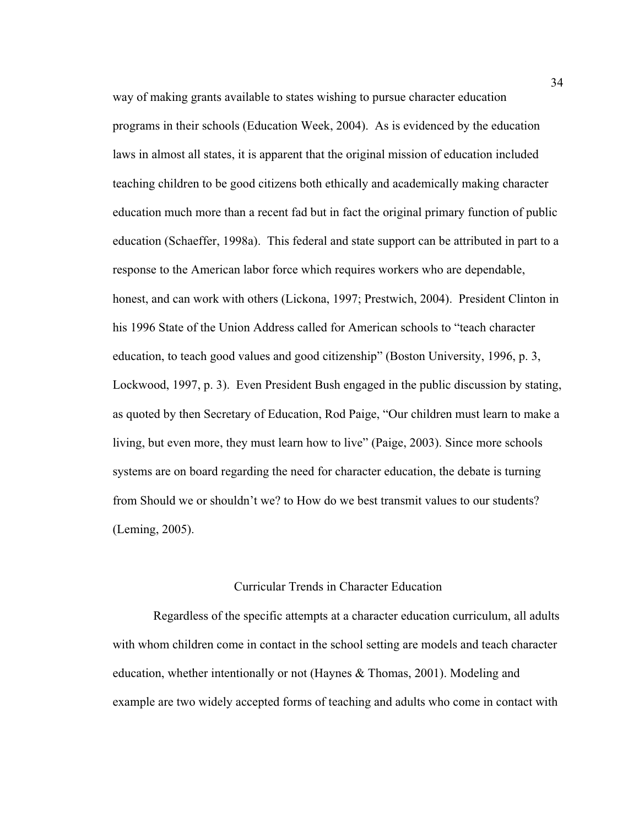way of making grants available to states wishing to pursue character education programs in their schools (Education Week, 2004). As is evidenced by the education laws in almost all states, it is apparent that the original mission of education included teaching children to be good citizens both ethically and academically making character education much more than a recent fad but in fact the original primary function of public education (Schaeffer, 1998a). This federal and state support can be attributed in part to a response to the American labor force which requires workers who are dependable, honest, and can work with others (Lickona, 1997; Prestwich, 2004). President Clinton in his 1996 State of the Union Address called for American schools to "teach character education, to teach good values and good citizenship" (Boston University, 1996, p. 3, Lockwood, 1997, p. 3). Even President Bush engaged in the public discussion by stating, as quoted by then Secretary of Education, Rod Paige, "Our children must learn to make a living, but even more, they must learn how to live" (Paige, 2003). Since more schools systems are on board regarding the need for character education, the debate is turning from Should we or shouldn't we? to How do we best transmit values to our students? (Leming, 2005).

## Curricular Trends in Character Education

 Regardless of the specific attempts at a character education curriculum, all adults with whom children come in contact in the school setting are models and teach character education, whether intentionally or not (Haynes & Thomas, 2001). Modeling and example are two widely accepted forms of teaching and adults who come in contact with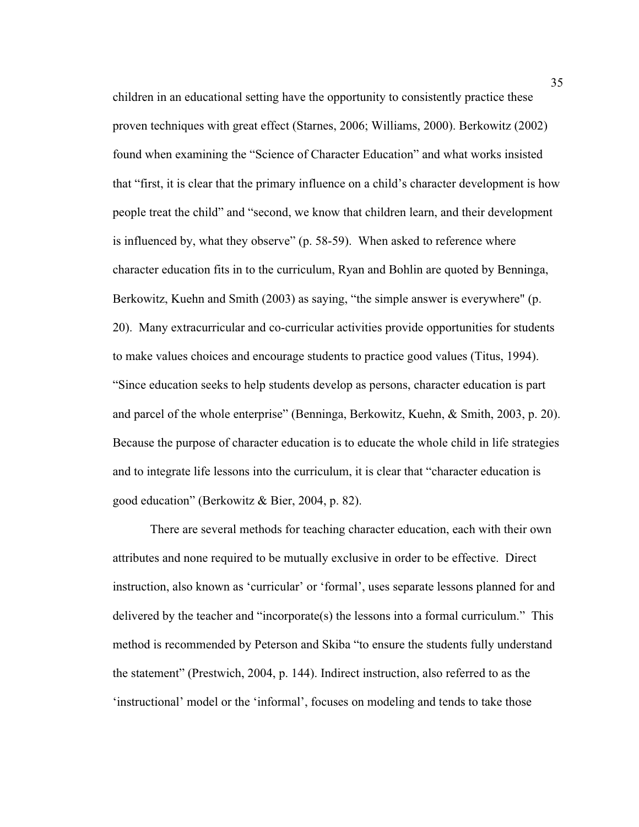children in an educational setting have the opportunity to consistently practice these proven techniques with great effect (Starnes, 2006; Williams, 2000). Berkowitz (2002) found when examining the "Science of Character Education" and what works insisted that "first, it is clear that the primary influence on a child's character development is how people treat the child" and "second, we know that children learn, and their development is influenced by, what they observe" (p. 58-59). When asked to reference where character education fits in to the curriculum, Ryan and Bohlin are quoted by Benninga, Berkowitz, Kuehn and Smith (2003) as saying, "the simple answer is everywhere" (p. 20). Many extracurricular and co-curricular activities provide opportunities for students to make values choices and encourage students to practice good values (Titus, 1994). "Since education seeks to help students develop as persons, character education is part and parcel of the whole enterprise" (Benninga, Berkowitz, Kuehn, & Smith, 2003, p. 20). Because the purpose of character education is to educate the whole child in life strategies and to integrate life lessons into the curriculum, it is clear that "character education is good education" (Berkowitz & Bier, 2004, p. 82).

There are several methods for teaching character education, each with their own attributes and none required to be mutually exclusive in order to be effective. Direct instruction, also known as 'curricular' or 'formal', uses separate lessons planned for and delivered by the teacher and "incorporate(s) the lessons into a formal curriculum." This method is recommended by Peterson and Skiba "to ensure the students fully understand the statement" (Prestwich, 2004, p. 144). Indirect instruction, also referred to as the 'instructional' model or the 'informal', focuses on modeling and tends to take those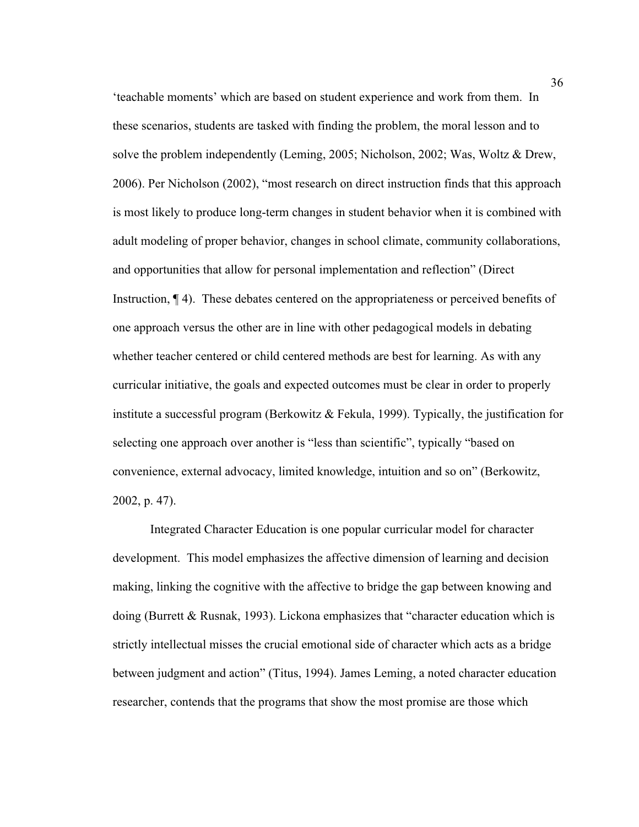'teachable moments' which are based on student experience and work from them. In these scenarios, students are tasked with finding the problem, the moral lesson and to solve the problem independently (Leming, 2005; Nicholson, 2002; Was, Woltz & Drew, 2006). Per Nicholson (2002), "most research on direct instruction finds that this approach is most likely to produce long-term changes in student behavior when it is combined with adult modeling of proper behavior, changes in school climate, community collaborations, and opportunities that allow for personal implementation and reflection" (Direct Instruction, ¶ 4). These debates centered on the appropriateness or perceived benefits of one approach versus the other are in line with other pedagogical models in debating whether teacher centered or child centered methods are best for learning. As with any curricular initiative, the goals and expected outcomes must be clear in order to properly institute a successful program (Berkowitz & Fekula, 1999). Typically, the justification for selecting one approach over another is "less than scientific", typically "based on convenience, external advocacy, limited knowledge, intuition and so on" (Berkowitz, 2002, p. 47).

Integrated Character Education is one popular curricular model for character development. This model emphasizes the affective dimension of learning and decision making, linking the cognitive with the affective to bridge the gap between knowing and doing (Burrett & Rusnak, 1993). Lickona emphasizes that "character education which is strictly intellectual misses the crucial emotional side of character which acts as a bridge between judgment and action" (Titus, 1994). James Leming, a noted character education researcher, contends that the programs that show the most promise are those which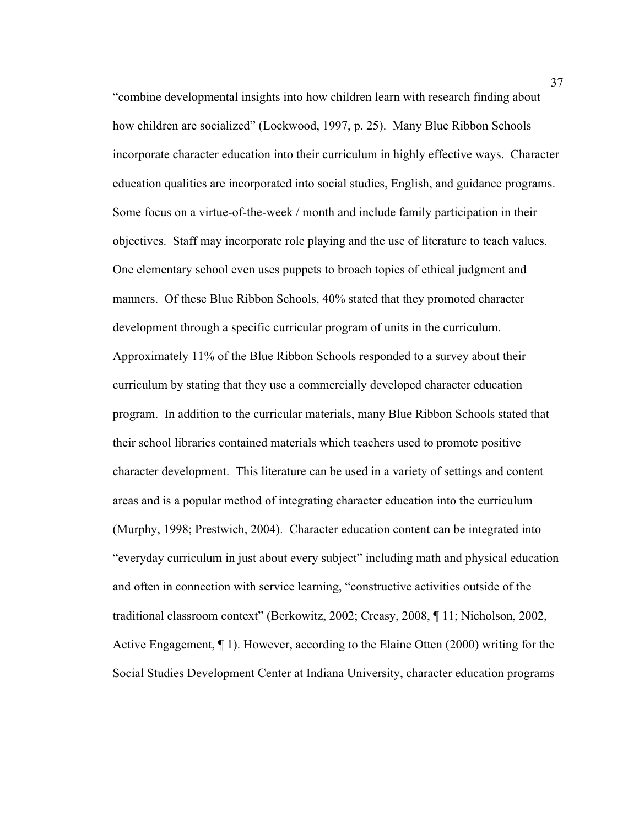"combine developmental insights into how children learn with research finding about how children are socialized" (Lockwood, 1997, p. 25). Many Blue Ribbon Schools incorporate character education into their curriculum in highly effective ways. Character education qualities are incorporated into social studies, English, and guidance programs. Some focus on a virtue-of-the-week / month and include family participation in their objectives. Staff may incorporate role playing and the use of literature to teach values. One elementary school even uses puppets to broach topics of ethical judgment and manners. Of these Blue Ribbon Schools, 40% stated that they promoted character development through a specific curricular program of units in the curriculum. Approximately 11% of the Blue Ribbon Schools responded to a survey about their curriculum by stating that they use a commercially developed character education program. In addition to the curricular materials, many Blue Ribbon Schools stated that their school libraries contained materials which teachers used to promote positive character development. This literature can be used in a variety of settings and content areas and is a popular method of integrating character education into the curriculum (Murphy, 1998; Prestwich, 2004). Character education content can be integrated into "everyday curriculum in just about every subject" including math and physical education and often in connection with service learning, "constructive activities outside of the traditional classroom context" (Berkowitz, 2002; Creasy, 2008, ¶ 11; Nicholson, 2002, Active Engagement, ¶ 1). However, according to the Elaine Otten (2000) writing for the Social Studies Development Center at Indiana University, character education programs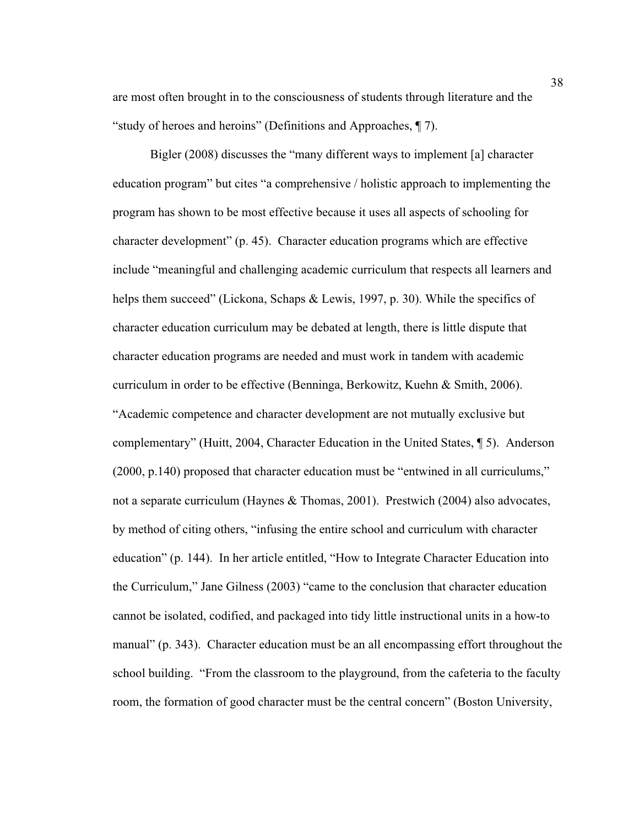are most often brought in to the consciousness of students through literature and the "study of heroes and heroins" (Definitions and Approaches, ¶ 7).

Bigler (2008) discusses the "many different ways to implement [a] character education program" but cites "a comprehensive / holistic approach to implementing the program has shown to be most effective because it uses all aspects of schooling for character development" (p. 45). Character education programs which are effective include "meaningful and challenging academic curriculum that respects all learners and helps them succeed" (Lickona, Schaps & Lewis, 1997, p. 30). While the specifics of character education curriculum may be debated at length, there is little dispute that character education programs are needed and must work in tandem with academic curriculum in order to be effective (Benninga, Berkowitz, Kuehn & Smith, 2006).

"Academic competence and character development are not mutually exclusive but complementary" (Huitt, 2004, Character Education in the United States, ¶ 5). Anderson (2000, p.140) proposed that character education must be "entwined in all curriculums," not a separate curriculum (Haynes & Thomas, 2001). Prestwich (2004) also advocates, by method of citing others, "infusing the entire school and curriculum with character education" (p. 144). In her article entitled, "How to Integrate Character Education into the Curriculum," Jane Gilness (2003) "came to the conclusion that character education cannot be isolated, codified, and packaged into tidy little instructional units in a how-to manual" (p. 343). Character education must be an all encompassing effort throughout the school building. "From the classroom to the playground, from the cafeteria to the faculty room, the formation of good character must be the central concern" (Boston University,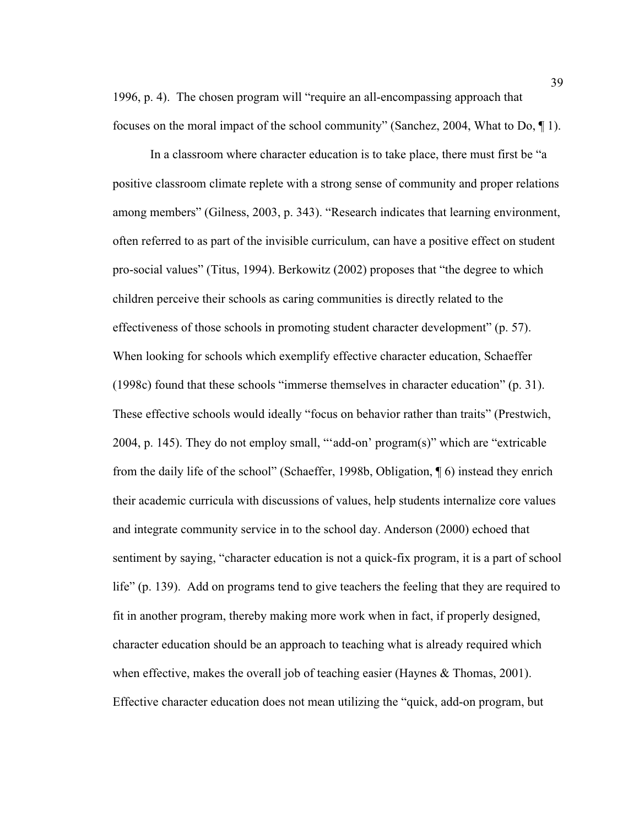1996, p. 4). The chosen program will "require an all-encompassing approach that focuses on the moral impact of the school community" (Sanchez, 2004, What to Do, ¶ 1).

In a classroom where character education is to take place, there must first be "a positive classroom climate replete with a strong sense of community and proper relations among members" (Gilness, 2003, p. 343). "Research indicates that learning environment, often referred to as part of the invisible curriculum, can have a positive effect on student pro-social values" (Titus, 1994). Berkowitz (2002) proposes that "the degree to which children perceive their schools as caring communities is directly related to the effectiveness of those schools in promoting student character development" (p. 57). When looking for schools which exemplify effective character education, Schaeffer (1998c) found that these schools "immerse themselves in character education" (p. 31). These effective schools would ideally "focus on behavior rather than traits" (Prestwich, 2004, p. 145). They do not employ small, "'add-on' program(s)" which are "extricable from the daily life of the school" (Schaeffer, 1998b, Obligation, ¶ 6) instead they enrich their academic curricula with discussions of values, help students internalize core values and integrate community service in to the school day. Anderson (2000) echoed that sentiment by saying, "character education is not a quick-fix program, it is a part of school life" (p. 139). Add on programs tend to give teachers the feeling that they are required to fit in another program, thereby making more work when in fact, if properly designed, character education should be an approach to teaching what is already required which when effective, makes the overall job of teaching easier (Haynes  $\&$  Thomas, 2001). Effective character education does not mean utilizing the "quick, add-on program, but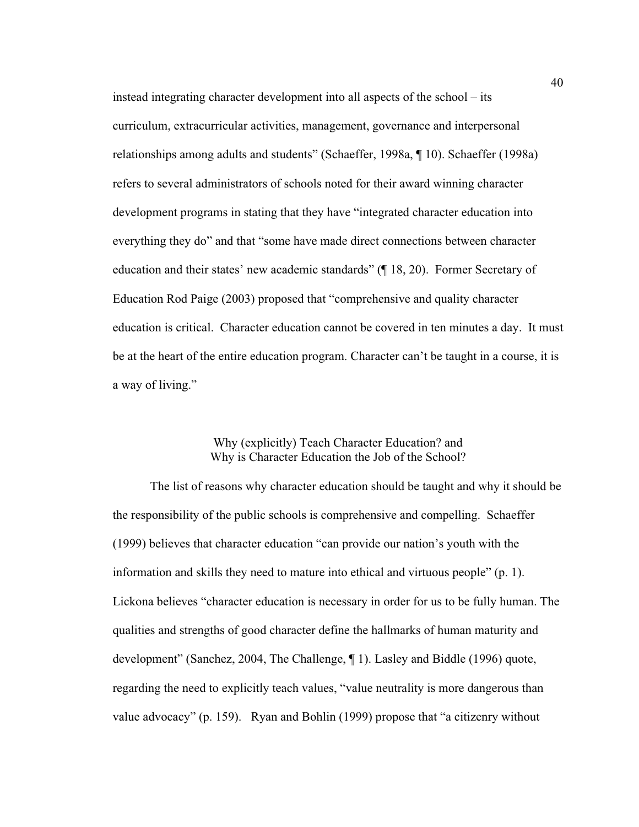instead integrating character development into all aspects of the school – its curriculum, extracurricular activities, management, governance and interpersonal relationships among adults and students" (Schaeffer, 1998a, ¶ 10). Schaeffer (1998a) refers to several administrators of schools noted for their award winning character development programs in stating that they have "integrated character education into everything they do" and that "some have made direct connections between character education and their states' new academic standards" (¶ 18, 20). Former Secretary of Education Rod Paige (2003) proposed that "comprehensive and quality character education is critical. Character education cannot be covered in ten minutes a day. It must be at the heart of the entire education program. Character can't be taught in a course, it is a way of living."

## Why (explicitly) Teach Character Education? and Why is Character Education the Job of the School?

The list of reasons why character education should be taught and why it should be the responsibility of the public schools is comprehensive and compelling. Schaeffer (1999) believes that character education "can provide our nation's youth with the information and skills they need to mature into ethical and virtuous people" (p. 1). Lickona believes "character education is necessary in order for us to be fully human. The qualities and strengths of good character define the hallmarks of human maturity and development" (Sanchez, 2004, The Challenge, ¶ 1). Lasley and Biddle (1996) quote, regarding the need to explicitly teach values, "value neutrality is more dangerous than value advocacy" (p. 159). Ryan and Bohlin (1999) propose that "a citizenry without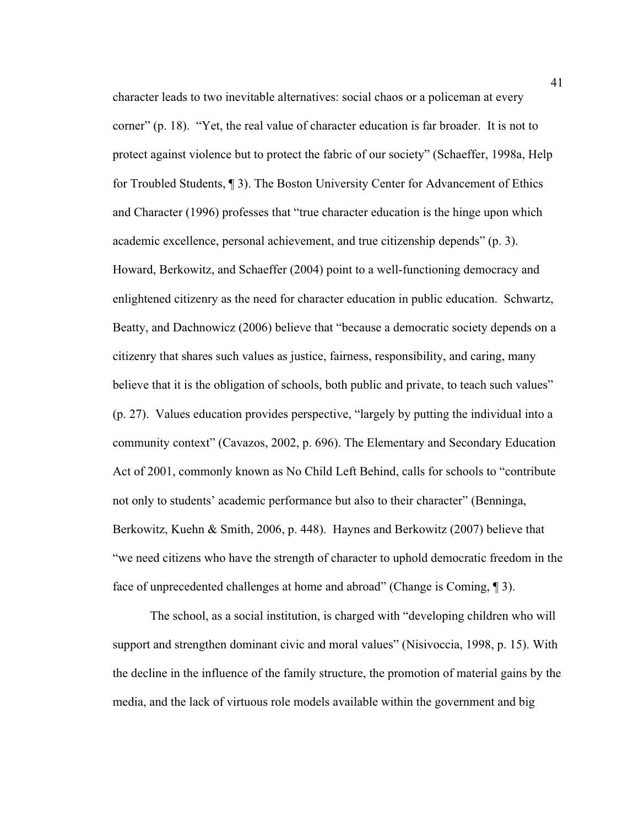character leads to two inevitable alternatives: social chaos or a policeman at every corner" (p. 18). "Yet, the real value of character education is far broader. It is not to protect against violence but to protect the fabric of our society" (Schaeffer, 1998a, Help for Troubled Students, ¶ 3). The Boston University Center for Advancement of Ethics and Character (1996) professes that "true character education is the hinge upon which academic excellence, personal achievement, and true citizenship depends" (p. 3). Howard, Berkowitz, and Schaeffer (2004) point to a well-functioning democracy and enlightened citizenry as the need for character education in public education. Schwartz, Beatty, and Dachnowicz (2006) believe that "because a democratic society depends on a citizenry that shares such values as justice, fairness, responsibility, and caring, many believe that it is the obligation of schools, both public and private, to teach such values" (p. 27). Values education provides perspective, "largely by putting the individual into a community context" (Cavazos, 2002, p. 696). The Elementary and Secondary Education Act of 2001, commonly known as No Child Left Behind, calls for schools to "contribute not only to students' academic performance but also to their character" (Benninga, Berkowitz, Kuehn & Smith, 2006, p. 448). Haynes and Berkowitz (2007) believe that "we need citizens who have the strength of character to uphold democratic freedom in the face of unprecedented challenges at home and abroad" (Change is Coming, ¶ 3).

The school, as a social institution, is charged with "developing children who will support and strengthen dominant civic and moral values" (Nisivoccia, 1998, p. 15). With the decline in the influence of the family structure, the promotion of material gains by the media, and the lack of virtuous role models available within the government and big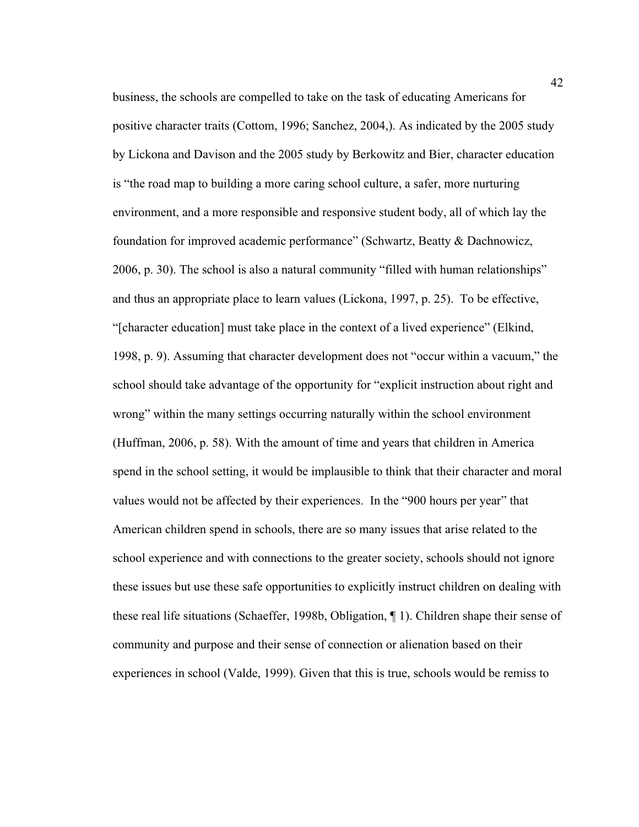business, the schools are compelled to take on the task of educating Americans for positive character traits (Cottom, 1996; Sanchez, 2004,). As indicated by the 2005 study by Lickona and Davison and the 2005 study by Berkowitz and Bier, character education is "the road map to building a more caring school culture, a safer, more nurturing environment, and a more responsible and responsive student body, all of which lay the foundation for improved academic performance" (Schwartz, Beatty & Dachnowicz, 2006, p. 30). The school is also a natural community "filled with human relationships" and thus an appropriate place to learn values (Lickona, 1997, p. 25). To be effective, "[character education] must take place in the context of a lived experience" (Elkind, 1998, p. 9). Assuming that character development does not "occur within a vacuum," the school should take advantage of the opportunity for "explicit instruction about right and wrong" within the many settings occurring naturally within the school environment (Huffman, 2006, p. 58). With the amount of time and years that children in America spend in the school setting, it would be implausible to think that their character and moral values would not be affected by their experiences. In the "900 hours per year" that American children spend in schools, there are so many issues that arise related to the school experience and with connections to the greater society, schools should not ignore these issues but use these safe opportunities to explicitly instruct children on dealing with these real life situations (Schaeffer, 1998b, Obligation, ¶ 1). Children shape their sense of community and purpose and their sense of connection or alienation based on their experiences in school (Valde, 1999). Given that this is true, schools would be remiss to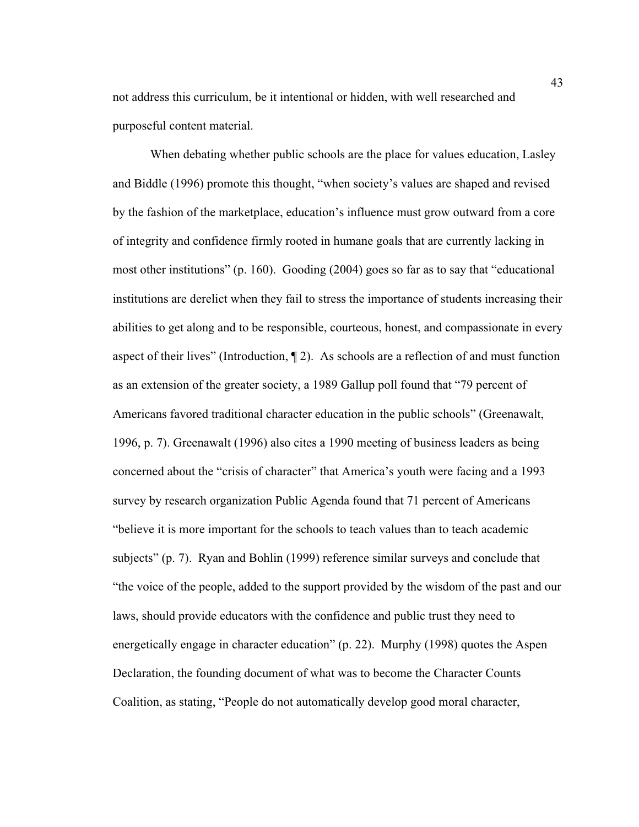not address this curriculum, be it intentional or hidden, with well researched and purposeful content material.

When debating whether public schools are the place for values education, Lasley and Biddle (1996) promote this thought, "when society's values are shaped and revised by the fashion of the marketplace, education's influence must grow outward from a core of integrity and confidence firmly rooted in humane goals that are currently lacking in most other institutions" (p. 160). Gooding (2004) goes so far as to say that "educational institutions are derelict when they fail to stress the importance of students increasing their abilities to get along and to be responsible, courteous, honest, and compassionate in every aspect of their lives" (Introduction, ¶ 2). As schools are a reflection of and must function as an extension of the greater society, a 1989 Gallup poll found that "79 percent of Americans favored traditional character education in the public schools" (Greenawalt, 1996, p. 7). Greenawalt (1996) also cites a 1990 meeting of business leaders as being concerned about the "crisis of character" that America's youth were facing and a 1993 survey by research organization Public Agenda found that 71 percent of Americans "believe it is more important for the schools to teach values than to teach academic subjects" (p. 7). Ryan and Bohlin (1999) reference similar surveys and conclude that "the voice of the people, added to the support provided by the wisdom of the past and our laws, should provide educators with the confidence and public trust they need to energetically engage in character education" (p. 22). Murphy (1998) quotes the Aspen Declaration, the founding document of what was to become the Character Counts Coalition, as stating, "People do not automatically develop good moral character,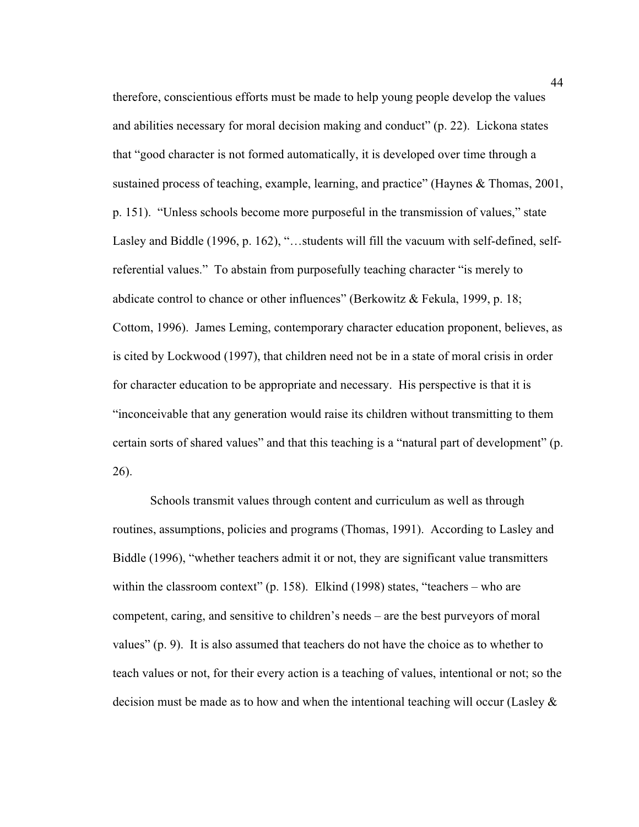therefore, conscientious efforts must be made to help young people develop the values and abilities necessary for moral decision making and conduct" (p. 22). Lickona states that "good character is not formed automatically, it is developed over time through a sustained process of teaching, example, learning, and practice" (Haynes & Thomas, 2001, p. 151). "Unless schools become more purposeful in the transmission of values," state Lasley and Biddle (1996, p. 162), "…students will fill the vacuum with self-defined, selfreferential values." To abstain from purposefully teaching character "is merely to abdicate control to chance or other influences" (Berkowitz & Fekula, 1999, p. 18; Cottom, 1996). James Leming, contemporary character education proponent, believes, as is cited by Lockwood (1997), that children need not be in a state of moral crisis in order for character education to be appropriate and necessary. His perspective is that it is "inconceivable that any generation would raise its children without transmitting to them certain sorts of shared values" and that this teaching is a "natural part of development" (p. 26).

Schools transmit values through content and curriculum as well as through routines, assumptions, policies and programs (Thomas, 1991). According to Lasley and Biddle (1996), "whether teachers admit it or not, they are significant value transmitters within the classroom context" (p. 158). Elkind (1998) states, "teachers – who are competent, caring, and sensitive to children's needs – are the best purveyors of moral values" (p. 9). It is also assumed that teachers do not have the choice as to whether to teach values or not, for their every action is a teaching of values, intentional or not; so the decision must be made as to how and when the intentional teaching will occur (Lasley  $\&$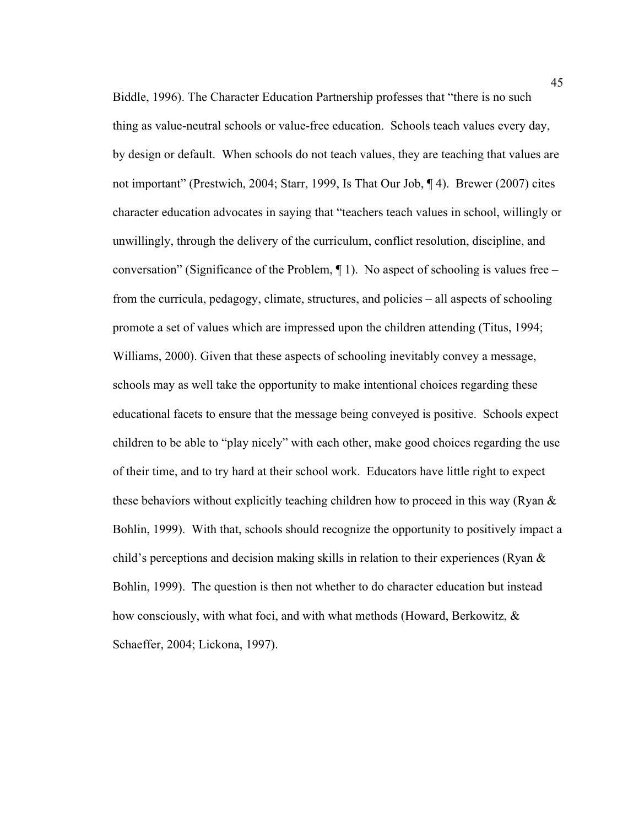Biddle, 1996). The Character Education Partnership professes that "there is no such thing as value-neutral schools or value-free education. Schools teach values every day, by design or default. When schools do not teach values, they are teaching that values are not important" (Prestwich, 2004; Starr, 1999, Is That Our Job, ¶ 4). Brewer (2007) cites character education advocates in saying that "teachers teach values in school, willingly or unwillingly, through the delivery of the curriculum, conflict resolution, discipline, and conversation" (Significance of the Problem,  $\P$ 1). No aspect of schooling is values free – from the curricula, pedagogy, climate, structures, and policies – all aspects of schooling promote a set of values which are impressed upon the children attending (Titus, 1994; Williams, 2000). Given that these aspects of schooling inevitably convey a message, schools may as well take the opportunity to make intentional choices regarding these educational facets to ensure that the message being conveyed is positive. Schools expect children to be able to "play nicely" with each other, make good choices regarding the use of their time, and to try hard at their school work. Educators have little right to expect these behaviors without explicitly teaching children how to proceed in this way (Ryan & Bohlin, 1999). With that, schools should recognize the opportunity to positively impact a child's perceptions and decision making skills in relation to their experiences (Ryan & Bohlin, 1999). The question is then not whether to do character education but instead how consciously, with what foci, and with what methods (Howard, Berkowitz, & Schaeffer, 2004; Lickona, 1997).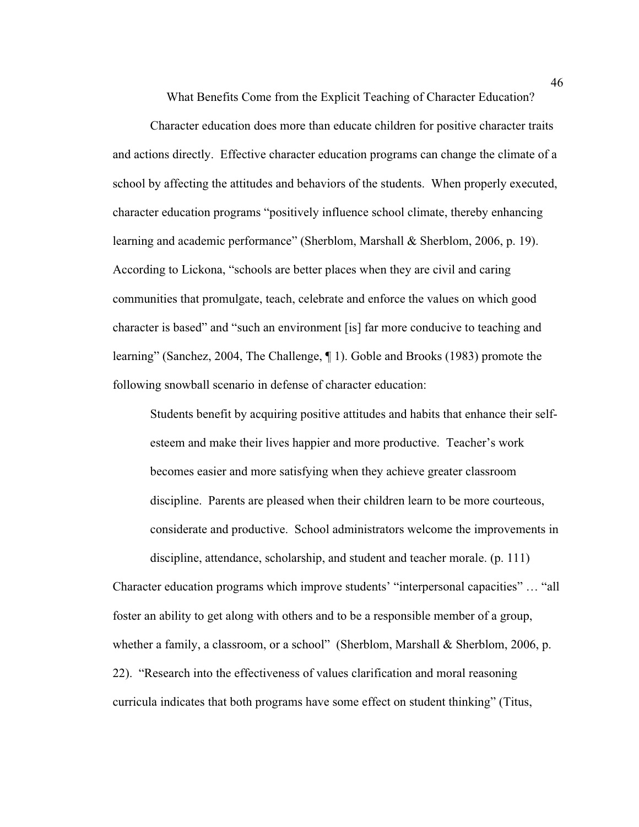What Benefits Come from the Explicit Teaching of Character Education?

Character education does more than educate children for positive character traits and actions directly. Effective character education programs can change the climate of a school by affecting the attitudes and behaviors of the students. When properly executed, character education programs "positively influence school climate, thereby enhancing learning and academic performance" (Sherblom, Marshall & Sherblom, 2006, p. 19). According to Lickona, "schools are better places when they are civil and caring communities that promulgate, teach, celebrate and enforce the values on which good character is based" and "such an environment [is] far more conducive to teaching and learning" (Sanchez, 2004, The Challenge, ¶ 1). Goble and Brooks (1983) promote the following snowball scenario in defense of character education:

Students benefit by acquiring positive attitudes and habits that enhance their selfesteem and make their lives happier and more productive. Teacher's work becomes easier and more satisfying when they achieve greater classroom discipline. Parents are pleased when their children learn to be more courteous, considerate and productive. School administrators welcome the improvements in discipline, attendance, scholarship, and student and teacher morale. (p. 111)

Character education programs which improve students' "interpersonal capacities" … "all foster an ability to get along with others and to be a responsible member of a group, whether a family, a classroom, or a school" (Sherblom, Marshall & Sherblom, 2006, p. 22). "Research into the effectiveness of values clarification and moral reasoning curricula indicates that both programs have some effect on student thinking" (Titus,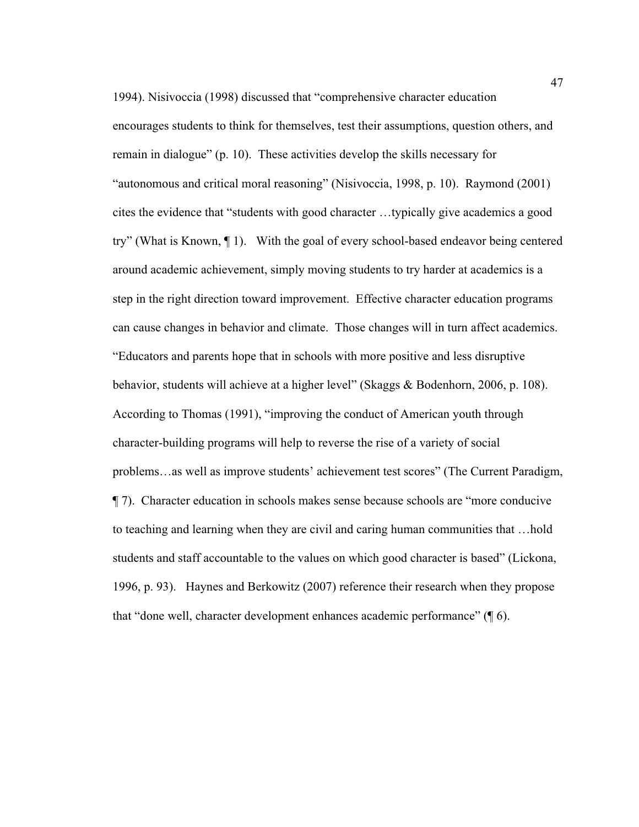1994). Nisivoccia (1998) discussed that "comprehensive character education encourages students to think for themselves, test their assumptions, question others, and remain in dialogue" (p. 10). These activities develop the skills necessary for "autonomous and critical moral reasoning" (Nisivoccia, 1998, p. 10). Raymond (2001) cites the evidence that "students with good character …typically give academics a good try" (What is Known, ¶ 1). With the goal of every school-based endeavor being centered around academic achievement, simply moving students to try harder at academics is a step in the right direction toward improvement. Effective character education programs can cause changes in behavior and climate. Those changes will in turn affect academics. "Educators and parents hope that in schools with more positive and less disruptive behavior, students will achieve at a higher level" (Skaggs & Bodenhorn, 2006, p. 108). According to Thomas (1991), "improving the conduct of American youth through character-building programs will help to reverse the rise of a variety of social problems…as well as improve students' achievement test scores" (The Current Paradigm, ¶ 7). Character education in schools makes sense because schools are "more conducive to teaching and learning when they are civil and caring human communities that …hold students and staff accountable to the values on which good character is based" (Lickona, 1996, p. 93). Haynes and Berkowitz (2007) reference their research when they propose that "done well, character development enhances academic performance" (¶ 6).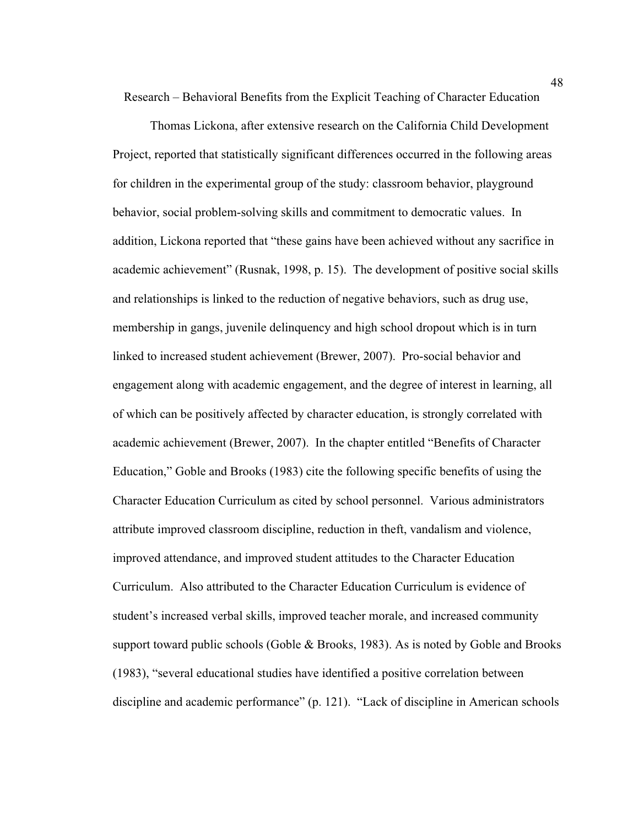Research – Behavioral Benefits from the Explicit Teaching of Character Education

Thomas Lickona, after extensive research on the California Child Development Project, reported that statistically significant differences occurred in the following areas for children in the experimental group of the study: classroom behavior, playground behavior, social problem-solving skills and commitment to democratic values. In addition, Lickona reported that "these gains have been achieved without any sacrifice in academic achievement" (Rusnak, 1998, p. 15). The development of positive social skills and relationships is linked to the reduction of negative behaviors, such as drug use, membership in gangs, juvenile delinquency and high school dropout which is in turn linked to increased student achievement (Brewer, 2007). Pro-social behavior and engagement along with academic engagement, and the degree of interest in learning, all of which can be positively affected by character education, is strongly correlated with academic achievement (Brewer, 2007). In the chapter entitled "Benefits of Character Education," Goble and Brooks (1983) cite the following specific benefits of using the Character Education Curriculum as cited by school personnel. Various administrators attribute improved classroom discipline, reduction in theft, vandalism and violence, improved attendance, and improved student attitudes to the Character Education Curriculum. Also attributed to the Character Education Curriculum is evidence of student's increased verbal skills, improved teacher morale, and increased community support toward public schools (Goble & Brooks, 1983). As is noted by Goble and Brooks (1983), "several educational studies have identified a positive correlation between discipline and academic performance" (p. 121). "Lack of discipline in American schools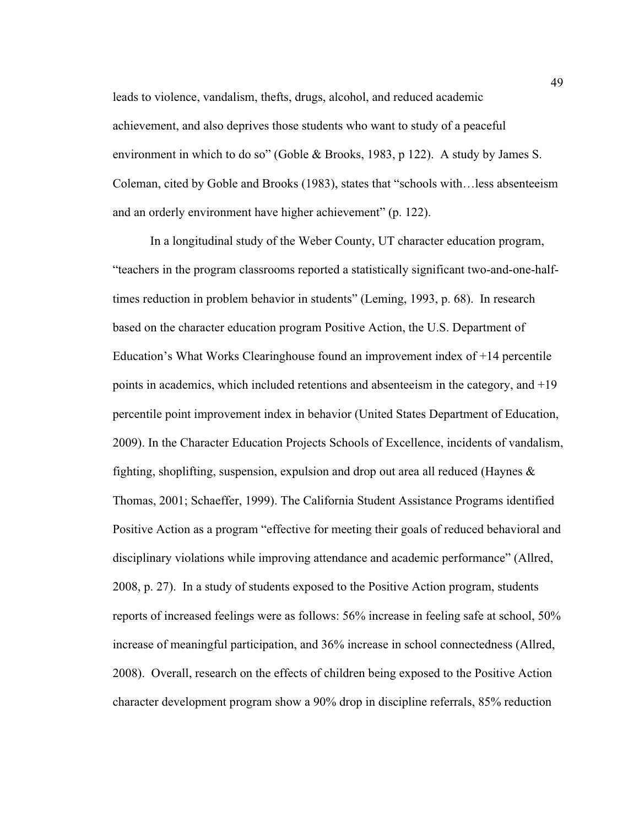leads to violence, vandalism, thefts, drugs, alcohol, and reduced academic achievement, and also deprives those students who want to study of a peaceful environment in which to do so" (Goble & Brooks, 1983, p 122). A study by James S. Coleman, cited by Goble and Brooks (1983), states that "schools with…less absenteeism and an orderly environment have higher achievement" (p. 122).

In a longitudinal study of the Weber County, UT character education program, "teachers in the program classrooms reported a statistically significant two-and-one-halftimes reduction in problem behavior in students" (Leming, 1993, p. 68). In research based on the character education program Positive Action, the U.S. Department of Education's What Works Clearinghouse found an improvement index of  $+14$  percentile points in academics, which included retentions and absenteeism in the category, and +19 percentile point improvement index in behavior (United States Department of Education, 2009). In the Character Education Projects Schools of Excellence, incidents of vandalism, fighting, shoplifting, suspension, expulsion and drop out area all reduced (Haynes  $\&$ Thomas, 2001; Schaeffer, 1999). The California Student Assistance Programs identified Positive Action as a program "effective for meeting their goals of reduced behavioral and disciplinary violations while improving attendance and academic performance" (Allred, 2008, p. 27). In a study of students exposed to the Positive Action program, students reports of increased feelings were as follows: 56% increase in feeling safe at school, 50% increase of meaningful participation, and 36% increase in school connectedness (Allred, 2008). Overall, research on the effects of children being exposed to the Positive Action character development program show a 90% drop in discipline referrals, 85% reduction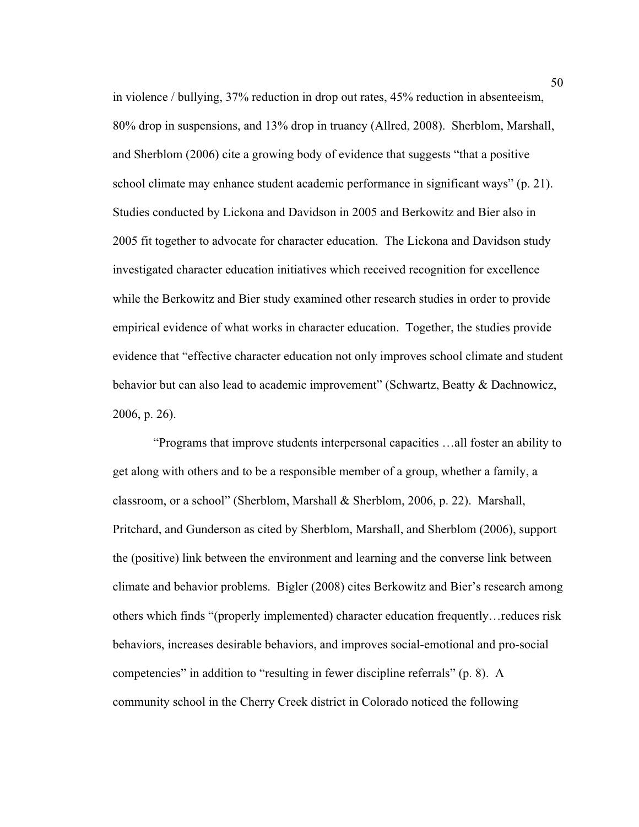in violence / bullying, 37% reduction in drop out rates, 45% reduction in absenteeism, 80% drop in suspensions, and 13% drop in truancy (Allred, 2008). Sherblom, Marshall, and Sherblom (2006) cite a growing body of evidence that suggests "that a positive school climate may enhance student academic performance in significant ways" (p. 21). Studies conducted by Lickona and Davidson in 2005 and Berkowitz and Bier also in 2005 fit together to advocate for character education. The Lickona and Davidson study investigated character education initiatives which received recognition for excellence while the Berkowitz and Bier study examined other research studies in order to provide empirical evidence of what works in character education. Together, the studies provide evidence that "effective character education not only improves school climate and student behavior but can also lead to academic improvement" (Schwartz, Beatty & Dachnowicz, 2006, p. 26).

 "Programs that improve students interpersonal capacities …all foster an ability to get along with others and to be a responsible member of a group, whether a family, a classroom, or a school" (Sherblom, Marshall & Sherblom, 2006, p. 22). Marshall, Pritchard, and Gunderson as cited by Sherblom, Marshall, and Sherblom (2006), support the (positive) link between the environment and learning and the converse link between climate and behavior problems. Bigler (2008) cites Berkowitz and Bier's research among others which finds "(properly implemented) character education frequently…reduces risk behaviors, increases desirable behaviors, and improves social-emotional and pro-social competencies" in addition to "resulting in fewer discipline referrals" (p. 8). A community school in the Cherry Creek district in Colorado noticed the following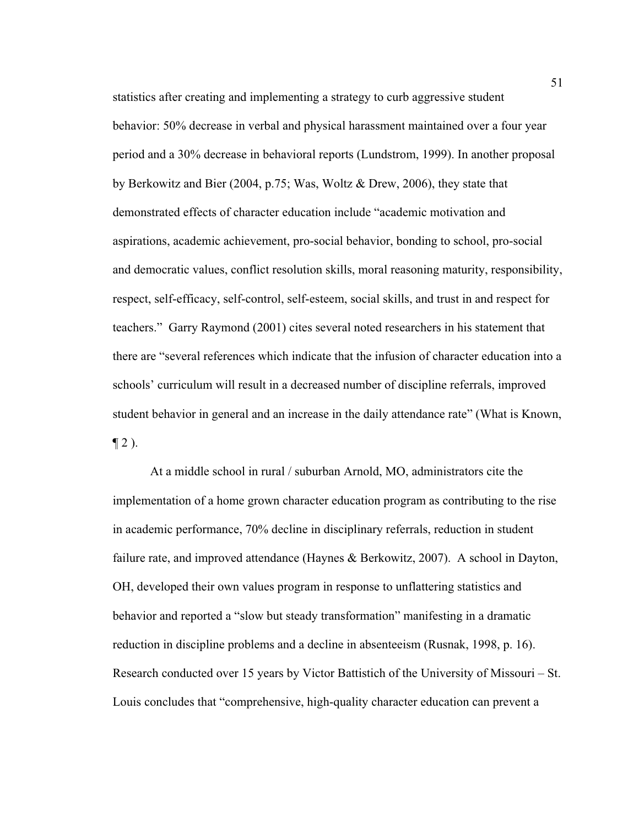statistics after creating and implementing a strategy to curb aggressive student behavior: 50% decrease in verbal and physical harassment maintained over a four year period and a 30% decrease in behavioral reports (Lundstrom, 1999). In another proposal by Berkowitz and Bier (2004, p.75; Was, Woltz & Drew, 2006), they state that demonstrated effects of character education include "academic motivation and aspirations, academic achievement, pro-social behavior, bonding to school, pro-social and democratic values, conflict resolution skills, moral reasoning maturity, responsibility, respect, self-efficacy, self-control, self-esteem, social skills, and trust in and respect for teachers." Garry Raymond (2001) cites several noted researchers in his statement that there are "several references which indicate that the infusion of character education into a schools' curriculum will result in a decreased number of discipline referrals, improved student behavior in general and an increase in the daily attendance rate" (What is Known,  $\P 2$ ).

At a middle school in rural / suburban Arnold, MO, administrators cite the implementation of a home grown character education program as contributing to the rise in academic performance, 70% decline in disciplinary referrals, reduction in student failure rate, and improved attendance (Haynes & Berkowitz, 2007). A school in Dayton, OH, developed their own values program in response to unflattering statistics and behavior and reported a "slow but steady transformation" manifesting in a dramatic reduction in discipline problems and a decline in absenteeism (Rusnak, 1998, p. 16). Research conducted over 15 years by Victor Battistich of the University of Missouri – St. Louis concludes that "comprehensive, high-quality character education can prevent a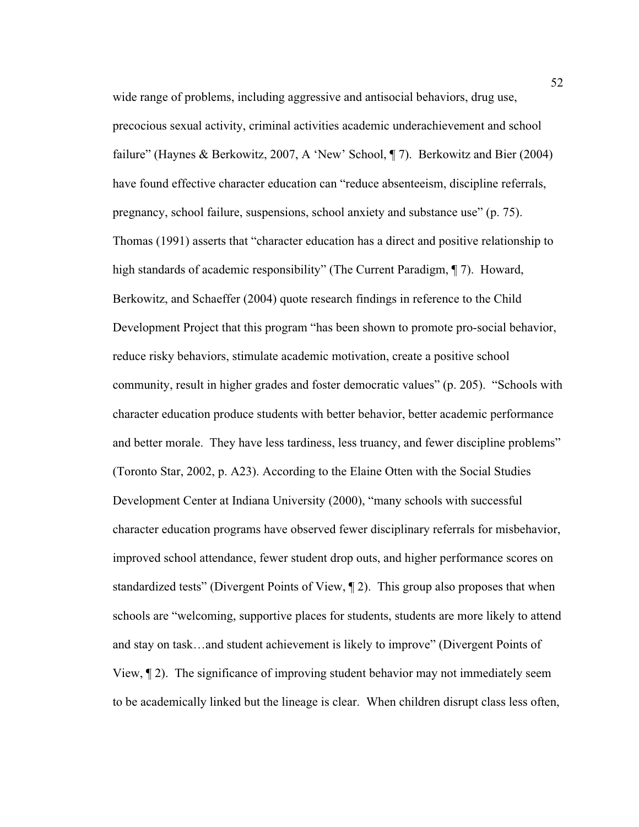wide range of problems, including aggressive and antisocial behaviors, drug use, precocious sexual activity, criminal activities academic underachievement and school failure" (Haynes & Berkowitz, 2007, A 'New' School, ¶ 7). Berkowitz and Bier (2004) have found effective character education can "reduce absenteeism, discipline referrals, pregnancy, school failure, suspensions, school anxiety and substance use" (p. 75). Thomas (1991) asserts that "character education has a direct and positive relationship to high standards of academic responsibility" (The Current Paradigm, ¶ 7). Howard, Berkowitz, and Schaeffer (2004) quote research findings in reference to the Child Development Project that this program "has been shown to promote pro-social behavior, reduce risky behaviors, stimulate academic motivation, create a positive school community, result in higher grades and foster democratic values" (p. 205). "Schools with character education produce students with better behavior, better academic performance and better morale. They have less tardiness, less truancy, and fewer discipline problems" (Toronto Star, 2002, p. A23). According to the Elaine Otten with the Social Studies Development Center at Indiana University (2000), "many schools with successful character education programs have observed fewer disciplinary referrals for misbehavior, improved school attendance, fewer student drop outs, and higher performance scores on standardized tests" (Divergent Points of View, ¶ 2). This group also proposes that when schools are "welcoming, supportive places for students, students are more likely to attend and stay on task…and student achievement is likely to improve" (Divergent Points of View, ¶ 2). The significance of improving student behavior may not immediately seem to be academically linked but the lineage is clear. When children disrupt class less often,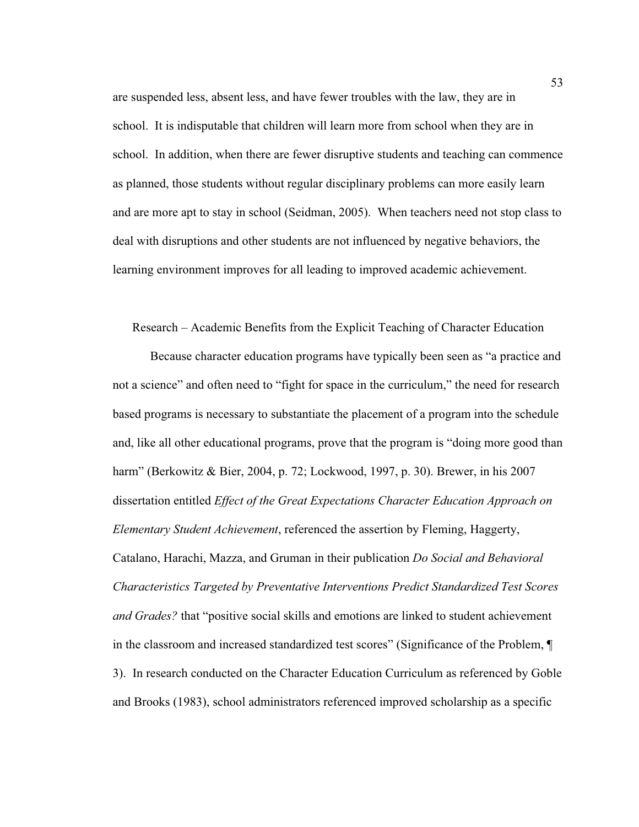are suspended less, absent less, and have fewer troubles with the law, they are in school. It is indisputable that children will learn more from school when they are in school. In addition, when there are fewer disruptive students and teaching can commence as planned, those students without regular disciplinary problems can more easily learn and are more apt to stay in school (Seidman, 2005). When teachers need not stop class to deal with disruptions and other students are not influenced by negative behaviors, the learning environment improves for all leading to improved academic achievement.

Research – Academic Benefits from the Explicit Teaching of Character Education

 Because character education programs have typically been seen as "a practice and not a science" and often need to "fight for space in the curriculum," the need for research based programs is necessary to substantiate the placement of a program into the schedule and, like all other educational programs, prove that the program is "doing more good than harm" (Berkowitz & Bier, 2004, p. 72; Lockwood, 1997, p. 30). Brewer, in his 2007 dissertation entitled *Effect of the Great Expectations Character Education Approach on Elementary Student Achievement*, referenced the assertion by Fleming, Haggerty, Catalano, Harachi, Mazza, and Gruman in their publication *Do Social and Behavioral Characteristics Targeted by Preventative Interventions Predict Standardized Test Scores and Grades?* that "positive social skills and emotions are linked to student achievement in the classroom and increased standardized test scores" (Significance of the Problem, ¶ 3). In research conducted on the Character Education Curriculum as referenced by Goble and Brooks (1983), school administrators referenced improved scholarship as a specific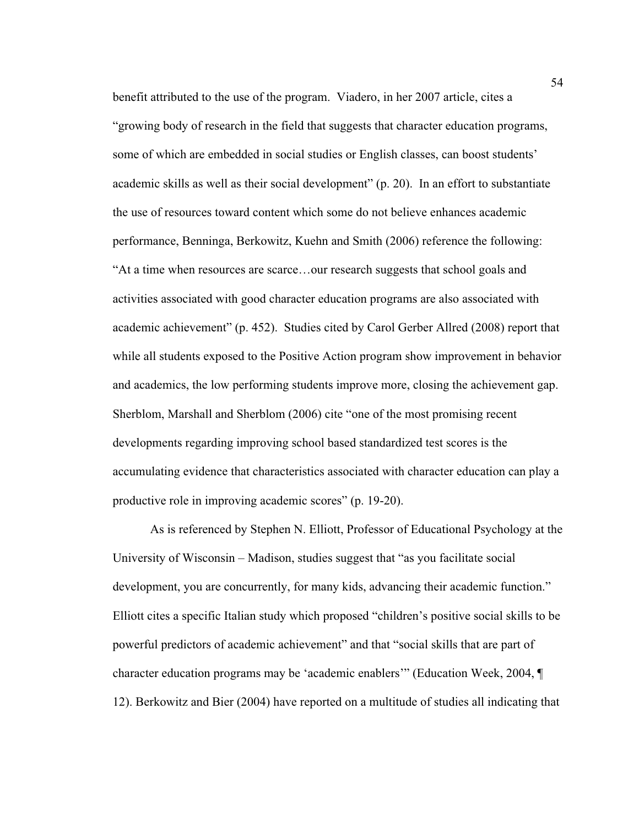benefit attributed to the use of the program. Viadero, in her 2007 article, cites a "growing body of research in the field that suggests that character education programs, some of which are embedded in social studies or English classes, can boost students' academic skills as well as their social development" (p. 20). In an effort to substantiate the use of resources toward content which some do not believe enhances academic performance, Benninga, Berkowitz, Kuehn and Smith (2006) reference the following: "At a time when resources are scarce…our research suggests that school goals and activities associated with good character education programs are also associated with academic achievement" (p. 452). Studies cited by Carol Gerber Allred (2008) report that while all students exposed to the Positive Action program show improvement in behavior and academics, the low performing students improve more, closing the achievement gap. Sherblom, Marshall and Sherblom (2006) cite "one of the most promising recent developments regarding improving school based standardized test scores is the accumulating evidence that characteristics associated with character education can play a productive role in improving academic scores" (p. 19-20).

As is referenced by Stephen N. Elliott, Professor of Educational Psychology at the University of Wisconsin – Madison, studies suggest that "as you facilitate social development, you are concurrently, for many kids, advancing their academic function." Elliott cites a specific Italian study which proposed "children's positive social skills to be powerful predictors of academic achievement" and that "social skills that are part of character education programs may be 'academic enablers'" (Education Week, 2004, ¶ 12). Berkowitz and Bier (2004) have reported on a multitude of studies all indicating that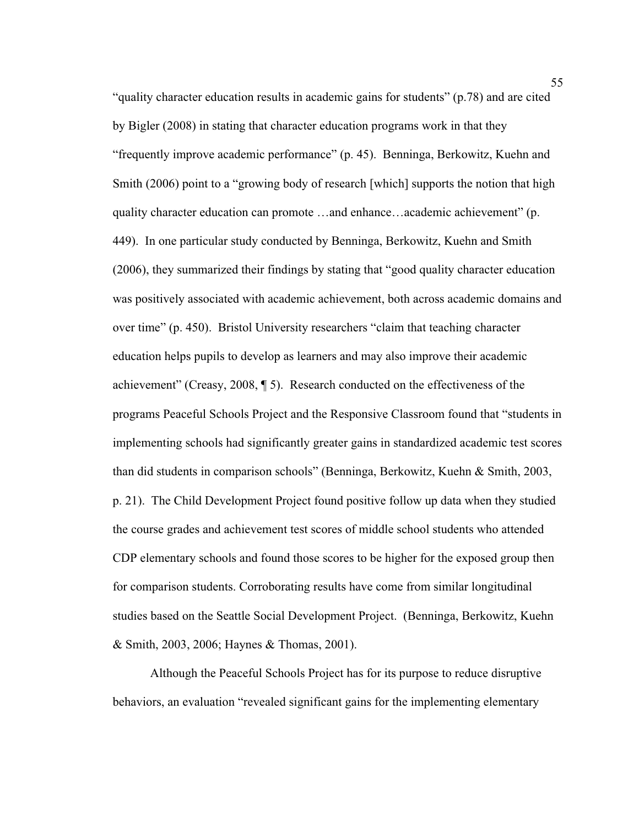"quality character education results in academic gains for students" (p.78) and are cited by Bigler (2008) in stating that character education programs work in that they "frequently improve academic performance" (p. 45). Benninga, Berkowitz, Kuehn and Smith (2006) point to a "growing body of research [which] supports the notion that high quality character education can promote …and enhance…academic achievement" (p. 449). In one particular study conducted by Benninga, Berkowitz, Kuehn and Smith (2006), they summarized their findings by stating that "good quality character education was positively associated with academic achievement, both across academic domains and over time" (p. 450). Bristol University researchers "claim that teaching character education helps pupils to develop as learners and may also improve their academic achievement" (Creasy, 2008, ¶ 5). Research conducted on the effectiveness of the programs Peaceful Schools Project and the Responsive Classroom found that "students in implementing schools had significantly greater gains in standardized academic test scores than did students in comparison schools" (Benninga, Berkowitz, Kuehn & Smith, 2003, p. 21). The Child Development Project found positive follow up data when they studied the course grades and achievement test scores of middle school students who attended CDP elementary schools and found those scores to be higher for the exposed group then for comparison students. Corroborating results have come from similar longitudinal studies based on the Seattle Social Development Project. (Benninga, Berkowitz, Kuehn & Smith, 2003, 2006; Haynes & Thomas, 2001).

Although the Peaceful Schools Project has for its purpose to reduce disruptive behaviors, an evaluation "revealed significant gains for the implementing elementary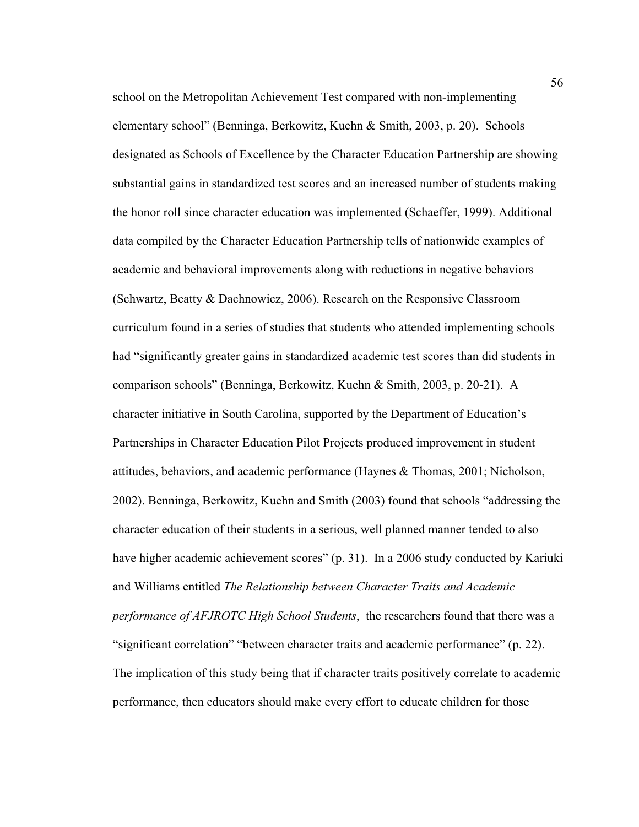school on the Metropolitan Achievement Test compared with non-implementing elementary school" (Benninga, Berkowitz, Kuehn & Smith, 2003, p. 20). Schools designated as Schools of Excellence by the Character Education Partnership are showing substantial gains in standardized test scores and an increased number of students making the honor roll since character education was implemented (Schaeffer, 1999). Additional data compiled by the Character Education Partnership tells of nationwide examples of academic and behavioral improvements along with reductions in negative behaviors (Schwartz, Beatty & Dachnowicz, 2006). Research on the Responsive Classroom curriculum found in a series of studies that students who attended implementing schools had "significantly greater gains in standardized academic test scores than did students in comparison schools" (Benninga, Berkowitz, Kuehn & Smith, 2003, p. 20-21). A character initiative in South Carolina, supported by the Department of Education's Partnerships in Character Education Pilot Projects produced improvement in student attitudes, behaviors, and academic performance (Haynes & Thomas, 2001; Nicholson, 2002). Benninga, Berkowitz, Kuehn and Smith (2003) found that schools "addressing the character education of their students in a serious, well planned manner tended to also have higher academic achievement scores" (p. 31). In a 2006 study conducted by Kariuki and Williams entitled *The Relationship between Character Traits and Academic performance of AFJROTC High School Students*, the researchers found that there was a "significant correlation" "between character traits and academic performance" (p. 22). The implication of this study being that if character traits positively correlate to academic performance, then educators should make every effort to educate children for those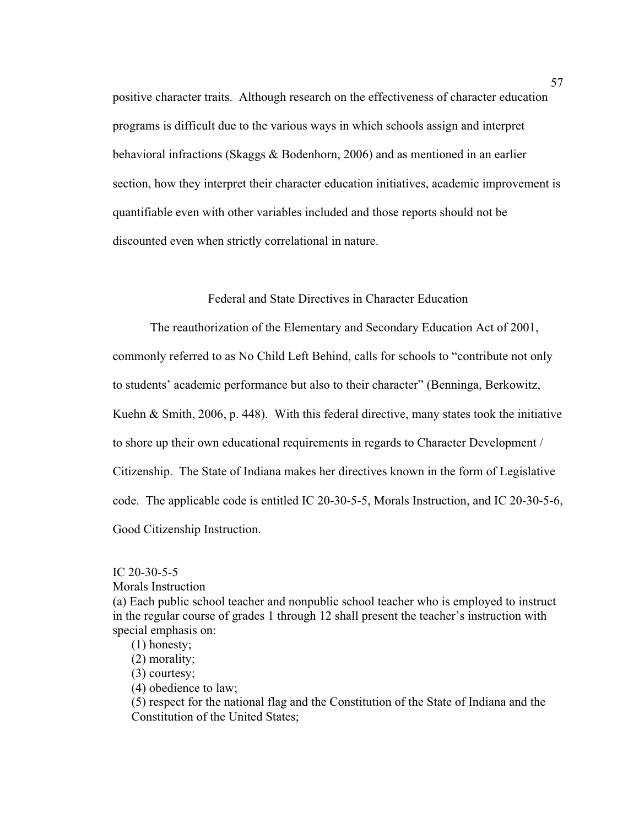positive character traits. Although research on the effectiveness of character education programs is difficult due to the various ways in which schools assign and interpret behavioral infractions (Skaggs & Bodenhorn, 2006) and as mentioned in an earlier section, how they interpret their character education initiatives, academic improvement is quantifiable even with other variables included and those reports should not be discounted even when strictly correlational in nature.

## Federal and State Directives in Character Education

The reauthorization of the Elementary and Secondary Education Act of 2001,

commonly referred to as No Child Left Behind, calls for schools to "contribute not only

to students' academic performance but also to their character" (Benninga, Berkowitz,

Kuehn & Smith, 2006, p. 448). With this federal directive, many states took the initiative

to shore up their own educational requirements in regards to Character Development /

Citizenship. The State of Indiana makes her directives known in the form of Legislative

code. The applicable code is entitled IC 20-30-5-5, Morals Instruction, and IC 20-30-5-6,

Good Citizenship Instruction.

IC 20-30-5-5

Morals Instruction

(a) Each public school teacher and nonpublic school teacher who is employed to instruct in the regular course of grades 1 through 12 shall present the teacher's instruction with special emphasis on:

- (1) honesty;
- (2) morality;
- (3) courtesy;
- (4) obedience to law;

(5) respect for the national flag and the Constitution of the State of Indiana and the Constitution of the United States;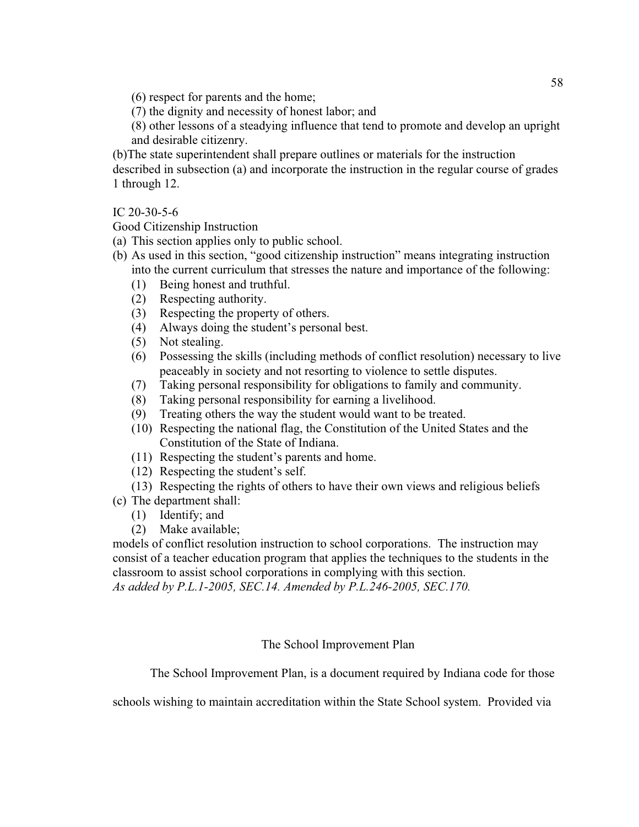(6) respect for parents and the home;

(7) the dignity and necessity of honest labor; and

(8) other lessons of a steadying influence that tend to promote and develop an upright and desirable citizenry.

(b)The state superintendent shall prepare outlines or materials for the instruction described in subsection (a) and incorporate the instruction in the regular course of grades 1 through 12.

IC 20-30-5-6

Good Citizenship Instruction

- (a) This section applies only to public school.
- (b) As used in this section, "good citizenship instruction" means integrating instruction into the current curriculum that stresses the nature and importance of the following:
	- (1) Being honest and truthful.
	- (2) Respecting authority.
	- (3) Respecting the property of others.
	- (4) Always doing the student's personal best.
	- (5) Not stealing.
	- (6) Possessing the skills (including methods of conflict resolution) necessary to live peaceably in society and not resorting to violence to settle disputes.
	- (7) Taking personal responsibility for obligations to family and community.
	- (8) Taking personal responsibility for earning a livelihood.
	- (9) Treating others the way the student would want to be treated.
	- (10) Respecting the national flag, the Constitution of the United States and the Constitution of the State of Indiana.
	- (11) Respecting the student's parents and home.
	- (12) Respecting the student's self.
	- (13) Respecting the rights of others to have their own views and religious beliefs
- (c) The department shall:
	- (1) Identify; and
	- (2) Make available;

models of conflict resolution instruction to school corporations. The instruction may consist of a teacher education program that applies the techniques to the students in the classroom to assist school corporations in complying with this section.

*As added by P.L.1-2005, SEC.14. Amended by P.L.246-2005, SEC.170.* 

The School Improvement Plan

The School Improvement Plan, is a document required by Indiana code for those

schools wishing to maintain accreditation within the State School system. Provided via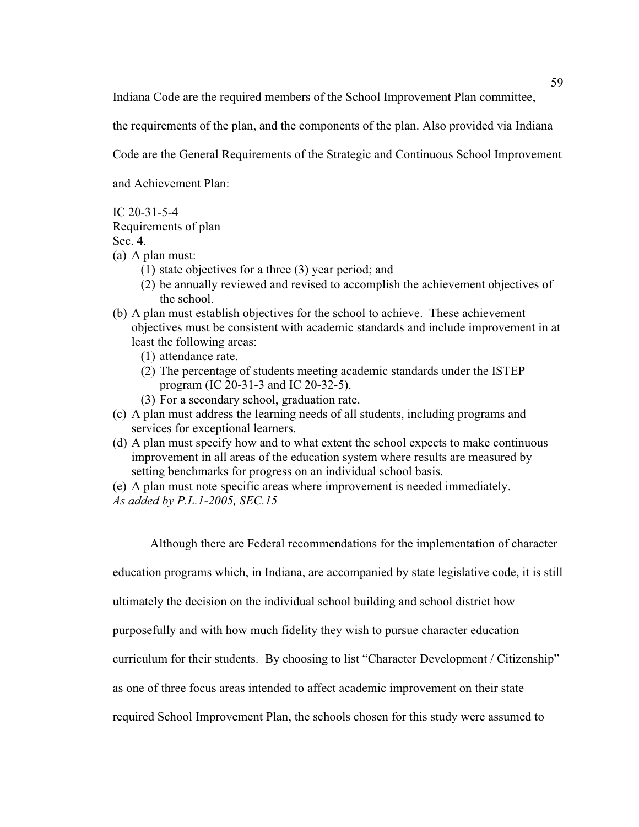Indiana Code are the required members of the School Improvement Plan committee,

the requirements of the plan, and the components of the plan. Also provided via Indiana

Code are the General Requirements of the Strategic and Continuous School Improvement

and Achievement Plan:

IC 20-31-5-4

Requirements of plan

Sec. 4.

- (a) A plan must:
	- (1) state objectives for a three (3) year period; and
	- (2) be annually reviewed and revised to accomplish the achievement objectives of the school.
- (b) A plan must establish objectives for the school to achieve. These achievement objectives must be consistent with academic standards and include improvement in at least the following areas:
	- (1) attendance rate.
	- (2) The percentage of students meeting academic standards under the ISTEP program (IC 20-31-3 and IC 20-32-5).
	- (3) For a secondary school, graduation rate.
- (c) A plan must address the learning needs of all students, including programs and services for exceptional learners.
- (d) A plan must specify how and to what extent the school expects to make continuous improvement in all areas of the education system where results are measured by setting benchmarks for progress on an individual school basis.
- (e) A plan must note specific areas where improvement is needed immediately.
- *As added by P.L.1-2005, SEC.15*

Although there are Federal recommendations for the implementation of character

education programs which, in Indiana, are accompanied by state legislative code, it is still

ultimately the decision on the individual school building and school district how

purposefully and with how much fidelity they wish to pursue character education

curriculum for their students. By choosing to list "Character Development / Citizenship"

as one of three focus areas intended to affect academic improvement on their state

required School Improvement Plan, the schools chosen for this study were assumed to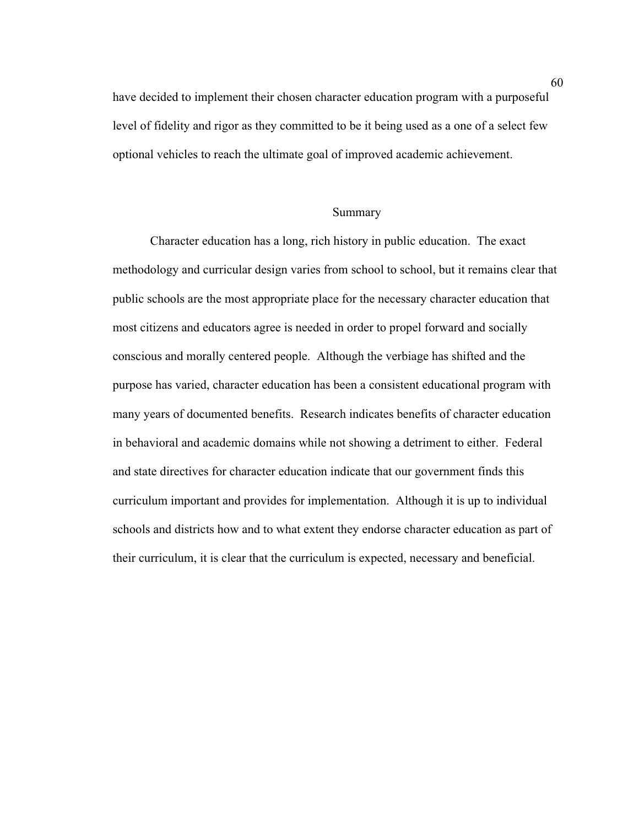have decided to implement their chosen character education program with a purposeful level of fidelity and rigor as they committed to be it being used as a one of a select few optional vehicles to reach the ultimate goal of improved academic achievement.

#### Summary

Character education has a long, rich history in public education. The exact methodology and curricular design varies from school to school, but it remains clear that public schools are the most appropriate place for the necessary character education that most citizens and educators agree is needed in order to propel forward and socially conscious and morally centered people. Although the verbiage has shifted and the purpose has varied, character education has been a consistent educational program with many years of documented benefits. Research indicates benefits of character education in behavioral and academic domains while not showing a detriment to either. Federal and state directives for character education indicate that our government finds this curriculum important and provides for implementation. Although it is up to individual schools and districts how and to what extent they endorse character education as part of their curriculum, it is clear that the curriculum is expected, necessary and beneficial.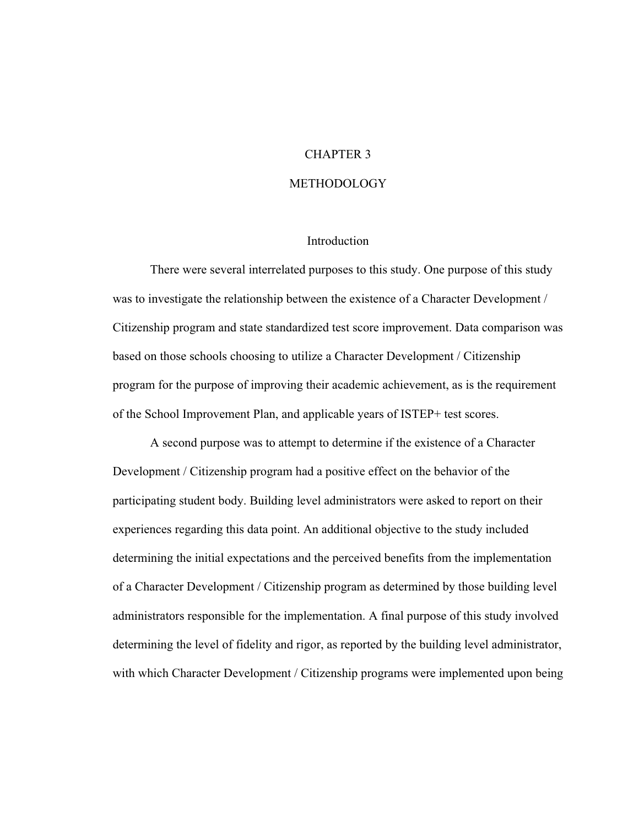#### CHAPTER 3

#### **METHODOLOGY**

#### Introduction

There were several interrelated purposes to this study. One purpose of this study was to investigate the relationship between the existence of a Character Development / Citizenship program and state standardized test score improvement. Data comparison was based on those schools choosing to utilize a Character Development / Citizenship program for the purpose of improving their academic achievement, as is the requirement of the School Improvement Plan, and applicable years of ISTEP+ test scores.

A second purpose was to attempt to determine if the existence of a Character Development / Citizenship program had a positive effect on the behavior of the participating student body. Building level administrators were asked to report on their experiences regarding this data point. An additional objective to the study included determining the initial expectations and the perceived benefits from the implementation of a Character Development / Citizenship program as determined by those building level administrators responsible for the implementation. A final purpose of this study involved determining the level of fidelity and rigor, as reported by the building level administrator, with which Character Development / Citizenship programs were implemented upon being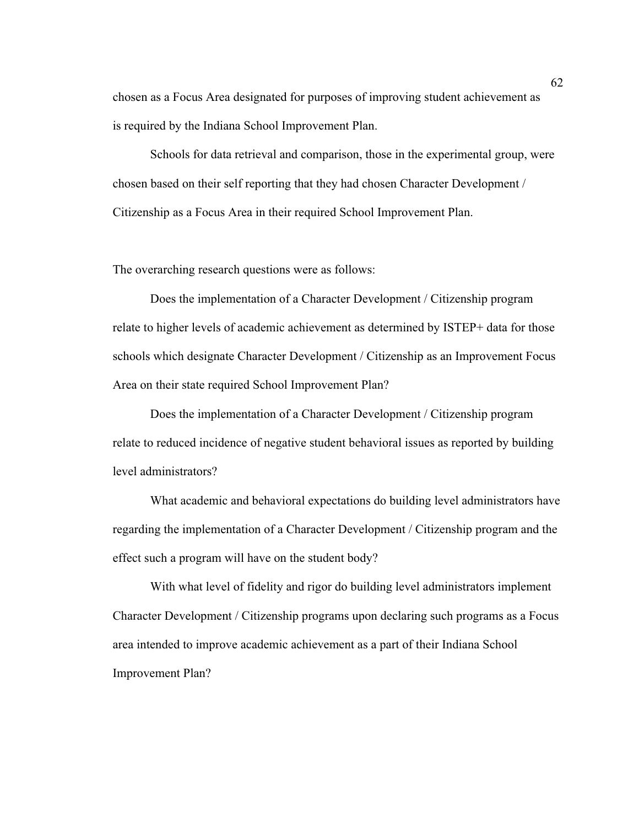chosen as a Focus Area designated for purposes of improving student achievement as is required by the Indiana School Improvement Plan.

Schools for data retrieval and comparison, those in the experimental group, were chosen based on their self reporting that they had chosen Character Development / Citizenship as a Focus Area in their required School Improvement Plan.

The overarching research questions were as follows:

Does the implementation of a Character Development / Citizenship program relate to higher levels of academic achievement as determined by ISTEP+ data for those schools which designate Character Development / Citizenship as an Improvement Focus Area on their state required School Improvement Plan?

Does the implementation of a Character Development / Citizenship program relate to reduced incidence of negative student behavioral issues as reported by building level administrators?

What academic and behavioral expectations do building level administrators have regarding the implementation of a Character Development / Citizenship program and the effect such a program will have on the student body?

With what level of fidelity and rigor do building level administrators implement Character Development / Citizenship programs upon declaring such programs as a Focus area intended to improve academic achievement as a part of their Indiana School Improvement Plan?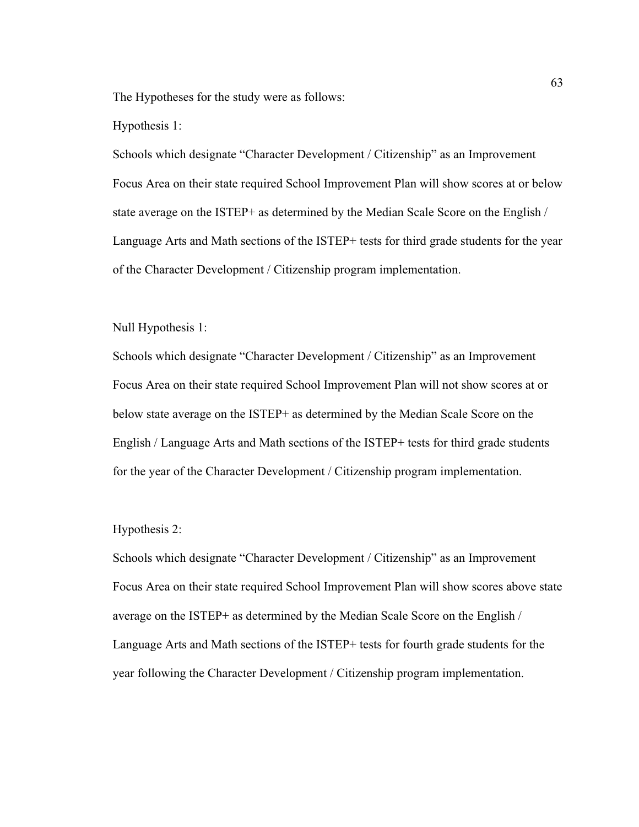The Hypotheses for the study were as follows:

#### Hypothesis 1:

Schools which designate "Character Development / Citizenship" as an Improvement Focus Area on their state required School Improvement Plan will show scores at or below state average on the ISTEP+ as determined by the Median Scale Score on the English / Language Arts and Math sections of the ISTEP+ tests for third grade students for the year of the Character Development / Citizenship program implementation.

#### Null Hypothesis 1:

Schools which designate "Character Development / Citizenship" as an Improvement Focus Area on their state required School Improvement Plan will not show scores at or below state average on the ISTEP+ as determined by the Median Scale Score on the English / Language Arts and Math sections of the ISTEP+ tests for third grade students for the year of the Character Development / Citizenship program implementation.

#### Hypothesis 2:

Schools which designate "Character Development / Citizenship" as an Improvement Focus Area on their state required School Improvement Plan will show scores above state average on the ISTEP+ as determined by the Median Scale Score on the English / Language Arts and Math sections of the ISTEP+ tests for fourth grade students for the year following the Character Development / Citizenship program implementation.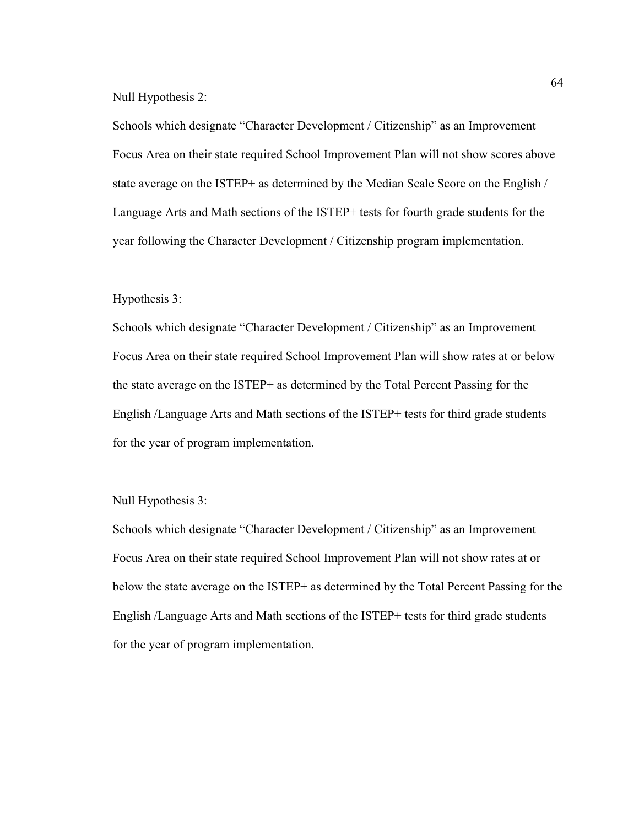Null Hypothesis 2:

Schools which designate "Character Development / Citizenship" as an Improvement Focus Area on their state required School Improvement Plan will not show scores above state average on the ISTEP+ as determined by the Median Scale Score on the English / Language Arts and Math sections of the ISTEP+ tests for fourth grade students for the year following the Character Development / Citizenship program implementation.

#### Hypothesis 3:

Schools which designate "Character Development / Citizenship" as an Improvement Focus Area on their state required School Improvement Plan will show rates at or below the state average on the ISTEP+ as determined by the Total Percent Passing for the English /Language Arts and Math sections of the ISTEP+ tests for third grade students for the year of program implementation.

Null Hypothesis 3:

Schools which designate "Character Development / Citizenship" as an Improvement Focus Area on their state required School Improvement Plan will not show rates at or below the state average on the ISTEP+ as determined by the Total Percent Passing for the English /Language Arts and Math sections of the ISTEP+ tests for third grade students for the year of program implementation.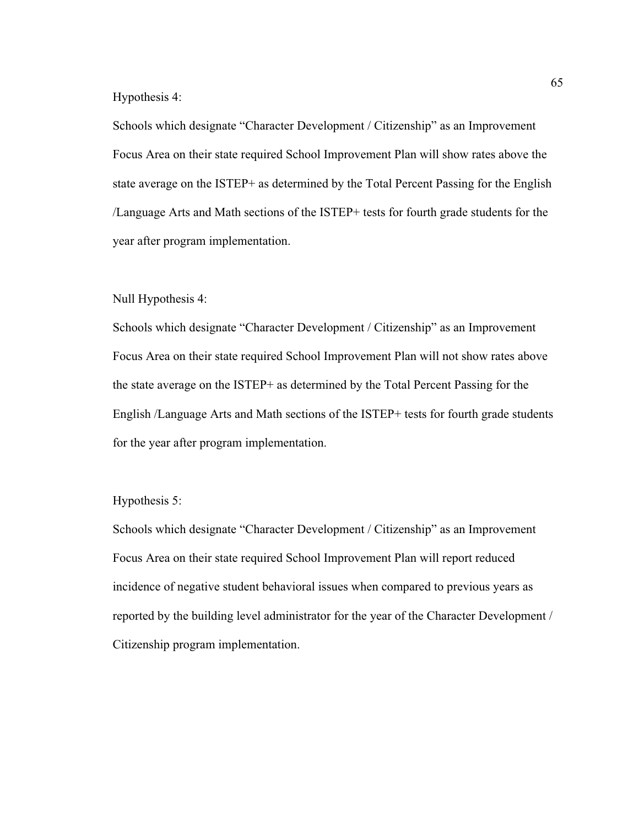#### Hypothesis 4:

Schools which designate "Character Development / Citizenship" as an Improvement Focus Area on their state required School Improvement Plan will show rates above the state average on the ISTEP+ as determined by the Total Percent Passing for the English /Language Arts and Math sections of the ISTEP+ tests for fourth grade students for the year after program implementation.

#### Null Hypothesis 4:

Schools which designate "Character Development / Citizenship" as an Improvement Focus Area on their state required School Improvement Plan will not show rates above the state average on the ISTEP+ as determined by the Total Percent Passing for the English /Language Arts and Math sections of the ISTEP+ tests for fourth grade students for the year after program implementation.

#### Hypothesis 5:

Schools which designate "Character Development / Citizenship" as an Improvement Focus Area on their state required School Improvement Plan will report reduced incidence of negative student behavioral issues when compared to previous years as reported by the building level administrator for the year of the Character Development / Citizenship program implementation.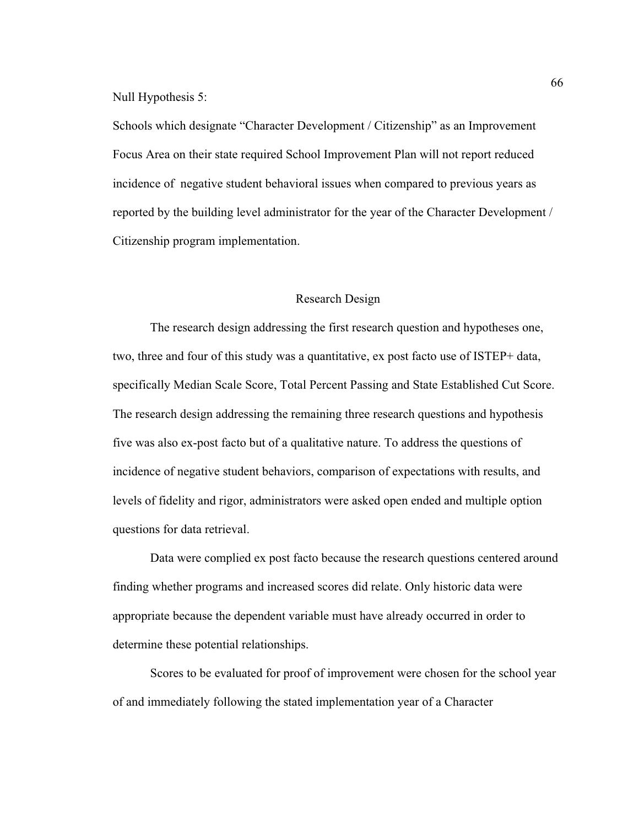Null Hypothesis 5:

Schools which designate "Character Development / Citizenship" as an Improvement Focus Area on their state required School Improvement Plan will not report reduced incidence of negative student behavioral issues when compared to previous years as reported by the building level administrator for the year of the Character Development / Citizenship program implementation.

#### Research Design

 The research design addressing the first research question and hypotheses one, two, three and four of this study was a quantitative, ex post facto use of ISTEP+ data, specifically Median Scale Score, Total Percent Passing and State Established Cut Score. The research design addressing the remaining three research questions and hypothesis five was also ex-post facto but of a qualitative nature. To address the questions of incidence of negative student behaviors, comparison of expectations with results, and levels of fidelity and rigor, administrators were asked open ended and multiple option questions for data retrieval.

 Data were complied ex post facto because the research questions centered around finding whether programs and increased scores did relate. Only historic data were appropriate because the dependent variable must have already occurred in order to determine these potential relationships.

Scores to be evaluated for proof of improvement were chosen for the school year of and immediately following the stated implementation year of a Character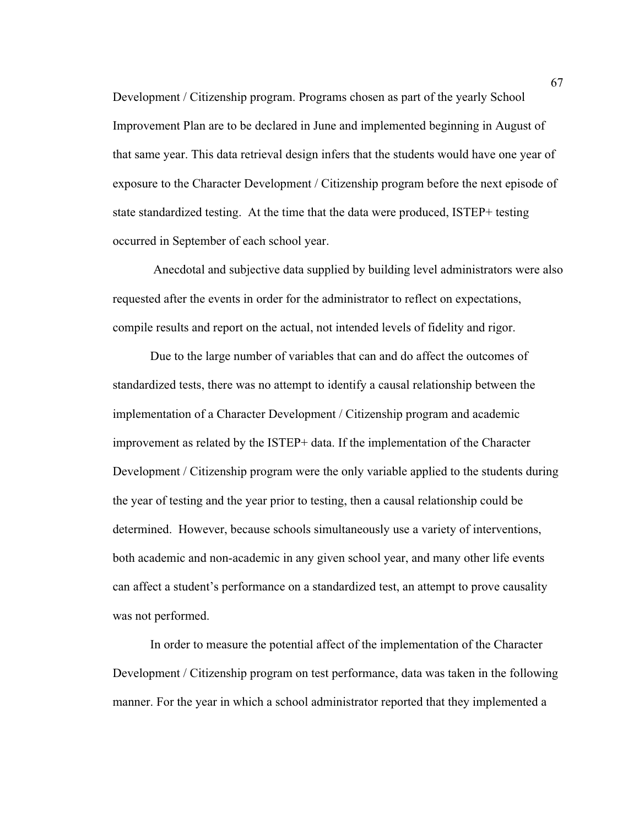Development / Citizenship program. Programs chosen as part of the yearly School Improvement Plan are to be declared in June and implemented beginning in August of that same year. This data retrieval design infers that the students would have one year of exposure to the Character Development / Citizenship program before the next episode of state standardized testing. At the time that the data were produced, ISTEP+ testing occurred in September of each school year.

 Anecdotal and subjective data supplied by building level administrators were also requested after the events in order for the administrator to reflect on expectations, compile results and report on the actual, not intended levels of fidelity and rigor.

Due to the large number of variables that can and do affect the outcomes of standardized tests, there was no attempt to identify a causal relationship between the implementation of a Character Development / Citizenship program and academic improvement as related by the ISTEP+ data. If the implementation of the Character Development / Citizenship program were the only variable applied to the students during the year of testing and the year prior to testing, then a causal relationship could be determined. However, because schools simultaneously use a variety of interventions, both academic and non-academic in any given school year, and many other life events can affect a student's performance on a standardized test, an attempt to prove causality was not performed.

In order to measure the potential affect of the implementation of the Character Development / Citizenship program on test performance, data was taken in the following manner. For the year in which a school administrator reported that they implemented a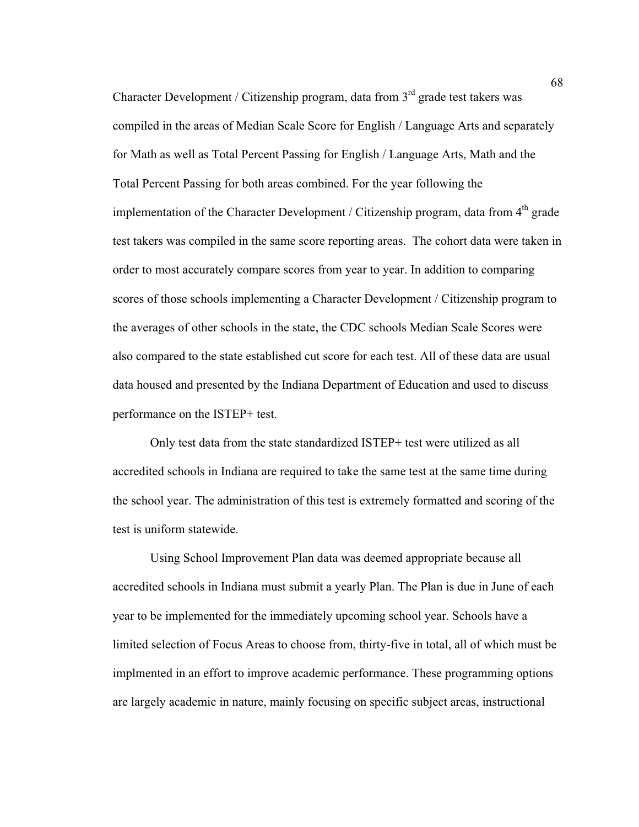Character Development / Citizenship program, data from  $3<sup>rd</sup>$  grade test takers was compiled in the areas of Median Scale Score for English / Language Arts and separately for Math as well as Total Percent Passing for English / Language Arts, Math and the Total Percent Passing for both areas combined. For the year following the implementation of the Character Development / Citizenship program, data from  $4<sup>th</sup>$  grade test takers was compiled in the same score reporting areas. The cohort data were taken in order to most accurately compare scores from year to year. In addition to comparing scores of those schools implementing a Character Development / Citizenship program to the averages of other schools in the state, the CDC schools Median Scale Scores were also compared to the state established cut score for each test. All of these data are usual data housed and presented by the Indiana Department of Education and used to discuss performance on the ISTEP+ test.

 Only test data from the state standardized ISTEP+ test were utilized as all accredited schools in Indiana are required to take the same test at the same time during the school year. The administration of this test is extremely formatted and scoring of the test is uniform statewide.

 Using School Improvement Plan data was deemed appropriate because all accredited schools in Indiana must submit a yearly Plan. The Plan is due in June of each year to be implemented for the immediately upcoming school year. Schools have a limited selection of Focus Areas to choose from, thirty-five in total, all of which must be implmented in an effort to improve academic performance. These programming options are largely academic in nature, mainly focusing on specific subject areas, instructional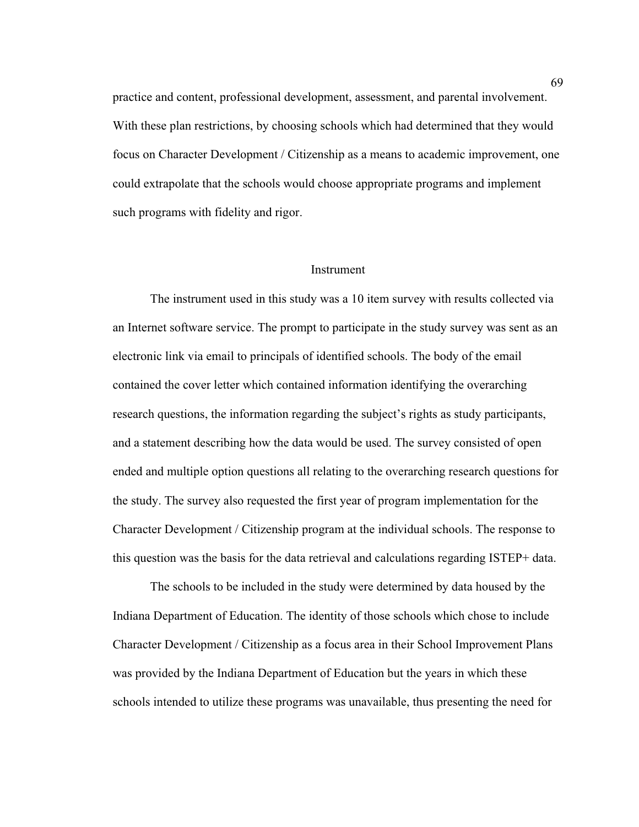practice and content, professional development, assessment, and parental involvement. With these plan restrictions, by choosing schools which had determined that they would focus on Character Development / Citizenship as a means to academic improvement, one could extrapolate that the schools would choose appropriate programs and implement such programs with fidelity and rigor.

#### Instrument

 The instrument used in this study was a 10 item survey with results collected via an Internet software service. The prompt to participate in the study survey was sent as an electronic link via email to principals of identified schools. The body of the email contained the cover letter which contained information identifying the overarching research questions, the information regarding the subject's rights as study participants, and a statement describing how the data would be used. The survey consisted of open ended and multiple option questions all relating to the overarching research questions for the study. The survey also requested the first year of program implementation for the Character Development / Citizenship program at the individual schools. The response to this question was the basis for the data retrieval and calculations regarding ISTEP+ data.

 The schools to be included in the study were determined by data housed by the Indiana Department of Education. The identity of those schools which chose to include Character Development / Citizenship as a focus area in their School Improvement Plans was provided by the Indiana Department of Education but the years in which these schools intended to utilize these programs was unavailable, thus presenting the need for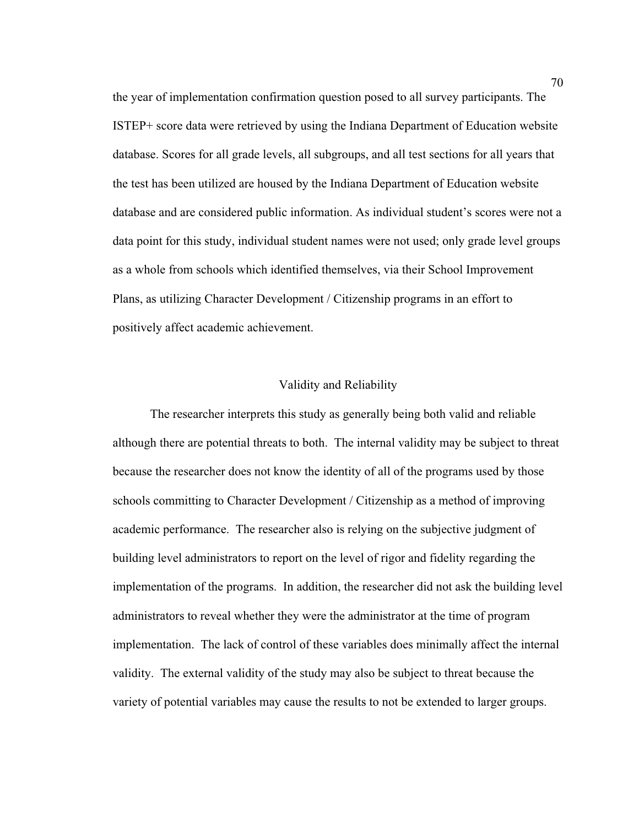the year of implementation confirmation question posed to all survey participants. The ISTEP+ score data were retrieved by using the Indiana Department of Education website database. Scores for all grade levels, all subgroups, and all test sections for all years that the test has been utilized are housed by the Indiana Department of Education website database and are considered public information. As individual student's scores were not a data point for this study, individual student names were not used; only grade level groups as a whole from schools which identified themselves, via their School Improvement Plans, as utilizing Character Development / Citizenship programs in an effort to positively affect academic achievement.

#### Validity and Reliability

 The researcher interprets this study as generally being both valid and reliable although there are potential threats to both. The internal validity may be subject to threat because the researcher does not know the identity of all of the programs used by those schools committing to Character Development / Citizenship as a method of improving academic performance. The researcher also is relying on the subjective judgment of building level administrators to report on the level of rigor and fidelity regarding the implementation of the programs. In addition, the researcher did not ask the building level administrators to reveal whether they were the administrator at the time of program implementation. The lack of control of these variables does minimally affect the internal validity. The external validity of the study may also be subject to threat because the variety of potential variables may cause the results to not be extended to larger groups.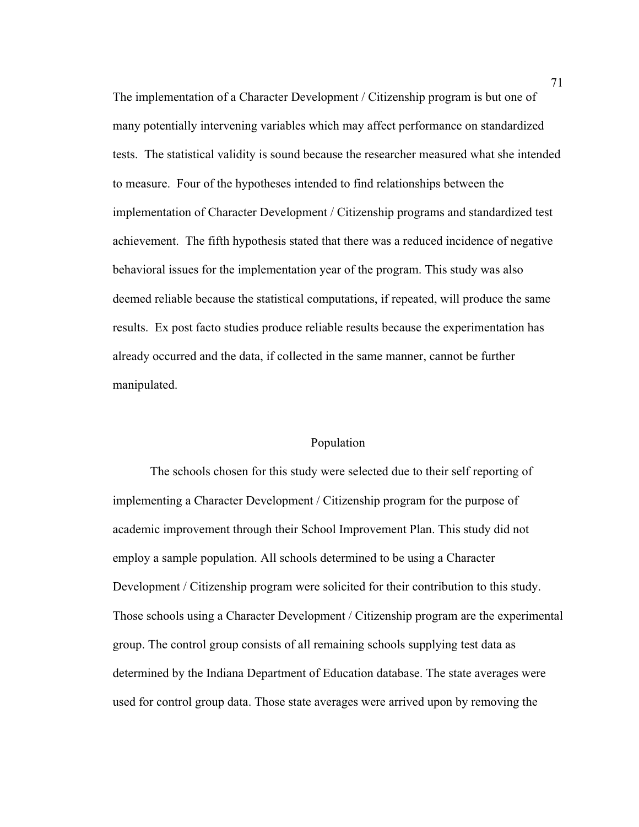The implementation of a Character Development / Citizenship program is but one of many potentially intervening variables which may affect performance on standardized tests. The statistical validity is sound because the researcher measured what she intended to measure. Four of the hypotheses intended to find relationships between the implementation of Character Development / Citizenship programs and standardized test achievement. The fifth hypothesis stated that there was a reduced incidence of negative behavioral issues for the implementation year of the program. This study was also deemed reliable because the statistical computations, if repeated, will produce the same results. Ex post facto studies produce reliable results because the experimentation has already occurred and the data, if collected in the same manner, cannot be further manipulated.

#### Population

 The schools chosen for this study were selected due to their self reporting of implementing a Character Development / Citizenship program for the purpose of academic improvement through their School Improvement Plan. This study did not employ a sample population. All schools determined to be using a Character Development / Citizenship program were solicited for their contribution to this study. Those schools using a Character Development / Citizenship program are the experimental group. The control group consists of all remaining schools supplying test data as determined by the Indiana Department of Education database. The state averages were used for control group data. Those state averages were arrived upon by removing the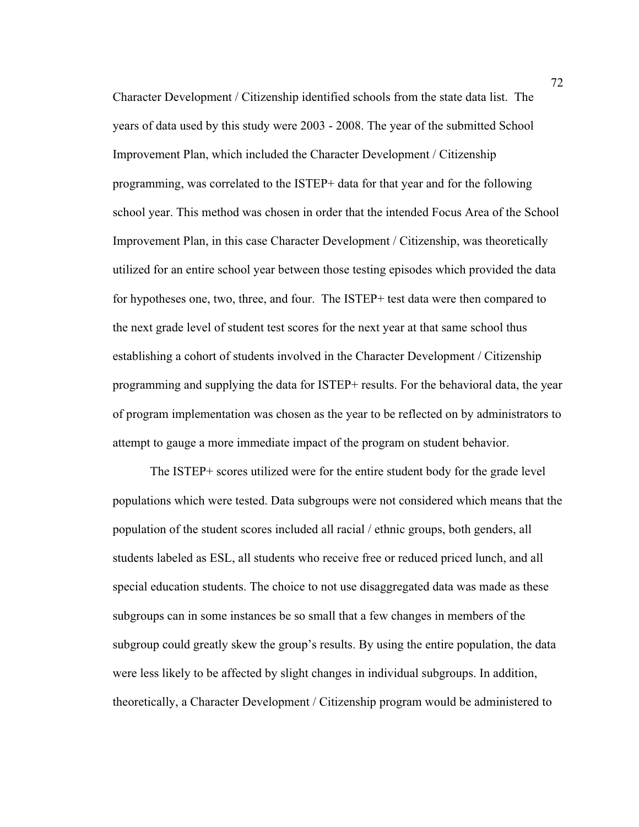Character Development / Citizenship identified schools from the state data list. The years of data used by this study were 2003 - 2008. The year of the submitted School Improvement Plan, which included the Character Development / Citizenship programming, was correlated to the ISTEP+ data for that year and for the following school year. This method was chosen in order that the intended Focus Area of the School Improvement Plan, in this case Character Development / Citizenship, was theoretically utilized for an entire school year between those testing episodes which provided the data for hypotheses one, two, three, and four. The ISTEP+ test data were then compared to the next grade level of student test scores for the next year at that same school thus establishing a cohort of students involved in the Character Development / Citizenship programming and supplying the data for ISTEP+ results. For the behavioral data, the year of program implementation was chosen as the year to be reflected on by administrators to attempt to gauge a more immediate impact of the program on student behavior.

The ISTEP+ scores utilized were for the entire student body for the grade level populations which were tested. Data subgroups were not considered which means that the population of the student scores included all racial / ethnic groups, both genders, all students labeled as ESL, all students who receive free or reduced priced lunch, and all special education students. The choice to not use disaggregated data was made as these subgroups can in some instances be so small that a few changes in members of the subgroup could greatly skew the group's results. By using the entire population, the data were less likely to be affected by slight changes in individual subgroups. In addition, theoretically, a Character Development / Citizenship program would be administered to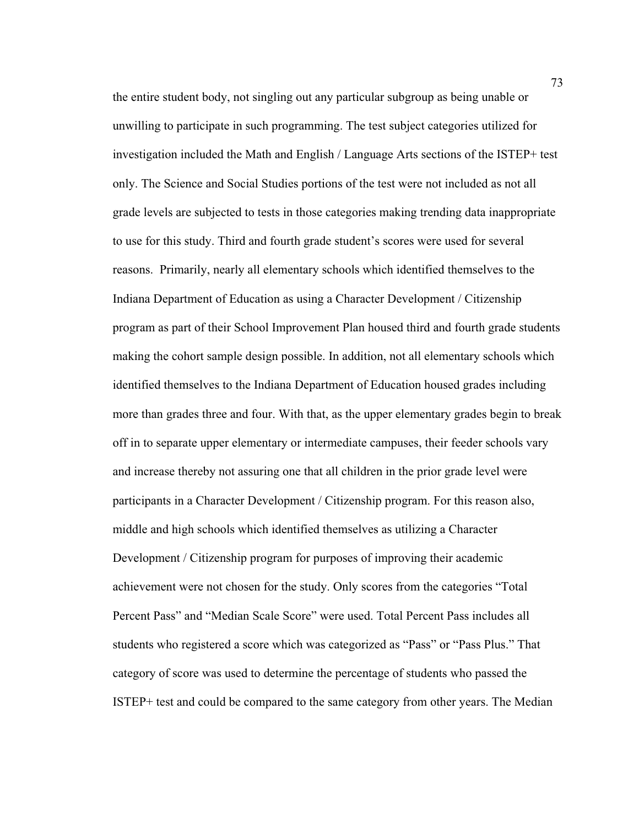the entire student body, not singling out any particular subgroup as being unable or unwilling to participate in such programming. The test subject categories utilized for investigation included the Math and English / Language Arts sections of the ISTEP+ test only. The Science and Social Studies portions of the test were not included as not all grade levels are subjected to tests in those categories making trending data inappropriate to use for this study. Third and fourth grade student's scores were used for several reasons. Primarily, nearly all elementary schools which identified themselves to the Indiana Department of Education as using a Character Development / Citizenship program as part of their School Improvement Plan housed third and fourth grade students making the cohort sample design possible. In addition, not all elementary schools which identified themselves to the Indiana Department of Education housed grades including more than grades three and four. With that, as the upper elementary grades begin to break off in to separate upper elementary or intermediate campuses, their feeder schools vary and increase thereby not assuring one that all children in the prior grade level were participants in a Character Development / Citizenship program. For this reason also, middle and high schools which identified themselves as utilizing a Character Development / Citizenship program for purposes of improving their academic achievement were not chosen for the study. Only scores from the categories "Total Percent Pass" and "Median Scale Score" were used. Total Percent Pass includes all students who registered a score which was categorized as "Pass" or "Pass Plus." That category of score was used to determine the percentage of students who passed the ISTEP+ test and could be compared to the same category from other years. The Median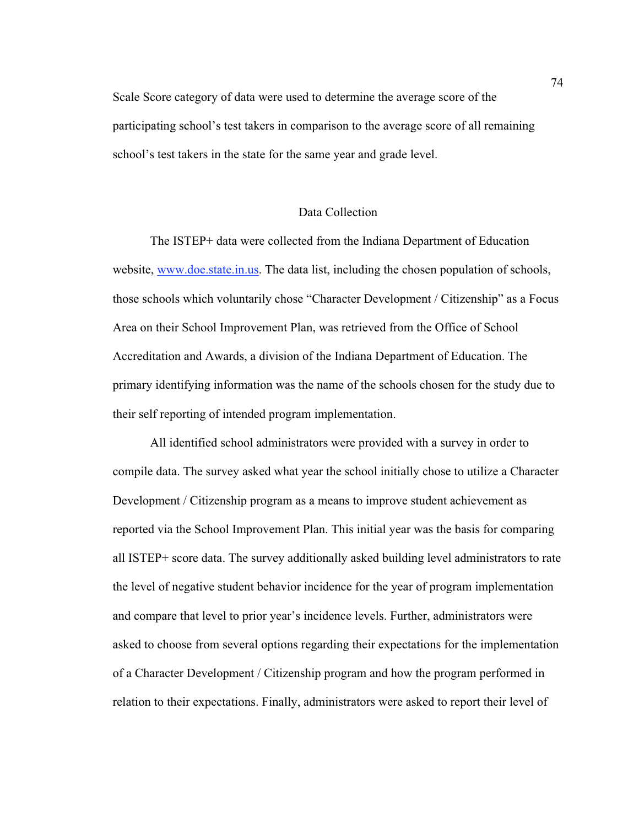Scale Score category of data were used to determine the average score of the participating school's test takers in comparison to the average score of all remaining school's test takers in the state for the same year and grade level.

#### Data Collection

 The ISTEP+ data were collected from the Indiana Department of Education website, www.doe.state.in.us. The data list, including the chosen population of schools, those schools which voluntarily chose "Character Development / Citizenship" as a Focus Area on their School Improvement Plan, was retrieved from the Office of School Accreditation and Awards, a division of the Indiana Department of Education. The primary identifying information was the name of the schools chosen for the study due to their self reporting of intended program implementation.

All identified school administrators were provided with a survey in order to compile data. The survey asked what year the school initially chose to utilize a Character Development / Citizenship program as a means to improve student achievement as reported via the School Improvement Plan. This initial year was the basis for comparing all ISTEP+ score data. The survey additionally asked building level administrators to rate the level of negative student behavior incidence for the year of program implementation and compare that level to prior year's incidence levels. Further, administrators were asked to choose from several options regarding their expectations for the implementation of a Character Development / Citizenship program and how the program performed in relation to their expectations. Finally, administrators were asked to report their level of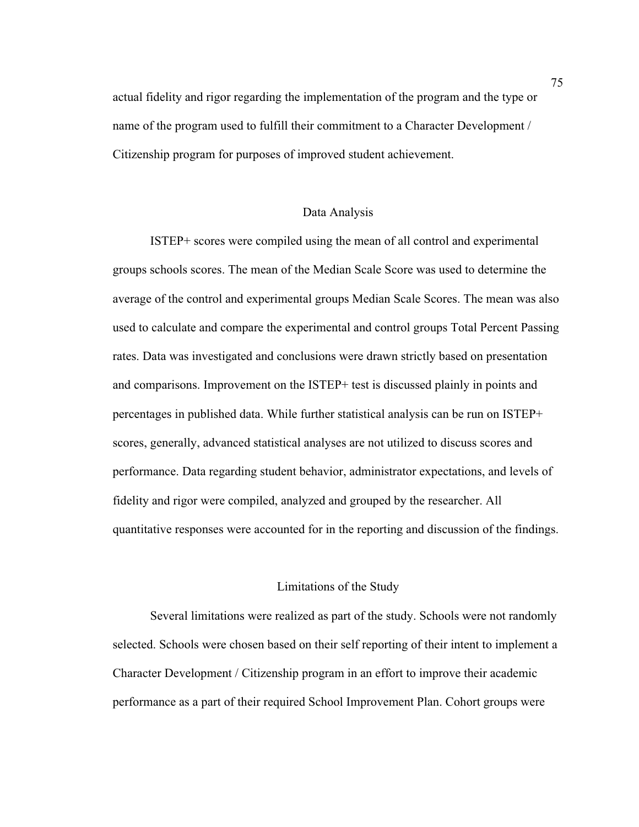actual fidelity and rigor regarding the implementation of the program and the type or name of the program used to fulfill their commitment to a Character Development / Citizenship program for purposes of improved student achievement.

#### Data Analysis

 ISTEP+ scores were compiled using the mean of all control and experimental groups schools scores. The mean of the Median Scale Score was used to determine the average of the control and experimental groups Median Scale Scores. The mean was also used to calculate and compare the experimental and control groups Total Percent Passing rates. Data was investigated and conclusions were drawn strictly based on presentation and comparisons. Improvement on the ISTEP+ test is discussed plainly in points and percentages in published data. While further statistical analysis can be run on ISTEP+ scores, generally, advanced statistical analyses are not utilized to discuss scores and performance. Data regarding student behavior, administrator expectations, and levels of fidelity and rigor were compiled, analyzed and grouped by the researcher. All quantitative responses were accounted for in the reporting and discussion of the findings.

#### Limitations of the Study

Several limitations were realized as part of the study. Schools were not randomly selected. Schools were chosen based on their self reporting of their intent to implement a Character Development / Citizenship program in an effort to improve their academic performance as a part of their required School Improvement Plan. Cohort groups were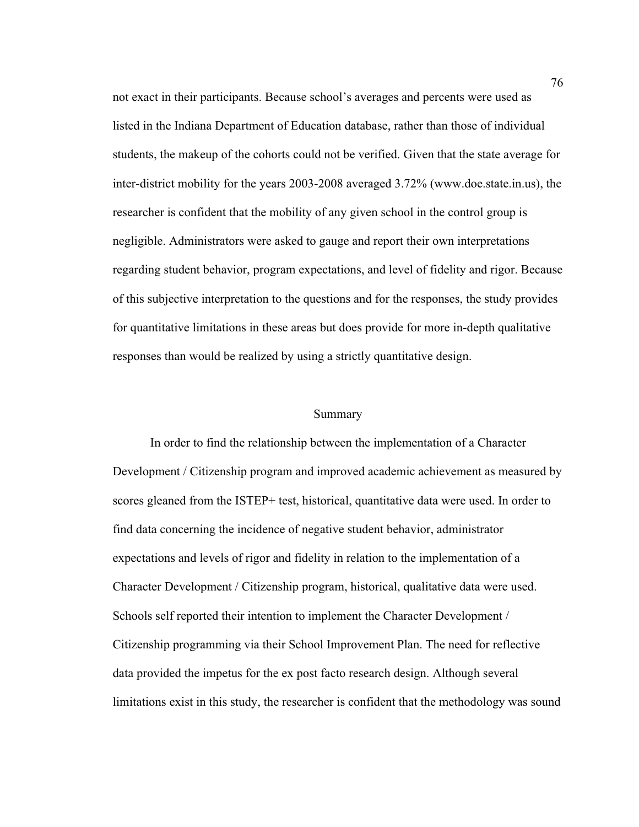not exact in their participants. Because school's averages and percents were used as listed in the Indiana Department of Education database, rather than those of individual students, the makeup of the cohorts could not be verified. Given that the state average for inter-district mobility for the years 2003-2008 averaged 3.72% (www.doe.state.in.us), the researcher is confident that the mobility of any given school in the control group is negligible. Administrators were asked to gauge and report their own interpretations regarding student behavior, program expectations, and level of fidelity and rigor. Because of this subjective interpretation to the questions and for the responses, the study provides for quantitative limitations in these areas but does provide for more in-depth qualitative responses than would be realized by using a strictly quantitative design.

#### Summary

 In order to find the relationship between the implementation of a Character Development / Citizenship program and improved academic achievement as measured by scores gleaned from the ISTEP+ test, historical, quantitative data were used. In order to find data concerning the incidence of negative student behavior, administrator expectations and levels of rigor and fidelity in relation to the implementation of a Character Development / Citizenship program, historical, qualitative data were used. Schools self reported their intention to implement the Character Development / Citizenship programming via their School Improvement Plan. The need for reflective data provided the impetus for the ex post facto research design. Although several limitations exist in this study, the researcher is confident that the methodology was sound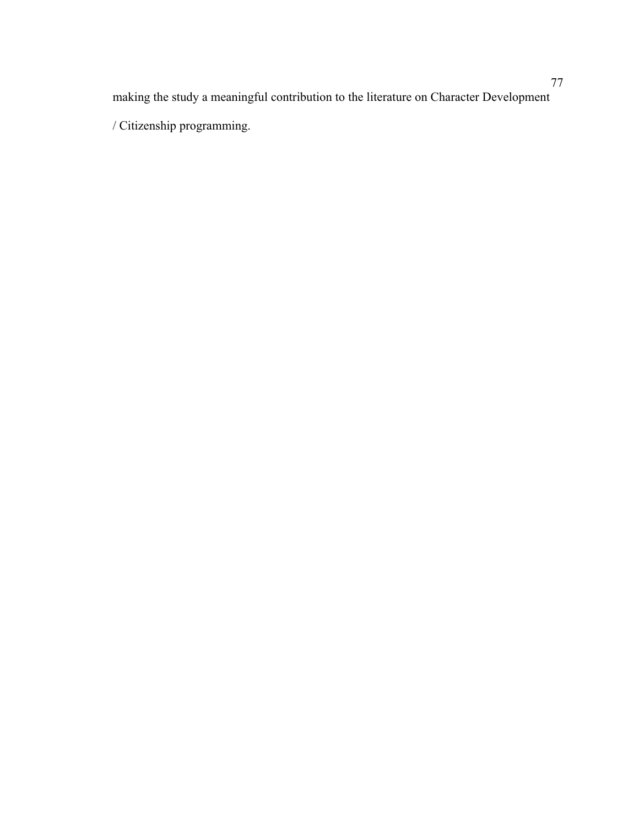making the study a meaningful contribution to the literature on Character Development / Citizenship programming.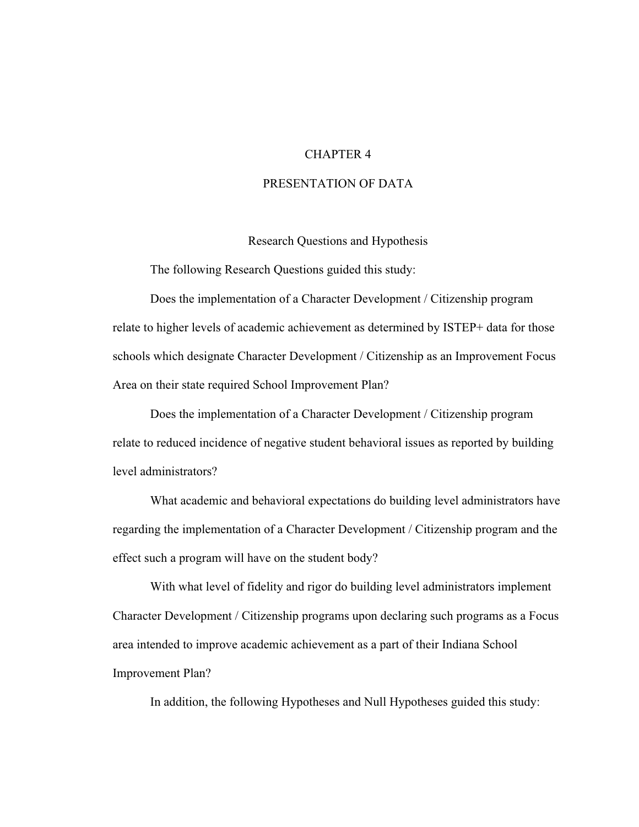#### CHAPTER 4

#### PRESENTATION OF DATA

#### Research Questions and Hypothesis

The following Research Questions guided this study:

Does the implementation of a Character Development / Citizenship program relate to higher levels of academic achievement as determined by ISTEP+ data for those schools which designate Character Development / Citizenship as an Improvement Focus Area on their state required School Improvement Plan?

Does the implementation of a Character Development / Citizenship program relate to reduced incidence of negative student behavioral issues as reported by building level administrators?

What academic and behavioral expectations do building level administrators have regarding the implementation of a Character Development / Citizenship program and the effect such a program will have on the student body?

With what level of fidelity and rigor do building level administrators implement Character Development / Citizenship programs upon declaring such programs as a Focus area intended to improve academic achievement as a part of their Indiana School Improvement Plan?

In addition, the following Hypotheses and Null Hypotheses guided this study: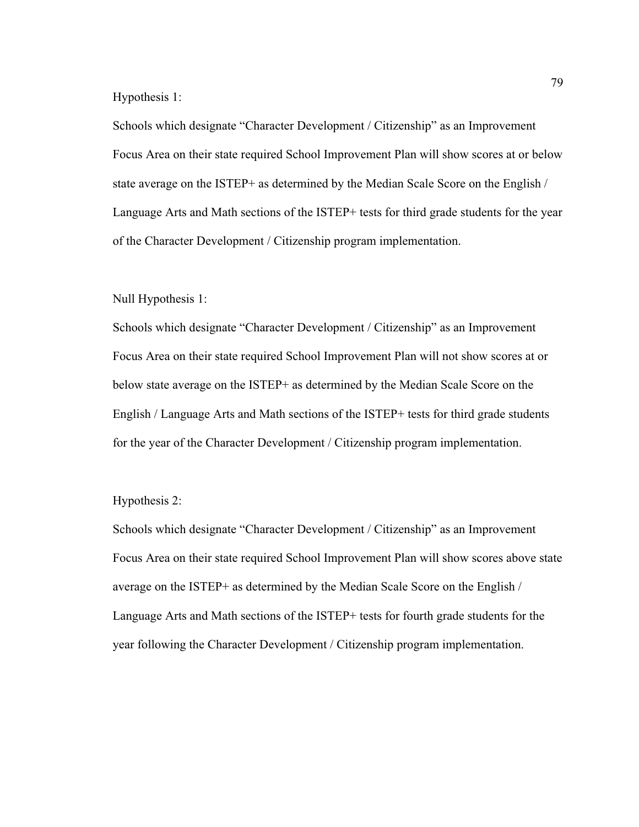Hypothesis 1:

Schools which designate "Character Development / Citizenship" as an Improvement Focus Area on their state required School Improvement Plan will show scores at or below state average on the ISTEP+ as determined by the Median Scale Score on the English / Language Arts and Math sections of the ISTEP+ tests for third grade students for the year of the Character Development / Citizenship program implementation.

#### Null Hypothesis 1:

Schools which designate "Character Development / Citizenship" as an Improvement Focus Area on their state required School Improvement Plan will not show scores at or below state average on the ISTEP+ as determined by the Median Scale Score on the English / Language Arts and Math sections of the ISTEP+ tests for third grade students for the year of the Character Development / Citizenship program implementation.

#### Hypothesis 2:

Schools which designate "Character Development / Citizenship" as an Improvement Focus Area on their state required School Improvement Plan will show scores above state average on the ISTEP+ as determined by the Median Scale Score on the English / Language Arts and Math sections of the ISTEP+ tests for fourth grade students for the year following the Character Development / Citizenship program implementation.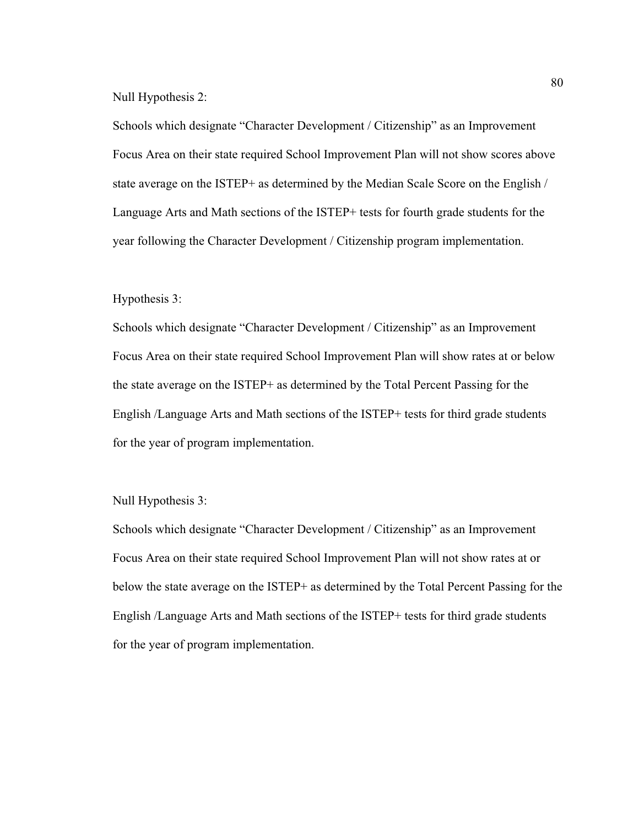Null Hypothesis 2:

Schools which designate "Character Development / Citizenship" as an Improvement Focus Area on their state required School Improvement Plan will not show scores above state average on the ISTEP+ as determined by the Median Scale Score on the English / Language Arts and Math sections of the ISTEP+ tests for fourth grade students for the year following the Character Development / Citizenship program implementation.

#### Hypothesis 3:

Schools which designate "Character Development / Citizenship" as an Improvement Focus Area on their state required School Improvement Plan will show rates at or below the state average on the ISTEP+ as determined by the Total Percent Passing for the English /Language Arts and Math sections of the ISTEP+ tests for third grade students for the year of program implementation.

Null Hypothesis 3:

Schools which designate "Character Development / Citizenship" as an Improvement Focus Area on their state required School Improvement Plan will not show rates at or below the state average on the ISTEP+ as determined by the Total Percent Passing for the English /Language Arts and Math sections of the ISTEP+ tests for third grade students for the year of program implementation.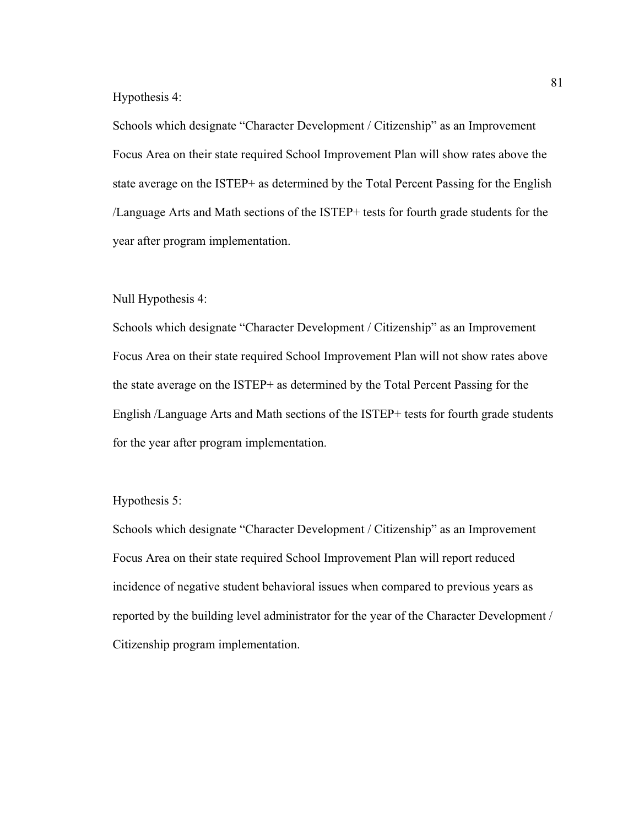#### Hypothesis 4:

Schools which designate "Character Development / Citizenship" as an Improvement Focus Area on their state required School Improvement Plan will show rates above the state average on the ISTEP+ as determined by the Total Percent Passing for the English /Language Arts and Math sections of the ISTEP+ tests for fourth grade students for the year after program implementation.

#### Null Hypothesis 4:

Schools which designate "Character Development / Citizenship" as an Improvement Focus Area on their state required School Improvement Plan will not show rates above the state average on the ISTEP+ as determined by the Total Percent Passing for the English /Language Arts and Math sections of the ISTEP+ tests for fourth grade students for the year after program implementation.

#### Hypothesis 5:

Schools which designate "Character Development / Citizenship" as an Improvement Focus Area on their state required School Improvement Plan will report reduced incidence of negative student behavioral issues when compared to previous years as reported by the building level administrator for the year of the Character Development / Citizenship program implementation.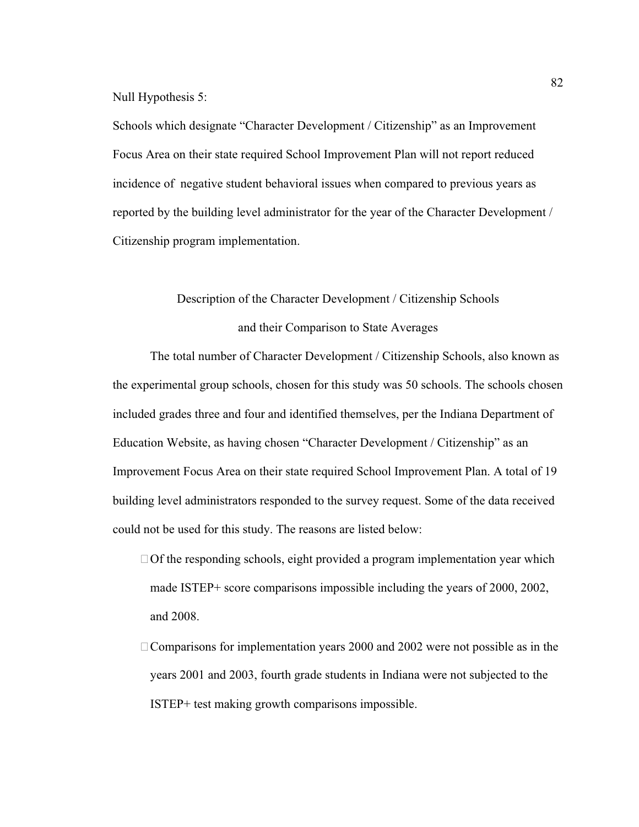Null Hypothesis 5:

Schools which designate "Character Development / Citizenship" as an Improvement Focus Area on their state required School Improvement Plan will not report reduced incidence of negative student behavioral issues when compared to previous years as reported by the building level administrator for the year of the Character Development / Citizenship program implementation.

# Description of the Character Development / Citizenship Schools and their Comparison to State Averages

 The total number of Character Development / Citizenship Schools, also known as the experimental group schools, chosen for this study was 50 schools. The schools chosen included grades three and four and identified themselves, per the Indiana Department of Education Website, as having chosen "Character Development / Citizenship" as an Improvement Focus Area on their state required School Improvement Plan. A total of 19 building level administrators responded to the survey request. Some of the data received could not be used for this study. The reasons are listed below:

- $\Box$  Of the responding schools, eight provided a program implementation year which made ISTEP+ score comparisons impossible including the years of 2000, 2002, and 2008.
- $\Box$  Comparisons for implementation years 2000 and 2002 were not possible as in the years 2001 and 2003, fourth grade students in Indiana were not subjected to the ISTEP+ test making growth comparisons impossible.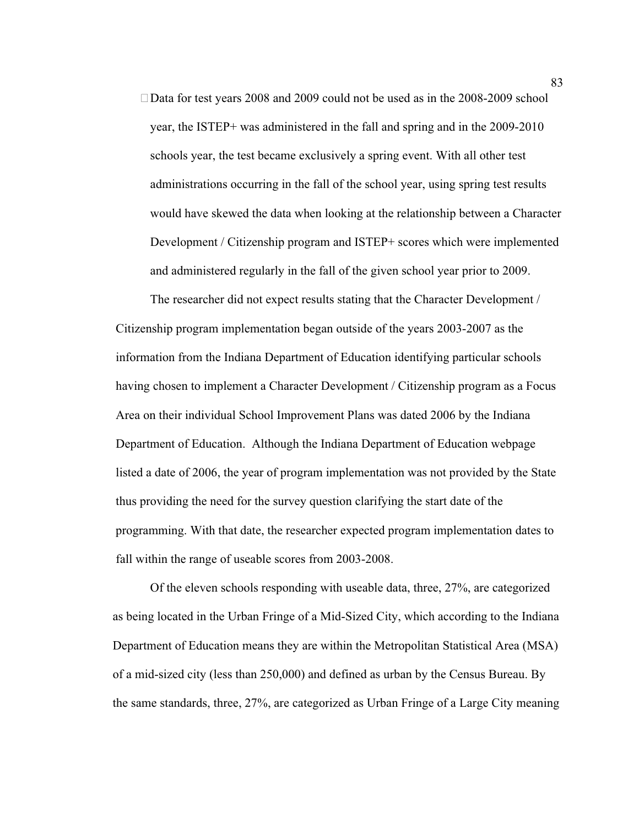Data for test years 2008 and 2009 could not be used as in the 2008-2009 school year, the ISTEP+ was administered in the fall and spring and in the 2009-2010 schools year, the test became exclusively a spring event. With all other test administrations occurring in the fall of the school year, using spring test results would have skewed the data when looking at the relationship between a Character Development / Citizenship program and ISTEP+ scores which were implemented and administered regularly in the fall of the given school year prior to 2009.

The researcher did not expect results stating that the Character Development / Citizenship program implementation began outside of the years 2003-2007 as the information from the Indiana Department of Education identifying particular schools having chosen to implement a Character Development / Citizenship program as a Focus Area on their individual School Improvement Plans was dated 2006 by the Indiana Department of Education. Although the Indiana Department of Education webpage listed a date of 2006, the year of program implementation was not provided by the State thus providing the need for the survey question clarifying the start date of the programming. With that date, the researcher expected program implementation dates to fall within the range of useable scores from 2003-2008.

Of the eleven schools responding with useable data, three, 27%, are categorized as being located in the Urban Fringe of a Mid-Sized City, which according to the Indiana Department of Education means they are within the Metropolitan Statistical Area (MSA) of a mid-sized city (less than 250,000) and defined as urban by the Census Bureau. By the same standards, three, 27%, are categorized as Urban Fringe of a Large City meaning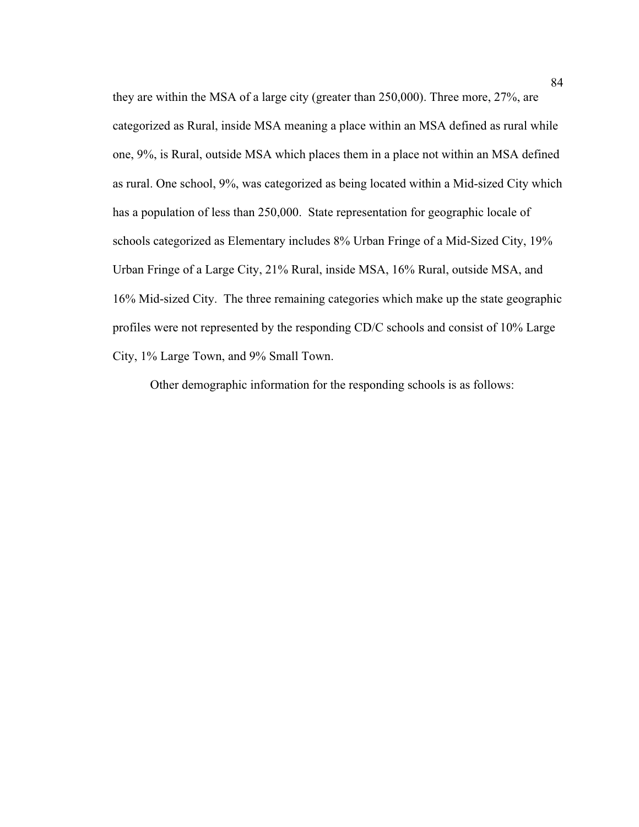they are within the MSA of a large city (greater than 250,000). Three more, 27%, are categorized as Rural, inside MSA meaning a place within an MSA defined as rural while one, 9%, is Rural, outside MSA which places them in a place not within an MSA defined as rural. One school, 9%, was categorized as being located within a Mid-sized City which has a population of less than 250,000. State representation for geographic locale of schools categorized as Elementary includes 8% Urban Fringe of a Mid-Sized City, 19% Urban Fringe of a Large City, 21% Rural, inside MSA, 16% Rural, outside MSA, and 16% Mid-sized City. The three remaining categories which make up the state geographic profiles were not represented by the responding CD/C schools and consist of 10% Large City, 1% Large Town, and 9% Small Town.

Other demographic information for the responding schools is as follows: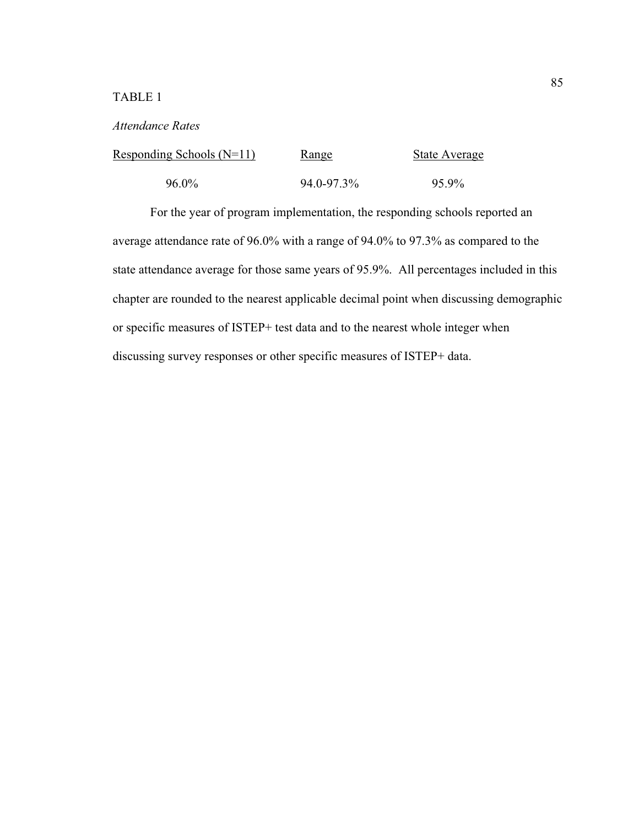### TABLE 1

#### *Attendance Rates*

| Responding Schools $(N=11)$ | <u>Range</u> | <b>State Average</b> |
|-----------------------------|--------------|----------------------|
| $96.0\%$                    | 94.0-97.3%   | 95.9%                |

For the year of program implementation, the responding schools reported an average attendance rate of 96.0% with a range of 94.0% to 97.3% as compared to the state attendance average for those same years of 95.9%. All percentages included in this chapter are rounded to the nearest applicable decimal point when discussing demographic or specific measures of ISTEP+ test data and to the nearest whole integer when discussing survey responses or other specific measures of ISTEP+ data.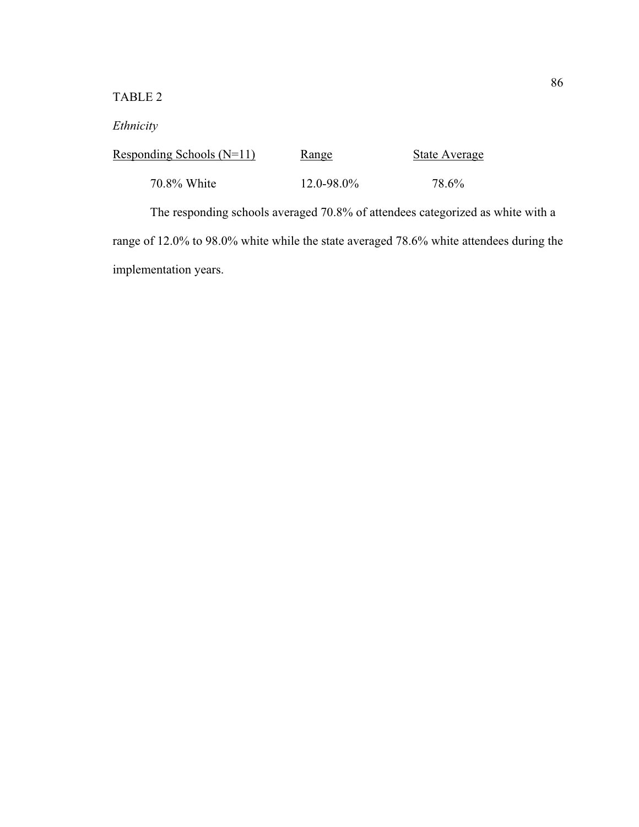### TABLE 2

### *Ethnicity*

| Responding Schools $(N=11)$ | Range           | <b>State Average</b> |
|-----------------------------|-----------------|----------------------|
| 70.8% White                 | $12.0 - 98.0\%$ | 78.6%                |

The responding schools averaged 70.8% of attendees categorized as white with a range of 12.0% to 98.0% white while the state averaged 78.6% white attendees during the implementation years.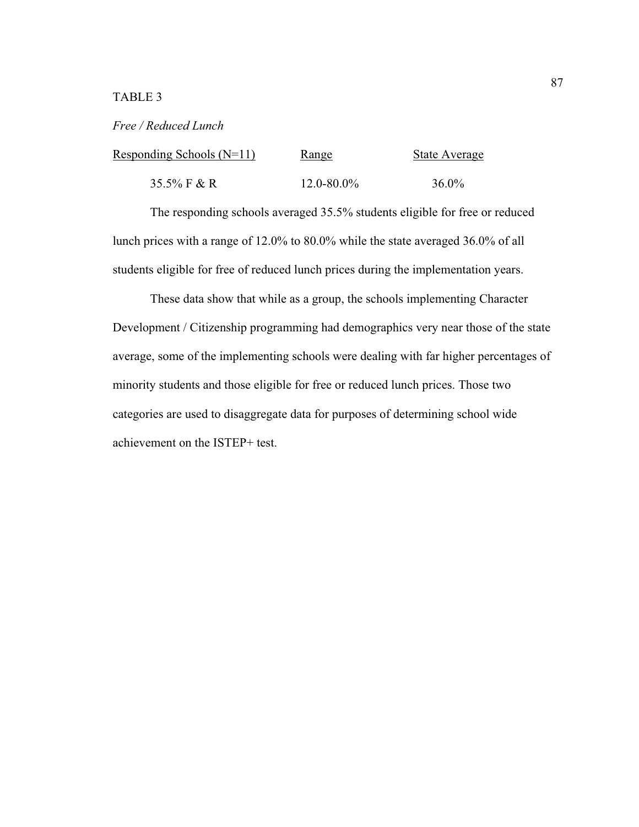#### TABLE 3

#### *Free / Reduced Lunch*

| Responding Schools $(N=11)$ | Range           | <b>State Average</b> |
|-----------------------------|-----------------|----------------------|
| 35.5% F & R                 | $12.0 - 80.0\%$ | $36.0\%$             |

 The responding schools averaged 35.5% students eligible for free or reduced lunch prices with a range of 12.0% to 80.0% while the state averaged 36.0% of all students eligible for free of reduced lunch prices during the implementation years.

 These data show that while as a group, the schools implementing Character Development / Citizenship programming had demographics very near those of the state average, some of the implementing schools were dealing with far higher percentages of minority students and those eligible for free or reduced lunch prices. Those two categories are used to disaggregate data for purposes of determining school wide achievement on the ISTEP+ test.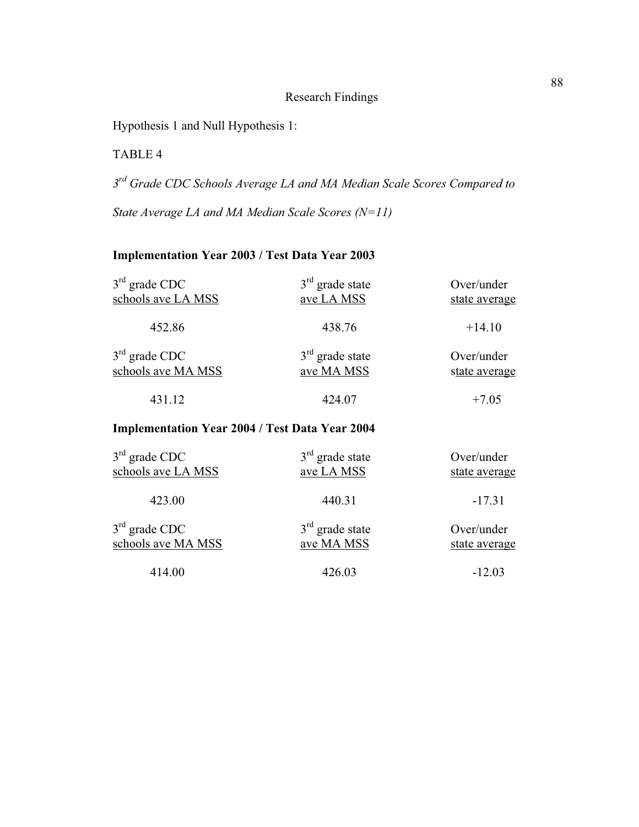#### Research Findings

Hypothesis 1 and Null Hypothesis 1:

TABLE 4

*3 rd Grade CDC Schools Average LA and MA Median Scale Scores Compared to*

*State Average LA and MA Median Scale Scores (N=11)* 

# **Implementation Year 2003 / Test Data Year 2003**

| $3rd$ grade CDC<br>schools ave LA MSS                 | $3rd$ grade state<br>ave LA MSS | Over/under<br>state average |
|-------------------------------------------------------|---------------------------------|-----------------------------|
| 452.86                                                | 438.76                          | $+14.10$                    |
| $3rd$ grade CDC<br>schools ave MA MSS                 | $3rd$ grade state<br>ave MA MSS | Over/under<br>state average |
| 431.12                                                | 424.07                          | $+7.05$                     |
| <b>Implementation Year 2004 / Test Data Year 2004</b> |                                 |                             |
| $3rd$ grade CDC                                       | $3rd$ grade state               | Over/under                  |

| $3$ grade CDC      | 3 grade state     | Over/under    |
|--------------------|-------------------|---------------|
| schools ave LA MSS | ave LA MSS        | state average |
| 423.00             | 440.31            | $-17.31$      |
| $3rd$ grade CDC    | $3rd$ grade state | Over/under    |
| schools ave MA MSS | ave MA MSS        | state average |
| 414.00             | 426.03            | $-12.03$      |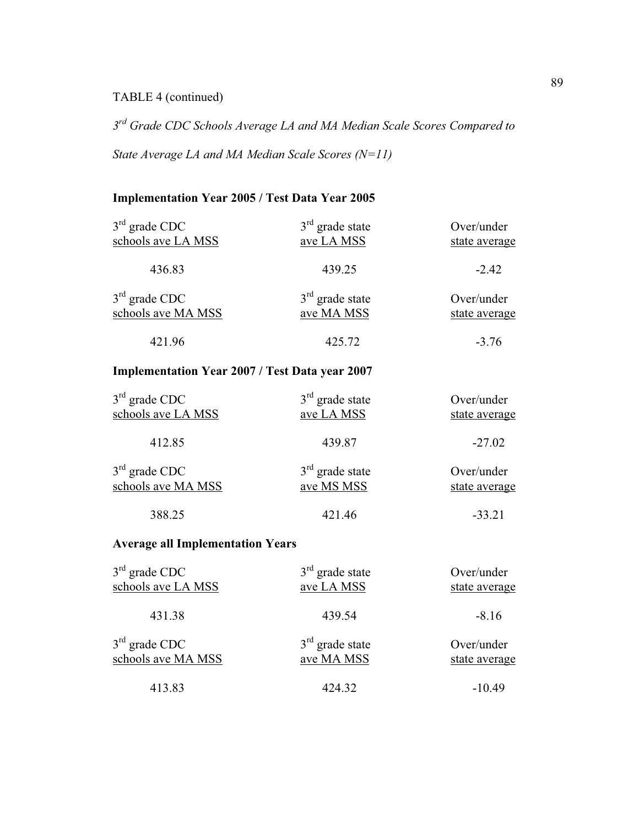### TABLE 4 (continued)

*3 rd Grade CDC Schools Average LA and MA Median Scale Scores Compared to*

*State Average LA and MA Median Scale Scores (N=11)* 

### **Implementation Year 2005 / Test Data Year 2005**

| $3rd$ grade CDC                                       | $3rd$ grade state               | Over/under                  |
|-------------------------------------------------------|---------------------------------|-----------------------------|
| schools ave LA MSS                                    | ave LA MSS                      | state average               |
| 436.83                                                | 439.25                          | $-2.42$                     |
| $3rd$ grade CDC<br>schools ave MA MSS                 | $3rd$ grade state<br>ave MA MSS | Over/under<br>state average |
| 421.96                                                | 425.72                          | $-3.76$                     |
| <b>Implementation Year 2007 / Test Data year 2007</b> |                                 |                             |
| $3rd$ grade CDC<br>schools ave LA MSS                 | $3rd$ grade state<br>ave LA MSS | Over/under<br>state average |
| 412.85                                                | 439.87                          | $-27.02$                    |
| $3rd$ grade CDC<br>schools ave MA MSS                 | $3rd$ grade state<br>ave MS MSS | Over/under<br>state average |
| 388.25                                                | 421.46                          | $-33.21$                    |

### **Average all Implementation Years**

| $3rd$ grade CDC    | $3rd$ grade state | Over/under    |
|--------------------|-------------------|---------------|
| schools ave LA MSS | ave LA MSS        | state average |
| 431.38             | 439.54            | $-8.16$       |
| $3rd$ grade CDC    | $3rd$ grade state | Over/under    |
| schools ave MA MSS | ave MA MSS        | state average |
| 413.83             | 424.32            | $-10.49$      |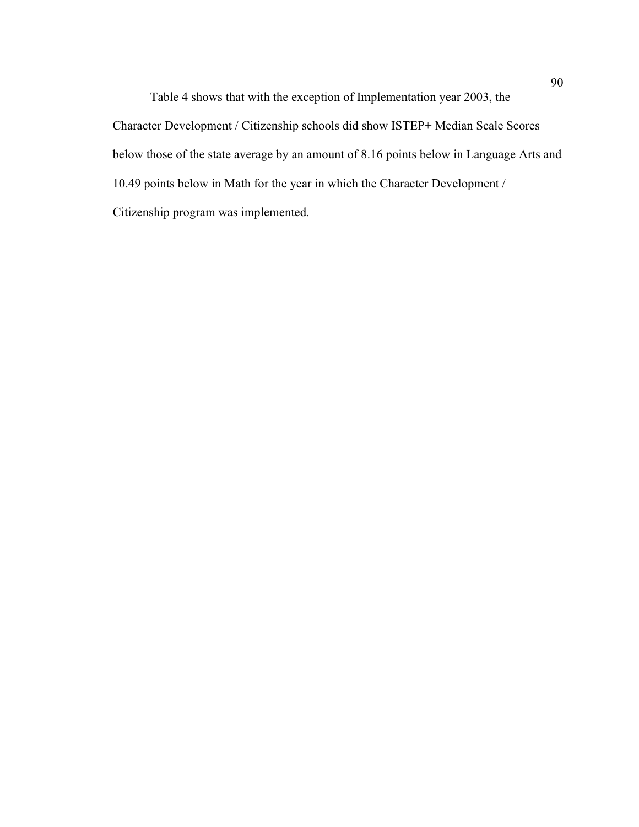Table 4 shows that with the exception of Implementation year 2003, the Character Development / Citizenship schools did show ISTEP+ Median Scale Scores below those of the state average by an amount of 8.16 points below in Language Arts and 10.49 points below in Math for the year in which the Character Development / Citizenship program was implemented.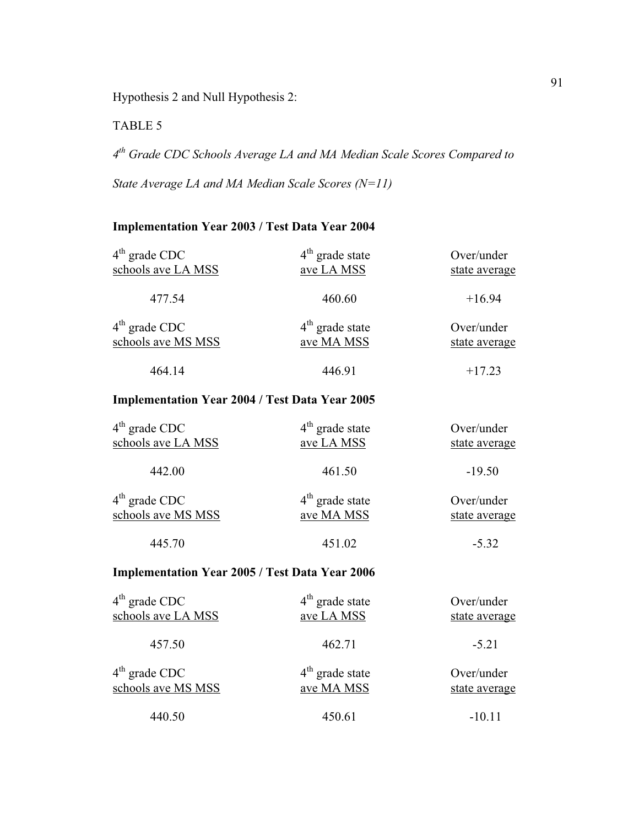Hypothesis 2 and Null Hypothesis 2:

TABLE 5

*4 th Grade CDC Schools Average LA and MA Median Scale Scores Compared to State Average LA and MA Median Scale Scores (N=11)* 

### **Implementation Year 2003 / Test Data Year 2004**

| $4th$ grade CDC<br>schools ave LA MSS | $4th$ grade state<br>ave LA MSS | Over/under<br>state average |
|---------------------------------------|---------------------------------|-----------------------------|
| 477.54                                | 460.60                          | $+16.94$                    |
| $4th$ grade CDC<br>schools ave MS MSS | $4th$ grade state<br>ave MA MSS | Over/under<br>state average |
| 464.14                                | 446.91                          | $+17.23$                    |
|                                       |                                 |                             |

### **Implementation Year 2004 / Test Data Year 2005**

| $4th$ grade CDC    | $4th$ grade state | Over/under    |
|--------------------|-------------------|---------------|
| schools ave LA MSS | ave LA MSS        | state average |
| 442.00             | 461.50            | $-19.50$      |
| $4th$ grade CDC    | $4th$ grade state | Over/under    |
| schools ave MS MSS | ave MA MSS        | state average |
| 445.70             | 451.02            | $-5.32$       |

### **Implementation Year 2005 / Test Data Year 2006**

| $4th$ grade CDC    | $4th$ grade state | Over/under    |  |
|--------------------|-------------------|---------------|--|
| schools ave LA MSS | ave LA MSS        | state average |  |
| 457.50             | 462.71            | $-5.21$       |  |
| $4th$ grade CDC    | $4th$ grade state | Over/under    |  |
| schools ave MS MSS | ave MA MSS        | state average |  |
| 440.50             | 450.61            | $-10.11$      |  |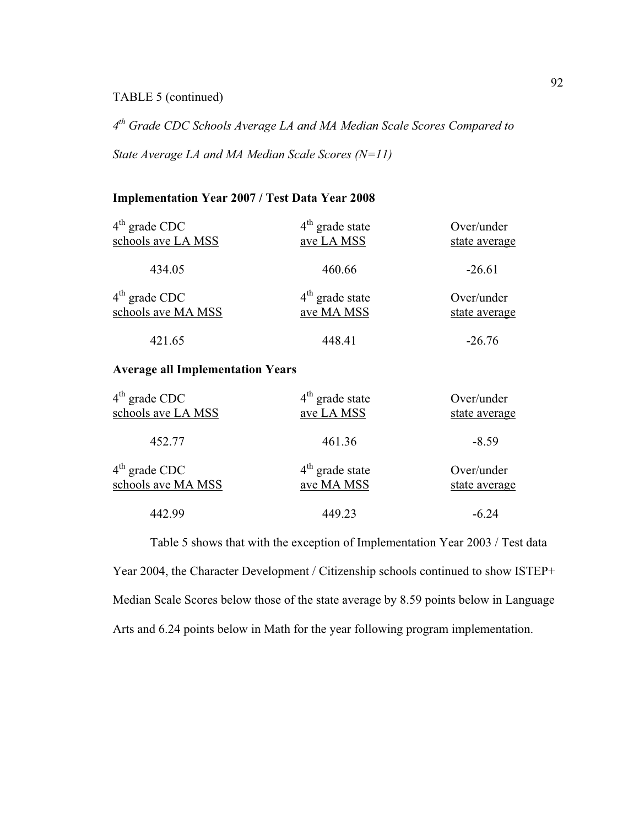### TABLE 5 (continued)

*4 th Grade CDC Schools Average LA and MA Median Scale Scores Compared to*

*State Average LA and MA Median Scale Scores (N=11)* 

### **Implementation Year 2007 / Test Data Year 2008**

| $4th$ grade CDC                         | $4th$ grade state     | Over/under    |
|-----------------------------------------|-----------------------|---------------|
| schools ave LA MSS                      | ave LA MSS            | state average |
| 434.05                                  | 460.66                | $-26.61$      |
| $4th$ grade CDC                         | $4th$ grade state     | Over/under    |
| schools ave MA MSS                      | ave MA MSS            | state average |
| 421.65                                  | 448.41                | $-26.76$      |
| <b>Average all Implementation Years</b> |                       |               |
| $4th$ grade CDC                         | $4th$ grade state     | Over/under    |
| schools ave $I \triangle MSS$           | $_{QVA}$ J $_{A}$ MSS | state average |

| $\pm$ grauc CDC    | $\pm$ grauc state | OVU/UNUL      |
|--------------------|-------------------|---------------|
| schools ave LA MSS | ave LA MSS        | state average |
| 452.77             | 461.36            | $-8.59$       |
| $4th$ grade CDC    | $4th$ grade state | Over/under    |
| schools ave MA MSS | ave MA MSS        | state average |
| 442.99             | 449.23            | $-6.24$       |

 Table 5 shows that with the exception of Implementation Year 2003 / Test data Year 2004, the Character Development / Citizenship schools continued to show ISTEP+ Median Scale Scores below those of the state average by 8.59 points below in Language Arts and 6.24 points below in Math for the year following program implementation.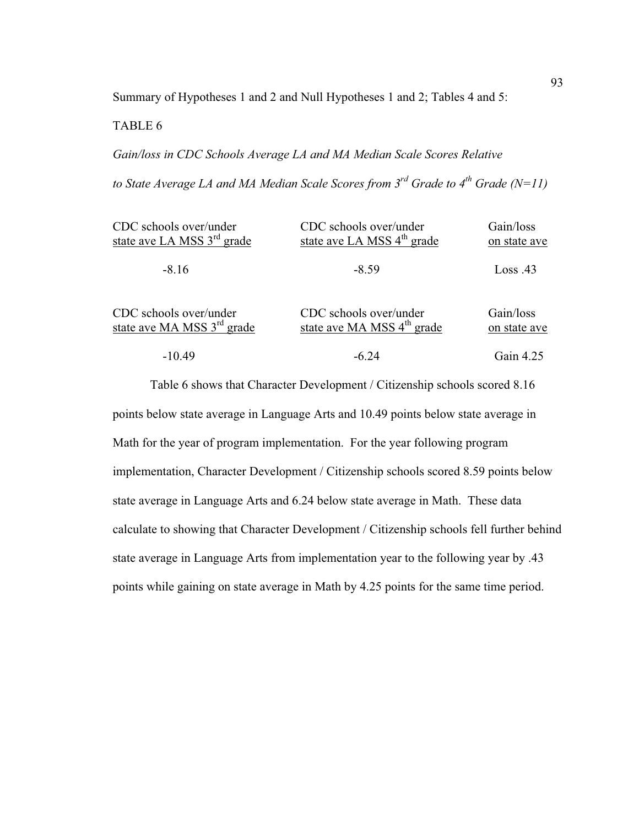Summary of Hypotheses 1 and 2 and Null Hypotheses 1 and 2; Tables 4 and 5:

#### TABLE 6

*Gain/loss in CDC Schools Average LA and MA Median Scale Scores Relative to State Average LA and MA Median Scale Scores from 3rd Grade to 4th Grade (N=11)* 

| CDC schools over/under                 | CDC schools over/under                 | Gain/loss    |
|----------------------------------------|----------------------------------------|--------------|
| state ave LA MSS 3 <sup>rd</sup> grade | state ave LA MSS 4 <sup>th</sup> grade | on state ave |
| $-8.16$                                | $-8.59$                                | Loss .43     |
| CDC schools over/under                 | CDC schools over/under                 | Gain/loss    |
| state ave MA MSS 3 <sup>rd</sup> grade | state ave MA MSS 4 <sup>th</sup> grade | on state ave |
| $-10.49$                               | -6.24                                  | Gain $4.25$  |

 Table 6 shows that Character Development / Citizenship schools scored 8.16 points below state average in Language Arts and 10.49 points below state average in Math for the year of program implementation. For the year following program implementation, Character Development / Citizenship schools scored 8.59 points below state average in Language Arts and 6.24 below state average in Math. These data calculate to showing that Character Development / Citizenship schools fell further behind state average in Language Arts from implementation year to the following year by .43 points while gaining on state average in Math by 4.25 points for the same time period.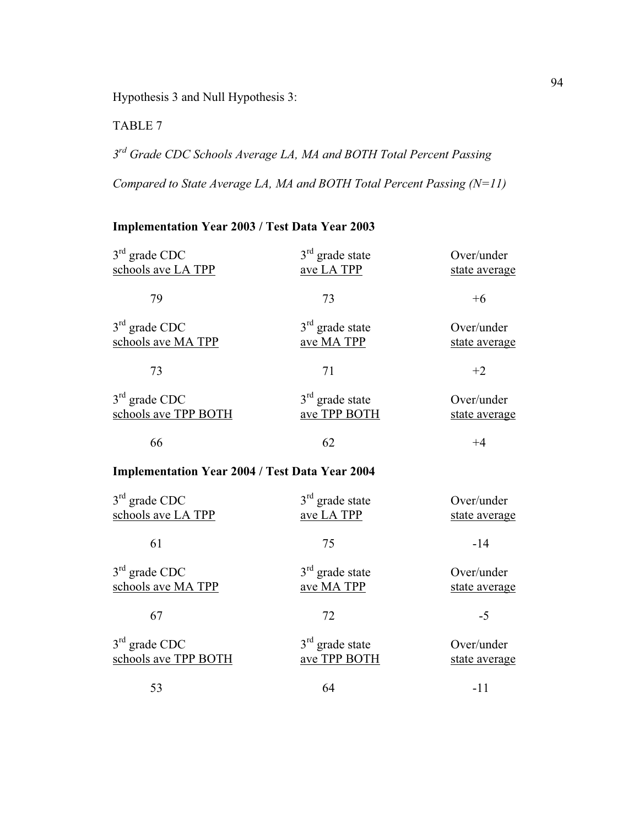Hypothesis 3 and Null Hypothesis 3:

TABLE 7

*3 rd Grade CDC Schools Average LA, MA and BOTH Total Percent Passing*

*Compared to State Average LA, MA and BOTH Total Percent Passing (N=11)* 

### **Implementation Year 2003 / Test Data Year 2003**

| $3rd$ grade CDC                                       | $3rd$ grade state | Over/under    |
|-------------------------------------------------------|-------------------|---------------|
| schools ave LA TPP                                    | ave LA TPP        | state average |
| 79                                                    | 73                | $+6$          |
| $3rd$ grade CDC                                       | $3rd$ grade state | Over/under    |
| schools ave MA TPP                                    | ave MA TPP        | state average |
| 73                                                    | 71                | $+2$          |
| $3rd$ grade CDC                                       | $3rd$ grade state | Over/under    |
| schools ave TPP BOTH                                  | ave TPP BOTH      | state average |
| 66                                                    | 62                | $+4$          |
| <b>Implementation Year 2004 / Test Data Year 2004</b> |                   |               |
| $3rd$ grade CDC                                       | $3rd$ grade state | Over/under    |
| schools ave LA TPP                                    | ave LA TPP        | state average |
| 61                                                    | 75                | $-14$         |
| $3rd$ grade CDC                                       | $3rd$ grade state | Over/under    |
| schools ave MA TPP                                    | ave MA TPP        | state average |
| 67                                                    | 72                | $-5$          |
| $3rd$ grade CDC                                       | $3rd$ grade state | Over/under    |
| schools ave TPP BOTH                                  | ave TPP BOTH      | state average |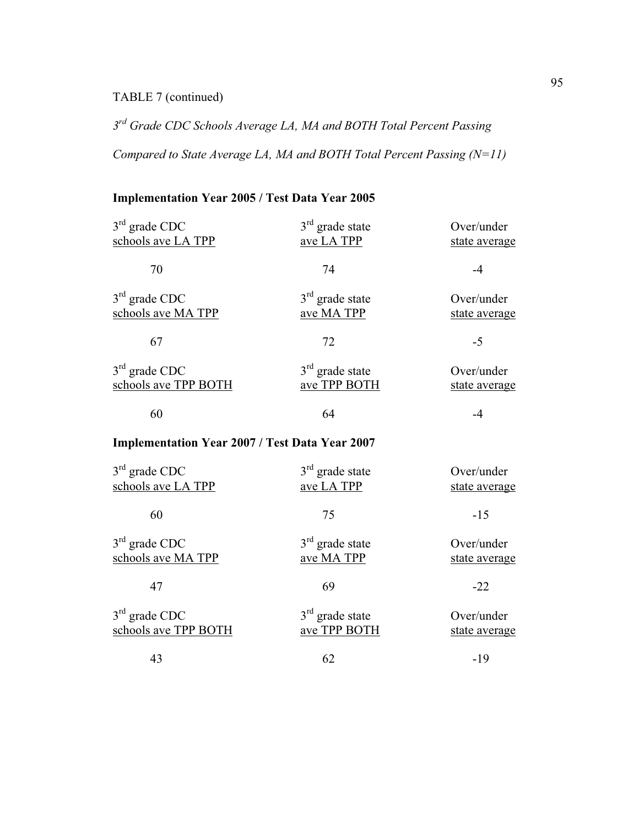### TABLE 7 (continued)

*3 rd Grade CDC Schools Average LA, MA and BOTH Total Percent Passing*

*Compared to State Average LA, MA and BOTH Total Percent Passing (N=11)* 

# **Implementation Year 2005 / Test Data Year 2005**

| $3rd$ grade CDC<br>schools ave LA TPP                 | $3rd$ grade state<br>ave LA TPP   | Over/under<br>state average |
|-------------------------------------------------------|-----------------------------------|-----------------------------|
| 70                                                    | 74                                | $-4$                        |
| $3rd$ grade CDC<br>schools ave MA TPP                 | $3rd$ grade state<br>ave MA TPP   | Over/under<br>state average |
| 67                                                    | 72                                | $-5$                        |
| $3rd$ grade CDC<br>schools ave TPP BOTH               | $3rd$ grade state<br>ave TPP BOTH | Over/under<br>state average |
| 60                                                    | 64                                | -4                          |
| <b>Implementation Year 2007 / Test Data Year 2007</b> |                                   |                             |
| $3rd$ grade CDC<br>schools ave LA TPP                 | $3rd$ grade state<br>ave LA TPP   | Over/under<br>state average |
| 60                                                    | 75                                | $-15$                       |
| $3rd$ grade CDC<br>schools ave MA TPP                 | $3rd$ grade state<br>ave MA TPP   | Over/under<br>state average |
| 47                                                    | 69                                | $-22$                       |
| $3rd$ grade CDC<br>schools ave TPP BOTH               | $3rd$ grade state<br>ave TPP BOTH | Over/under<br>state average |
| 43                                                    | 62                                | $-19$                       |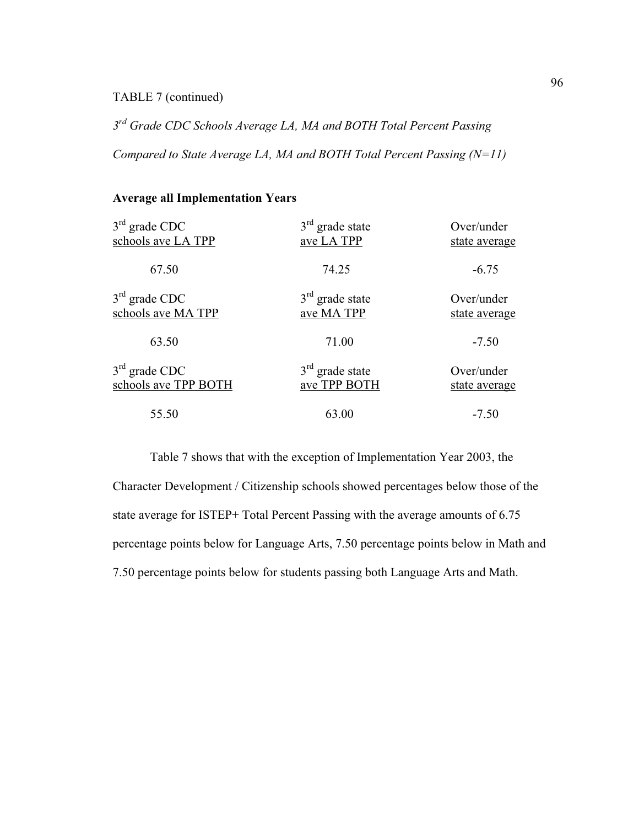#### TABLE 7 (continued)

*3 rd Grade CDC Schools Average LA, MA and BOTH Total Percent Passing*

*Compared to State Average LA, MA and BOTH Total Percent Passing (N=11)* 

## **Average all Implementation Years**

| $3rd$ grade CDC      | $3rd$ grade state | Over/under    |
|----------------------|-------------------|---------------|
| schools ave LA TPP   | ave LA TPP        | state average |
| 67.50                | 74.25             | $-6.75$       |
| $3rd$ grade CDC      | $3rd$ grade state | Over/under    |
| schools ave MA TPP   | ave MA TPP        | state average |
| 63.50                | 71.00             | $-7.50$       |
| $3rd$ grade CDC      | $3rd$ grade state | Over/under    |
| schools ave TPP BOTH | ave TPP BOTH      | state average |
| 55.50                | 63.00             | $-7.50$       |

 Table 7 shows that with the exception of Implementation Year 2003, the Character Development / Citizenship schools showed percentages below those of the state average for ISTEP+ Total Percent Passing with the average amounts of 6.75 percentage points below for Language Arts, 7.50 percentage points below in Math and 7.50 percentage points below for students passing both Language Arts and Math.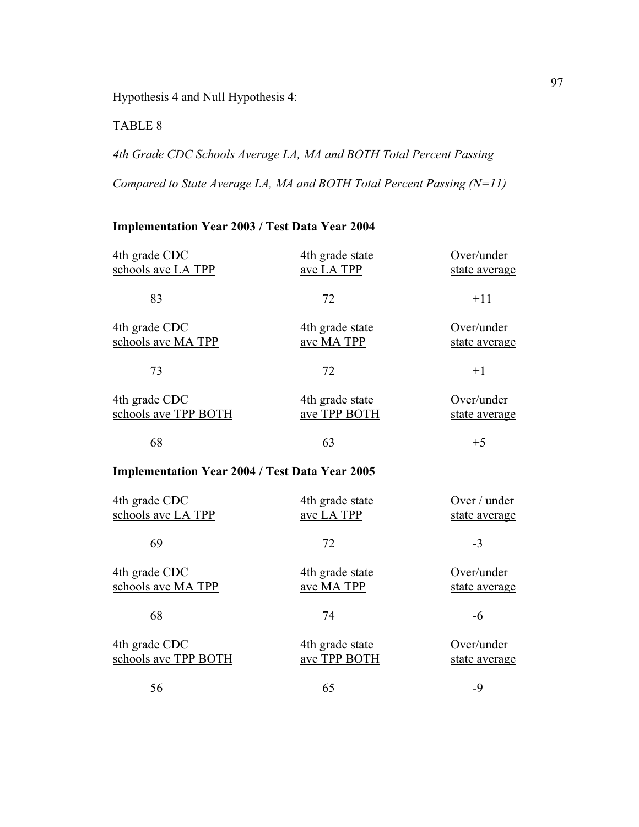Hypothesis 4 and Null Hypothesis 4:

TABLE 8

*4th Grade CDC Schools Average LA, MA and BOTH Total Percent Passing*

*Compared to State Average LA, MA and BOTH Total Percent Passing (N=11)* 

# **Implementation Year 2003 / Test Data Year 2004**

| 4th grade CDC<br>schools ave LA TPP                   | 4th grade state<br>ave LA TPP   | Over/under<br>state average   |
|-------------------------------------------------------|---------------------------------|-------------------------------|
| 83                                                    | 72                              | $+11$                         |
| 4th grade CDC<br>schools ave MA TPP                   | 4th grade state<br>ave MA TPP   | Over/under<br>state average   |
| 73                                                    | 72                              | $+1$                          |
| 4th grade CDC<br>schools ave TPP BOTH                 | 4th grade state<br>ave TPP BOTH | Over/under<br>state average   |
| 68                                                    | 63                              | $+5$                          |
| <b>Implementation Year 2004 / Test Data Year 2005</b> |                                 |                               |
| 4th grade CDC<br>schools ave LA TPP                   | 4th grade state<br>ave LA TPP   | Over / under<br>state average |
| 69                                                    | 72                              | $-3$                          |
| 4th grade CDC<br>schools ave MA TPP                   | 4th grade state<br>ave MA TPP   | Over/under<br>state average   |
| 68                                                    | 74                              | $-6$                          |
| 4th grade CDC<br>schools ave TPP BOTH                 | 4th grade state<br>ave TPP BOTH | Over/under<br>state average   |
| 56                                                    | 65                              | $-9$                          |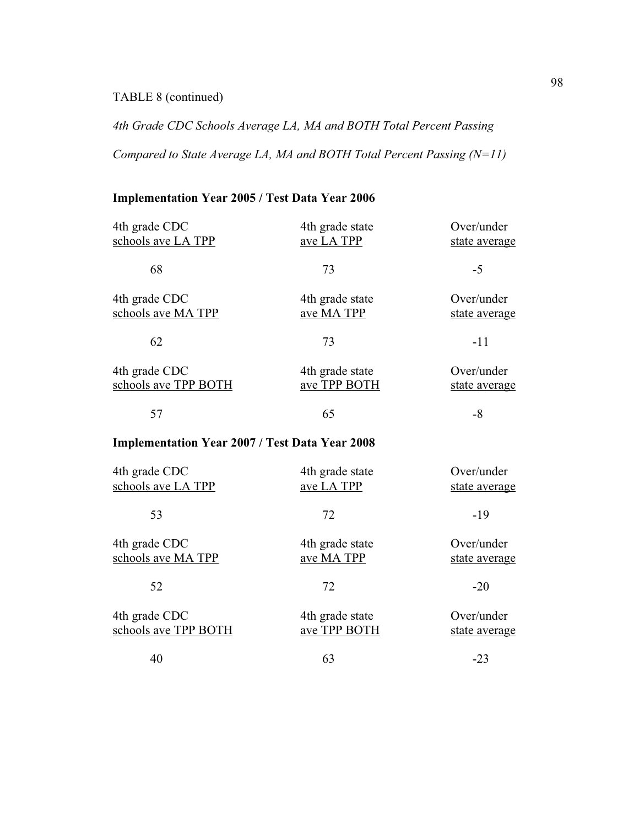# TABLE 8 (continued)

*4th Grade CDC Schools Average LA, MA and BOTH Total Percent Passing*

*Compared to State Average LA, MA and BOTH Total Percent Passing (N=11)* 

# **Implementation Year 2005 / Test Data Year 2006**

| 4th grade CDC<br>schools ave LA TPP                   | 4th grade state<br>ave LA TPP   | Over/under<br>state average |
|-------------------------------------------------------|---------------------------------|-----------------------------|
| 68                                                    | 73                              | $-5$                        |
| 4th grade CDC<br>schools ave MA TPP                   | 4th grade state<br>ave MA TPP   | Over/under<br>state average |
| 62                                                    | 73                              | $-11$                       |
| 4th grade CDC<br>schools ave TPP BOTH                 | 4th grade state<br>ave TPP BOTH | Over/under<br>state average |
| 57                                                    | 65                              | $-8$                        |
| <b>Implementation Year 2007 / Test Data Year 2008</b> |                                 |                             |
| 4th grade CDC<br>schools ave LA TPP                   | 4th grade state<br>ave LA TPP   | Over/under<br>state average |
| 53                                                    | 72                              | $-19$                       |
| 4th grade CDC<br>schools ave MA TPP                   | 4th grade state<br>ave MA TPP   | Over/under<br>state average |
| 52                                                    | 72                              | $-20$                       |
| 4th grade CDC<br>schools ave TPP BOTH                 | 4th grade state<br>ave TPP BOTH | Over/under<br>state average |
| 40                                                    | 63                              | $-23$                       |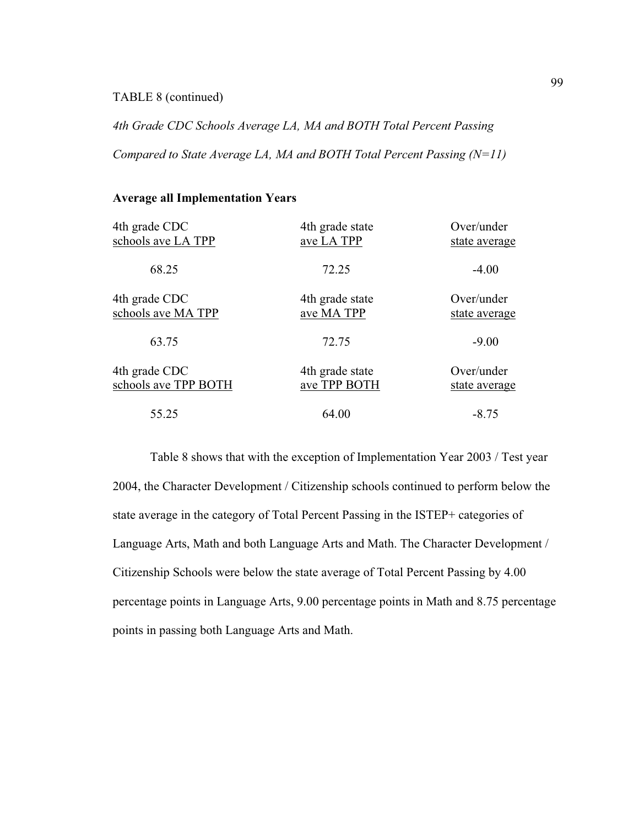#### TABLE 8 (continued)

*4th Grade CDC Schools Average LA, MA and BOTH Total Percent Passing*

*Compared to State Average LA, MA and BOTH Total Percent Passing (N=11)* 

#### **Average all Implementation Years**

| 4th grade CDC        | 4th grade state | Over/under    |
|----------------------|-----------------|---------------|
| schools ave LA TPP   | ave LA TPP      | state average |
| 68.25                | 72.25           | $-4.00$       |
| 4th grade CDC        | 4th grade state | Over/under    |
| schools ave MA TPP   | ave MA TPP      | state average |
| 63.75                | 72.75           | $-9.00$       |
| 4th grade CDC        | 4th grade state | Over/under    |
| schools ave TPP BOTH | ave TPP BOTH    | state average |
| 55.25                | 64.00           | $-8.75$       |

 Table 8 shows that with the exception of Implementation Year 2003 / Test year 2004, the Character Development / Citizenship schools continued to perform below the state average in the category of Total Percent Passing in the ISTEP+ categories of Language Arts, Math and both Language Arts and Math. The Character Development / Citizenship Schools were below the state average of Total Percent Passing by 4.00 percentage points in Language Arts, 9.00 percentage points in Math and 8.75 percentage points in passing both Language Arts and Math.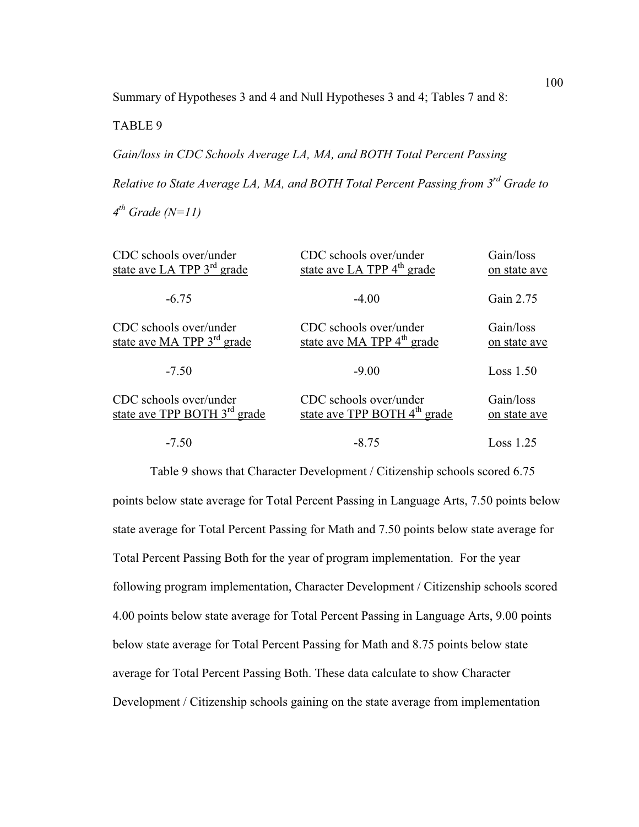Summary of Hypotheses 3 and 4 and Null Hypotheses 3 and 4; Tables 7 and 8:

TABLE 9

*Gain/loss in CDC Schools Average LA, MA, and BOTH Total Percent Passing Relative to State Average LA, MA, and BOTH Total Percent Passing from 3rd Grade to 4 th Grade (N=11)* 

| CDC schools over/under                   | CDC schools over/under                   | Gain/loss    |
|------------------------------------------|------------------------------------------|--------------|
| state ave LA TPP 3 <sup>rd</sup> grade   | state ave LA TPP 4 <sup>th</sup> grade   | on state ave |
| $-6.75$                                  | $-4.00$                                  | Gain 2.75    |
| CDC schools over/under                   | CDC schools over/under                   | Gain/loss    |
| state ave MA TPP 3 <sup>rd</sup> grade   | state ave MA TPP 4 <sup>th</sup> grade   | on state ave |
| $-7.50$                                  | $-9.00$                                  | Loss 1.50    |
| CDC schools over/under                   | CDC schools over/under                   | Gain/loss    |
| state ave TPP BOTH 3 <sup>rd</sup> grade | state ave TPP BOTH 4 <sup>th</sup> grade | on state ave |
| $-7.50$                                  | $-8.75$                                  | Loss 1.25    |

 Table 9 shows that Character Development / Citizenship schools scored 6.75 points below state average for Total Percent Passing in Language Arts, 7.50 points below state average for Total Percent Passing for Math and 7.50 points below state average for Total Percent Passing Both for the year of program implementation. For the year following program implementation, Character Development / Citizenship schools scored 4.00 points below state average for Total Percent Passing in Language Arts, 9.00 points below state average for Total Percent Passing for Math and 8.75 points below state average for Total Percent Passing Both. These data calculate to show Character Development / Citizenship schools gaining on the state average from implementation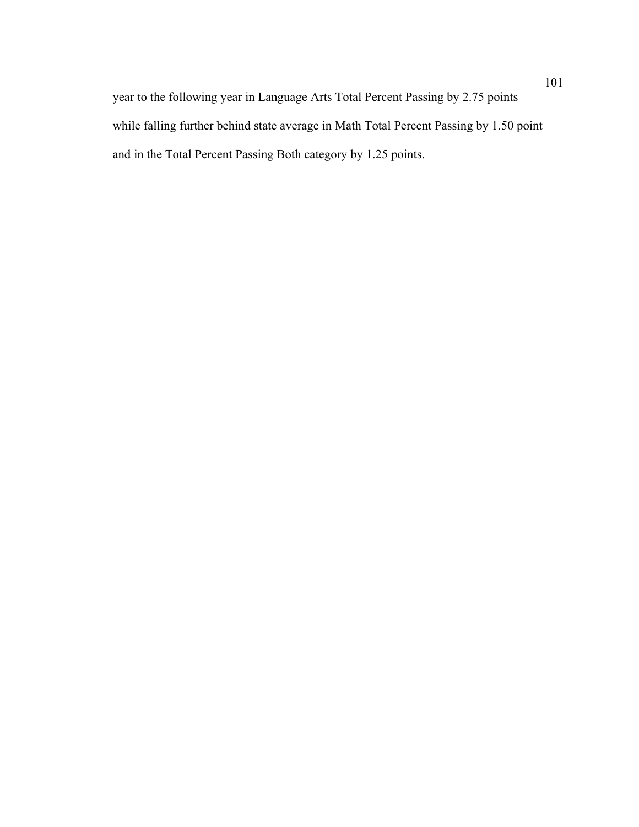year to the following year in Language Arts Total Percent Passing by 2.75 points while falling further behind state average in Math Total Percent Passing by 1.50 point and in the Total Percent Passing Both category by 1.25 points.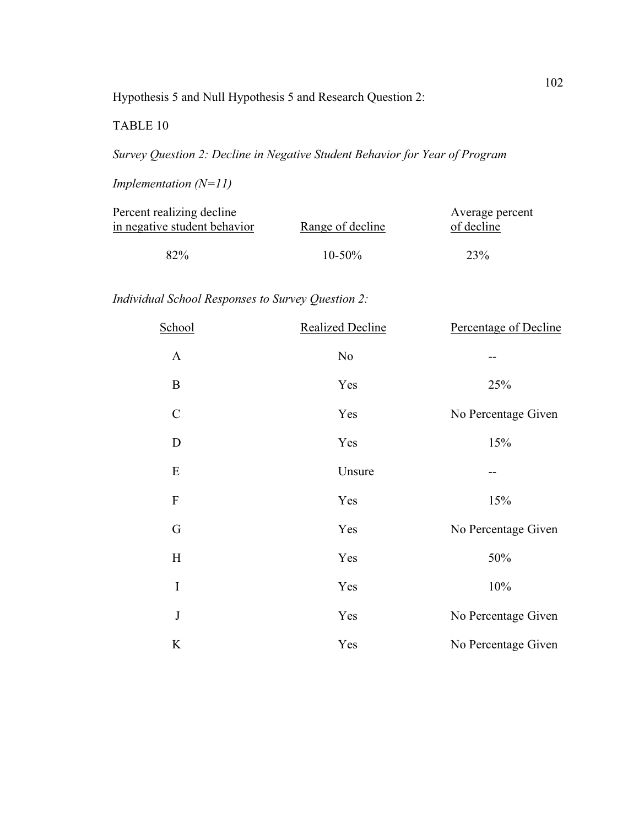Hypothesis 5 and Null Hypothesis 5 and Research Question 2:

TABLE 10

*Survey Question 2: Decline in Negative Student Behavior for Year of Program*

*Implementation (N=11)* 

|             | Average percent  |
|-------------|------------------|
|             | of decline       |
|             |                  |
| $10 - 50\%$ | 23%              |
|             | Range of decline |

# *Individual School Responses to Survey Question 2:*

| School                    | <b>Realized Decline</b> | Percentage of Decline |
|---------------------------|-------------------------|-----------------------|
| $\mathbf{A}$              | $\rm No$                |                       |
| $\bf{B}$                  | Yes                     | 25%                   |
| $\mathcal{C}$             | Yes                     | No Percentage Given   |
| D                         | Yes                     | 15%                   |
| ${\bf E}$                 | Unsure                  |                       |
| $\boldsymbol{\mathrm{F}}$ | Yes                     | 15%                   |
| G                         | Yes                     | No Percentage Given   |
| H                         | Yes                     | 50%                   |
| $\mathbf I$               | Yes                     | 10%                   |
| $\bf J$                   | Yes                     | No Percentage Given   |
| $\rm K$                   | Yes                     | No Percentage Given   |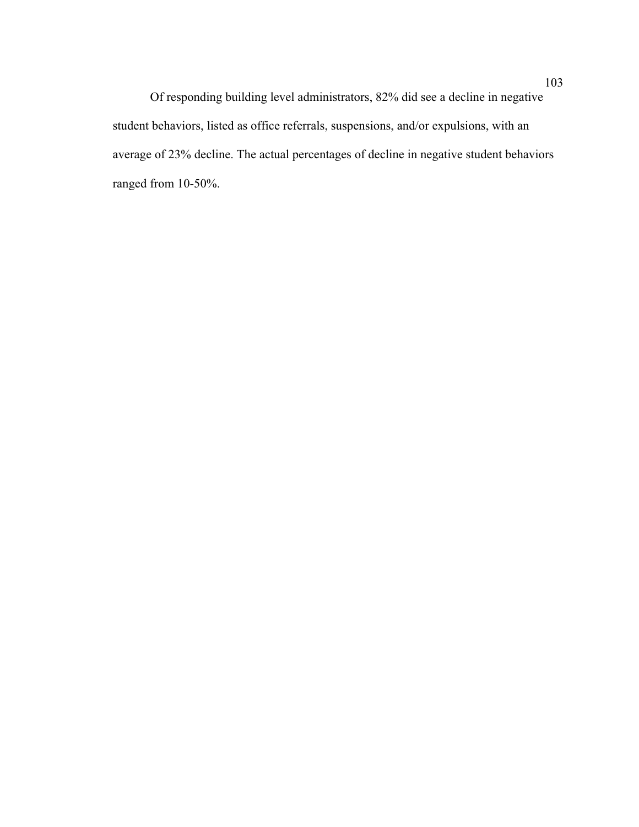Of responding building level administrators, 82% did see a decline in negative student behaviors, listed as office referrals, suspensions, and/or expulsions, with an average of 23% decline. The actual percentages of decline in negative student behaviors ranged from 10-50%.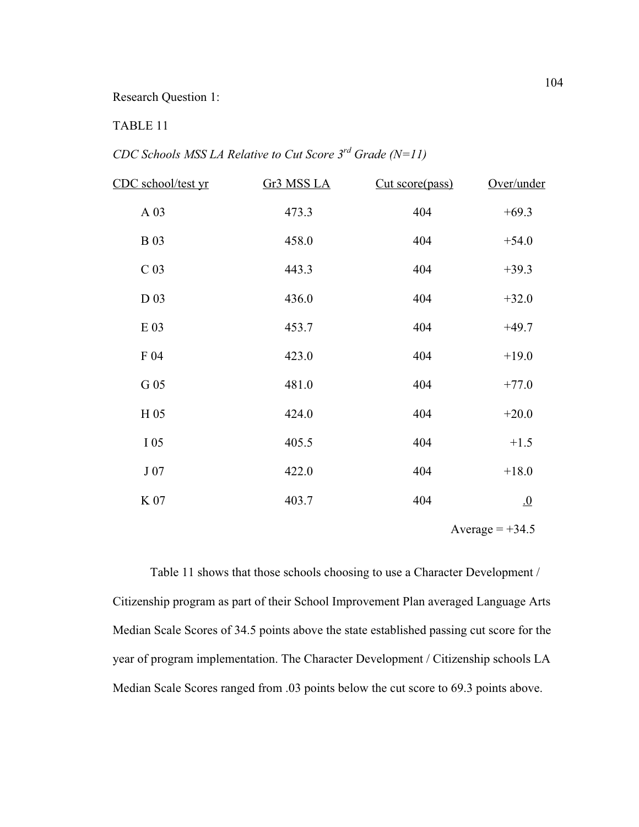#### Research Question 1:

## TABLE 11

*CDC Schools MSS LA Relative to Cut Score 3rd Grade (N=11)* 

| CDC school/test yr | Gr3 MSS LA | Cut score(pass) | Over/under       |
|--------------------|------------|-----------------|------------------|
| A 03               | 473.3      | 404             | $+69.3$          |
| <b>B</b> 03        | 458.0      | 404             | $+54.0$          |
| C <sub>03</sub>    | 443.3      | 404             | $+39.3$          |
| D 03               | 436.0      | 404             | $+32.0$          |
| $E$ 03             | 453.7      | 404             | $+49.7$          |
| F 04               | 423.0      | 404             | $+19.0$          |
| G 05               | 481.0      | 404             | $+77.0$          |
| H 05               | 424.0      | 404             | $+20.0$          |
| I 05               | 405.5      | 404             | $+1.5$           |
| J 07               | 422.0      | 404             | $+18.0$          |
| K 07               | 403.7      | 404             | $\underline{.0}$ |
|                    |            |                 |                  |

Average  $= +34.5$ 

 Table 11 shows that those schools choosing to use a Character Development / Citizenship program as part of their School Improvement Plan averaged Language Arts Median Scale Scores of 34.5 points above the state established passing cut score for the year of program implementation. The Character Development / Citizenship schools LA Median Scale Scores ranged from .03 points below the cut score to 69.3 points above.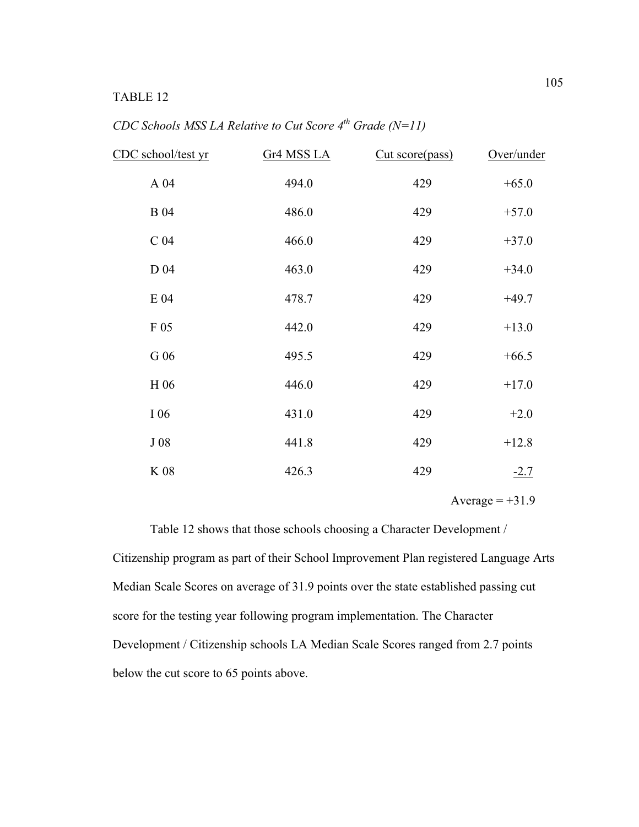## TABLE 12

| CDC Schools MSS LA Relative to Cut Score $4^{th}$ Grade (N=11) |  |  |  |
|----------------------------------------------------------------|--|--|--|
|----------------------------------------------------------------|--|--|--|

| CDC school/test yr | Gr4 MSS LA | Cut score(pass) | Over/under |
|--------------------|------------|-----------------|------------|
| A 04               | 494.0      | 429             | $+65.0$    |
| <b>B</b> 04        | 486.0      | 429             | $+57.0$    |
| C <sub>04</sub>    | 466.0      | 429             | $+37.0$    |
| D 04               | 463.0      | 429             | $+34.0$    |
| E 04               | 478.7      | 429             | $+49.7$    |
| F 05               | 442.0      | 429             | $+13.0$    |
| G 06               | 495.5      | 429             | $+66.5$    |
| H 06               | 446.0      | 429             | $+17.0$    |
| I 06               | 431.0      | 429             | $+2.0$     |
| J08                | 441.8      | 429             | $+12.8$    |
| $\rm K$ 08         | 426.3      | 429             | $-2.7$     |

Average  $= +31.9$ 

 Table 12 shows that those schools choosing a Character Development / Citizenship program as part of their School Improvement Plan registered Language Arts Median Scale Scores on average of 31.9 points over the state established passing cut score for the testing year following program implementation. The Character Development / Citizenship schools LA Median Scale Scores ranged from 2.7 points below the cut score to 65 points above.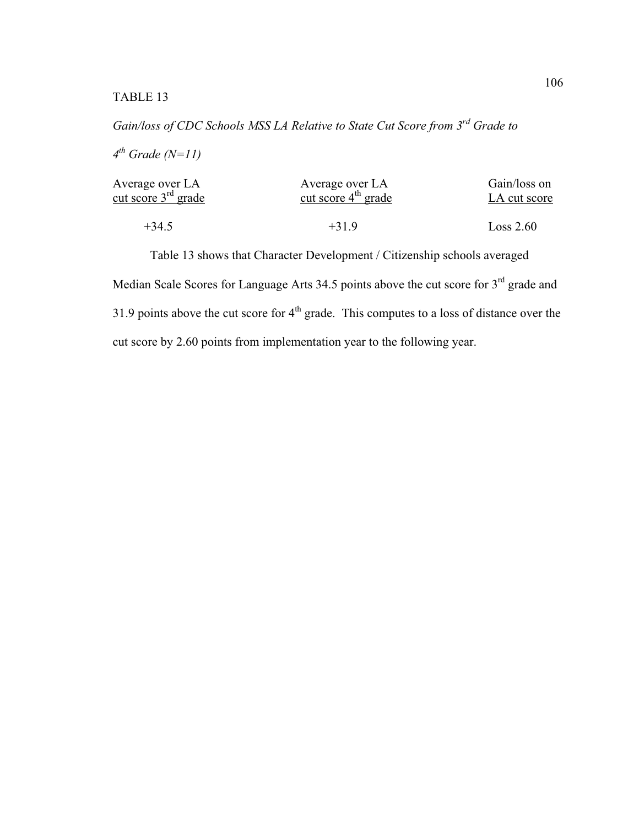*Gain/loss of CDC Schools MSS LA Relative to State Cut Score from 3rd Grade to*

*4 th Grade (N=11)* 

| Average over LA          | Average over LA       | Gain/loss on |
|--------------------------|-----------------------|--------------|
| cut score $3^{rd}$ grade | cut score $4th$ grade | LA cut score |
| $+34.5$                  | $+319$                | Loss 2.60    |

 Table 13 shows that Character Development / Citizenship schools averaged Median Scale Scores for Language Arts 34.5 points above the cut score for 3<sup>rd</sup> grade and 31.9 points above the cut score for  $4<sup>th</sup>$  grade. This computes to a loss of distance over the cut score by 2.60 points from implementation year to the following year.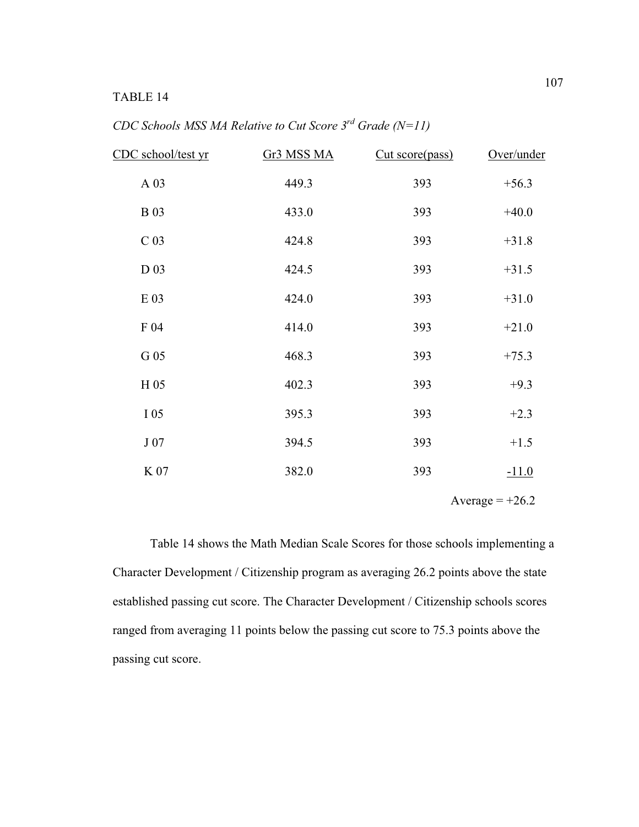### TABLE 14

| CDC school/test yr | Gr3 MSS MA | Cut score(pass) | Over/under |
|--------------------|------------|-----------------|------------|
| A 03               | 449.3      | 393             | $+56.3$    |
| <b>B</b> 03        | 433.0      | 393             | $+40.0$    |
| C <sub>03</sub>    | 424.8      | 393             | $+31.8$    |
| D 03               | 424.5      | 393             | $+31.5$    |
| E 03               | 424.0      | 393             | $+31.0$    |
| F 04               | 414.0      | 393             | $+21.0$    |
| G 05               | 468.3      | 393             | $+75.3$    |
| H 05               | 402.3      | 393             | $+9.3$     |
| I 05               | 395.3      | 393             | $+2.3$     |
| J 07               | 394.5      | 393             | $+1.5$     |
| K 07               | 382.0      | 393             | $-11.0$    |
|                    |            |                 |            |

*CDC Schools MSS MA Relative to Cut Score 3rd Grade (N=11)* 

Average  $= +26.2$ 

 Table 14 shows the Math Median Scale Scores for those schools implementing a Character Development / Citizenship program as averaging 26.2 points above the state established passing cut score. The Character Development / Citizenship schools scores ranged from averaging 11 points below the passing cut score to 75.3 points above the passing cut score.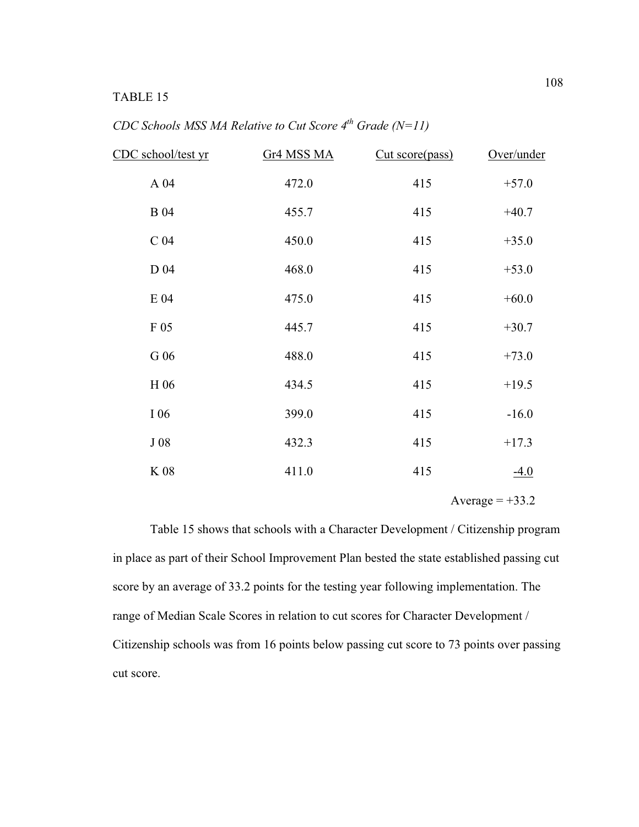## TABLE 15

| CDC Schools MSS MA Relative to Cut Score $4^{th}$ Grade (N=11) |
|----------------------------------------------------------------|
|----------------------------------------------------------------|

| CDC school/test yr | Gr <sub>4</sub> MSS MA | Cut score(pass) | Over/under |
|--------------------|------------------------|-----------------|------------|
| A 04               | 472.0                  | 415             | $+57.0$    |
| <b>B</b> 04        | 455.7                  | 415             | $+40.7$    |
| C <sub>04</sub>    | 450.0                  | 415             | $+35.0$    |
| D 04               | 468.0                  | 415             | $+53.0$    |
| E 04               | 475.0                  | 415             | $+60.0$    |
| F 05               | 445.7                  | 415             | $+30.7$    |
| G 06               | 488.0                  | 415             | $+73.0$    |
| H 06               | 434.5                  | 415             | $+19.5$    |
| I 06               | 399.0                  | 415             | $-16.0$    |
| J08                | 432.3                  | 415             | $+17.3$    |
| $\rm K$ 08         | 411.0                  | 415             | $-4.0$     |

Average  $= +33.2$ 

 Table 15 shows that schools with a Character Development / Citizenship program in place as part of their School Improvement Plan bested the state established passing cut score by an average of 33.2 points for the testing year following implementation. The range of Median Scale Scores in relation to cut scores for Character Development / Citizenship schools was from 16 points below passing cut score to 73 points over passing cut score.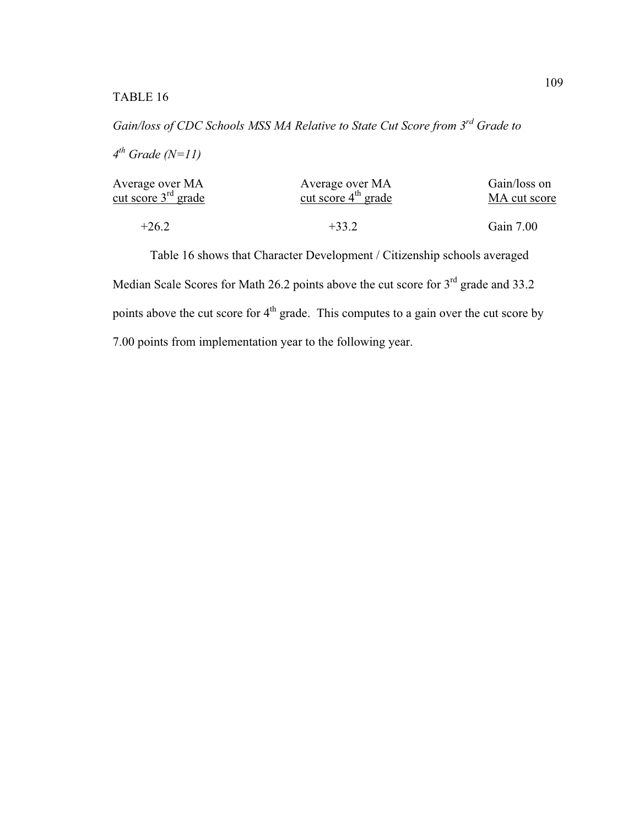*Gain/loss of CDC Schools MSS MA Relative to State Cut Score from 3rd Grade to*

*4 th Grade (N=11)* 

| Average over MA          | Average over MA       | Gain/loss on |
|--------------------------|-----------------------|--------------|
| cut score $3^{rd}$ grade | cut score $4th$ grade | MA cut score |
|                          |                       |              |
| $+26.2$                  | $+33.2$               | Gain 7.00    |

Table 16 shows that Character Development / Citizenship schools averaged Median Scale Scores for Math 26.2 points above the cut score for  $3<sup>rd</sup>$  grade and 33.2 points above the cut score for  $4<sup>th</sup>$  grade. This computes to a gain over the cut score by 7.00 points from implementation year to the following year.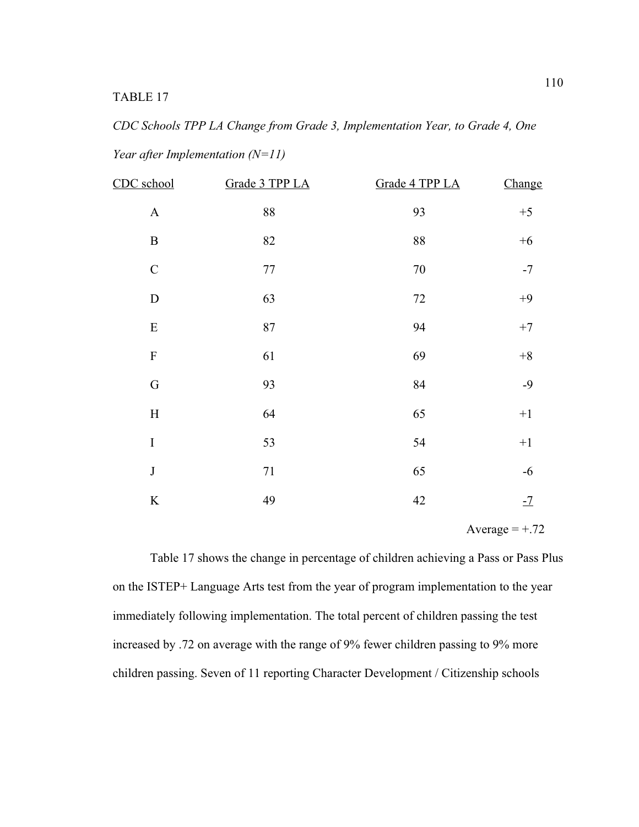# *CDC Schools TPP LA Change from Grade 3, Implementation Year, to Grade 4, One Year after Implementation (N=11)*

| CDC school   | Grade 3 TPP LA | Grade 4 TPP LA | Change  |
|--------------|----------------|----------------|---------|
| $\mathbf A$  | 88             | 93             | $+5$    |
| $\, {\bf B}$ | 82             | 88             | $+6$    |
| $\mathbf C$  | $77 \,$        | $70\,$         | $-7$    |
| ${\bf D}$    | 63             | $72\,$         | $+9$    |
| ${\bf E}$    | 87             | 94             | $+7$    |
| ${\bf F}$    | 61             | 69             | $\bf+8$ |
| ${\bf G}$    | 93             | 84             | $-9$    |
| $\rm H$      | 64             | 65             | $+1$    |
| $\rm I$      | 53             | 54             | $+1$    |
| $\bf J$      | $71\,$         | 65             | $-6$    |
| $\bf K$      | 49             | 42             | $-7$    |

Average  $= +.72$ 

 Table 17 shows the change in percentage of children achieving a Pass or Pass Plus on the ISTEP+ Language Arts test from the year of program implementation to the year immediately following implementation. The total percent of children passing the test increased by .72 on average with the range of 9% fewer children passing to 9% more children passing. Seven of 11 reporting Character Development / Citizenship schools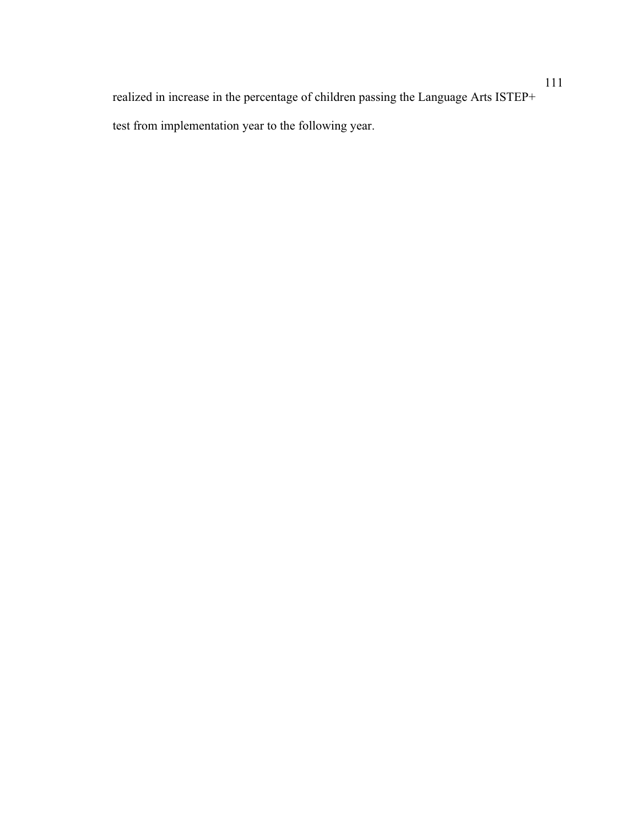realized in increase in the percentage of children passing the Language Arts ISTEP+ test from implementation year to the following year.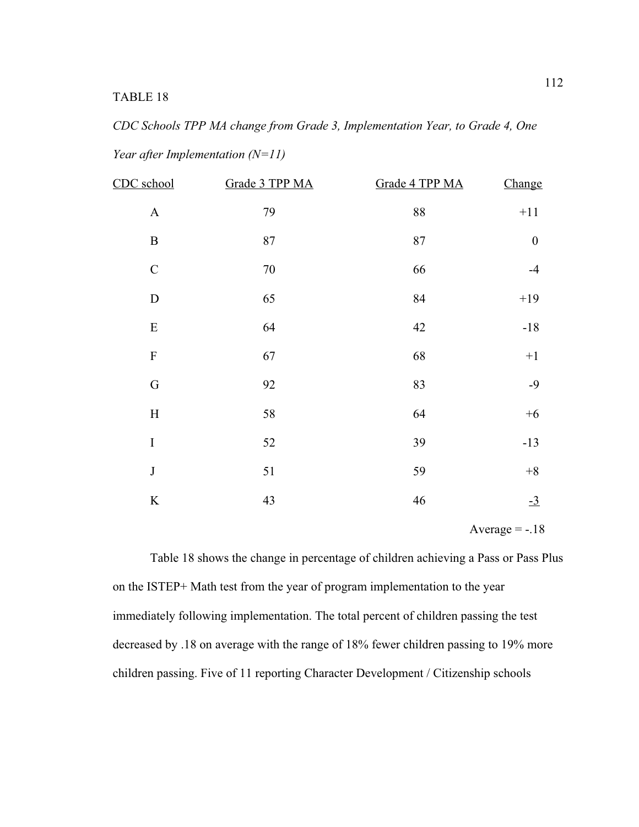*CDC Schools TPP MA change from Grade 3, Implementation Year, to Grade 4, One Year after Implementation (N=11)* 

| CDC school                | Grade 3 TPP MA | Grade 4 TPP MA | Change           |
|---------------------------|----------------|----------------|------------------|
| $\boldsymbol{\rm{A}}$     | 79             | 88             | $+11$            |
| $\, {\bf B}$              | 87             | 87             | $\boldsymbol{0}$ |
| $\mathbf C$               | $70\,$         | 66             | $-4$             |
| ${\bf D}$                 | 65             | 84             | $+19$            |
| ${\bf E}$                 | 64             | 42             | $-18$            |
| $\mathbf F$               | 67             | 68             | $+1$             |
| G                         | 92             | 83             | $-9$             |
| $\boldsymbol{\mathrm{H}}$ | 58             | 64             | $+6$             |
| $\bf I$                   | 52             | 39             | $-13$            |
| $\mathbf{J}$              | 51             | 59             | $\bf+8$          |
| $\rm K$                   | 43             | 46             | $\frac{-3}{2}$   |

Average  $= -.18$ 

Table 18 shows the change in percentage of children achieving a Pass or Pass Plus on the ISTEP+ Math test from the year of program implementation to the year immediately following implementation. The total percent of children passing the test decreased by .18 on average with the range of 18% fewer children passing to 19% more children passing. Five of 11 reporting Character Development / Citizenship schools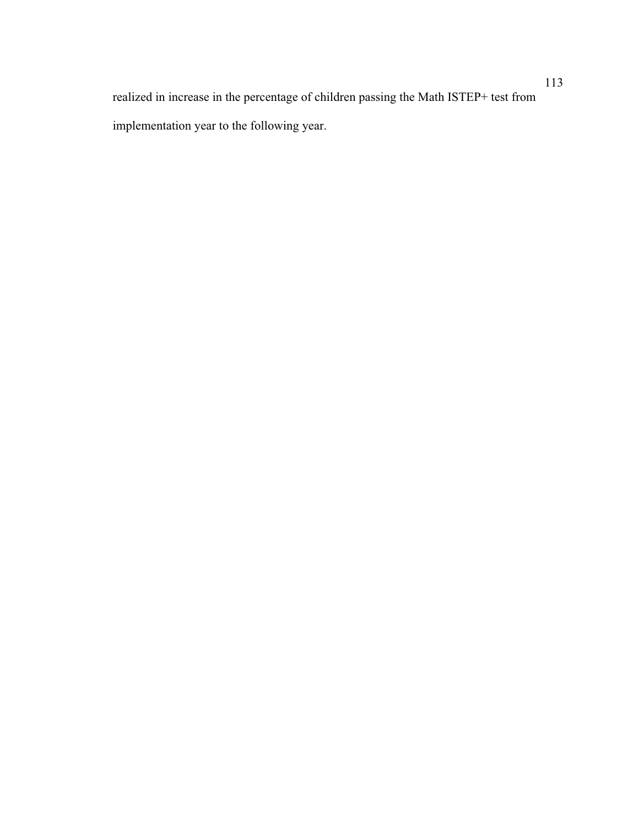realized in increase in the percentage of children passing the Math ISTEP+ test from implementation year to the following year.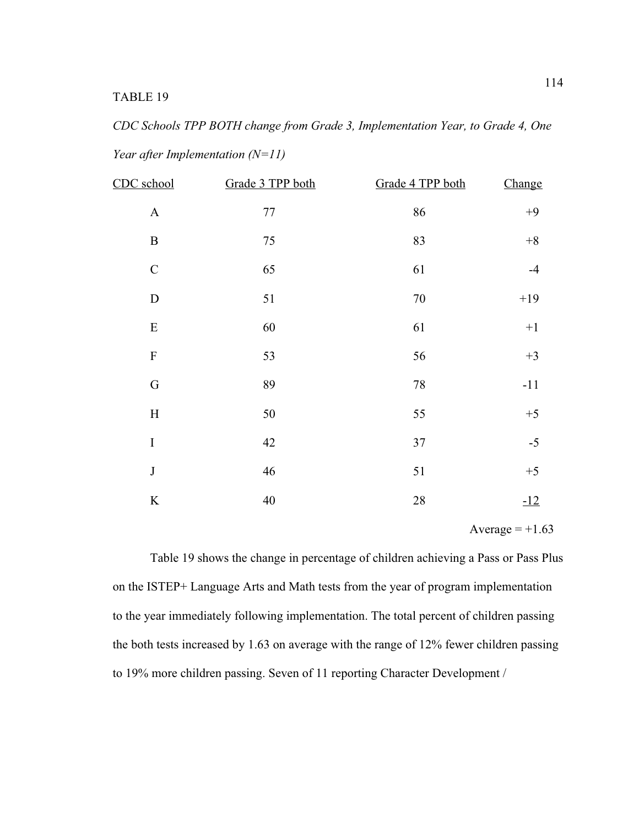*CDC Schools TPP BOTH change from Grade 3, Implementation Year, to Grade 4, One Year after Implementation (N=11)* 

| CDC school   | Grade 3 TPP both | Grade 4 TPP both | Change |
|--------------|------------------|------------------|--------|
| $\mathbf A$  | $77 \,$          | 86               | $+9$   |
| $\, {\bf B}$ | 75               | 83               | $+8$   |
| $\mathsf C$  | 65               | 61               | $-4$   |
| ${\bf D}$    | 51               | 70               | $+19$  |
| ${\bf E}$    | 60               | 61               | $+1$   |
| $\mathbf F$  | 53               | 56               | $+3$   |
| $\mathbf G$  | 89               | 78               | $-11$  |
| $\mathbf H$  | 50               | 55               | $+5$   |
| $\rm I$      | 42               | 37               | $-5$   |
| $\bf J$      | 46               | 51               | $+5$   |
| $\rm K$      | 40               | 28               | $-12$  |

Average  $= +1.63$ 

Table 19 shows the change in percentage of children achieving a Pass or Pass Plus on the ISTEP+ Language Arts and Math tests from the year of program implementation to the year immediately following implementation. The total percent of children passing the both tests increased by 1.63 on average with the range of 12% fewer children passing to 19% more children passing. Seven of 11 reporting Character Development /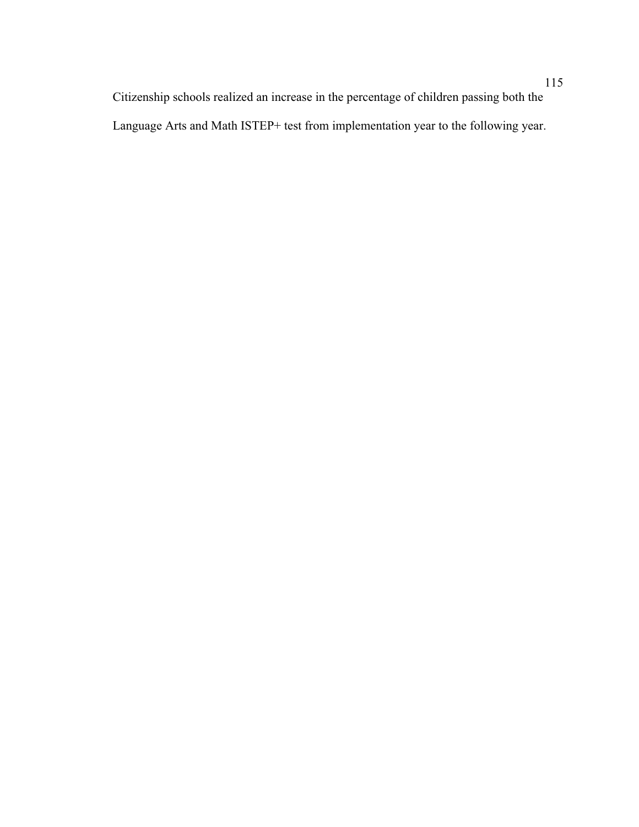Citizenship schools realized an increase in the percentage of children passing both the Language Arts and Math ISTEP+ test from implementation year to the following year.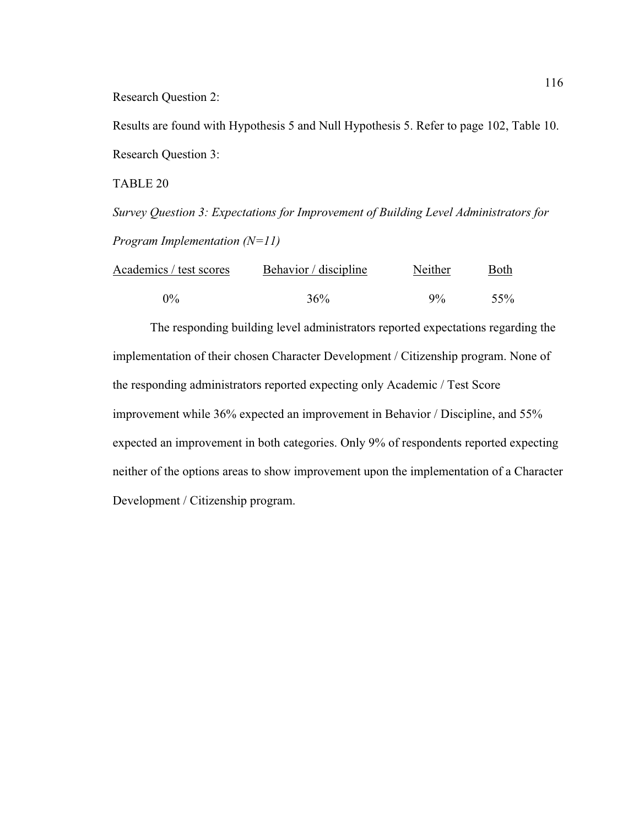Research Question 2:

Results are found with Hypothesis 5 and Null Hypothesis 5. Refer to page 102, Table 10. Research Question 3:

TABLE 20

*Survey Question 3: Expectations for Improvement of Building Level Administrators for Program Implementation (N=11)*

| Academics / test scores | Behavior / discipline | Neither | Both |
|-------------------------|-----------------------|---------|------|
| $0\%$                   | 36%                   | $9\%$   | .55% |

 The responding building level administrators reported expectations regarding the implementation of their chosen Character Development / Citizenship program. None of the responding administrators reported expecting only Academic / Test Score improvement while 36% expected an improvement in Behavior / Discipline, and 55% expected an improvement in both categories. Only 9% of respondents reported expecting neither of the options areas to show improvement upon the implementation of a Character Development / Citizenship program.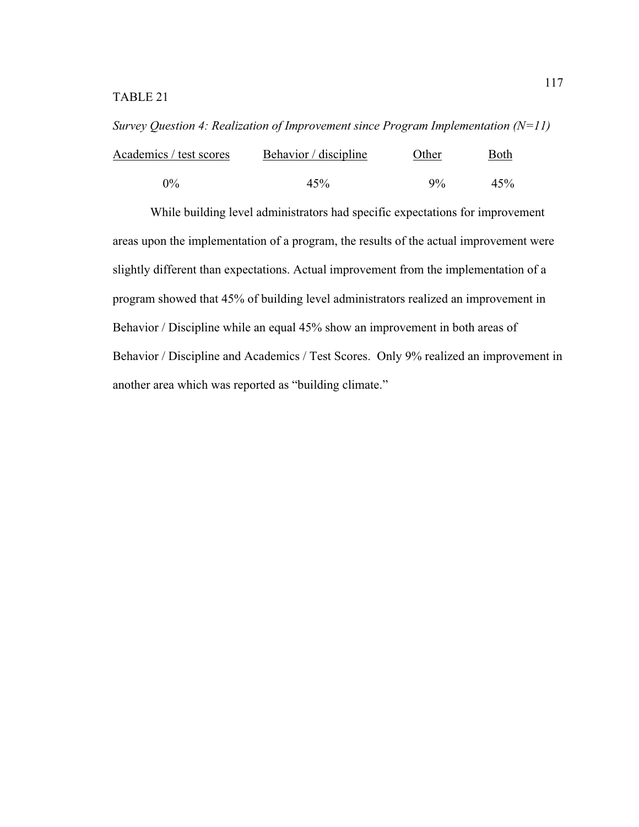*Survey Question 4: Realization of Improvement since Program Implementation (N=11)*  Academics / test scores Behavior / discipline Other Both

| $0\%$ | 45%          | 45%<br>$9\%$ |  |
|-------|--------------|--------------|--|
|       | $\mathbf{1}$ |              |  |

 While building level administrators had specific expectations for improvement areas upon the implementation of a program, the results of the actual improvement were slightly different than expectations. Actual improvement from the implementation of a program showed that 45% of building level administrators realized an improvement in Behavior / Discipline while an equal 45% show an improvement in both areas of Behavior / Discipline and Academics / Test Scores. Only 9% realized an improvement in another area which was reported as "building climate."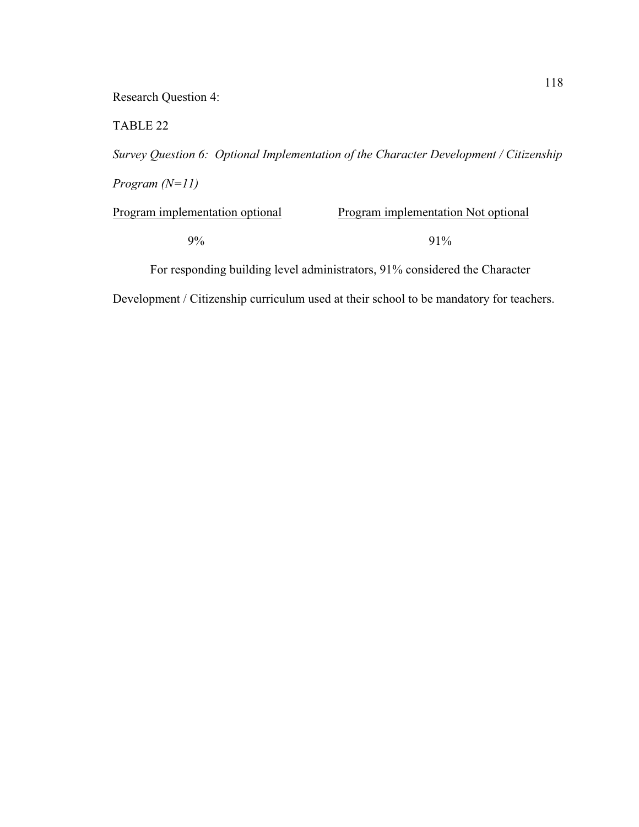Research Question 4:

TABLE 22

*Survey Question 6: Optional Implementation of the Character Development / Citizenship Program (N=11)* 

Program implementation optional Program implementation Not optional  $9\%$  91%

For responding building level administrators, 91% considered the Character

Development / Citizenship curriculum used at their school to be mandatory for teachers.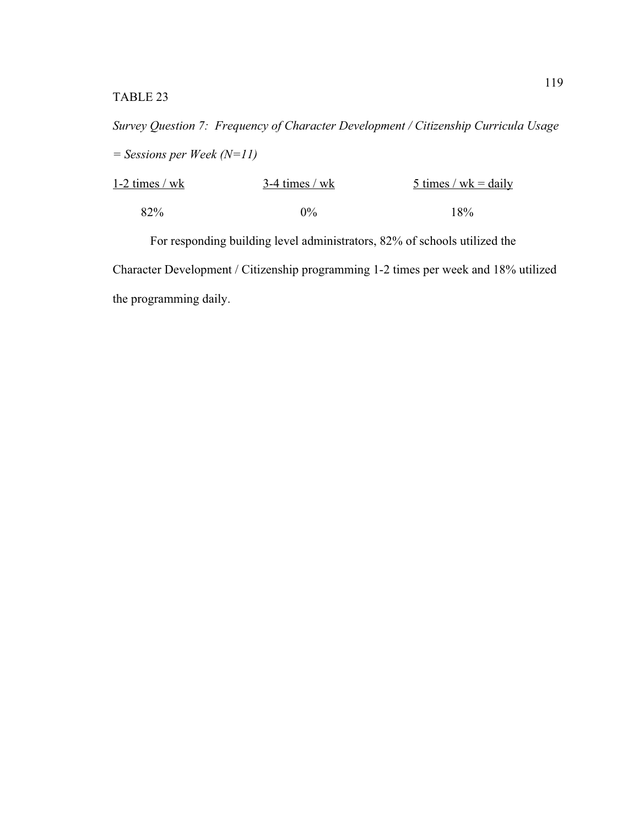*Survey Question 7: Frequency of Character Development / Citizenship Curricula Usage = Sessions per Week (N=11)* 

| $1-2$ times / wk | $3-4$ times / wk | 5 times / wk = daily |
|------------------|------------------|----------------------|
| 82%              | $0\%$            | $18\%$               |

 For responding building level administrators, 82% of schools utilized the Character Development / Citizenship programming 1-2 times per week and 18% utilized the programming daily.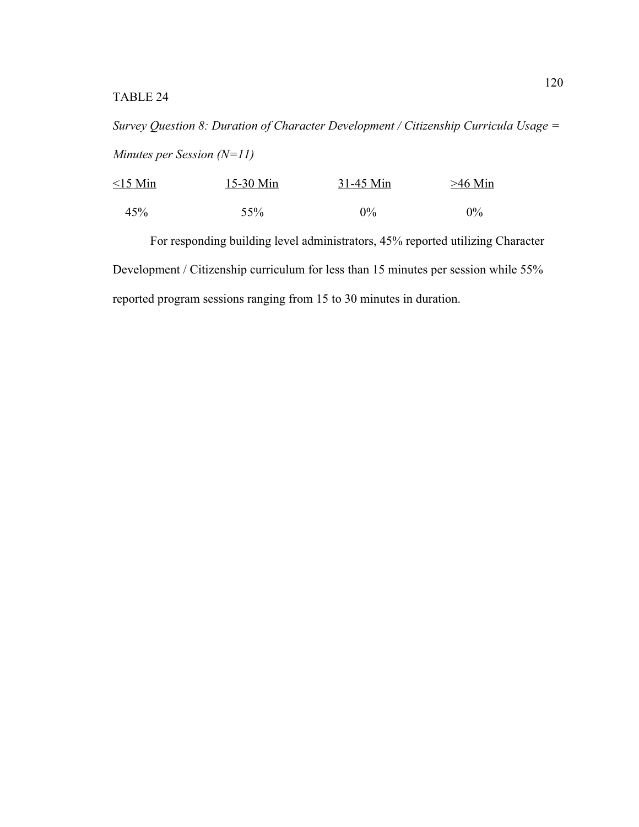# TABLE 24

*Survey Question 8: Duration of Character Development / Citizenship Curricula Usage = Minutes per Session (N=11)* 

| $<$ 15 Min | $15-30$ Min | $31-45$ Min | $>46$ Min |
|------------|-------------|-------------|-----------|
| 45%        | 55%         | $0\%$       | $0\%$     |

 For responding building level administrators, 45% reported utilizing Character Development / Citizenship curriculum for less than 15 minutes per session while 55% reported program sessions ranging from 15 to 30 minutes in duration.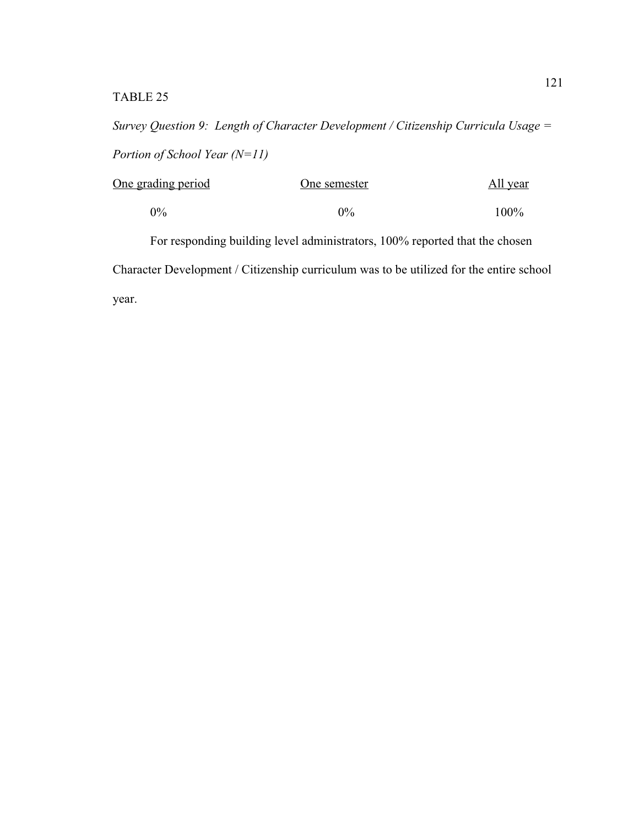*Survey Question 9: Length of Character Development / Citizenship Curricula Usage = Portion of School Year (N=11)* 

| One grading period | One semester | <u>All year</u> |
|--------------------|--------------|-----------------|
| $0\%$              | $0\%$        | $100\%$         |

 For responding building level administrators, 100% reported that the chosen Character Development / Citizenship curriculum was to be utilized for the entire school year.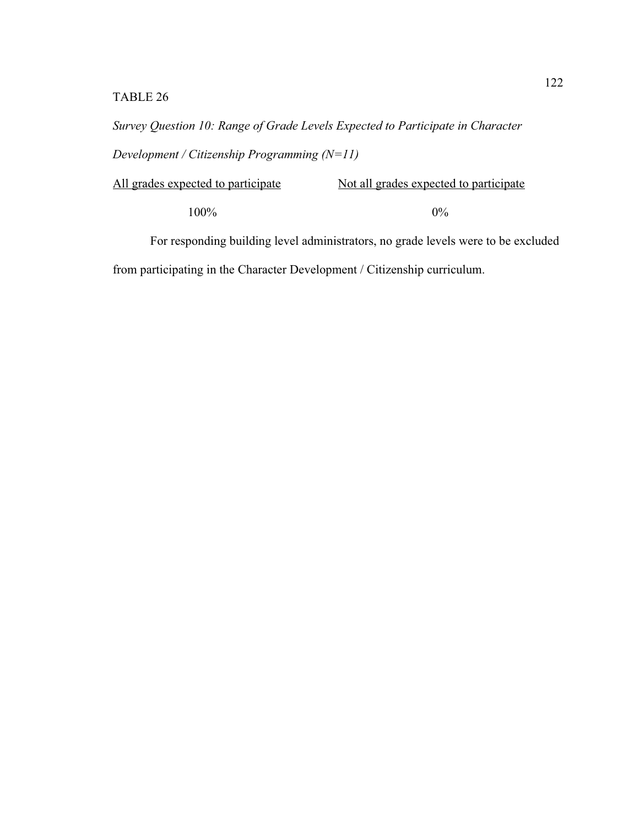# TABLE 26

*Survey Question 10: Range of Grade Levels Expected to Participate in Character Development / Citizenship Programming (N=11)* 

| All grades expected to participate | Not all grades expected to participate |
|------------------------------------|----------------------------------------|
| $100\%$                            | $0\%$                                  |

For responding building level administrators, no grade levels were to be excluded

from participating in the Character Development / Citizenship curriculum.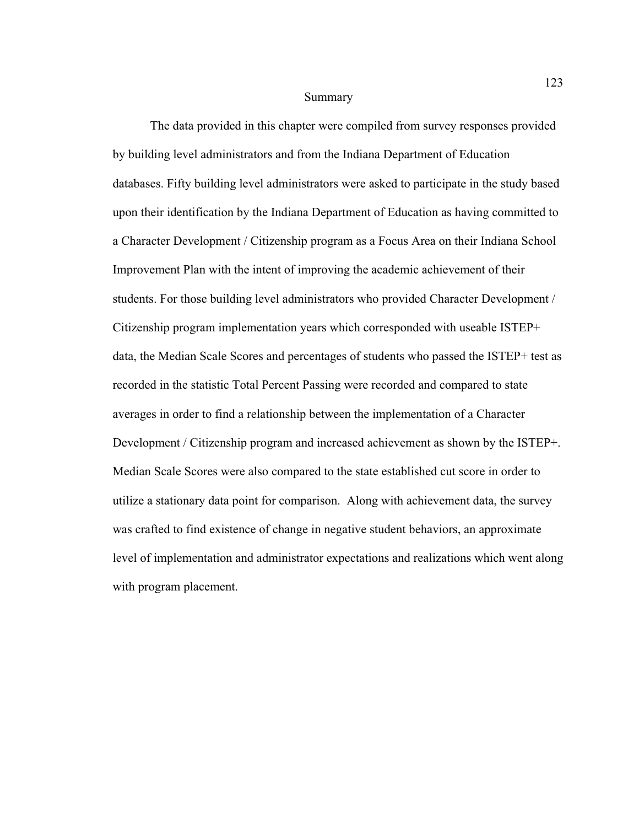#### Summary

 The data provided in this chapter were compiled from survey responses provided by building level administrators and from the Indiana Department of Education databases. Fifty building level administrators were asked to participate in the study based upon their identification by the Indiana Department of Education as having committed to a Character Development / Citizenship program as a Focus Area on their Indiana School Improvement Plan with the intent of improving the academic achievement of their students. For those building level administrators who provided Character Development / Citizenship program implementation years which corresponded with useable ISTEP+ data, the Median Scale Scores and percentages of students who passed the ISTEP+ test as recorded in the statistic Total Percent Passing were recorded and compared to state averages in order to find a relationship between the implementation of a Character Development / Citizenship program and increased achievement as shown by the ISTEP+. Median Scale Scores were also compared to the state established cut score in order to utilize a stationary data point for comparison. Along with achievement data, the survey was crafted to find existence of change in negative student behaviors, an approximate level of implementation and administrator expectations and realizations which went along with program placement.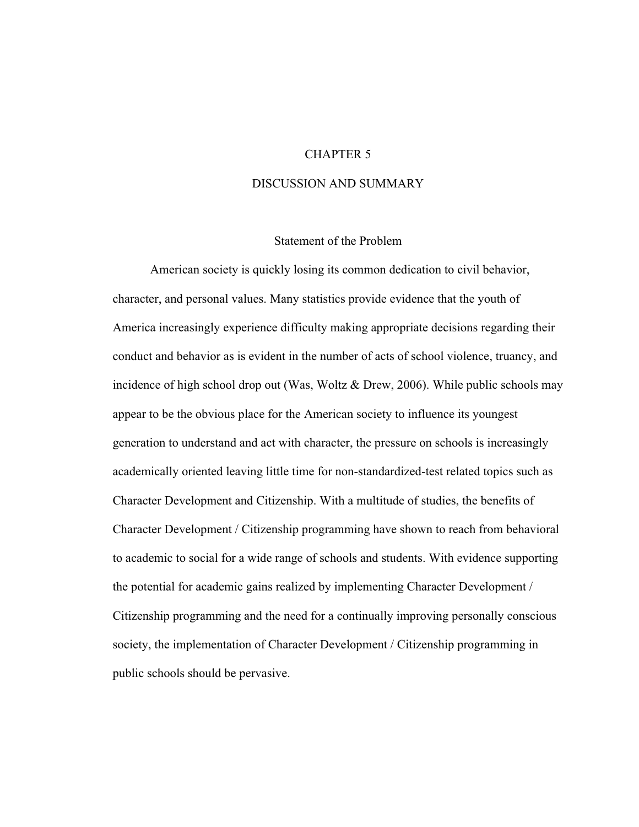## CHAPTER 5

#### DISCUSSION AND SUMMARY

#### Statement of the Problem

 American society is quickly losing its common dedication to civil behavior, character, and personal values. Many statistics provide evidence that the youth of America increasingly experience difficulty making appropriate decisions regarding their conduct and behavior as is evident in the number of acts of school violence, truancy, and incidence of high school drop out (Was, Woltz & Drew, 2006). While public schools may appear to be the obvious place for the American society to influence its youngest generation to understand and act with character, the pressure on schools is increasingly academically oriented leaving little time for non-standardized-test related topics such as Character Development and Citizenship. With a multitude of studies, the benefits of Character Development / Citizenship programming have shown to reach from behavioral to academic to social for a wide range of schools and students. With evidence supporting the potential for academic gains realized by implementing Character Development / Citizenship programming and the need for a continually improving personally conscious society, the implementation of Character Development / Citizenship programming in public schools should be pervasive.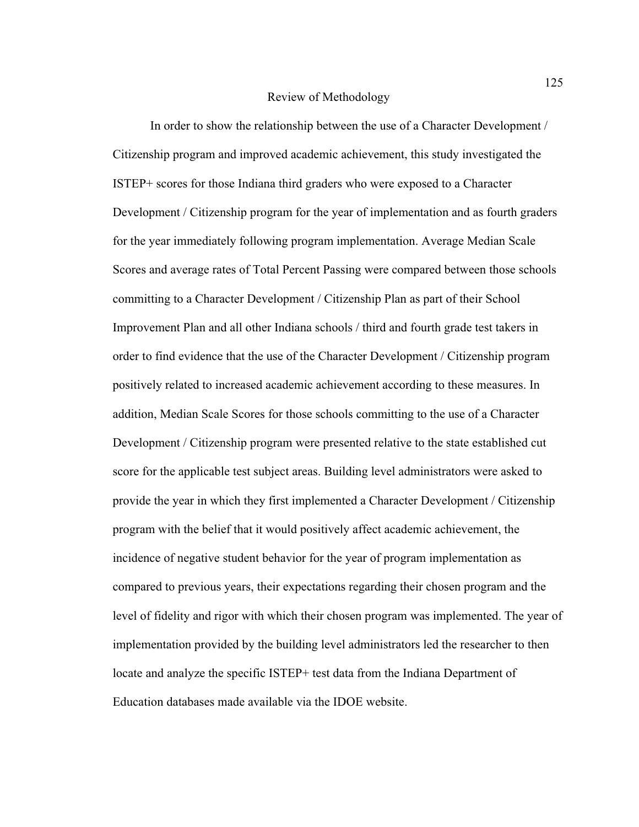#### Review of Methodology

In order to show the relationship between the use of a Character Development / Citizenship program and improved academic achievement, this study investigated the ISTEP+ scores for those Indiana third graders who were exposed to a Character Development / Citizenship program for the year of implementation and as fourth graders for the year immediately following program implementation. Average Median Scale Scores and average rates of Total Percent Passing were compared between those schools committing to a Character Development / Citizenship Plan as part of their School Improvement Plan and all other Indiana schools / third and fourth grade test takers in order to find evidence that the use of the Character Development / Citizenship program positively related to increased academic achievement according to these measures. In addition, Median Scale Scores for those schools committing to the use of a Character Development / Citizenship program were presented relative to the state established cut score for the applicable test subject areas. Building level administrators were asked to provide the year in which they first implemented a Character Development / Citizenship program with the belief that it would positively affect academic achievement, the incidence of negative student behavior for the year of program implementation as compared to previous years, their expectations regarding their chosen program and the level of fidelity and rigor with which their chosen program was implemented. The year of implementation provided by the building level administrators led the researcher to then locate and analyze the specific ISTEP+ test data from the Indiana Department of Education databases made available via the IDOE website.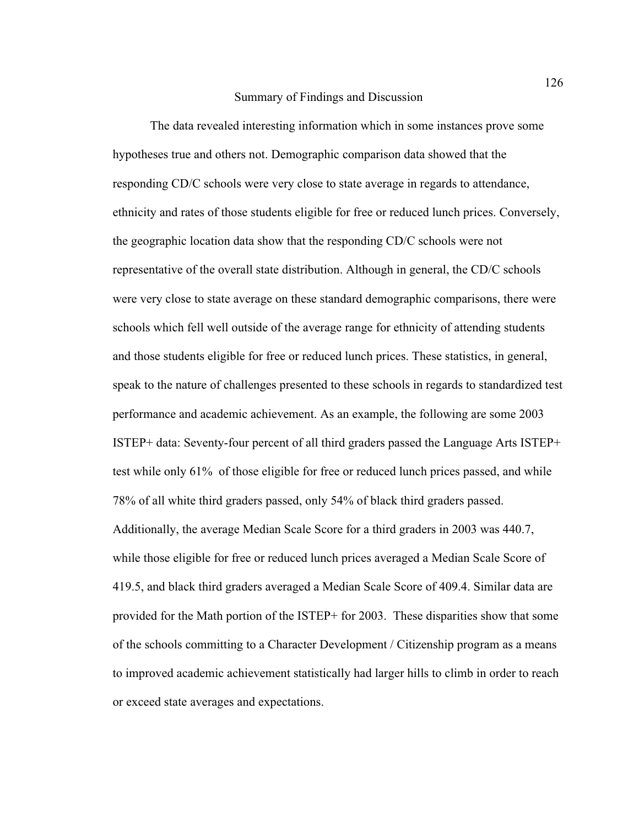#### Summary of Findings and Discussion

The data revealed interesting information which in some instances prove some hypotheses true and others not. Demographic comparison data showed that the responding CD/C schools were very close to state average in regards to attendance, ethnicity and rates of those students eligible for free or reduced lunch prices. Conversely, the geographic location data show that the responding CD/C schools were not representative of the overall state distribution. Although in general, the CD/C schools were very close to state average on these standard demographic comparisons, there were schools which fell well outside of the average range for ethnicity of attending students and those students eligible for free or reduced lunch prices. These statistics, in general, speak to the nature of challenges presented to these schools in regards to standardized test performance and academic achievement. As an example, the following are some 2003 ISTEP+ data: Seventy-four percent of all third graders passed the Language Arts ISTEP+ test while only 61% of those eligible for free or reduced lunch prices passed, and while 78% of all white third graders passed, only 54% of black third graders passed. Additionally, the average Median Scale Score for a third graders in 2003 was 440.7, while those eligible for free or reduced lunch prices averaged a Median Scale Score of 419.5, and black third graders averaged a Median Scale Score of 409.4. Similar data are provided for the Math portion of the ISTEP+ for 2003. These disparities show that some of the schools committing to a Character Development / Citizenship program as a means to improved academic achievement statistically had larger hills to climb in order to reach or exceed state averages and expectations.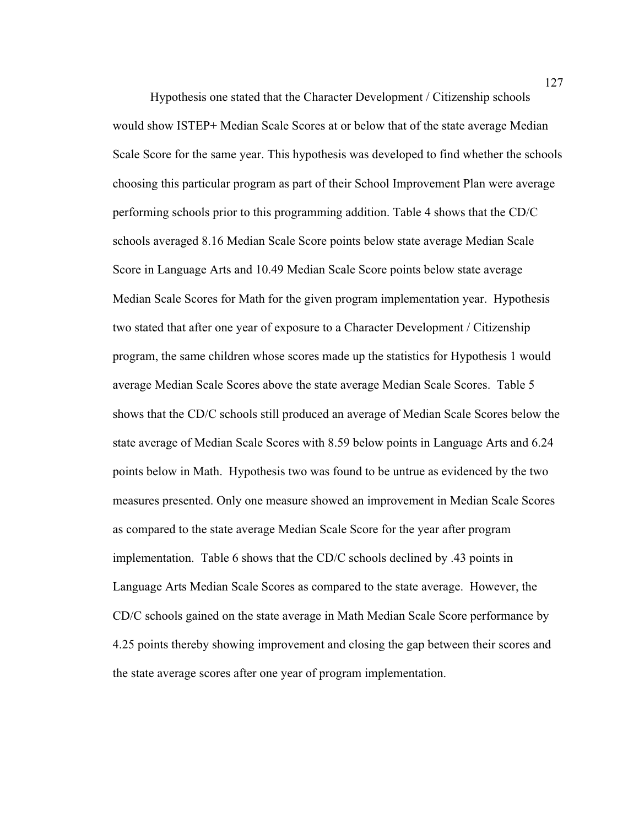Hypothesis one stated that the Character Development / Citizenship schools would show ISTEP+ Median Scale Scores at or below that of the state average Median Scale Score for the same year. This hypothesis was developed to find whether the schools choosing this particular program as part of their School Improvement Plan were average performing schools prior to this programming addition. Table 4 shows that the CD/C schools averaged 8.16 Median Scale Score points below state average Median Scale Score in Language Arts and 10.49 Median Scale Score points below state average Median Scale Scores for Math for the given program implementation year. Hypothesis two stated that after one year of exposure to a Character Development / Citizenship program, the same children whose scores made up the statistics for Hypothesis 1 would average Median Scale Scores above the state average Median Scale Scores. Table 5 shows that the CD/C schools still produced an average of Median Scale Scores below the state average of Median Scale Scores with 8.59 below points in Language Arts and 6.24 points below in Math. Hypothesis two was found to be untrue as evidenced by the two measures presented. Only one measure showed an improvement in Median Scale Scores as compared to the state average Median Scale Score for the year after program implementation. Table 6 shows that the CD/C schools declined by .43 points in Language Arts Median Scale Scores as compared to the state average. However, the CD/C schools gained on the state average in Math Median Scale Score performance by 4.25 points thereby showing improvement and closing the gap between their scores and the state average scores after one year of program implementation.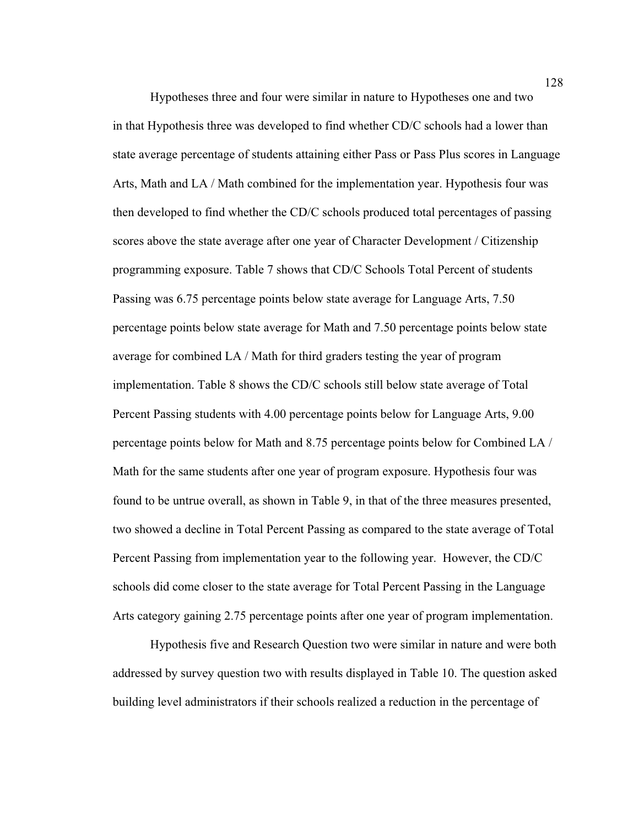Hypotheses three and four were similar in nature to Hypotheses one and two in that Hypothesis three was developed to find whether CD/C schools had a lower than state average percentage of students attaining either Pass or Pass Plus scores in Language Arts, Math and LA / Math combined for the implementation year. Hypothesis four was then developed to find whether the CD/C schools produced total percentages of passing scores above the state average after one year of Character Development / Citizenship programming exposure. Table 7 shows that CD/C Schools Total Percent of students Passing was 6.75 percentage points below state average for Language Arts, 7.50 percentage points below state average for Math and 7.50 percentage points below state average for combined LA / Math for third graders testing the year of program implementation. Table 8 shows the CD/C schools still below state average of Total Percent Passing students with 4.00 percentage points below for Language Arts, 9.00 percentage points below for Math and 8.75 percentage points below for Combined LA / Math for the same students after one year of program exposure. Hypothesis four was found to be untrue overall, as shown in Table 9, in that of the three measures presented, two showed a decline in Total Percent Passing as compared to the state average of Total Percent Passing from implementation year to the following year. However, the CD/C schools did come closer to the state average for Total Percent Passing in the Language Arts category gaining 2.75 percentage points after one year of program implementation.

Hypothesis five and Research Question two were similar in nature and were both addressed by survey question two with results displayed in Table 10. The question asked building level administrators if their schools realized a reduction in the percentage of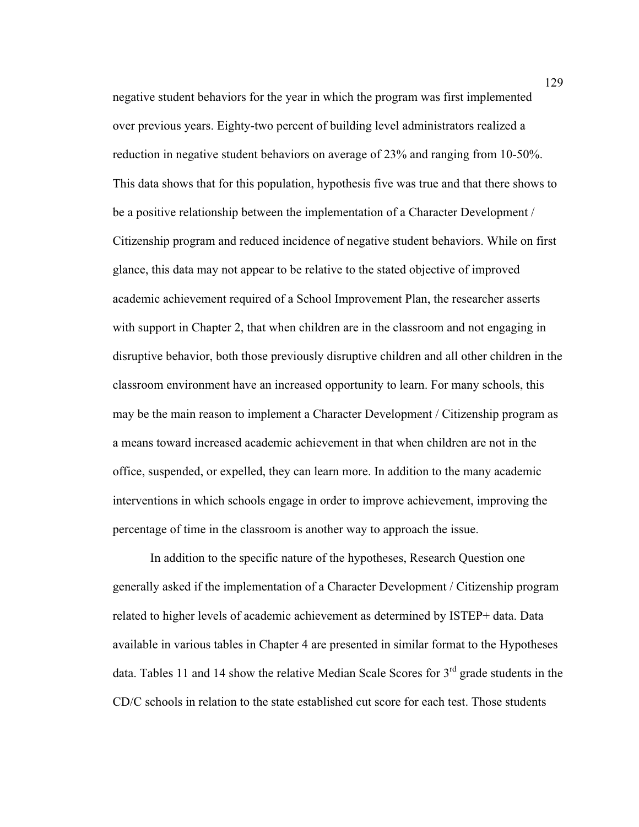negative student behaviors for the year in which the program was first implemented over previous years. Eighty-two percent of building level administrators realized a reduction in negative student behaviors on average of 23% and ranging from 10-50%. This data shows that for this population, hypothesis five was true and that there shows to be a positive relationship between the implementation of a Character Development / Citizenship program and reduced incidence of negative student behaviors. While on first glance, this data may not appear to be relative to the stated objective of improved academic achievement required of a School Improvement Plan, the researcher asserts with support in Chapter 2, that when children are in the classroom and not engaging in disruptive behavior, both those previously disruptive children and all other children in the classroom environment have an increased opportunity to learn. For many schools, this may be the main reason to implement a Character Development / Citizenship program as a means toward increased academic achievement in that when children are not in the office, suspended, or expelled, they can learn more. In addition to the many academic interventions in which schools engage in order to improve achievement, improving the percentage of time in the classroom is another way to approach the issue.

In addition to the specific nature of the hypotheses, Research Question one generally asked if the implementation of a Character Development / Citizenship program related to higher levels of academic achievement as determined by ISTEP+ data. Data available in various tables in Chapter 4 are presented in similar format to the Hypotheses data. Tables 11 and 14 show the relative Median Scale Scores for  $3<sup>rd</sup>$  grade students in the CD/C schools in relation to the state established cut score for each test. Those students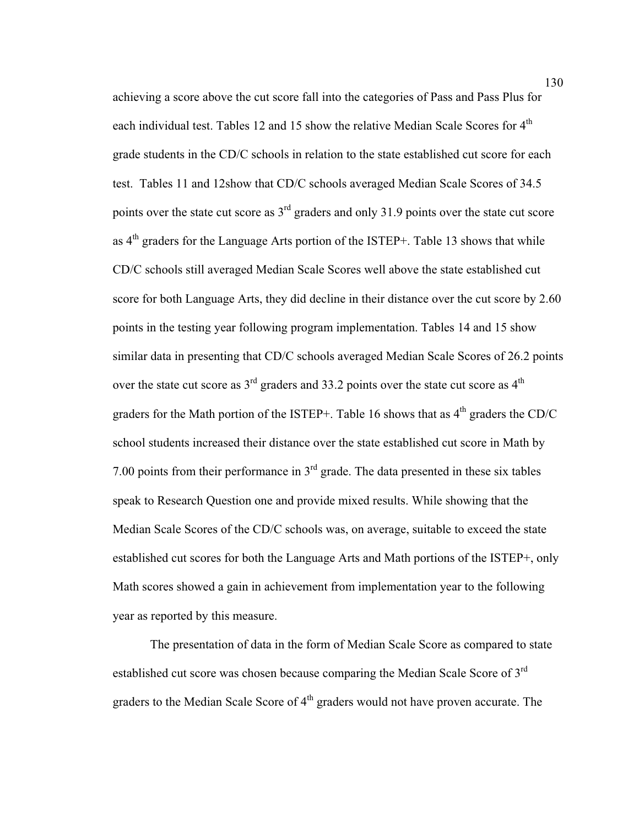achieving a score above the cut score fall into the categories of Pass and Pass Plus for each individual test. Tables 12 and 15 show the relative Median Scale Scores for  $4<sup>th</sup>$ grade students in the CD/C schools in relation to the state established cut score for each test. Tables 11 and 12show that CD/C schools averaged Median Scale Scores of 34.5 points over the state cut score as  $3<sup>rd</sup>$  graders and only 31.9 points over the state cut score as  $4<sup>th</sup>$  graders for the Language Arts portion of the ISTEP+. Table 13 shows that while CD/C schools still averaged Median Scale Scores well above the state established cut score for both Language Arts, they did decline in their distance over the cut score by 2.60 points in the testing year following program implementation. Tables 14 and 15 show similar data in presenting that CD/C schools averaged Median Scale Scores of 26.2 points over the state cut score as  $3<sup>rd</sup>$  graders and 33.2 points over the state cut score as  $4<sup>th</sup>$ graders for the Math portion of the ISTEP+. Table 16 shows that as  $4<sup>th</sup>$  graders the CD/C school students increased their distance over the state established cut score in Math by 7.00 points from their performance in  $3<sup>rd</sup>$  grade. The data presented in these six tables speak to Research Question one and provide mixed results. While showing that the Median Scale Scores of the CD/C schools was, on average, suitable to exceed the state established cut scores for both the Language Arts and Math portions of the ISTEP+, only Math scores showed a gain in achievement from implementation year to the following year as reported by this measure.

The presentation of data in the form of Median Scale Score as compared to state established cut score was chosen because comparing the Median Scale Score of 3<sup>rd</sup> graders to the Median Scale Score of 4<sup>th</sup> graders would not have proven accurate. The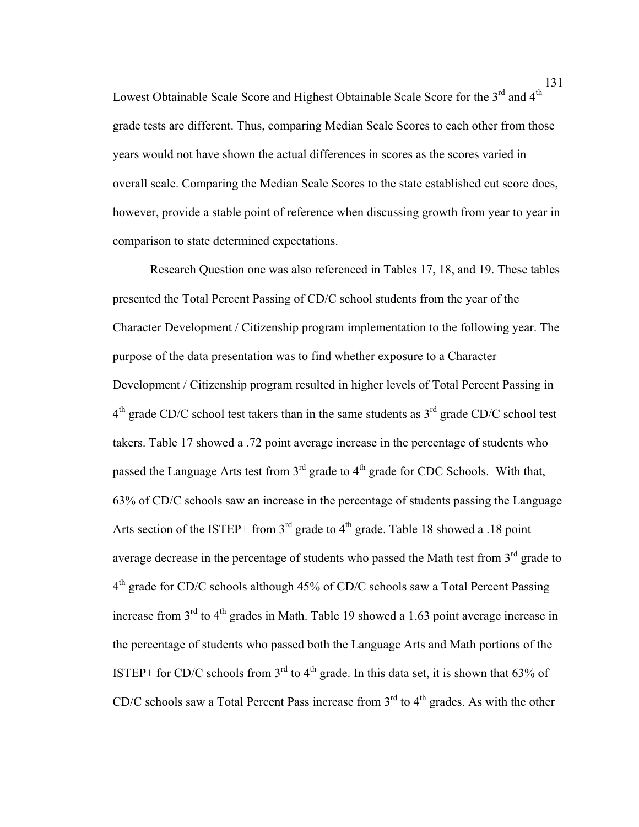Lowest Obtainable Scale Score and Highest Obtainable Scale Score for the  $3<sup>rd</sup>$  and  $4<sup>th</sup>$ grade tests are different. Thus, comparing Median Scale Scores to each other from those years would not have shown the actual differences in scores as the scores varied in overall scale. Comparing the Median Scale Scores to the state established cut score does, however, provide a stable point of reference when discussing growth from year to year in comparison to state determined expectations.

Research Question one was also referenced in Tables 17, 18, and 19. These tables presented the Total Percent Passing of CD/C school students from the year of the Character Development / Citizenship program implementation to the following year. The purpose of the data presentation was to find whether exposure to a Character Development / Citizenship program resulted in higher levels of Total Percent Passing in  $4<sup>th</sup>$  grade CD/C school test takers than in the same students as  $3<sup>rd</sup>$  grade CD/C school test takers. Table 17 showed a .72 point average increase in the percentage of students who passed the Language Arts test from  $3<sup>rd</sup>$  grade to  $4<sup>th</sup>$  grade for CDC Schools. With that, 63% of CD/C schools saw an increase in the percentage of students passing the Language Arts section of the ISTEP+ from  $3<sup>rd</sup>$  grade to  $4<sup>th</sup>$  grade. Table 18 showed a .18 point average decrease in the percentage of students who passed the Math test from  $3<sup>rd</sup>$  grade to 4<sup>th</sup> grade for CD/C schools although 45% of CD/C schools saw a Total Percent Passing increase from  $3<sup>rd</sup>$  to  $4<sup>th</sup>$  grades in Math. Table 19 showed a 1.63 point average increase in the percentage of students who passed both the Language Arts and Math portions of the ISTEP+ for CD/C schools from  $3<sup>rd</sup>$  to  $4<sup>th</sup>$  grade. In this data set, it is shown that 63% of CD/C schools saw a Total Percent Pass increase from  $3<sup>rd</sup>$  to  $4<sup>th</sup>$  grades. As with the other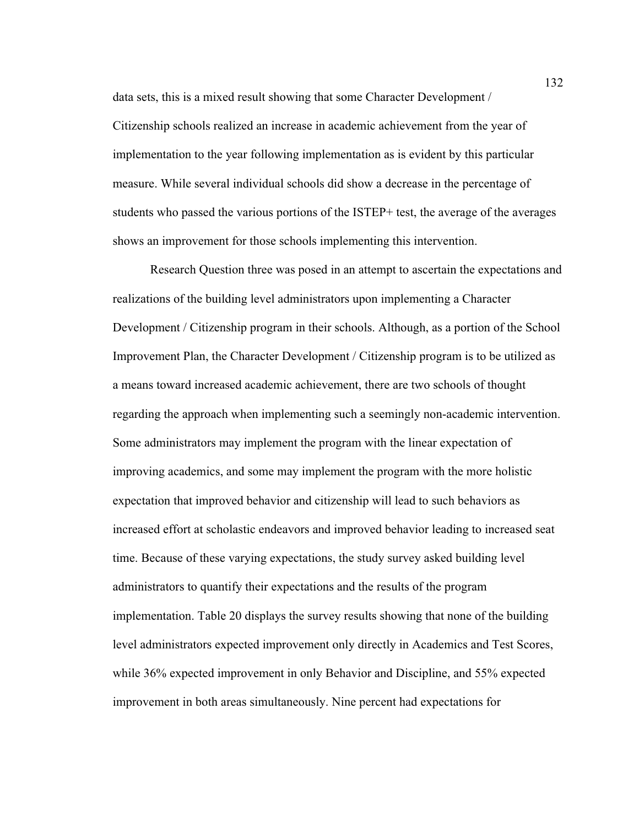data sets, this is a mixed result showing that some Character Development / Citizenship schools realized an increase in academic achievement from the year of implementation to the year following implementation as is evident by this particular measure. While several individual schools did show a decrease in the percentage of students who passed the various portions of the ISTEP+ test, the average of the averages shows an improvement for those schools implementing this intervention.

Research Question three was posed in an attempt to ascertain the expectations and realizations of the building level administrators upon implementing a Character Development / Citizenship program in their schools. Although, as a portion of the School Improvement Plan, the Character Development / Citizenship program is to be utilized as a means toward increased academic achievement, there are two schools of thought regarding the approach when implementing such a seemingly non-academic intervention. Some administrators may implement the program with the linear expectation of improving academics, and some may implement the program with the more holistic expectation that improved behavior and citizenship will lead to such behaviors as increased effort at scholastic endeavors and improved behavior leading to increased seat time. Because of these varying expectations, the study survey asked building level administrators to quantify their expectations and the results of the program implementation. Table 20 displays the survey results showing that none of the building level administrators expected improvement only directly in Academics and Test Scores, while 36% expected improvement in only Behavior and Discipline, and 55% expected improvement in both areas simultaneously. Nine percent had expectations for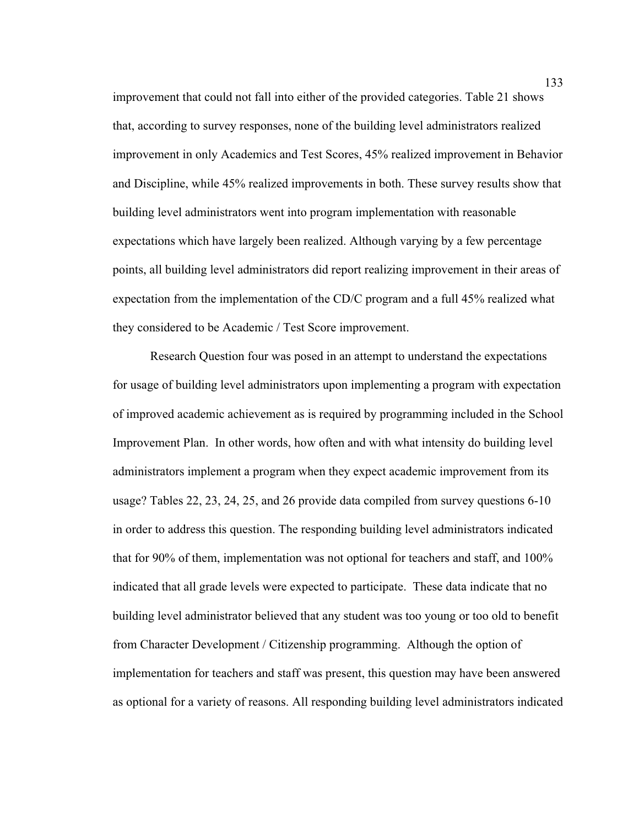improvement that could not fall into either of the provided categories. Table 21 shows that, according to survey responses, none of the building level administrators realized improvement in only Academics and Test Scores, 45% realized improvement in Behavior and Discipline, while 45% realized improvements in both. These survey results show that building level administrators went into program implementation with reasonable expectations which have largely been realized. Although varying by a few percentage points, all building level administrators did report realizing improvement in their areas of expectation from the implementation of the CD/C program and a full 45% realized what they considered to be Academic / Test Score improvement.

Research Question four was posed in an attempt to understand the expectations for usage of building level administrators upon implementing a program with expectation of improved academic achievement as is required by programming included in the School Improvement Plan. In other words, how often and with what intensity do building level administrators implement a program when they expect academic improvement from its usage? Tables 22, 23, 24, 25, and 26 provide data compiled from survey questions 6-10 in order to address this question. The responding building level administrators indicated that for 90% of them, implementation was not optional for teachers and staff, and 100% indicated that all grade levels were expected to participate. These data indicate that no building level administrator believed that any student was too young or too old to benefit from Character Development / Citizenship programming. Although the option of implementation for teachers and staff was present, this question may have been answered as optional for a variety of reasons. All responding building level administrators indicated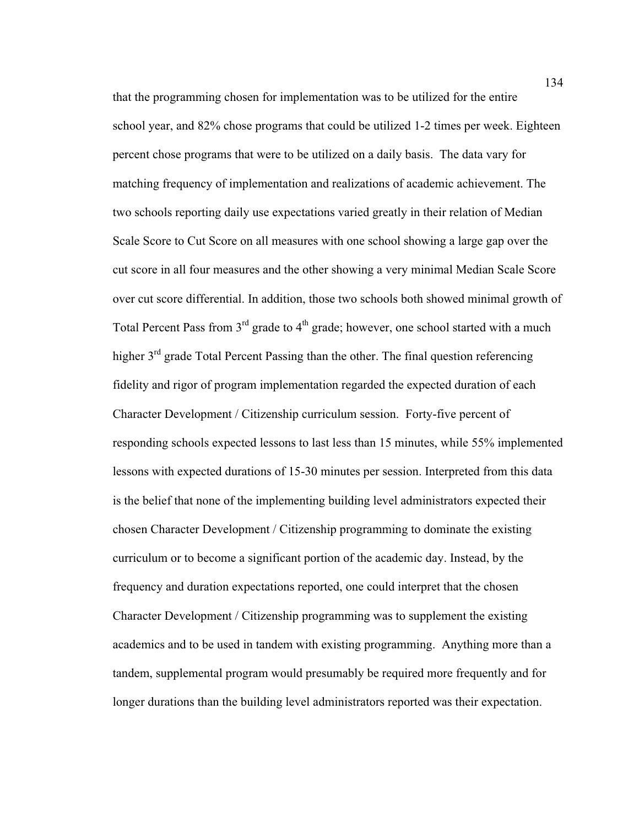that the programming chosen for implementation was to be utilized for the entire school year, and 82% chose programs that could be utilized 1-2 times per week. Eighteen percent chose programs that were to be utilized on a daily basis. The data vary for matching frequency of implementation and realizations of academic achievement. The two schools reporting daily use expectations varied greatly in their relation of Median Scale Score to Cut Score on all measures with one school showing a large gap over the cut score in all four measures and the other showing a very minimal Median Scale Score over cut score differential. In addition, those two schools both showed minimal growth of Total Percent Pass from  $3<sup>rd</sup>$  grade to  $4<sup>th</sup>$  grade; however, one school started with a much higher 3<sup>rd</sup> grade Total Percent Passing than the other. The final question referencing fidelity and rigor of program implementation regarded the expected duration of each Character Development / Citizenship curriculum session. Forty-five percent of responding schools expected lessons to last less than 15 minutes, while 55% implemented lessons with expected durations of 15-30 minutes per session. Interpreted from this data is the belief that none of the implementing building level administrators expected their chosen Character Development / Citizenship programming to dominate the existing curriculum or to become a significant portion of the academic day. Instead, by the frequency and duration expectations reported, one could interpret that the chosen Character Development / Citizenship programming was to supplement the existing academics and to be used in tandem with existing programming. Anything more than a tandem, supplemental program would presumably be required more frequently and for longer durations than the building level administrators reported was their expectation.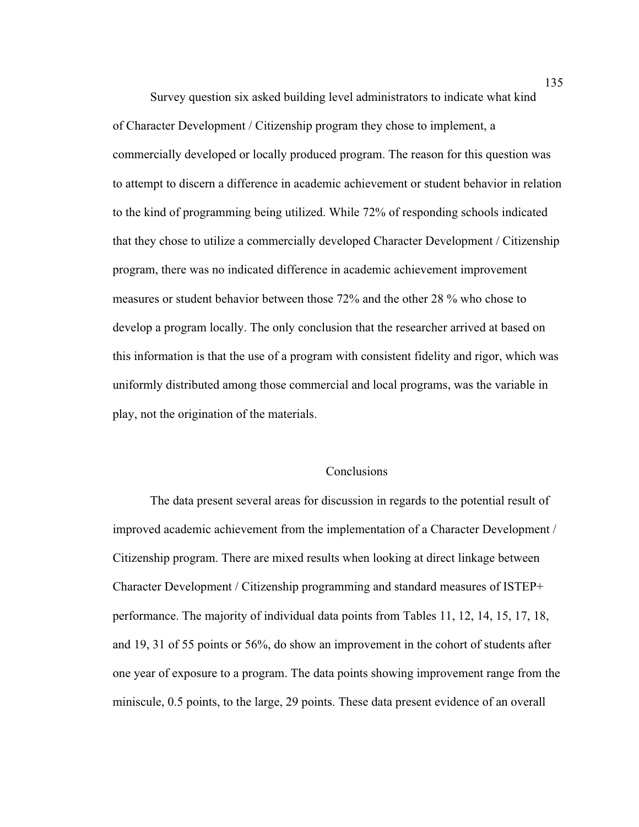Survey question six asked building level administrators to indicate what kind of Character Development / Citizenship program they chose to implement, a commercially developed or locally produced program. The reason for this question was to attempt to discern a difference in academic achievement or student behavior in relation to the kind of programming being utilized. While 72% of responding schools indicated that they chose to utilize a commercially developed Character Development / Citizenship program, there was no indicated difference in academic achievement improvement measures or student behavior between those 72% and the other 28 % who chose to develop a program locally. The only conclusion that the researcher arrived at based on this information is that the use of a program with consistent fidelity and rigor, which was uniformly distributed among those commercial and local programs, was the variable in play, not the origination of the materials.

### Conclusions

The data present several areas for discussion in regards to the potential result of improved academic achievement from the implementation of a Character Development / Citizenship program. There are mixed results when looking at direct linkage between Character Development / Citizenship programming and standard measures of ISTEP+ performance. The majority of individual data points from Tables 11, 12, 14, 15, 17, 18, and 19, 31 of 55 points or 56%, do show an improvement in the cohort of students after one year of exposure to a program. The data points showing improvement range from the miniscule, 0.5 points, to the large, 29 points. These data present evidence of an overall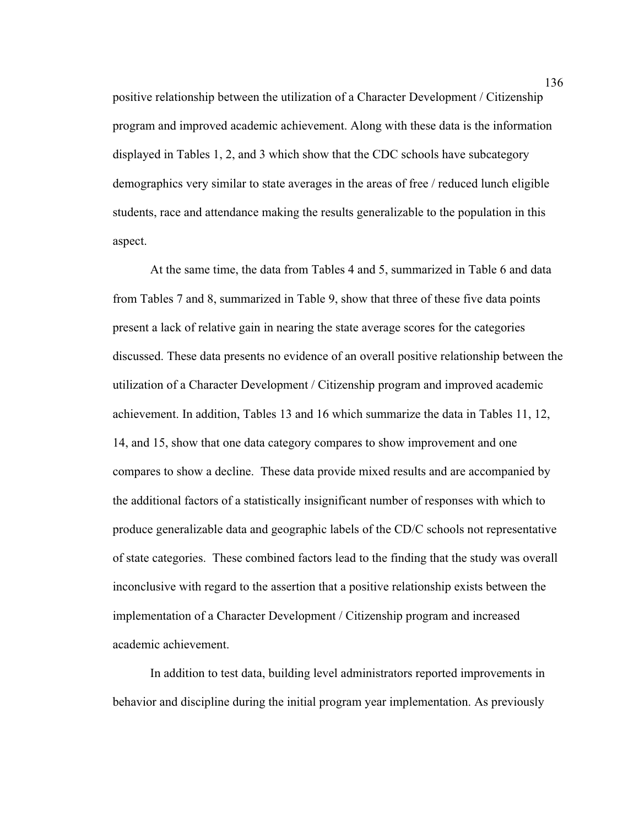positive relationship between the utilization of a Character Development / Citizenship program and improved academic achievement. Along with these data is the information displayed in Tables 1, 2, and 3 which show that the CDC schools have subcategory demographics very similar to state averages in the areas of free / reduced lunch eligible students, race and attendance making the results generalizable to the population in this aspect.

At the same time, the data from Tables 4 and 5, summarized in Table 6 and data from Tables 7 and 8, summarized in Table 9, show that three of these five data points present a lack of relative gain in nearing the state average scores for the categories discussed. These data presents no evidence of an overall positive relationship between the utilization of a Character Development / Citizenship program and improved academic achievement. In addition, Tables 13 and 16 which summarize the data in Tables 11, 12, 14, and 15, show that one data category compares to show improvement and one compares to show a decline. These data provide mixed results and are accompanied by the additional factors of a statistically insignificant number of responses with which to produce generalizable data and geographic labels of the CD/C schools not representative of state categories. These combined factors lead to the finding that the study was overall inconclusive with regard to the assertion that a positive relationship exists between the implementation of a Character Development / Citizenship program and increased academic achievement.

In addition to test data, building level administrators reported improvements in behavior and discipline during the initial program year implementation. As previously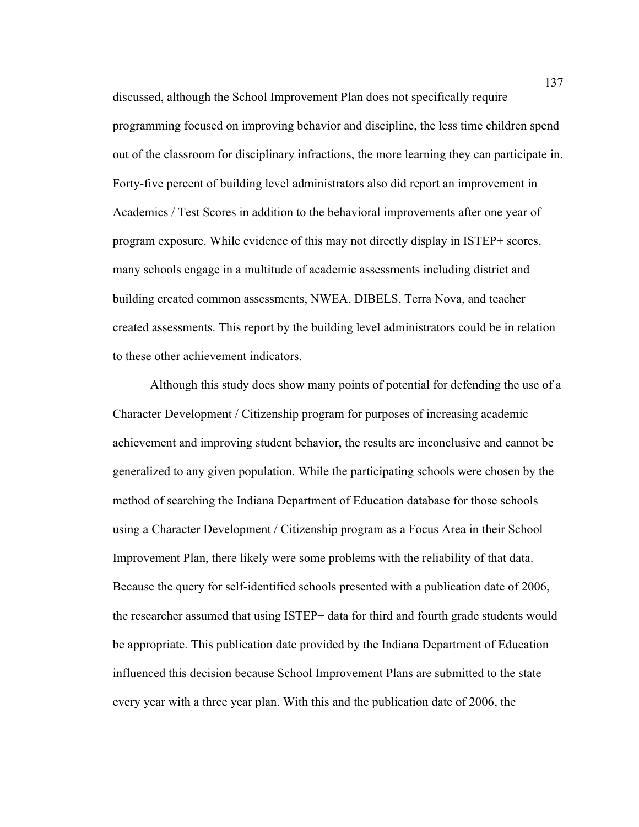discussed, although the School Improvement Plan does not specifically require programming focused on improving behavior and discipline, the less time children spend out of the classroom for disciplinary infractions, the more learning they can participate in. Forty-five percent of building level administrators also did report an improvement in Academics / Test Scores in addition to the behavioral improvements after one year of program exposure. While evidence of this may not directly display in ISTEP+ scores, many schools engage in a multitude of academic assessments including district and building created common assessments, NWEA, DIBELS, Terra Nova, and teacher created assessments. This report by the building level administrators could be in relation to these other achievement indicators.

Although this study does show many points of potential for defending the use of a Character Development / Citizenship program for purposes of increasing academic achievement and improving student behavior, the results are inconclusive and cannot be generalized to any given population. While the participating schools were chosen by the method of searching the Indiana Department of Education database for those schools using a Character Development / Citizenship program as a Focus Area in their School Improvement Plan, there likely were some problems with the reliability of that data. Because the query for self-identified schools presented with a publication date of 2006, the researcher assumed that using ISTEP+ data for third and fourth grade students would be appropriate. This publication date provided by the Indiana Department of Education influenced this decision because School Improvement Plans are submitted to the state every year with a three year plan. With this and the publication date of 2006, the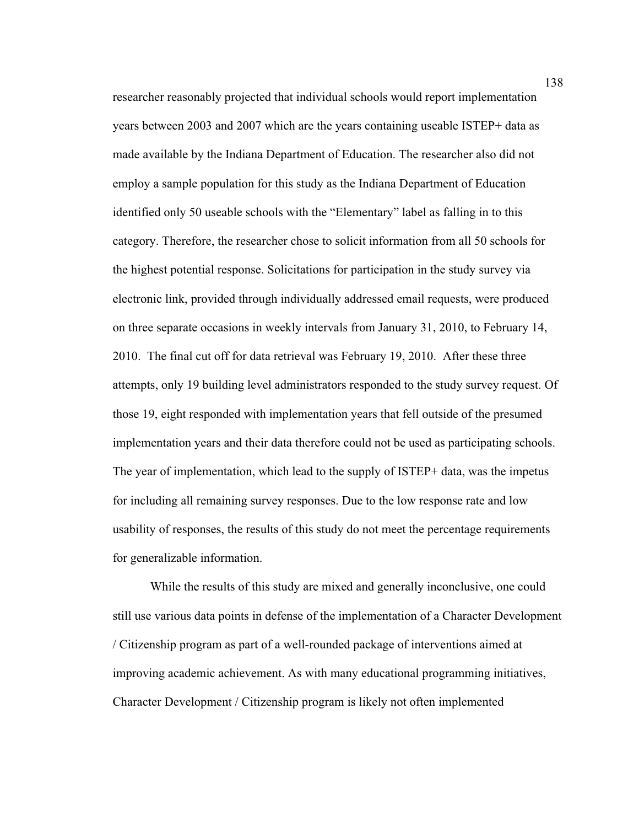researcher reasonably projected that individual schools would report implementation years between 2003 and 2007 which are the years containing useable ISTEP+ data as made available by the Indiana Department of Education. The researcher also did not employ a sample population for this study as the Indiana Department of Education identified only 50 useable schools with the "Elementary" label as falling in to this category. Therefore, the researcher chose to solicit information from all 50 schools for the highest potential response. Solicitations for participation in the study survey via electronic link, provided through individually addressed email requests, were produced on three separate occasions in weekly intervals from January 31, 2010, to February 14, 2010. The final cut off for data retrieval was February 19, 2010. After these three attempts, only 19 building level administrators responded to the study survey request. Of those 19, eight responded with implementation years that fell outside of the presumed implementation years and their data therefore could not be used as participating schools. The year of implementation, which lead to the supply of ISTEP+ data, was the impetus for including all remaining survey responses. Due to the low response rate and low usability of responses, the results of this study do not meet the percentage requirements for generalizable information.

While the results of this study are mixed and generally inconclusive, one could still use various data points in defense of the implementation of a Character Development / Citizenship program as part of a well-rounded package of interventions aimed at improving academic achievement. As with many educational programming initiatives, Character Development / Citizenship program is likely not often implemented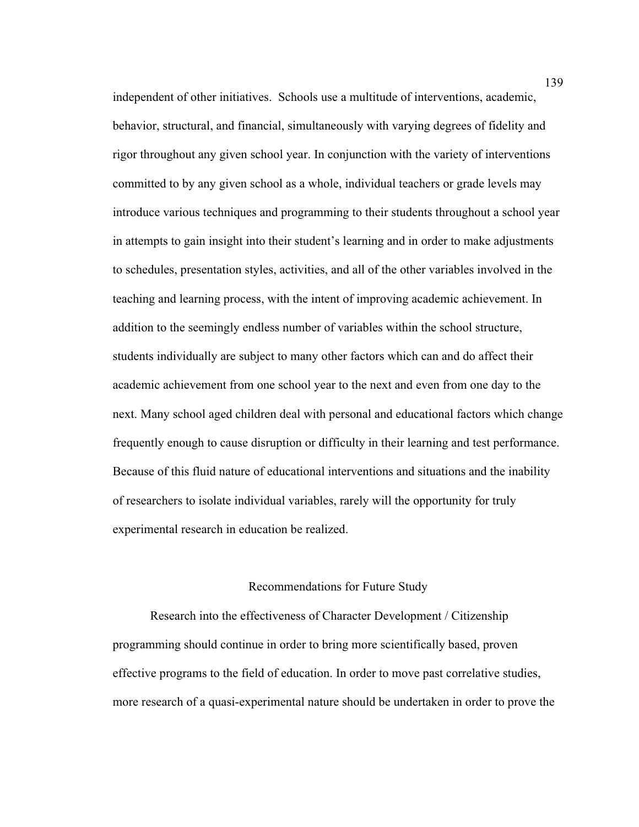independent of other initiatives. Schools use a multitude of interventions, academic, behavior, structural, and financial, simultaneously with varying degrees of fidelity and rigor throughout any given school year. In conjunction with the variety of interventions committed to by any given school as a whole, individual teachers or grade levels may introduce various techniques and programming to their students throughout a school year in attempts to gain insight into their student's learning and in order to make adjustments to schedules, presentation styles, activities, and all of the other variables involved in the teaching and learning process, with the intent of improving academic achievement. In addition to the seemingly endless number of variables within the school structure, students individually are subject to many other factors which can and do affect their academic achievement from one school year to the next and even from one day to the next. Many school aged children deal with personal and educational factors which change frequently enough to cause disruption or difficulty in their learning and test performance. Because of this fluid nature of educational interventions and situations and the inability of researchers to isolate individual variables, rarely will the opportunity for truly experimental research in education be realized.

#### Recommendations for Future Study

 Research into the effectiveness of Character Development / Citizenship programming should continue in order to bring more scientifically based, proven effective programs to the field of education. In order to move past correlative studies, more research of a quasi-experimental nature should be undertaken in order to prove the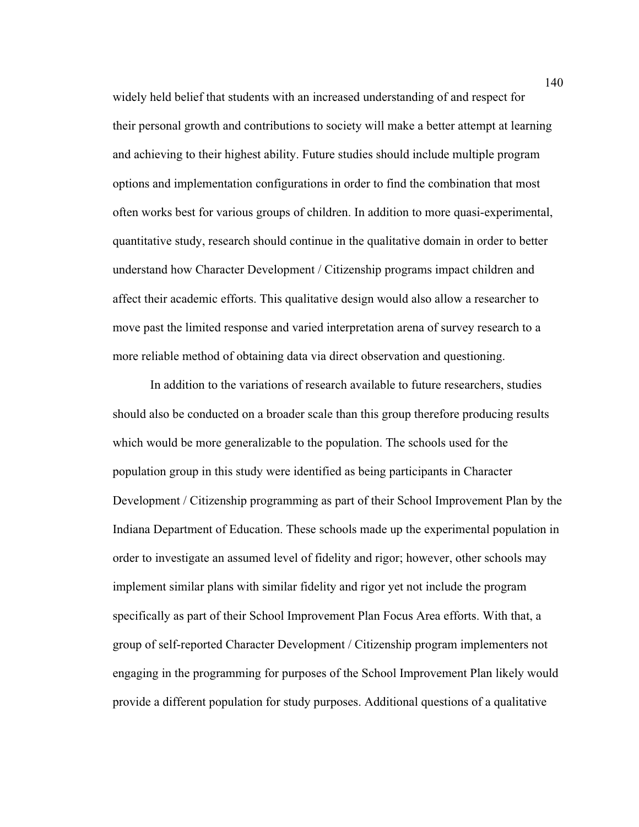widely held belief that students with an increased understanding of and respect for their personal growth and contributions to society will make a better attempt at learning and achieving to their highest ability. Future studies should include multiple program options and implementation configurations in order to find the combination that most often works best for various groups of children. In addition to more quasi-experimental, quantitative study, research should continue in the qualitative domain in order to better understand how Character Development / Citizenship programs impact children and affect their academic efforts. This qualitative design would also allow a researcher to move past the limited response and varied interpretation arena of survey research to a more reliable method of obtaining data via direct observation and questioning.

 In addition to the variations of research available to future researchers, studies should also be conducted on a broader scale than this group therefore producing results which would be more generalizable to the population. The schools used for the population group in this study were identified as being participants in Character Development / Citizenship programming as part of their School Improvement Plan by the Indiana Department of Education. These schools made up the experimental population in order to investigate an assumed level of fidelity and rigor; however, other schools may implement similar plans with similar fidelity and rigor yet not include the program specifically as part of their School Improvement Plan Focus Area efforts. With that, a group of self-reported Character Development / Citizenship program implementers not engaging in the programming for purposes of the School Improvement Plan likely would provide a different population for study purposes. Additional questions of a qualitative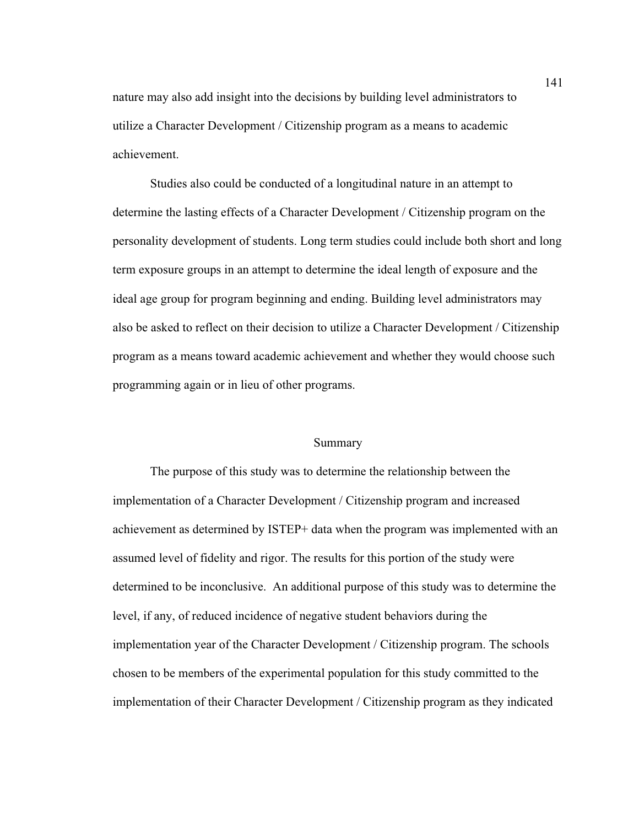nature may also add insight into the decisions by building level administrators to utilize a Character Development / Citizenship program as a means to academic achievement.

 Studies also could be conducted of a longitudinal nature in an attempt to determine the lasting effects of a Character Development / Citizenship program on the personality development of students. Long term studies could include both short and long term exposure groups in an attempt to determine the ideal length of exposure and the ideal age group for program beginning and ending. Building level administrators may also be asked to reflect on their decision to utilize a Character Development / Citizenship program as a means toward academic achievement and whether they would choose such programming again or in lieu of other programs.

#### Summary

The purpose of this study was to determine the relationship between the implementation of a Character Development / Citizenship program and increased achievement as determined by ISTEP+ data when the program was implemented with an assumed level of fidelity and rigor. The results for this portion of the study were determined to be inconclusive. An additional purpose of this study was to determine the level, if any, of reduced incidence of negative student behaviors during the implementation year of the Character Development / Citizenship program. The schools chosen to be members of the experimental population for this study committed to the implementation of their Character Development / Citizenship program as they indicated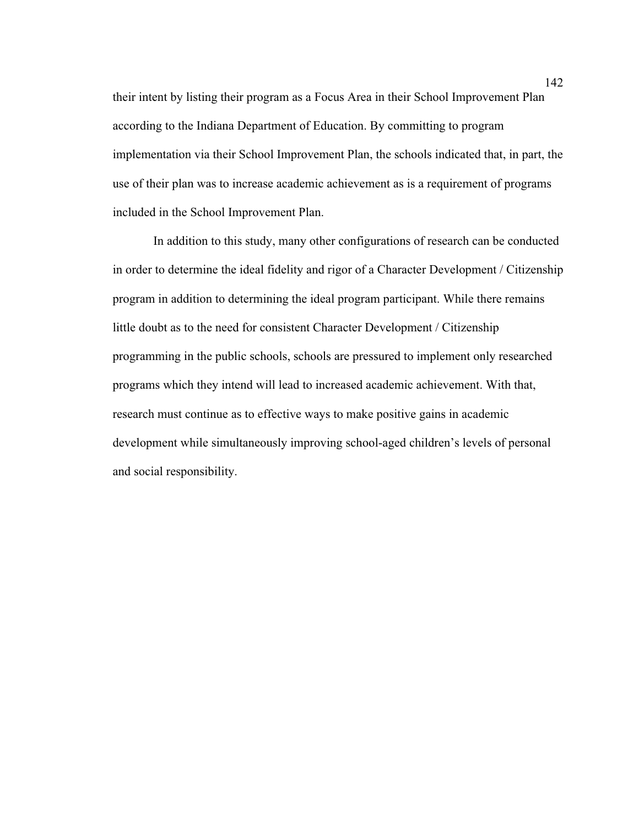their intent by listing their program as a Focus Area in their School Improvement Plan according to the Indiana Department of Education. By committing to program implementation via their School Improvement Plan, the schools indicated that, in part, the use of their plan was to increase academic achievement as is a requirement of programs included in the School Improvement Plan.

 In addition to this study, many other configurations of research can be conducted in order to determine the ideal fidelity and rigor of a Character Development / Citizenship program in addition to determining the ideal program participant. While there remains little doubt as to the need for consistent Character Development / Citizenship programming in the public schools, schools are pressured to implement only researched programs which they intend will lead to increased academic achievement. With that, research must continue as to effective ways to make positive gains in academic development while simultaneously improving school-aged children's levels of personal and social responsibility.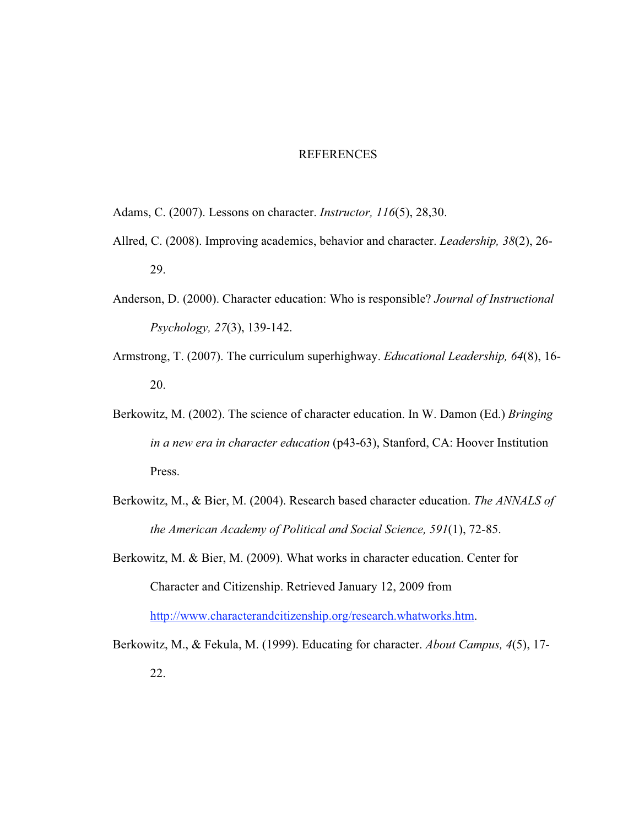#### REFERENCES

- Adams, C. (2007). Lessons on character. *Instructor, 116*(5), 28,30.
- Allred, C. (2008). Improving academics, behavior and character. *Leadership, 38*(2), 26- 29.
- Anderson, D. (2000). Character education: Who is responsible? *Journal of Instructional Psychology, 27*(3), 139-142.
- Armstrong, T. (2007). The curriculum superhighway. *Educational Leadership, 64*(8), 16- 20.
- Berkowitz, M. (2002). The science of character education. In W. Damon (Ed.) *Bringing in a new era in character education* (p43-63), Stanford, CA: Hoover Institution Press.
- Berkowitz, M., & Bier, M. (2004). Research based character education. *The ANNALS of the American Academy of Political and Social Science, 591*(1), 72-85.
- Berkowitz, M. & Bier, M. (2009). What works in character education. Center for Character and Citizenship. Retrieved January 12, 2009 from http://www.characterandcitizenship.org/research.whatworks.htm.
- Berkowitz, M., & Fekula, M. (1999). Educating for character. *About Campus, 4*(5), 17- 22.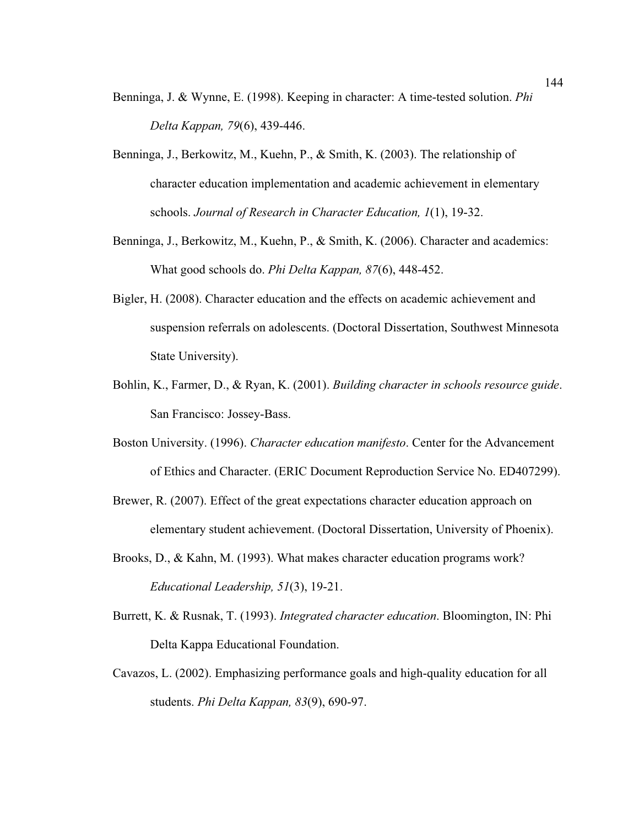- Benninga, J. & Wynne, E. (1998). Keeping in character: A time-tested solution. *Phi Delta Kappan, 79*(6), 439-446.
- Benninga, J., Berkowitz, M., Kuehn, P., & Smith, K. (2003). The relationship of character education implementation and academic achievement in elementary schools. *Journal of Research in Character Education, 1*(1), 19-32.
- Benninga, J., Berkowitz, M., Kuehn, P., & Smith, K. (2006). Character and academics: What good schools do. *Phi Delta Kappan, 87*(6), 448-452.
- Bigler, H. (2008). Character education and the effects on academic achievement and suspension referrals on adolescents. (Doctoral Dissertation, Southwest Minnesota State University).
- Bohlin, K., Farmer, D., & Ryan, K. (2001). *Building character in schools resource guide*. San Francisco: Jossey-Bass.
- Boston University. (1996). *Character education manifesto*. Center for the Advancement of Ethics and Character. (ERIC Document Reproduction Service No. ED407299).
- Brewer, R. (2007). Effect of the great expectations character education approach on elementary student achievement. (Doctoral Dissertation, University of Phoenix).
- Brooks, D., & Kahn, M. (1993). What makes character education programs work? *Educational Leadership, 51*(3), 19-21.
- Burrett, K. & Rusnak, T. (1993). *Integrated character education*. Bloomington, IN: Phi Delta Kappa Educational Foundation.
- Cavazos, L. (2002). Emphasizing performance goals and high-quality education for all students. *Phi Delta Kappan, 83*(9), 690-97.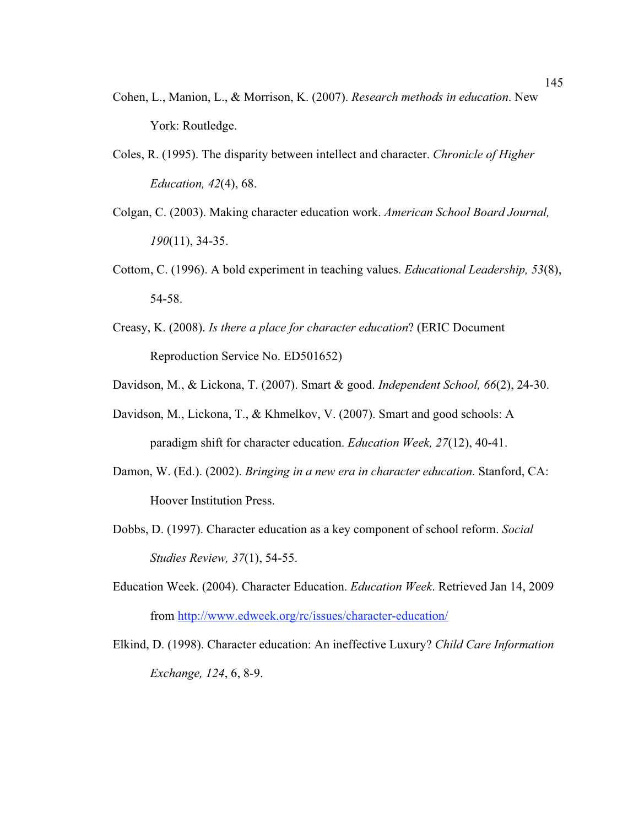- Cohen, L., Manion, L., & Morrison, K. (2007). *Research methods in education*. New York: Routledge.
- Coles, R. (1995). The disparity between intellect and character. *Chronicle of Higher Education, 42*(4), 68.
- Colgan, C. (2003). Making character education work. *American School Board Journal, 190*(11), 34-35.
- Cottom, C. (1996). A bold experiment in teaching values. *Educational Leadership, 53*(8), 54-58.
- Creasy, K. (2008). *Is there a place for character education*? (ERIC Document Reproduction Service No. ED501652)
- Davidson, M., & Lickona, T. (2007). Smart & good. *Independent School, 66*(2), 24-30.
- Davidson, M., Lickona, T., & Khmelkov, V. (2007). Smart and good schools: A paradigm shift for character education. *Education Week, 27*(12), 40-41.
- Damon, W. (Ed.). (2002). *Bringing in a new era in character education*. Stanford, CA: Hoover Institution Press.
- Dobbs, D. (1997). Character education as a key component of school reform. *Social Studies Review, 37*(1), 54-55.
- Education Week. (2004). Character Education. *Education Week*. Retrieved Jan 14, 2009 from http://www.edweek.org/rc/issues/character-education/
- Elkind, D. (1998). Character education: An ineffective Luxury? *Child Care Information Exchange, 124*, 6, 8-9.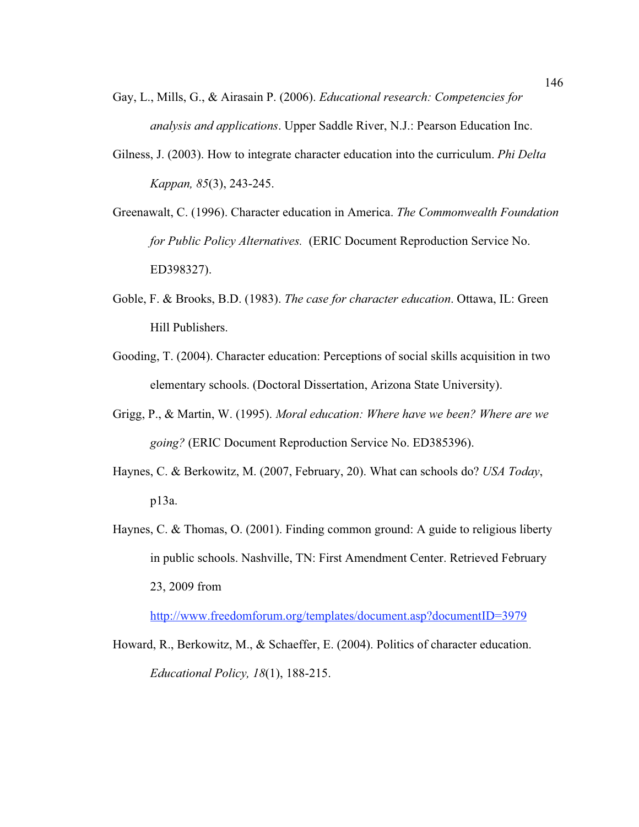- Gay, L., Mills, G., & Airasain P. (2006). *Educational research: Competencies for analysis and applications*. Upper Saddle River, N.J.: Pearson Education Inc.
- Gilness, J. (2003). How to integrate character education into the curriculum. *Phi Delta Kappan, 85*(3), 243-245.
- Greenawalt, C. (1996). Character education in America. *The Commonwealth Foundation for Public Policy Alternatives.* (ERIC Document Reproduction Service No. ED398327).
- Goble, F. & Brooks, B.D. (1983). *The case for character education*. Ottawa, IL: Green Hill Publishers.
- Gooding, T. (2004). Character education: Perceptions of social skills acquisition in two elementary schools. (Doctoral Dissertation, Arizona State University).
- Grigg, P., & Martin, W. (1995). *Moral education: Where have we been? Where are we going?* (ERIC Document Reproduction Service No. ED385396).
- Haynes, C. & Berkowitz, M. (2007, February, 20). What can schools do? *USA Today*, p13a.
- Haynes, C. & Thomas, O. (2001). Finding common ground: A guide to religious liberty in public schools. Nashville, TN: First Amendment Center. Retrieved February 23, 2009 from

http://www.freedomforum.org/templates/document.asp?documentID=3979

Howard, R., Berkowitz, M., & Schaeffer, E. (2004). Politics of character education. *Educational Policy, 18*(1), 188-215.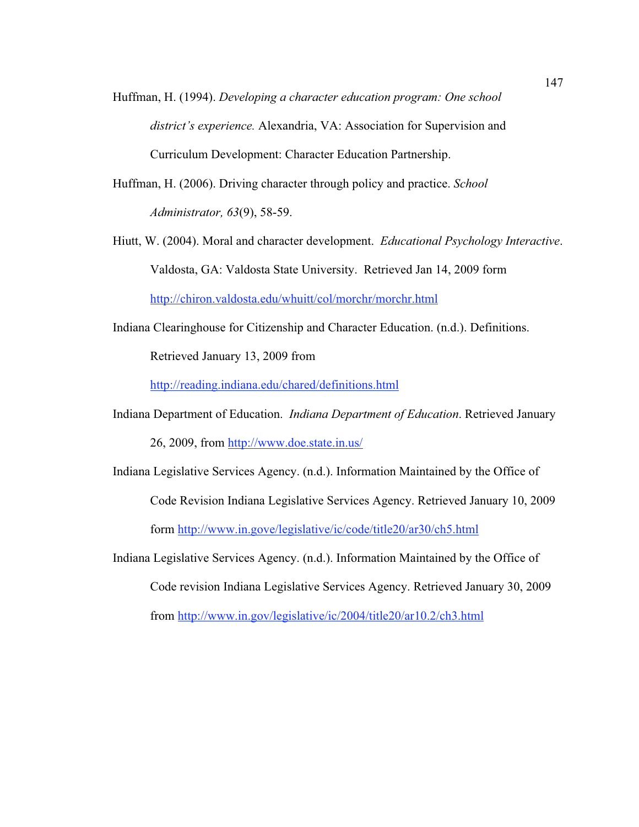- Huffman, H. (1994). *Developing a character education program: One school district's experience.* Alexandria, VA: Association for Supervision and Curriculum Development: Character Education Partnership.
- Huffman, H. (2006). Driving character through policy and practice. *School Administrator, 63*(9), 58-59.
- Hiutt, W. (2004). Moral and character development. *Educational Psychology Interactive*. Valdosta, GA: Valdosta State University. Retrieved Jan 14, 2009 form http://chiron.valdosta.edu/whuitt/col/morchr/morchr.html
- Indiana Clearinghouse for Citizenship and Character Education. (n.d.). Definitions.

Retrieved January 13, 2009 from

http://reading.indiana.edu/chared/definitions.html

- Indiana Department of Education. *Indiana Department of Education*. Retrieved January 26, 2009, from http://www.doe.state.in.us/
- Indiana Legislative Services Agency. (n.d.). Information Maintained by the Office of Code Revision Indiana Legislative Services Agency. Retrieved January 10, 2009 form http://www.in.gove/legislative/ic/code/title20/ar30/ch5.html
- Indiana Legislative Services Agency. (n.d.). Information Maintained by the Office of

Code revision Indiana Legislative Services Agency. Retrieved January 30, 2009

from http://www.in.gov/legislative/ic/2004/title20/ar10.2/ch3.html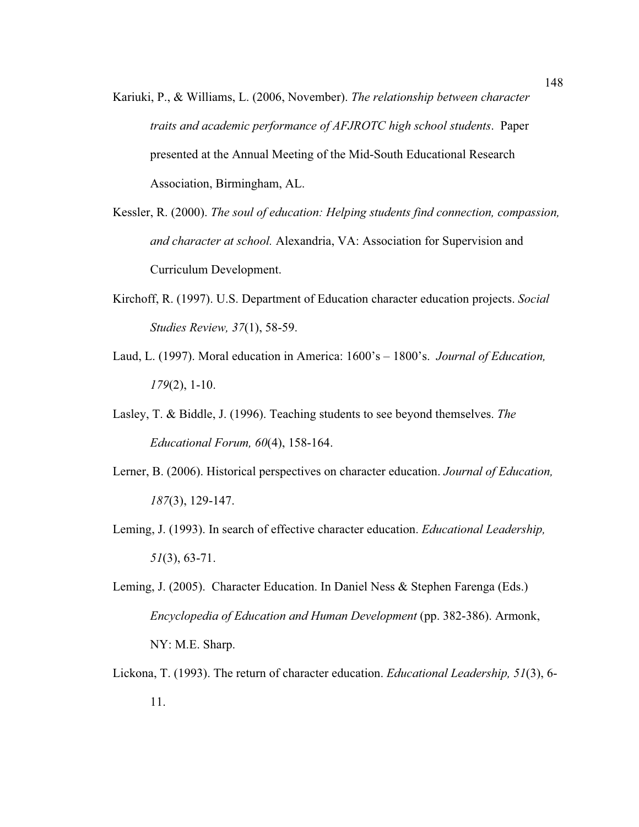- Kariuki, P., & Williams, L. (2006, November). *The relationship between character traits and academic performance of AFJROTC high school students*. Paper presented at the Annual Meeting of the Mid-South Educational Research Association, Birmingham, AL.
- Kessler, R. (2000). *The soul of education: Helping students find connection, compassion, and character at school.* Alexandria, VA: Association for Supervision and Curriculum Development.
- Kirchoff, R. (1997). U.S. Department of Education character education projects. *Social Studies Review, 37*(1), 58-59.
- Laud, L. (1997). Moral education in America: 1600's 1800's. *Journal of Education, 179*(2), 1-10.
- Lasley, T. & Biddle, J. (1996). Teaching students to see beyond themselves. *The Educational Forum, 60*(4), 158-164.
- Lerner, B. (2006). Historical perspectives on character education. *Journal of Education, 187*(3), 129-147.
- Leming, J. (1993). In search of effective character education. *Educational Leadership, 51*(3), 63-71.
- Leming, J. (2005). Character Education. In Daniel Ness & Stephen Farenga (Eds.) *Encyclopedia of Education and Human Development* (pp. 382-386). Armonk, NY: M.E. Sharp.
- Lickona, T. (1993). The return of character education. *Educational Leadership, 51*(3), 6- 11.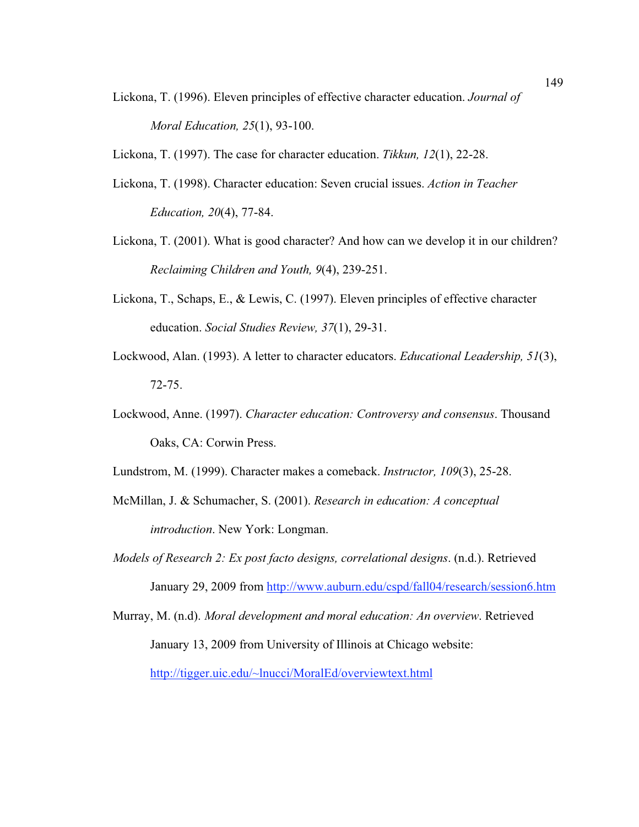Lickona, T. (1996). Eleven principles of effective character education. *Journal of Moral Education, 25*(1), 93-100.

Lickona, T. (1997). The case for character education. *Tikkun, 12*(1), 22-28.

- Lickona, T. (1998). Character education: Seven crucial issues. *Action in Teacher Education, 20*(4), 77-84.
- Lickona, T. (2001). What is good character? And how can we develop it in our children? *Reclaiming Children and Youth, 9*(4), 239-251.
- Lickona, T., Schaps, E., & Lewis, C. (1997). Eleven principles of effective character education. *Social Studies Review, 37*(1), 29-31.
- Lockwood, Alan. (1993). A letter to character educators. *Educational Leadership, 51*(3), 72-75.
- Lockwood, Anne. (1997). *Character education: Controversy and consensus*. Thousand Oaks, CA: Corwin Press.

Lundstrom, M. (1999). Character makes a comeback. *Instructor, 109*(3), 25-28.

- McMillan, J. & Schumacher, S. (2001). *Research in education: A conceptual introduction*. New York: Longman.
- *Models of Research 2: Ex post facto designs, correlational designs*. (n.d.). Retrieved January 29, 2009 from http://www.auburn.edu/cspd/fall04/research/session6.htm
- Murray, M. (n.d). *Moral development and moral education: An overview*. Retrieved January 13, 2009 from University of Illinois at Chicago website: http://tigger.uic.edu/~lnucci/MoralEd/overviewtext.html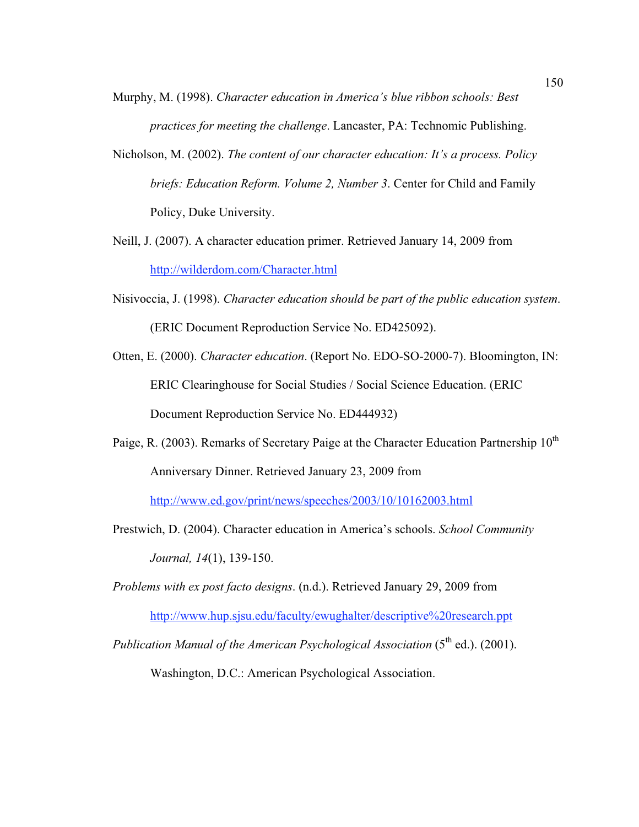- Murphy, M. (1998). *Character education in America's blue ribbon schools: Best practices for meeting the challenge*. Lancaster, PA: Technomic Publishing.
- Nicholson, M. (2002). *The content of our character education: It's a process. Policy briefs: Education Reform. Volume 2, Number 3*. Center for Child and Family Policy, Duke University.
- Neill, J. (2007). A character education primer. Retrieved January 14, 2009 from http://wilderdom.com/Character.html
- Nisivoccia, J. (1998). *Character education should be part of the public education system*. (ERIC Document Reproduction Service No. ED425092).
- Otten, E. (2000). *Character education*. (Report No. EDO-SO-2000-7). Bloomington, IN: ERIC Clearinghouse for Social Studies / Social Science Education. (ERIC Document Reproduction Service No. ED444932)
- Paige, R. (2003). Remarks of Secretary Paige at the Character Education Partnership 10<sup>th</sup> Anniversary Dinner. Retrieved January 23, 2009 from

http://www.ed.gov/print/news/speeches/2003/10/10162003.html

Prestwich, D. (2004). Character education in America's schools. *School Community Journal, 14*(1), 139-150.

*Problems with ex post facto designs*. (n.d.). Retrieved January 29, 2009 from http://www.hup.sjsu.edu/faculty/ewughalter/descriptive%20research.ppt

*Publication Manual of the American Psychological Association* (5<sup>th</sup> ed.). (2001).

Washington, D.C.: American Psychological Association.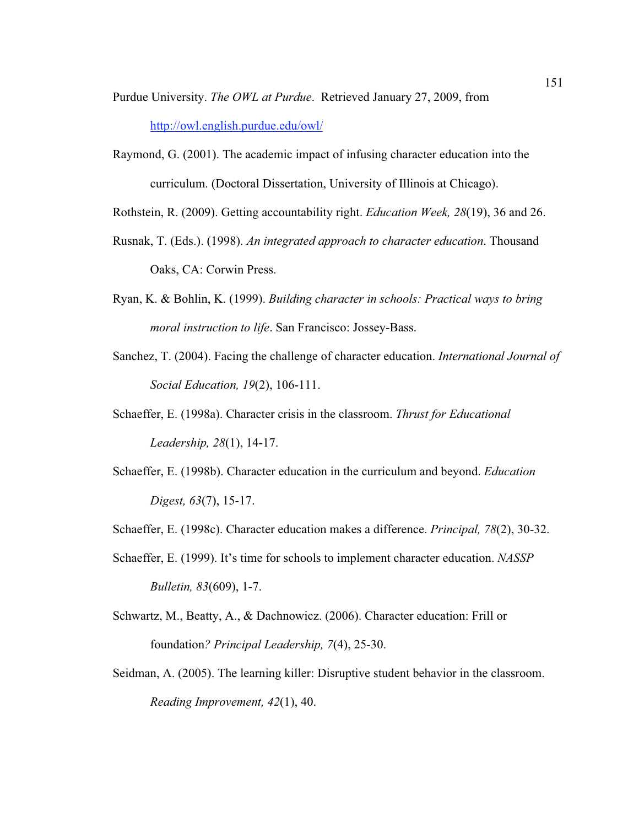Purdue University. *The OWL at Purdue*. Retrieved January 27, 2009, from http://owl.english.purdue.edu/owl/

Raymond, G. (2001). The academic impact of infusing character education into the curriculum. (Doctoral Dissertation, University of Illinois at Chicago).

Rothstein, R. (2009). Getting accountability right. *Education Week, 28*(19), 36 and 26.

- Rusnak, T. (Eds.). (1998). *An integrated approach to character education*. Thousand Oaks, CA: Corwin Press.
- Ryan, K. & Bohlin, K. (1999). *Building character in schools: Practical ways to bring moral instruction to life*. San Francisco: Jossey-Bass.
- Sanchez, T. (2004). Facing the challenge of character education. *International Journal of Social Education, 19*(2), 106-111.
- Schaeffer, E. (1998a). Character crisis in the classroom. *Thrust for Educational Leadership, 28*(1), 14-17.
- Schaeffer, E. (1998b). Character education in the curriculum and beyond. *Education Digest, 63*(7), 15-17.
- Schaeffer, E. (1998c). Character education makes a difference. *Principal, 78*(2), 30-32.
- Schaeffer, E. (1999). It's time for schools to implement character education. *NASSP Bulletin, 83*(609), 1-7.
- Schwartz, M., Beatty, A., & Dachnowicz. (2006). Character education: Frill or foundation*? Principal Leadership, 7*(4), 25-30.
- Seidman, A. (2005). The learning killer: Disruptive student behavior in the classroom. *Reading Improvement, 42*(1), 40.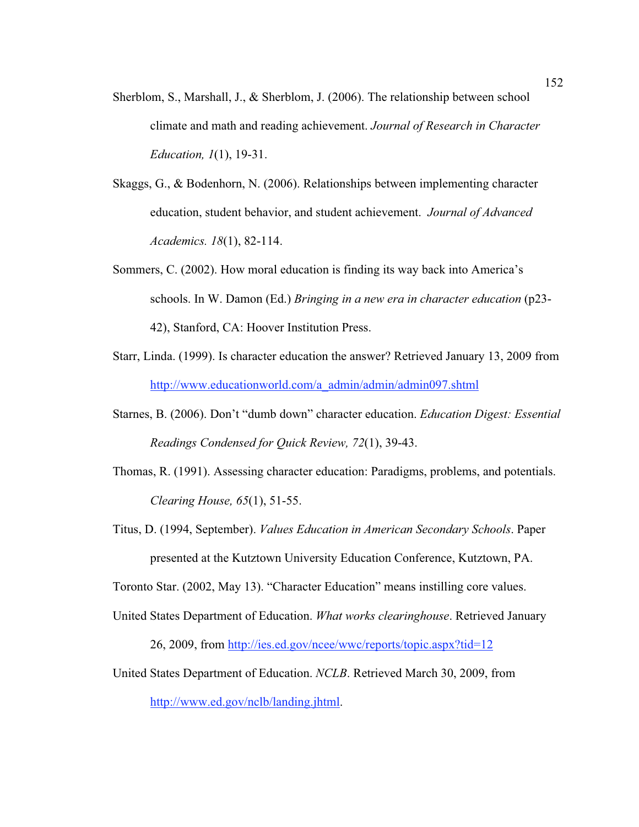- Sherblom, S., Marshall, J., & Sherblom, J. (2006). The relationship between school climate and math and reading achievement. *Journal of Research in Character Education, 1*(1), 19-31.
- Skaggs, G., & Bodenhorn, N. (2006). Relationships between implementing character education, student behavior, and student achievement. *Journal of Advanced Academics. 18*(1), 82-114.
- Sommers, C. (2002). How moral education is finding its way back into America's schools. In W. Damon (Ed.) *Bringing in a new era in character education* (p23- 42), Stanford, CA: Hoover Institution Press.
- Starr, Linda. (1999). Is character education the answer? Retrieved January 13, 2009 from http://www.educationworld.com/a\_admin/admin/admin097.shtml
- Starnes, B. (2006). Don't "dumb down" character education. *Education Digest: Essential Readings Condensed for Quick Review, 72*(1), 39-43.
- Thomas, R. (1991). Assessing character education: Paradigms, problems, and potentials. *Clearing House, 65*(1), 51-55.
- Titus, D. (1994, September). *Values Education in American Secondary Schools*. Paper presented at the Kutztown University Education Conference, Kutztown, PA.

Toronto Star. (2002, May 13). "Character Education" means instilling core values.

- United States Department of Education. *What works clearinghouse*. Retrieved January 26, 2009, from http://ies.ed.gov/ncee/wwc/reports/topic.aspx?tid=12
- United States Department of Education. *NCLB*. Retrieved March 30, 2009, from http://www.ed.gov/nclb/landing.jhtml.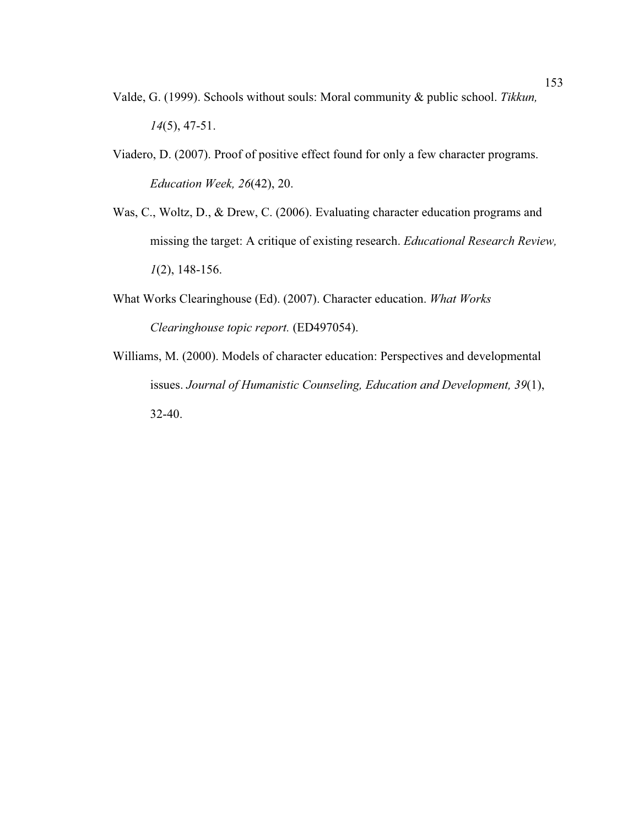- Valde, G. (1999). Schools without souls: Moral community & public school. *Tikkun, 14*(5), 47-51.
- Viadero, D. (2007). Proof of positive effect found for only a few character programs. *Education Week, 26*(42), 20.
- Was, C., Woltz, D., & Drew, C. (2006). Evaluating character education programs and missing the target: A critique of existing research. *Educational Research Review, 1*(2), 148-156.
- What Works Clearinghouse (Ed). (2007). Character education. *What Works Clearinghouse topic report.* (ED497054).
- Williams, M. (2000). Models of character education: Perspectives and developmental issues. *Journal of Humanistic Counseling, Education and Development, 39*(1), 32-40.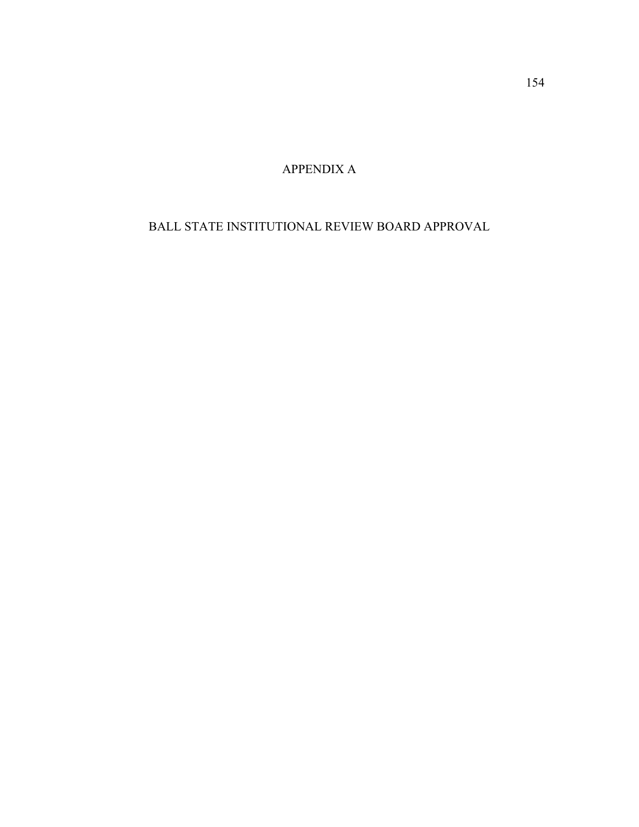APPENDIX A

BALL STATE INSTITUTIONAL REVIEW BOARD APPROVAL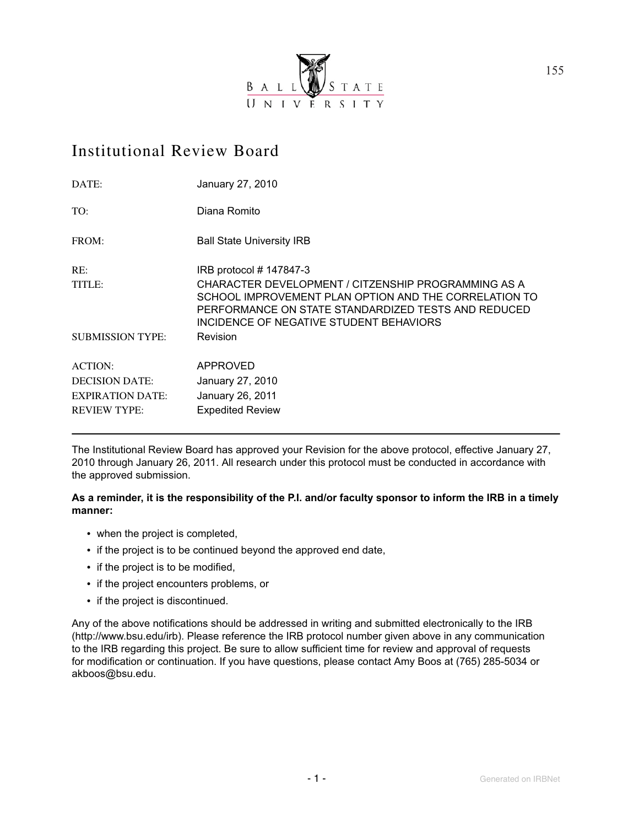

# Institutional Review Board

| DATE:                   | January 27, 2010                                                                                                                                                                                               |
|-------------------------|----------------------------------------------------------------------------------------------------------------------------------------------------------------------------------------------------------------|
| TO:                     | Diana Romito                                                                                                                                                                                                   |
| FROM:                   | <b>Ball State University IRB</b>                                                                                                                                                                               |
| RE:                     | IRB protocol # 147847-3                                                                                                                                                                                        |
| TITLE:                  | CHARACTER DEVELOPMENT / CITZENSHIP PROGRAMMING AS A<br>SCHOOL IMPROVEMENT PLAN OPTION AND THE CORRELATION TO<br>PERFORMANCE ON STATE STANDARDIZED TESTS AND REDUCED<br>INCIDENCE OF NEGATIVE STUDENT BEHAVIORS |
| <b>SUBMISSION TYPE:</b> | <b>Revision</b>                                                                                                                                                                                                |
| <b>ACTION:</b>          | APPROVED                                                                                                                                                                                                       |
| <b>DECISION DATE:</b>   | January 27, 2010                                                                                                                                                                                               |
| <b>EXPIRATION DATE:</b> | January 26, 2011                                                                                                                                                                                               |
| <b>REVIEW TYPE:</b>     | <b>Expedited Review</b>                                                                                                                                                                                        |

The Institutional Review Board has approved your Revision for the above protocol, effective January 27, 2010 through January 26, 2011. All research under this protocol must be conducted in accordance with the approved submission.

As a reminder, it is the responsibility of the P.I. and/or faculty sponsor to inform the IRB in a timely  $manner:$ 

- when the project is completed,
- if the project is to be continued beyond the approved end date,
- if the project is to be modified,
- if the project encounters problems, or
- if the project is discontinued.

Any of the above notifications should be addressed in writing and submitted electronically to the IRB (http://www.bsu.edu/irb). Please reference the IRB protocol number given above in any communication to the IRB regarding this project. Be sure to allow sufficient time for review and approval of requests for modification or continuation. If you have questions, please contact Amy Boos at (765) 285-5034 or akboos@bsu.edu.

155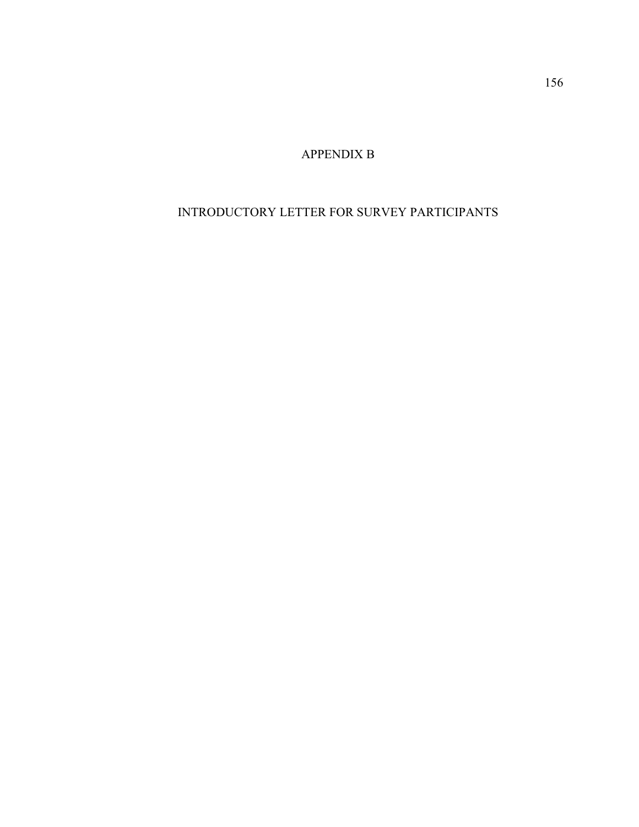APPENDIX B

## INTRODUCTORY LETTER FOR SURVEY PARTICIPANTS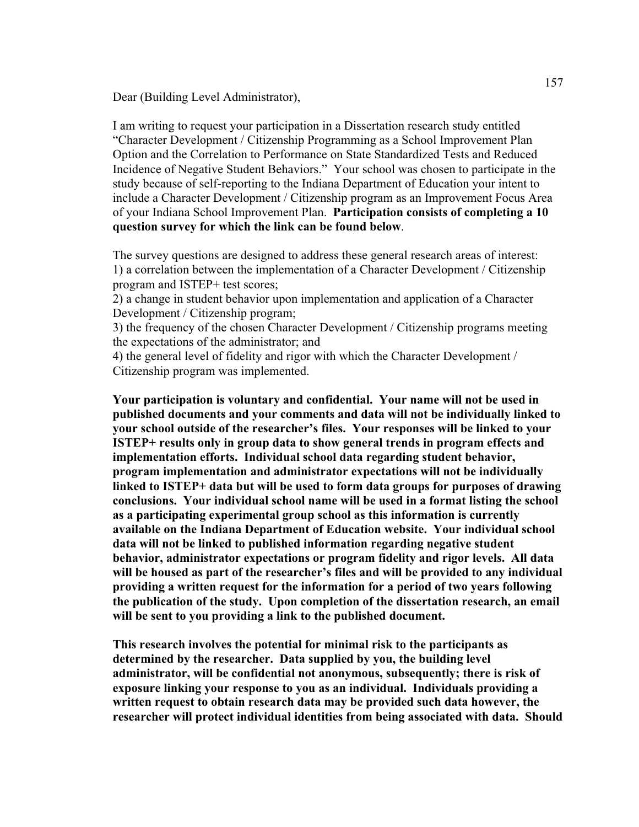Dear (Building Level Administrator),

I am writing to request your participation in a Dissertation research study entitled "Character Development / Citizenship Programming as a School Improvement Plan Option and the Correlation to Performance on State Standardized Tests and Reduced Incidence of Negative Student Behaviors." Your school was chosen to participate in the study because of self-reporting to the Indiana Department of Education your intent to include a Character Development / Citizenship program as an Improvement Focus Area of your Indiana School Improvement Plan. **Participation consists of completing a 10 question survey for which the link can be found below**.

The survey questions are designed to address these general research areas of interest: 1) a correlation between the implementation of a Character Development / Citizenship program and ISTEP+ test scores;

2) a change in student behavior upon implementation and application of a Character Development / Citizenship program;

3) the frequency of the chosen Character Development / Citizenship programs meeting the expectations of the administrator; and

4) the general level of fidelity and rigor with which the Character Development / Citizenship program was implemented.

**Your participation is voluntary and confidential. Your name will not be used in published documents and your comments and data will not be individually linked to your school outside of the researcher's files. Your responses will be linked to your ISTEP+ results only in group data to show general trends in program effects and implementation efforts. Individual school data regarding student behavior, program implementation and administrator expectations will not be individually linked to ISTEP+ data but will be used to form data groups for purposes of drawing conclusions. Your individual school name will be used in a format listing the school as a participating experimental group school as this information is currently available on the Indiana Department of Education website. Your individual school data will not be linked to published information regarding negative student behavior, administrator expectations or program fidelity and rigor levels. All data will be housed as part of the researcher's files and will be provided to any individual providing a written request for the information for a period of two years following the publication of the study. Upon completion of the dissertation research, an email will be sent to you providing a link to the published document.**

**This research involves the potential for minimal risk to the participants as determined by the researcher. Data supplied by you, the building level administrator, will be confidential not anonymous, subsequently; there is risk of exposure linking your response to you as an individual. Individuals providing a written request to obtain research data may be provided such data however, the researcher will protect individual identities from being associated with data. Should**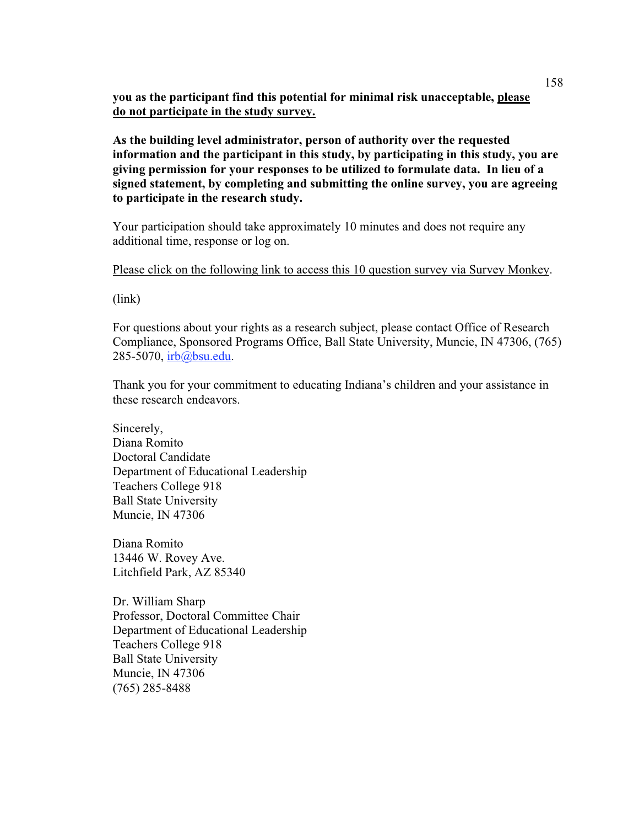**you as the participant find this potential for minimal risk unacceptable, please do not participate in the study survey.**

**As the building level administrator, person of authority over the requested information and the participant in this study, by participating in this study, you are giving permission for your responses to be utilized to formulate data. In lieu of a signed statement, by completing and submitting the online survey, you are agreeing to participate in the research study.** 

Your participation should take approximately 10 minutes and does not require any additional time, response or log on.

Please click on the following link to access this 10 question survey via Survey Monkey.

(link)

For questions about your rights as a research subject, please contact Office of Research Compliance, Sponsored Programs Office, Ball State University, Muncie, IN 47306, (765) 285-5070, irb@bsu.edu.

Thank you for your commitment to educating Indiana's children and your assistance in these research endeavors.

Sincerely, Diana Romito Doctoral Candidate Department of Educational Leadership Teachers College 918 Ball State University Muncie, IN 47306

Diana Romito 13446 W. Rovey Ave. Litchfield Park, AZ 85340

Dr. William Sharp Professor, Doctoral Committee Chair Department of Educational Leadership Teachers College 918 Ball State University Muncie, IN 47306 (765) 285-8488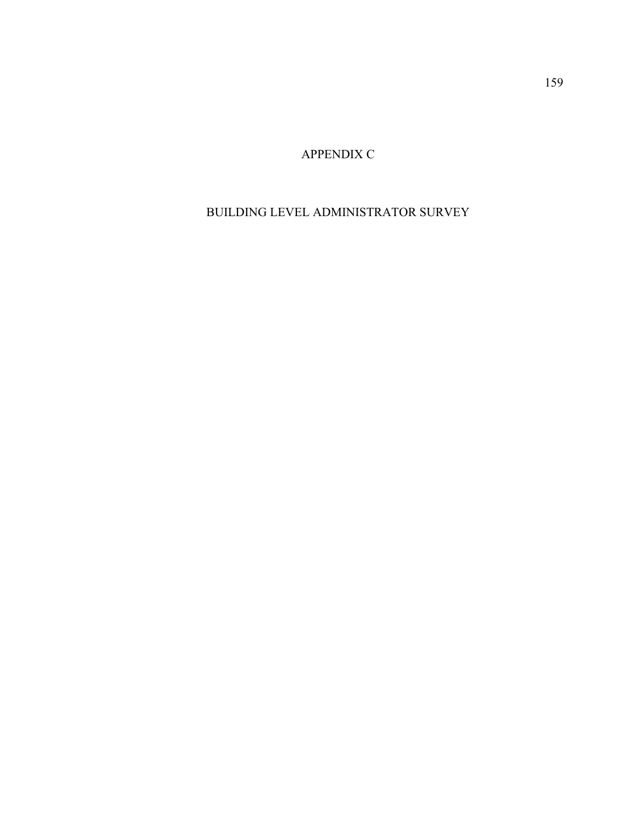APPENDIX C

# BUILDING LEVEL ADMINISTRATOR SURVEY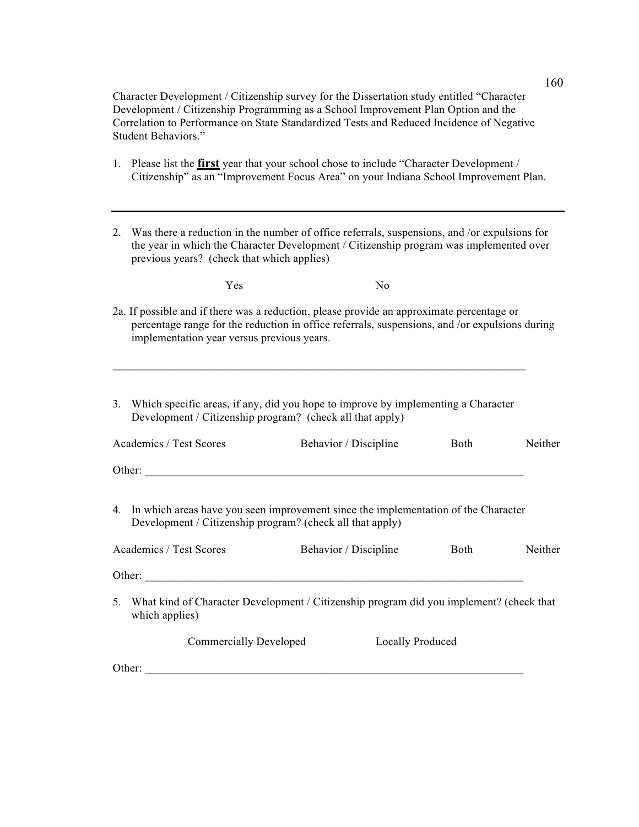Character Development / Citizenship survey for the Dissertation study entitled "Character Development / Citizenship Programming as a School Improvement Plan Option and the Correlation to Performance on State Standardized Tests and Reduced Incidence of Negative Student Behaviors."

- 1. Please list the **first** year that your school chose to include "Character Development / Citizenship" as an "Improvement Focus Area" on your Indiana School Improvement Plan.
- 2. Was there a reduction in the number of office referrals, suspensions, and /or expulsions for the year in which the Character Development / Citizenship program was implemented over previous years? (check that which applies)

| Yes | No |  |
|-----|----|--|
|     |    |  |

- 2a. If possible and if there was a reduction, please provide an approximate percentage or percentage range for the reduction in office referrals, suspensions, and /or expulsions during implementation year versus previous years.
- 3. Which specific areas, if any, did you hope to improve by implementing a Character Development / Citizenship program? (check all that apply)

 $\mathcal{L}_\mathcal{L}$  , and the state of the state of the state of the state of the state of the state of the state of the state of

| Academics / Test Scores                                                                                                                            | Behavior / Discipline   | <b>Both</b> | Neither |  |  |  |
|----------------------------------------------------------------------------------------------------------------------------------------------------|-------------------------|-------------|---------|--|--|--|
| Other:                                                                                                                                             |                         |             |         |  |  |  |
| 4. In which areas have you seen improvement since the implementation of the Character<br>Development / Citizenship program? (check all that apply) |                         |             |         |  |  |  |
| Academics / Test Scores                                                                                                                            | Behavior / Discipline   | <b>Both</b> | Neither |  |  |  |
| Other:                                                                                                                                             |                         |             |         |  |  |  |
| What kind of Character Development / Citizenship program did you implement? (check that<br>5.<br>which applies)                                    |                         |             |         |  |  |  |
| <b>Commercially Developed</b>                                                                                                                      | <b>Locally Produced</b> |             |         |  |  |  |
| Other:                                                                                                                                             |                         |             |         |  |  |  |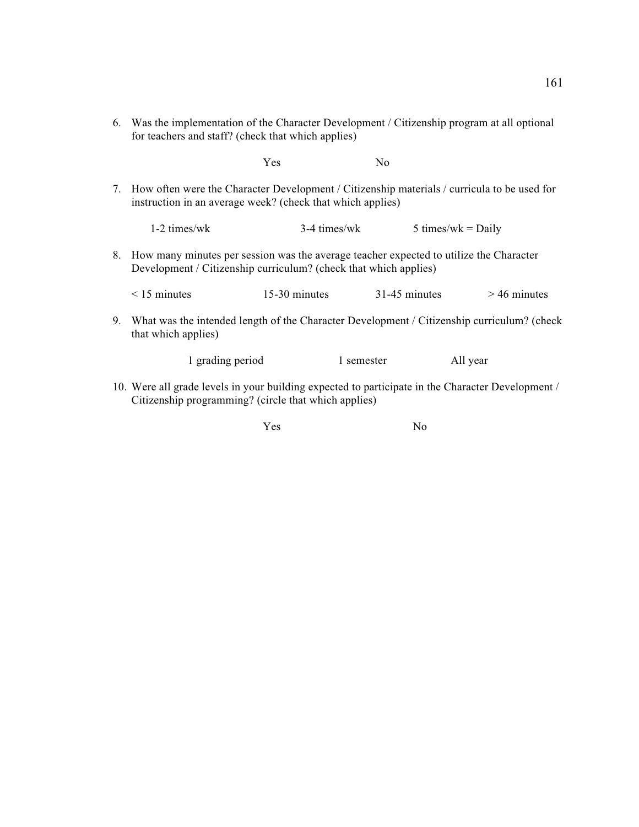6. Was the implementation of the Character Development / Citizenship program at all optional for teachers and staff? (check that which applies)

Yes No

7. How often were the Character Development / Citizenship materials / curricula to be used for instruction in an average week? (check that which applies)

1-2 times/wk  $3-4$  times/wk  $5$  times/wk = Daily

- 8. How many minutes per session was the average teacher expected to utilize the Character Development / Citizenship curriculum? (check that which applies)
	- $\leq$  15 minutes 15-30 minutes 31-45 minutes  $>$  46 minutes
- 9. What was the intended length of the Character Development / Citizenship curriculum? (check that which applies)

1 grading period 1 semester All year

10. Were all grade levels in your building expected to participate in the Character Development / Citizenship programming? (circle that which applies)

Yes No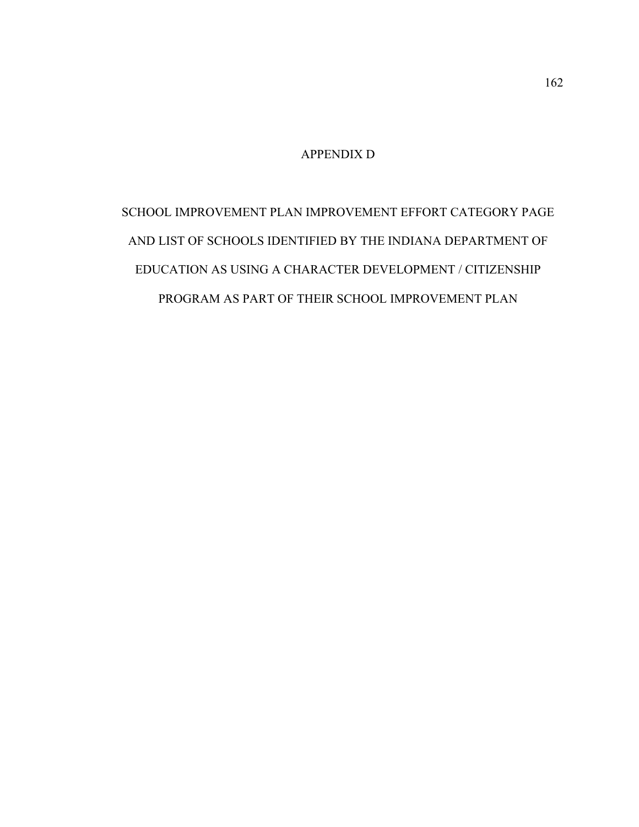## APPENDIX D

SCHOOL IMPROVEMENT PLAN IMPROVEMENT EFFORT CATEGORY PAGE AND LIST OF SCHOOLS IDENTIFIED BY THE INDIANA DEPARTMENT OF EDUCATION AS USING A CHARACTER DEVELOPMENT / CITIZENSHIP PROGRAM AS PART OF THEIR SCHOOL IMPROVEMENT PLAN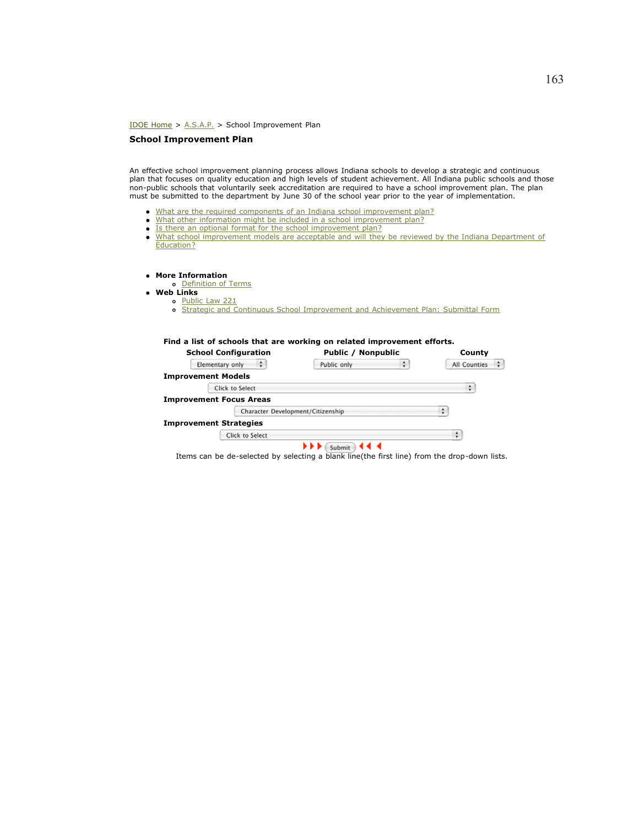IDOE Home > A.S.A.P. > School Improvement Plan

#### **School Improvement Plan**

An effective school improvement planning process allows Indiana schools to develop a strategic and continuous plan that focuses on quality education and high levels of student achievement. All Indiana public schools and those non-public schools that voluntarily seek accreditation are required to have a school improvement plan. The plan must be submitted to the department by June 30 of the school year prior to the year of implementation.

- What are the required components of an Indiana school improvement plan?
- . What other information might be included in a school improvement plan?
- Is there an optional format for the school improvement plan?
- What school improvement models are acceptable and will they be reviewed by the Indiana Department of Education?
- **More Information**
- Definition of Terms
- **Web Links**
	- o Public Law 221
		- o Strategic and Continuous School Improvement and Achievement Plan: Submittal Form

|  |  |  |  |  |  |  |  |  | Find a list of schools that are working on related improvement efforts. |  |
|--|--|--|--|--|--|--|--|--|-------------------------------------------------------------------------|--|
|--|--|--|--|--|--|--|--|--|-------------------------------------------------------------------------|--|

| <b>School Configuration</b>       | Public / Nonpublic |   | County                                       |  |  |
|-----------------------------------|--------------------|---|----------------------------------------------|--|--|
| ÷<br>Elementary only              | Public only        | ÷ | $\left  \frac{1}{2} \right $<br>All Counties |  |  |
| <b>Improvement Models</b>         |                    |   |                                              |  |  |
| Click to Select                   |                    |   | ٠                                            |  |  |
| <b>Improvement Focus Areas</b>    |                    |   |                                              |  |  |
| Character Development/Citizenship |                    |   | ٥                                            |  |  |
| <b>Improvement Strategies</b>     |                    |   |                                              |  |  |
| Click to Select                   |                    |   | ÷                                            |  |  |
|                                   | ∢∢<br>Submit       |   |                                              |  |  |

Items can be de-selected by selecting a blank line(the first line) from the drop-down lists.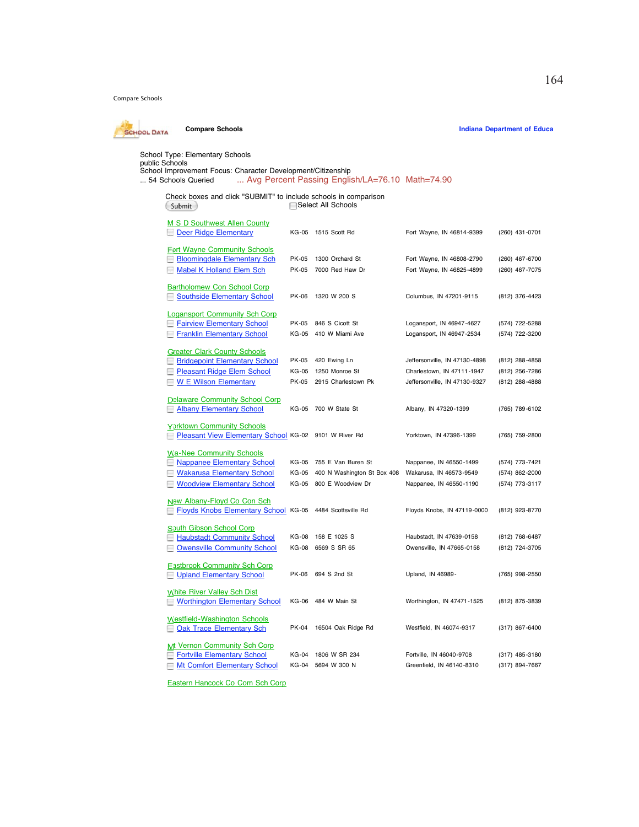Compare Schools



School Type: Elementary Schools<br>public Schools<br>School Improvement Focus: Character Development/Citizenship<br>... 54 Schools Queried ... Avg Percent Passing English/LA=76.10 Math=74.90

| Check boxes and click "SUBMIT" to include schools in comparison<br>Submit                  | <b>□ Select All Schools</b> |                             |                               |                  |
|--------------------------------------------------------------------------------------------|-----------------------------|-----------------------------|-------------------------------|------------------|
| M S D Southwest Allen County<br>Deer Ridge Elementary                                      | KG-05                       | 1515 Scott Rd               | Fort Wayne, IN 46814-9399     | (260) 431-0701   |
| <b>Fort Wayne Community Schools</b>                                                        |                             |                             |                               |                  |
| <b>Bloomingdale Elementary Sch</b>                                                         | PK-05                       | 1300 Orchard St             | Fort Wayne, IN 46808-2790     | (260) 467-6700   |
| Mabel K Holland Elem Sch                                                                   | PK-05                       | 7000 Red Haw Dr             | Fort Wayne, IN 46825-4899     | (260) 467-7075   |
| <b>Bartholomew Con School Corp</b><br>Southside Elementary School                          | PK-06                       | 1320 W 200 S                | Columbus, IN 47201-9115       | (812) 376-4423   |
| <b>Logansport Community Sch Corp</b>                                                       |                             |                             |                               |                  |
| <b>L</b> Fairview Elementary School                                                        | PK-05                       | 846 S Cicott St             | Logansport, IN 46947-4627     | (574) 722-5288   |
| Franklin Elementary School                                                                 | KG-05                       | 410 W Miami Ave             | Logansport, IN 46947-2534     | (574) 722-3200   |
| <b>Greater Clark County Schools</b>                                                        |                             |                             |                               |                  |
| <b>School</b> Bridgepoint Elementary School                                                | PK-05                       | 420 Ewing Ln                | Jeffersonville, IN 47130-4898 | $(812)$ 288-4858 |
| <b>D</b> Pleasant Ridge Elem School                                                        | KG-05                       | 1250 Monroe St              | Charlestown, IN 47111-1947    | (812) 256-7286   |
| <b>W E Wilson Elementary</b>                                                               | PK-05                       | 2915 Charlestown Pk         | Jeffersonville, IN 47130-9327 | (812) 288-4888   |
| <b>Delaware Community School Corp</b><br>Albany Elementary School                          |                             | KG-05 700 W State St        | Albany, IN 47320-1399         | (765) 789-6102   |
| <b>Yorktown Community Schools</b><br>Pleasant View Elementary School KG-02 9101 W River Rd |                             |                             | Yorktown, IN 47396-1399       | (765) 759-2800   |
| <b>Wa-Nee Community Schools</b>                                                            |                             |                             |                               |                  |
| Nappanee Elementary School                                                                 | KG-05                       | 755 E Van Buren St          | Nappanee, IN 46550-1499       | (574) 773-7421   |
| <b>Nakarusa Elementary School</b>                                                          | KG-05                       | 400 N Washington St Box 408 | Wakarusa, IN 46573-9549       | (574) 862-2000   |
| <b>Noodview Elementary School</b>                                                          | KG-05                       | 800 E Woodview Dr           | Nappanee, IN 46550-1190       | (574) 773-3117   |
| New Albany-Floyd Co Con Sch<br>Floyds Knobs Elementary School KG-05 4484 Scottsville Rd    |                             |                             | Floyds Knobs, IN 47119-0000   | (812) 923-8770   |
| South Gibson School Corp                                                                   |                             |                             |                               |                  |
| <b>Haubstadt Community School</b>                                                          | KG-08                       | 158 E 1025 S                | Haubstadt, IN 47639-0158      | (812) 768-6487   |
| Owensville Community School                                                                | KG-08                       | 6569 S SR 65                | Owensville, IN 47665-0158     | (812) 724-3705   |
| <b>Eastbrook Community Sch Corp</b><br>Upland Elementary School                            | PK-06                       | 694 S 2nd St                | Upland, IN 46989-             | (765) 998-2550   |
| <b>White River Valley Sch Dist</b><br>Worthington Elementary School                        | KG-06                       | 484 W Main St               | Worthington, IN 47471-1525    | (812) 875-3839   |
| <b>Westfield-Washington Schools</b><br>Oak Trace Elementary Sch                            | PK-04                       | 16504 Oak Ridge Rd          | Westfield, IN 46074-9317      | (317) 867-6400   |
| <b>Mt Vernon Community Sch Corp</b>                                                        |                             |                             |                               |                  |
| Fortville Elementary School                                                                | KG-04                       | 1806 W SR 234               | Fortville, IN 46040-9708      | (317) 485-3180   |
| Mt Comfort Elementary School                                                               | KG-04                       | 5694 W 300 N                | Greenfield, IN 46140-8310     | (317) 894-7667   |

Eastern Hancock Co Com Sch Corp

**Compare Schools Compare Schools Indiana Department of Education**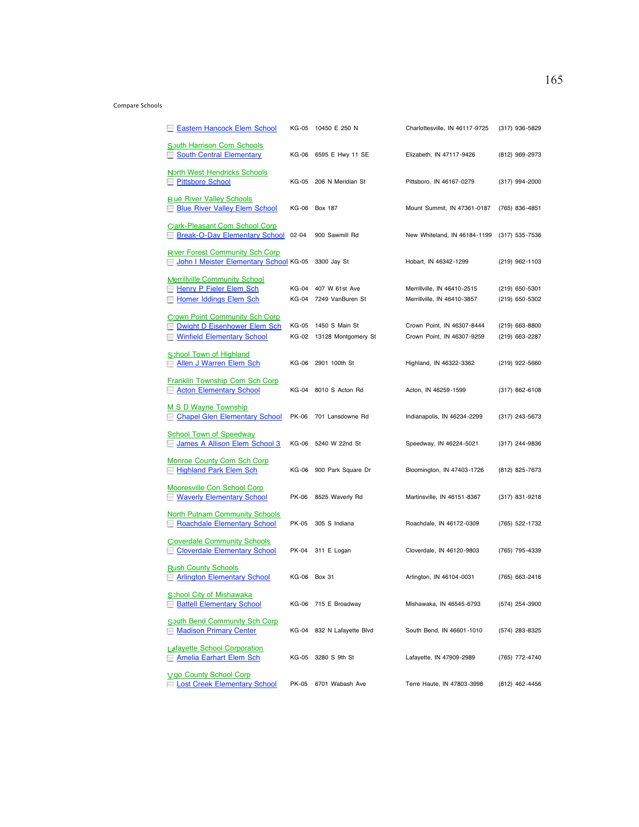#### Compare Schools

| Eastern Hancock Elem School                                                                                |       | KG-05 10450 E 250 N                               | Charlottesville, IN 46117-9725                             | (317) 936-5829                     |
|------------------------------------------------------------------------------------------------------------|-------|---------------------------------------------------|------------------------------------------------------------|------------------------------------|
| South Harrison Com Schools<br><b>South Central Elementary</b><br>ш                                         |       | KG-06 6595 E Hwy 11 SE                            | Elizabeth, IN 47117-9426                                   | (812) 969-2973                     |
| <b>North West Hendricks Schools</b><br><b>Pittsboro School</b>                                             |       | KG-05 206 N Meridian St                           | Pittsboro, IN 46167-0279                                   | (317) 994-2000                     |
| <b>Blue River Valley Schools</b><br><b>Blue River Valley Elem School</b><br>н                              |       | KG-06 Box 187                                     | Mount Summit, IN 47361-0187                                | (765) 836-4851                     |
| <b>Clark-Pleasant Com School Corp</b><br>Break-O-Day Elementary School 02-04<br>ш                          |       | 900 Sawmill Rd                                    | New Whiteland, IN 46184-1199                               | (317) 535-7536                     |
| <b>River Forest Community Sch Corp</b><br>John I Meister Elementary School KG-05 3300 Jay St               |       |                                                   | Hobart, IN 46342-1299                                      | (219) 962-1103                     |
| <b>Merrillville Community School</b><br>Henry P Fieler Elem Sch<br>Homer Iddings Elem Sch                  |       | KG-04 407 W 61st Ave<br>KG-04 7249 VanBuren St    | Merrillville, IN 46410-2515<br>Merrillville, IN 46410-3857 | $(219)$ 650-5301<br>(219) 650-5302 |
| <b>Crown Point Community Sch Corp</b><br>Dwight D Eisenhower Elem Sch<br><b>Winfield Elementary School</b> |       | KG-05 1450 S Main St<br>KG-02 13128 Montgomery St | Crown Point, IN 46307-8444<br>Crown Point, IN 46307-9259   | (219) 663-8800<br>(219) 663-2287   |
| School Town of Highland<br>Allen J Warren Elem Sch<br>-                                                    |       | KG-06 2901 100th St                               | Highland, IN 46322-3362                                    | $(219)$ 922-5660                   |
| Franklin Township Com Sch Corp<br><b>Acton Elementary School</b>                                           |       | KG-04 8010 S Acton Rd                             | Acton, IN 46259-1599                                       | (317) 862-6108                     |
| M S D Wayne Township<br><b>Chapel Glen Elementary School</b><br>н                                          |       | PK-06 701 Lansdowne Rd                            | Indianapolis, IN 46234-2299                                | (317) 243-5673                     |
| <b>School Town of Speedway</b><br>James A Allison Elem School 3                                            |       | KG-06 5240 W 22nd St                              | Speedway, IN 46224-5021                                    | (317) 244-9836                     |
| <b>Monroe County Com Sch Corp</b><br>Highland Park Elem Sch                                                |       | KG-06 900 Park Square Dr                          | Bloomington, IN 47403-1726                                 | (812) 825-7673                     |
| Mooresville Con School Corp<br><b>Waverly Elementary School</b>                                            | PK-06 | 8525 Waverly Rd                                   | Martinsville, IN 46151-8367                                | (317) 831-9218                     |
| <b>North Putnam Community Schools</b><br>Roachdale Elementary School                                       |       | PK-05 305 S Indiana                               | Roachdale, IN 46172-0309                                   | (765) 522-1732                     |
| <b>Cloverdale Community Schools</b><br><b>Cloverdale Elementary School</b>                                 | PK-04 | 311 E Logan                                       | Cloverdale, IN 46120-9803                                  | (765) 795-4339                     |
| <b>Rush County Schools</b><br>Arlington Elementary School                                                  |       | KG-06 Box 31                                      | Arlington, IN 46104-0031                                   | (765) 663-2416                     |
| <b>School City of Mishawaka</b><br><b>Battell Elementary School</b>                                        |       | KG-06 715 E Broadway                              | Mishawaka, IN 46545-6793                                   | (574) 254-3900                     |
| <b>South Bend Community Sch Corp</b><br>Madison Primary Center                                             |       | KG-04 832 N Lafayette Blvd                        | South Bend, IN 46601-1010                                  | (574) 283-8325                     |
| <b>Lafayette School Corporation</b><br><b>Amelia Earhart Elem Sch</b>                                      | KG-05 | 3280 S 9th St                                     | Lafayette, IN 47909-2989                                   | (765) 772-4740                     |
| <b>Vigo County School Corp</b><br><b>Lost Creek Elementary School</b>                                      | PK-05 | 6701 Wabash Ave                                   | Terre Haute, IN 47803-3998                                 | (812) 462-4456                     |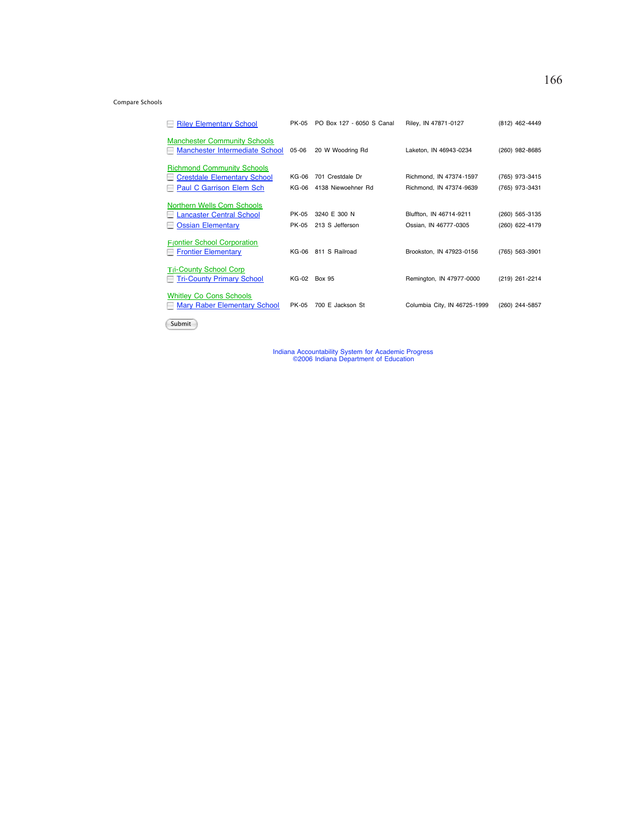#### Compare Schools

| <b>Riley Elementary School</b>                                                                      | PK-05          | PO Box 127 - 6050 S Canal              | Riley, IN 47871-0127                               | (812) 462-4449                   |
|-----------------------------------------------------------------------------------------------------|----------------|----------------------------------------|----------------------------------------------------|----------------------------------|
| <b>Manchester Community Schools</b><br>Manchester Intermediate School                               | $05 - 06$      | 20 W Woodring Rd                       | Laketon, IN 46943-0234                             | (260) 982-8685                   |
| <b>Richmond Community Schools</b><br><b>Crestdale Elementary School</b><br>Paul C Garrison Elem Sch | KG-06<br>KG-06 | 701 Crestdale Dr<br>4138 Niewoehner Rd | Richmond. IN 47374-1597<br>Richmond. IN 47374-9639 | (765) 973-3415<br>(765) 973-3431 |
| Northern Wells Com Schools<br><b>Lancaster Central School</b><br><b>Ossian Elementary</b>           | PK-05<br>PK-05 | 3240 E 300 N<br>213 S Jefferson        | Bluffton, IN 46714-9211<br>Ossian, IN 46777-0305   | (260) 565-3135<br>(260) 622-4179 |
| <b>Frontier School Corporation</b><br><b>Frontier Elementary</b>                                    |                | KG-06 811 S Railroad                   | Brookston. IN 47923-0156                           | (765) 563-3901                   |
| <b>Tri-County School Corp</b><br><b>Tri-County Primary School</b>                                   |                | KG-02 Box 95                           | Remington, IN 47977-0000                           | (219) 261-2214                   |
| <b>Whitley Co Cons Schools</b><br><b>Mary Raber Elementary School</b>                               | PK-05          | 700 E Jackson St                       | Columbia City, IN 46725-1999                       | (260) 244-5857                   |

Submit

Indiana Accountability System for Academic Progress ©2006 Indiana Department of Education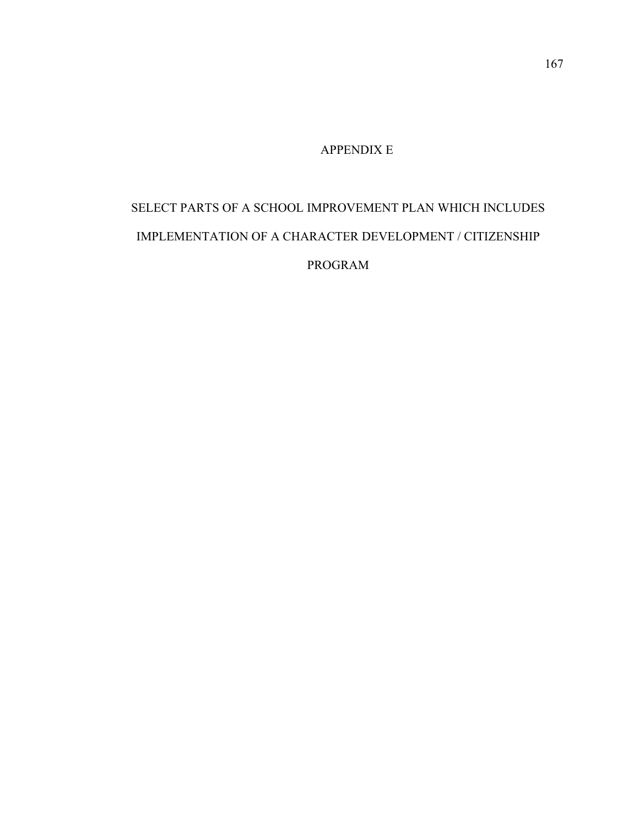## APPENDIX E

# SELECT PARTS OF A SCHOOL IMPROVEMENT PLAN WHICH INCLUDES IMPLEMENTATION OF A CHARACTER DEVELOPMENT / CITIZENSHIP PROGRAM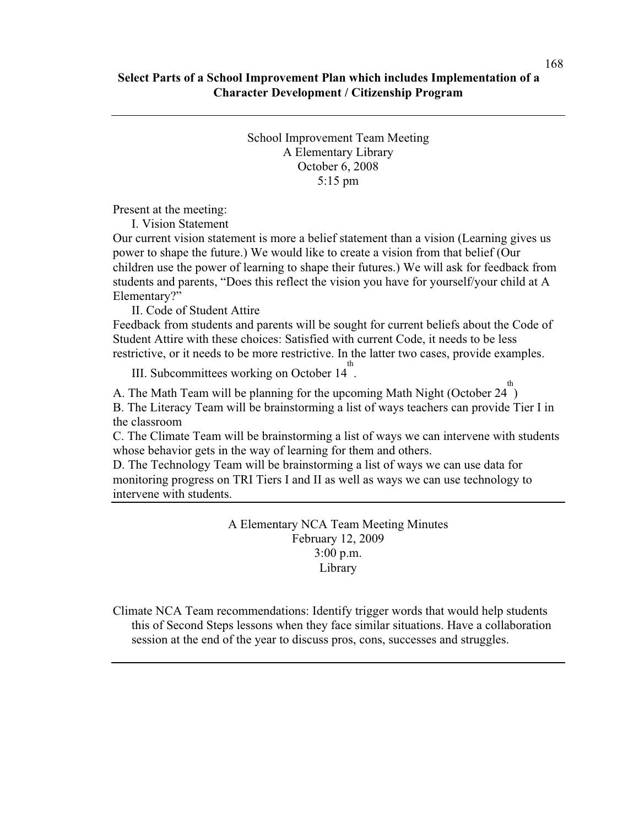School Improvement Team Meeting A Elementary Library October 6, 2008 5:15 pm

Present at the meeting:

I. Vision Statement

Our current vision statement is more a belief statement than a vision (Learning gives us power to shape the future.) We would like to create a vision from that belief (Our children use the power of learning to shape their futures.) We will ask for feedback from students and parents, "Does this reflect the vision you have for yourself/your child at A Elementary?"

II. Code of Student Attire

Feedback from students and parents will be sought for current beliefs about the Code of Student Attire with these choices: Satisfied with current Code, it needs to be less restrictive, or it needs to be more restrictive. In the latter two cases, provide examples.

III. Subcommittees working on October 14<sup>th</sup>.

A. The Math Team will be planning for the upcoming Math Night (October 24<sup>th)</sup> B. The Literacy Team will be brainstorming a list of ways teachers can provide Tier I in the classroom

C. The Climate Team will be brainstorming a list of ways we can intervene with students whose behavior gets in the way of learning for them and others.

D. The Technology Team will be brainstorming a list of ways we can use data for monitoring progress on TRI Tiers I and II as well as ways we can use technology to intervene with students.

> A Elementary NCA Team Meeting Minutes February 12, 2009 3:00 p.m. Library

Climate NCA Team recommendations: Identify trigger words that would help students this of Second Steps lessons when they face similar situations. Have a collaboration session at the end of the year to discuss pros, cons, successes and struggles.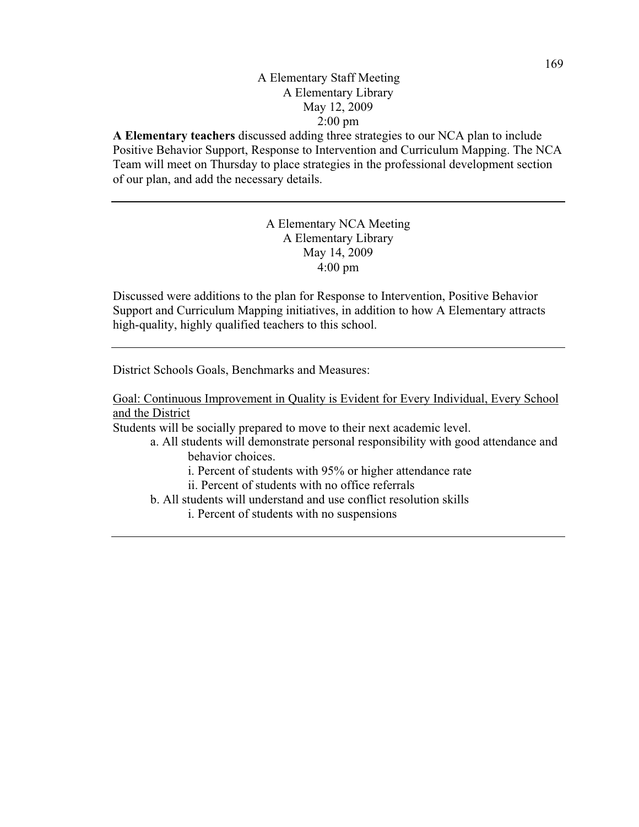## A Elementary Staff Meeting A Elementary Library May 12, 2009 2:00 pm

**A Elementary teachers** discussed adding three strategies to our NCA plan to include Positive Behavior Support, Response to Intervention and Curriculum Mapping. The NCA Team will meet on Thursday to place strategies in the professional development section of our plan, and add the necessary details.

> A Elementary NCA Meeting A Elementary Library May 14, 2009 4:00 pm

Discussed were additions to the plan for Response to Intervention, Positive Behavior Support and Curriculum Mapping initiatives, in addition to how A Elementary attracts high-quality, highly qualified teachers to this school.

District Schools Goals, Benchmarks and Measures:

Goal: Continuous Improvement in Quality is Evident for Every Individual, Every School and the District

Students will be socially prepared to move to their next academic level.

- a. All students will demonstrate personal responsibility with good attendance and behavior choices.
	- i. Percent of students with 95% or higher attendance rate
	- ii. Percent of students with no office referrals

b. All students will understand and use conflict resolution skills

i. Percent of students with no suspensions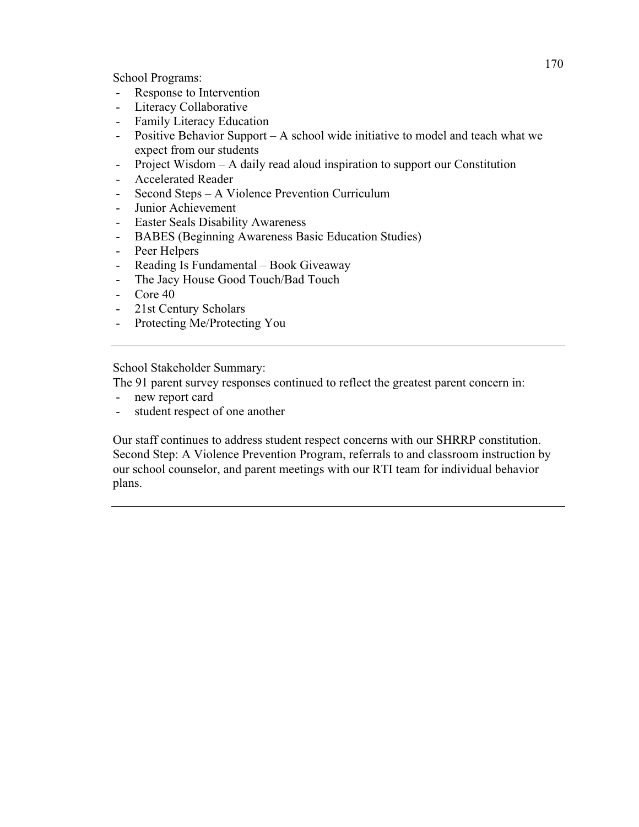School Programs:

- Response to Intervention
- Literacy Collaborative
- Family Literacy Education
- Positive Behavior Support A school wide initiative to model and teach what we expect from our students
- Project Wisdom A daily read aloud inspiration to support our Constitution
- Accelerated Reader
- Second Steps A Violence Prevention Curriculum
- Junior Achievement
- Easter Seals Disability Awareness
- BABES (Beginning Awareness Basic Education Studies)
- Peer Helpers
- Reading Is Fundamental Book Giveaway
- The Jacy House Good Touch/Bad Touch
- Core 40
- 21st Century Scholars
- Protecting Me/Protecting You

School Stakeholder Summary:

The 91 parent survey responses continued to reflect the greatest parent concern in:

- new report card
- student respect of one another

Our staff continues to address student respect concerns with our SHRRP constitution. Second Step: A Violence Prevention Program, referrals to and classroom instruction by our school counselor, and parent meetings with our RTI team for individual behavior plans.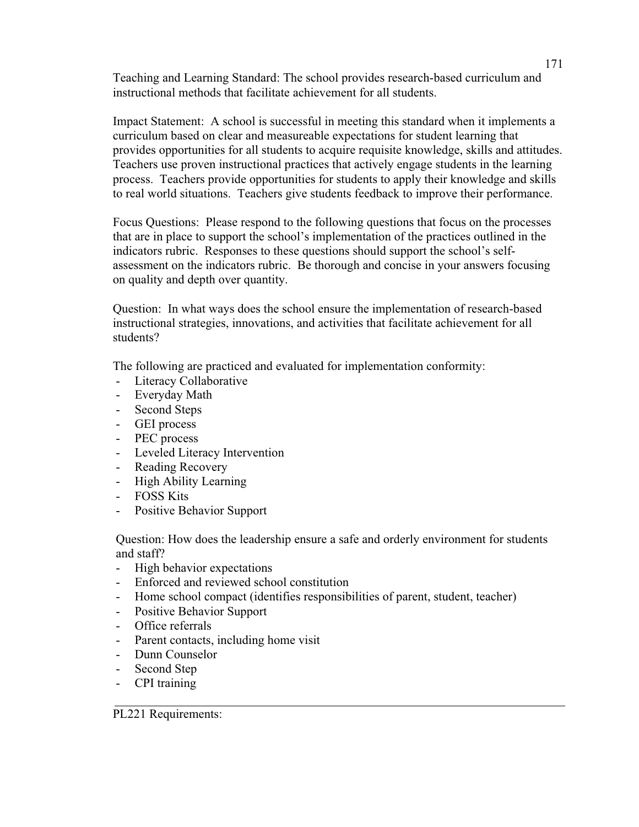Teaching and Learning Standard: The school provides research-based curriculum and instructional methods that facilitate achievement for all students.

Impact Statement: A school is successful in meeting this standard when it implements a curriculum based on clear and measureable expectations for student learning that provides opportunities for all students to acquire requisite knowledge, skills and attitudes. Teachers use proven instructional practices that actively engage students in the learning process. Teachers provide opportunities for students to apply their knowledge and skills to real world situations. Teachers give students feedback to improve their performance.

Focus Questions: Please respond to the following questions that focus on the processes that are in place to support the school's implementation of the practices outlined in the indicators rubric. Responses to these questions should support the school's selfassessment on the indicators rubric. Be thorough and concise in your answers focusing on quality and depth over quantity.

Question: In what ways does the school ensure the implementation of research-based instructional strategies, innovations, and activities that facilitate achievement for all students?

The following are practiced and evaluated for implementation conformity:

- Literacy Collaborative
- Everyday Math
- Second Steps
- GEI process
- PEC process
- Leveled Literacy Intervention
- Reading Recovery
- High Ability Learning
- FOSS Kits
- Positive Behavior Support

Question: How does the leadership ensure a safe and orderly environment for students and staff?

- High behavior expectations
- Enforced and reviewed school constitution
- Home school compact (identifies responsibilities of parent, student, teacher)
- Positive Behavior Support
- Office referrals
- Parent contacts, including home visit
- Dunn Counselor
- Second Step
- CPI training

PL221 Requirements: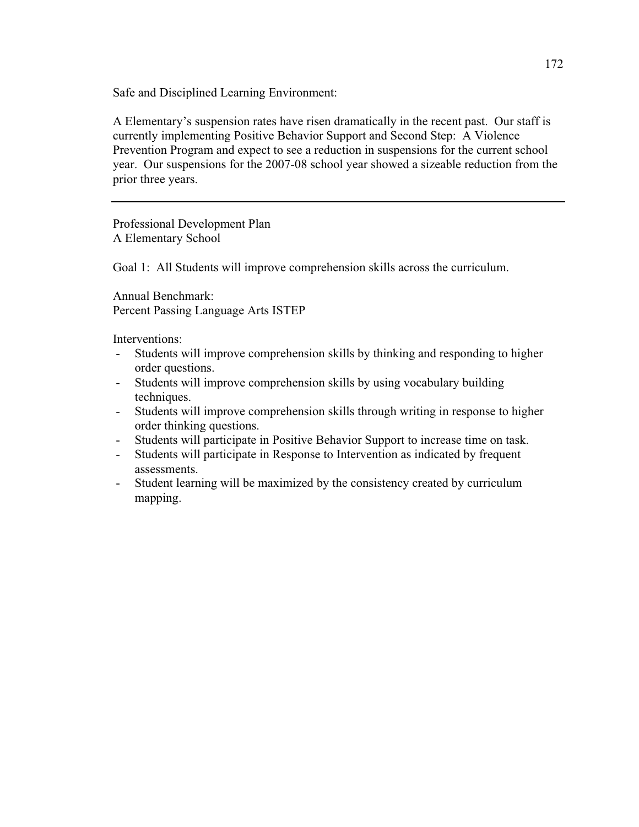Safe and Disciplined Learning Environment:

A Elementary's suspension rates have risen dramatically in the recent past. Our staff is currently implementing Positive Behavior Support and Second Step: A Violence Prevention Program and expect to see a reduction in suspensions for the current school year. Our suspensions for the 2007-08 school year showed a sizeable reduction from the prior three years.

Professional Development Plan A Elementary School

Goal 1: All Students will improve comprehension skills across the curriculum.

Annual Benchmark: Percent Passing Language Arts ISTEP

Interventions:

- Students will improve comprehension skills by thinking and responding to higher order questions.
- Students will improve comprehension skills by using vocabulary building techniques.
- Students will improve comprehension skills through writing in response to higher order thinking questions.
- Students will participate in Positive Behavior Support to increase time on task.
- Students will participate in Response to Intervention as indicated by frequent assessments.
- Student learning will be maximized by the consistency created by curriculum mapping.